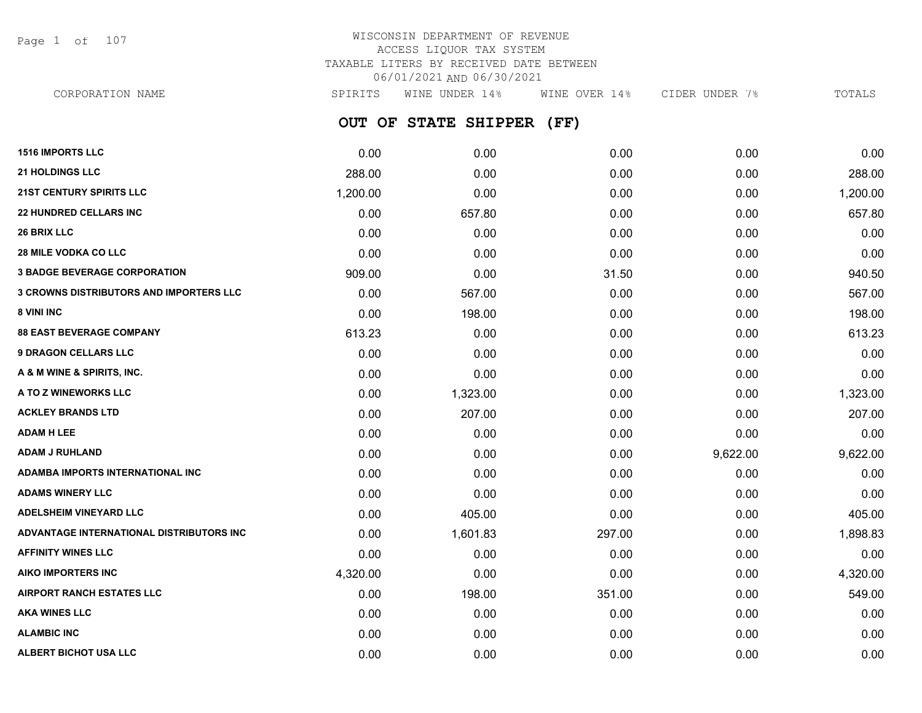Page 1 of 107

| CORPORATION NAME                               | SPIRITS  | WINE UNDER 14%       | WINE OVER 14% | CIDER UNDER 7% | TOTALS   |
|------------------------------------------------|----------|----------------------|---------------|----------------|----------|
|                                                |          | OUT OF STATE SHIPPER | (FF)          |                |          |
| <b>1516 IMPORTS LLC</b>                        | 0.00     | 0.00                 | 0.00          | 0.00           | 0.00     |
| <b>21 HOLDINGS LLC</b>                         | 288.00   | 0.00                 | 0.00          | 0.00           | 288.00   |
| <b>21ST CENTURY SPIRITS LLC</b>                | 1,200.00 | 0.00                 | 0.00          | 0.00           | 1,200.00 |
| <b>22 HUNDRED CELLARS INC</b>                  | 0.00     | 657.80               | 0.00          | 0.00           | 657.80   |
| <b>26 BRIX LLC</b>                             | 0.00     | 0.00                 | 0.00          | 0.00           | 0.00     |
| <b>28 MILE VODKA CO LLC</b>                    | 0.00     | 0.00                 | 0.00          | 0.00           | 0.00     |
| <b>3 BADGE BEVERAGE CORPORATION</b>            | 909.00   | 0.00                 | 31.50         | 0.00           | 940.50   |
| <b>3 CROWNS DISTRIBUTORS AND IMPORTERS LLC</b> | 0.00     | 567.00               | 0.00          | 0.00           | 567.00   |
| <b>8 VINI INC</b>                              | 0.00     | 198.00               | 0.00          | 0.00           | 198.00   |
| <b>88 EAST BEVERAGE COMPANY</b>                | 613.23   | 0.00                 | 0.00          | 0.00           | 613.23   |
| <b>9 DRAGON CELLARS LLC</b>                    | 0.00     | 0.00                 | 0.00          | 0.00           | 0.00     |
| A & M WINE & SPIRITS, INC.                     | 0.00     | 0.00                 | 0.00          | 0.00           | 0.00     |
| <b>A TO Z WINEWORKS LLC</b>                    | 0.00     | 1,323.00             | 0.00          | 0.00           | 1,323.00 |
| <b>ACKLEY BRANDS LTD</b>                       | 0.00     | 207.00               | 0.00          | 0.00           | 207.00   |
| <b>ADAM H LEE</b>                              | 0.00     | 0.00                 | 0.00          | 0.00           | 0.00     |
| ADAM J RUHLAND                                 | 0.00     | 0.00                 | 0.00          | 9,622.00       | 9,622.00 |
|                                                |          |                      |               |                |          |

| ADAMBA IMPORTS INTERNATIONAL INC         | 0.00     | 0.00     | 0.00   | 0.00 | 0.00     |
|------------------------------------------|----------|----------|--------|------|----------|
| <b>ADAMS WINERY LLC</b>                  | 0.00     | 0.00     | 0.00   | 0.00 | 0.00     |
| <b>ADELSHEIM VINEYARD LLC</b>            | 0.00     | 405.00   | 0.00   | 0.00 | 405.00   |
| ADVANTAGE INTERNATIONAL DISTRIBUTORS INC | 0.00     | 1,601.83 | 297.00 | 0.00 | 1,898.83 |
| <b>AFFINITY WINES LLC</b>                | 0.00     | 0.00     | 0.00   | 0.00 | 0.00     |
| AIKO IMPORTERS INC                       | 4,320.00 | 0.00     | 0.00   | 0.00 | 4,320.00 |
| <b>AIRPORT RANCH ESTATES LLC</b>         | 0.00     | 198.00   | 351.00 | 0.00 | 549.00   |
| <b>AKA WINES LLC</b>                     | 0.00     | 0.00     | 0.00   | 0.00 | 0.00     |
| <b>ALAMBIC INC</b>                       | 0.00     | 0.00     | 0.00   | 0.00 | 0.00     |
| <b>ALBERT BICHOT USA LLC</b>             | 0.00     | 0.00     | 0.00   | 0.00 | 0.00     |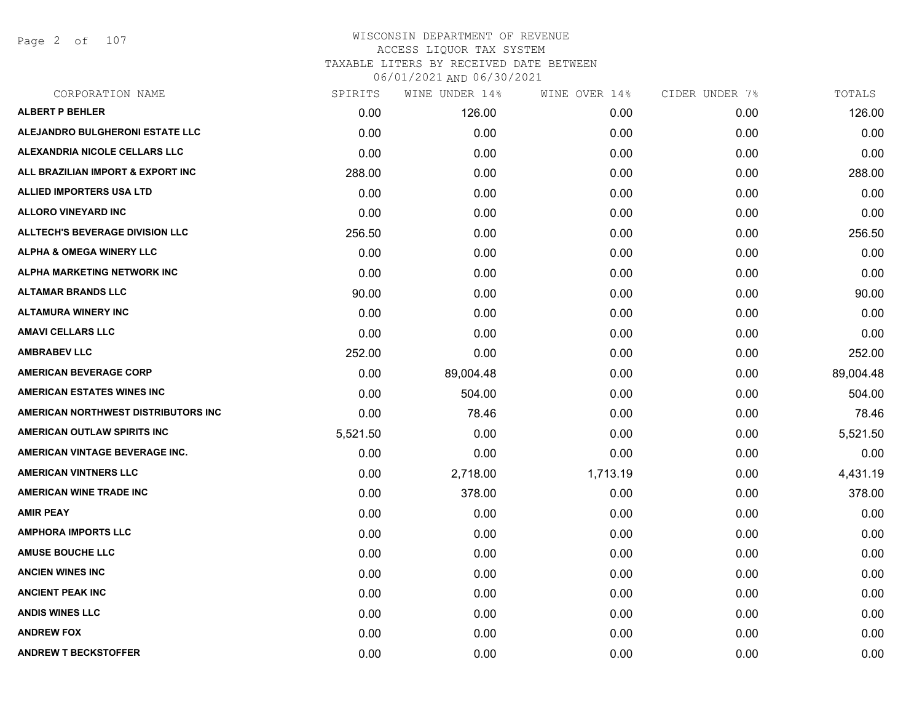Page 2 of 107

| CORPORATION NAME                       | SPIRITS  | WINE UNDER 14% | WINE OVER 14% | CIDER UNDER 7% | TOTALS    |
|----------------------------------------|----------|----------------|---------------|----------------|-----------|
| <b>ALBERT P BEHLER</b>                 | 0.00     | 126.00         | 0.00          | 0.00           | 126.00    |
| ALEJANDRO BULGHERONI ESTATE LLC        | 0.00     | 0.00           | 0.00          | 0.00           | 0.00      |
| ALEXANDRIA NICOLE CELLARS LLC          | 0.00     | 0.00           | 0.00          | 0.00           | 0.00      |
| ALL BRAZILIAN IMPORT & EXPORT INC      | 288.00   | 0.00           | 0.00          | 0.00           | 288.00    |
| <b>ALLIED IMPORTERS USA LTD</b>        | 0.00     | 0.00           | 0.00          | 0.00           | 0.00      |
| <b>ALLORO VINEYARD INC</b>             | 0.00     | 0.00           | 0.00          | 0.00           | 0.00      |
| <b>ALLTECH'S BEVERAGE DIVISION LLC</b> | 256.50   | 0.00           | 0.00          | 0.00           | 256.50    |
| <b>ALPHA &amp; OMEGA WINERY LLC</b>    | 0.00     | 0.00           | 0.00          | 0.00           | 0.00      |
| ALPHA MARKETING NETWORK INC            | 0.00     | 0.00           | 0.00          | 0.00           | 0.00      |
| <b>ALTAMAR BRANDS LLC</b>              | 90.00    | 0.00           | 0.00          | 0.00           | 90.00     |
| <b>ALTAMURA WINERY INC</b>             | 0.00     | 0.00           | 0.00          | 0.00           | 0.00      |
| <b>AMAVI CELLARS LLC</b>               | 0.00     | 0.00           | 0.00          | 0.00           | 0.00      |
| <b>AMBRABEV LLC</b>                    | 252.00   | 0.00           | 0.00          | 0.00           | 252.00    |
| <b>AMERICAN BEVERAGE CORP</b>          | 0.00     | 89,004.48      | 0.00          | 0.00           | 89,004.48 |
| <b>AMERICAN ESTATES WINES INC</b>      | 0.00     | 504.00         | 0.00          | 0.00           | 504.00    |
| AMERICAN NORTHWEST DISTRIBUTORS INC    | 0.00     | 78.46          | 0.00          | 0.00           | 78.46     |
| AMERICAN OUTLAW SPIRITS INC            | 5,521.50 | 0.00           | 0.00          | 0.00           | 5,521.50  |
| AMERICAN VINTAGE BEVERAGE INC.         | 0.00     | 0.00           | 0.00          | 0.00           | 0.00      |
| <b>AMERICAN VINTNERS LLC</b>           | 0.00     | 2,718.00       | 1,713.19      | 0.00           | 4,431.19  |
| <b>AMERICAN WINE TRADE INC</b>         | 0.00     | 378.00         | 0.00          | 0.00           | 378.00    |
| <b>AMIR PEAY</b>                       | 0.00     | 0.00           | 0.00          | 0.00           | 0.00      |
| <b>AMPHORA IMPORTS LLC</b>             | 0.00     | 0.00           | 0.00          | 0.00           | 0.00      |
| <b>AMUSE BOUCHE LLC</b>                | 0.00     | 0.00           | 0.00          | 0.00           | 0.00      |
| <b>ANCIEN WINES INC</b>                | 0.00     | 0.00           | 0.00          | 0.00           | 0.00      |
| <b>ANCIENT PEAK INC</b>                | 0.00     | 0.00           | 0.00          | 0.00           | 0.00      |
| <b>ANDIS WINES LLC</b>                 | 0.00     | 0.00           | 0.00          | 0.00           | 0.00      |
| <b>ANDREW FOX</b>                      | 0.00     | 0.00           | 0.00          | 0.00           | 0.00      |
| <b>ANDREW T BECKSTOFFER</b>            | 0.00     | 0.00           | 0.00          | 0.00           | 0.00      |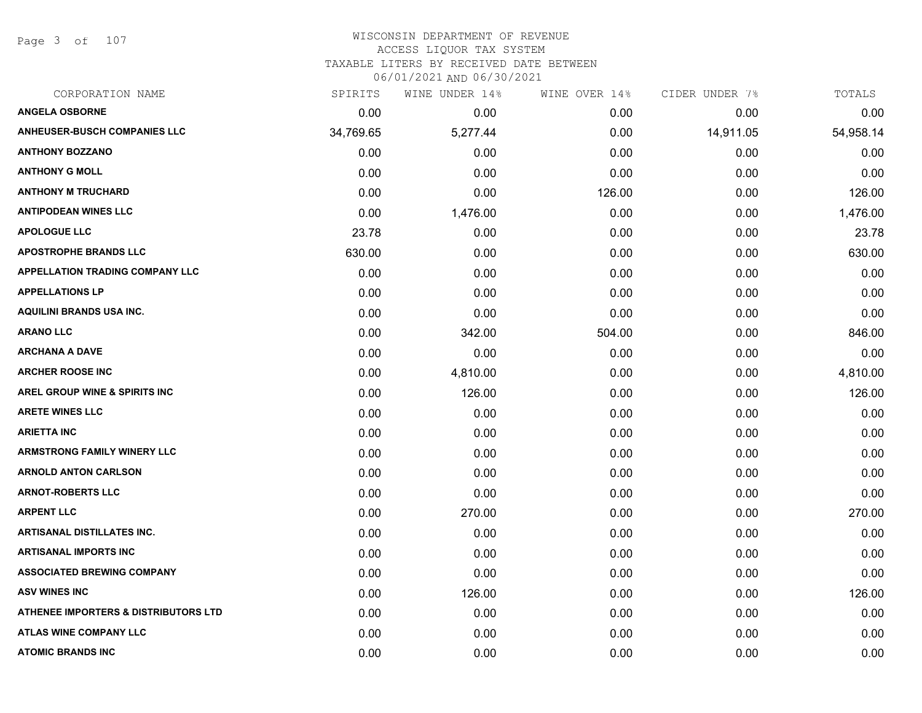Page 3 of 107

### WISCONSIN DEPARTMENT OF REVENUE ACCESS LIQUOR TAX SYSTEM

TAXABLE LITERS BY RECEIVED DATE BETWEEN

| CORPORATION NAME                         | SPIRITS   | WINE UNDER 14% | WINE OVER 14% | CIDER UNDER 7% | TOTALS    |
|------------------------------------------|-----------|----------------|---------------|----------------|-----------|
| <b>ANGELA OSBORNE</b>                    | 0.00      | 0.00           | 0.00          | 0.00           | 0.00      |
| <b>ANHEUSER-BUSCH COMPANIES LLC</b>      | 34,769.65 | 5,277.44       | 0.00          | 14,911.05      | 54,958.14 |
| <b>ANTHONY BOZZANO</b>                   | 0.00      | 0.00           | 0.00          | 0.00           | 0.00      |
| <b>ANTHONY G MOLL</b>                    | 0.00      | 0.00           | 0.00          | 0.00           | 0.00      |
| <b>ANTHONY M TRUCHARD</b>                | 0.00      | 0.00           | 126.00        | 0.00           | 126.00    |
| <b>ANTIPODEAN WINES LLC</b>              | 0.00      | 1,476.00       | 0.00          | 0.00           | 1,476.00  |
| <b>APOLOGUE LLC</b>                      | 23.78     | 0.00           | 0.00          | 0.00           | 23.78     |
| <b>APOSTROPHE BRANDS LLC</b>             | 630.00    | 0.00           | 0.00          | 0.00           | 630.00    |
| <b>APPELLATION TRADING COMPANY LLC</b>   | 0.00      | 0.00           | 0.00          | 0.00           | 0.00      |
| <b>APPELLATIONS LP</b>                   | 0.00      | 0.00           | 0.00          | 0.00           | 0.00      |
| <b>AQUILINI BRANDS USA INC.</b>          | 0.00      | 0.00           | 0.00          | 0.00           | 0.00      |
| <b>ARANO LLC</b>                         | 0.00      | 342.00         | 504.00        | 0.00           | 846.00    |
| <b>ARCHANA A DAVE</b>                    | 0.00      | 0.00           | 0.00          | 0.00           | 0.00      |
| <b>ARCHER ROOSE INC</b>                  | 0.00      | 4,810.00       | 0.00          | 0.00           | 4,810.00  |
| <b>AREL GROUP WINE &amp; SPIRITS INC</b> | 0.00      | 126.00         | 0.00          | 0.00           | 126.00    |
| <b>ARETE WINES LLC</b>                   | 0.00      | 0.00           | 0.00          | 0.00           | 0.00      |
| <b>ARIETTA INC</b>                       | 0.00      | 0.00           | 0.00          | 0.00           | 0.00      |
| <b>ARMSTRONG FAMILY WINERY LLC</b>       | 0.00      | 0.00           | 0.00          | 0.00           | 0.00      |
| <b>ARNOLD ANTON CARLSON</b>              | 0.00      | 0.00           | 0.00          | 0.00           | 0.00      |
| <b>ARNOT-ROBERTS LLC</b>                 | 0.00      | 0.00           | 0.00          | 0.00           | 0.00      |
| <b>ARPENT LLC</b>                        | 0.00      | 270.00         | 0.00          | 0.00           | 270.00    |
| <b>ARTISANAL DISTILLATES INC.</b>        | 0.00      | 0.00           | 0.00          | 0.00           | 0.00      |
| <b>ARTISANAL IMPORTS INC</b>             | 0.00      | 0.00           | 0.00          | 0.00           | 0.00      |
| <b>ASSOCIATED BREWING COMPANY</b>        | 0.00      | 0.00           | 0.00          | 0.00           | 0.00      |
| <b>ASV WINES INC</b>                     | 0.00      | 126.00         | 0.00          | 0.00           | 126.00    |
| ATHENEE IMPORTERS & DISTRIBUTORS LTD     | 0.00      | 0.00           | 0.00          | 0.00           | 0.00      |
| <b>ATLAS WINE COMPANY LLC</b>            | 0.00      | 0.00           | 0.00          | 0.00           | 0.00      |
| <b>ATOMIC BRANDS INC</b>                 | 0.00      | 0.00           | 0.00          | 0.00           | 0.00      |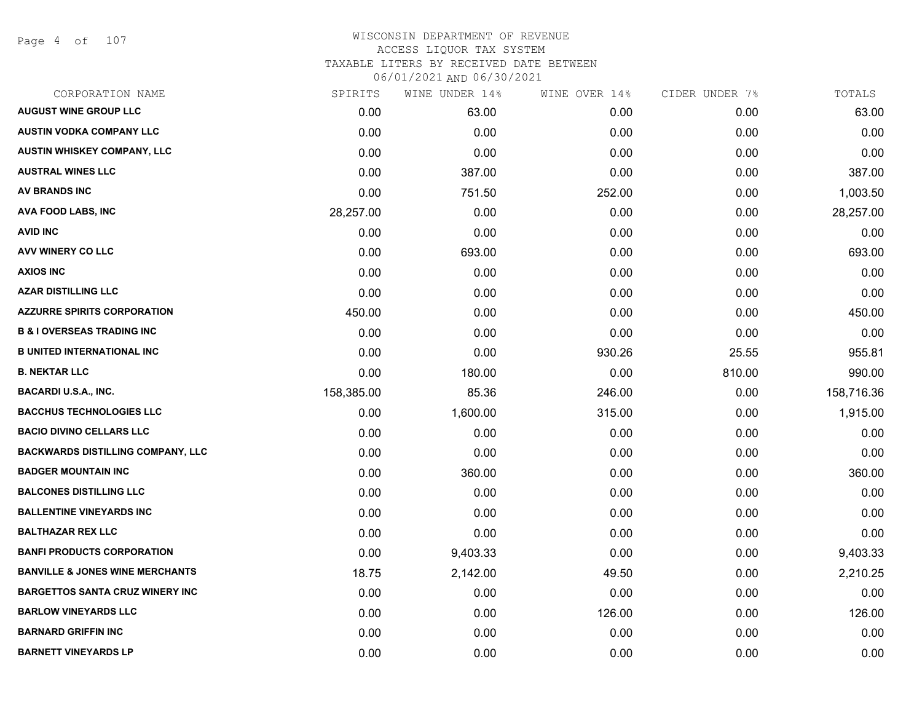Page 4 of 107

| CORPORATION NAME                           | SPIRITS    | WINE UNDER 14% | WINE OVER 14% | CIDER UNDER 7% | TOTALS     |
|--------------------------------------------|------------|----------------|---------------|----------------|------------|
| <b>AUGUST WINE GROUP LLC</b>               | 0.00       | 63.00          | 0.00          | 0.00           | 63.00      |
| <b>AUSTIN VODKA COMPANY LLC</b>            | 0.00       | 0.00           | 0.00          | 0.00           | 0.00       |
| AUSTIN WHISKEY COMPANY, LLC                | 0.00       | 0.00           | 0.00          | 0.00           | 0.00       |
| <b>AUSTRAL WINES LLC</b>                   | 0.00       | 387.00         | 0.00          | 0.00           | 387.00     |
| <b>AV BRANDS INC</b>                       | 0.00       | 751.50         | 252.00        | 0.00           | 1,003.50   |
| <b>AVA FOOD LABS, INC</b>                  | 28,257.00  | 0.00           | 0.00          | 0.00           | 28,257.00  |
| <b>AVID INC</b>                            | 0.00       | 0.00           | 0.00          | 0.00           | 0.00       |
| <b>AVV WINERY CO LLC</b>                   | 0.00       | 693.00         | 0.00          | 0.00           | 693.00     |
| <b>AXIOS INC</b>                           | 0.00       | 0.00           | 0.00          | 0.00           | 0.00       |
| <b>AZAR DISTILLING LLC</b>                 | 0.00       | 0.00           | 0.00          | 0.00           | 0.00       |
| <b>AZZURRE SPIRITS CORPORATION</b>         | 450.00     | 0.00           | 0.00          | 0.00           | 450.00     |
| <b>B &amp; I OVERSEAS TRADING INC</b>      | 0.00       | 0.00           | 0.00          | 0.00           | 0.00       |
| <b>B UNITED INTERNATIONAL INC</b>          | 0.00       | 0.00           | 930.26        | 25.55          | 955.81     |
| <b>B. NEKTAR LLC</b>                       | 0.00       | 180.00         | 0.00          | 810.00         | 990.00     |
| <b>BACARDI U.S.A., INC.</b>                | 158,385.00 | 85.36          | 246.00        | 0.00           | 158,716.36 |
| <b>BACCHUS TECHNOLOGIES LLC</b>            | 0.00       | 1,600.00       | 315.00        | 0.00           | 1,915.00   |
| <b>BACIO DIVINO CELLARS LLC</b>            | 0.00       | 0.00           | 0.00          | 0.00           | 0.00       |
| <b>BACKWARDS DISTILLING COMPANY, LLC</b>   | 0.00       | 0.00           | 0.00          | 0.00           | 0.00       |
| <b>BADGER MOUNTAIN INC</b>                 | 0.00       | 360.00         | 0.00          | 0.00           | 360.00     |
| <b>BALCONES DISTILLING LLC</b>             | 0.00       | 0.00           | 0.00          | 0.00           | 0.00       |
| <b>BALLENTINE VINEYARDS INC</b>            | 0.00       | 0.00           | 0.00          | 0.00           | 0.00       |
| <b>BALTHAZAR REX LLC</b>                   | 0.00       | 0.00           | 0.00          | 0.00           | 0.00       |
| <b>BANFI PRODUCTS CORPORATION</b>          | 0.00       | 9,403.33       | 0.00          | 0.00           | 9,403.33   |
| <b>BANVILLE &amp; JONES WINE MERCHANTS</b> | 18.75      | 2,142.00       | 49.50         | 0.00           | 2,210.25   |
| <b>BARGETTOS SANTA CRUZ WINERY INC</b>     | 0.00       | 0.00           | 0.00          | 0.00           | 0.00       |
| <b>BARLOW VINEYARDS LLC</b>                | 0.00       | 0.00           | 126.00        | 0.00           | 126.00     |
| <b>BARNARD GRIFFIN INC</b>                 | 0.00       | 0.00           | 0.00          | 0.00           | 0.00       |
| <b>BARNETT VINEYARDS LP</b>                | 0.00       | 0.00           | 0.00          | 0.00           | 0.00       |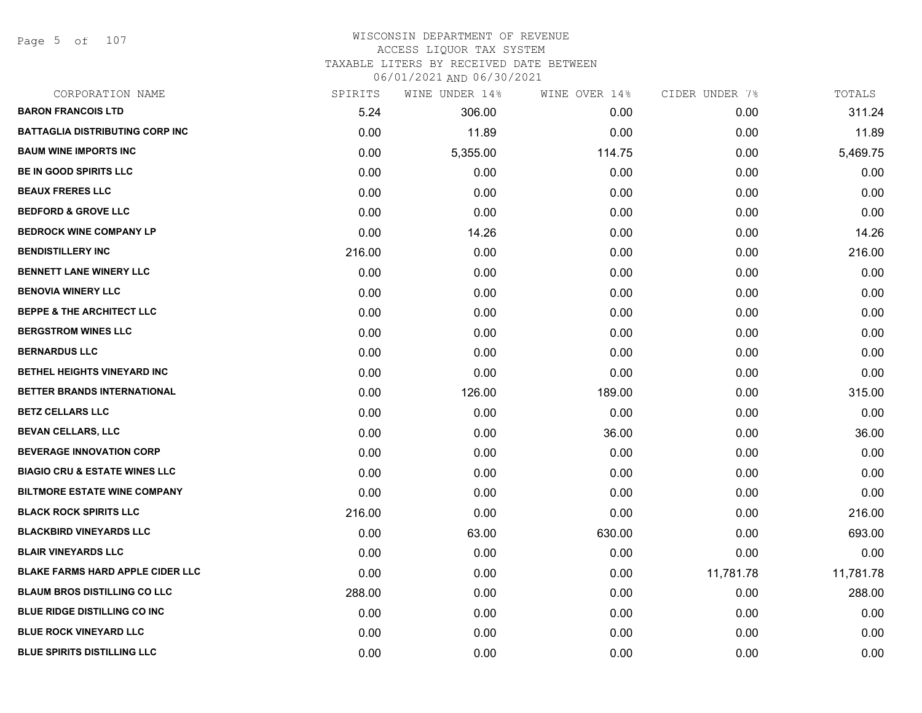Page 5 of 107

# WISCONSIN DEPARTMENT OF REVENUE ACCESS LIQUOR TAX SYSTEM TAXABLE LITERS BY RECEIVED DATE BETWEEN

| CORPORATION NAME                         | SPIRITS | WINE UNDER 14% | WINE OVER 14% | CIDER UNDER 7% | TOTALS    |
|------------------------------------------|---------|----------------|---------------|----------------|-----------|
| <b>BARON FRANCOIS LTD</b>                | 5.24    | 306.00         | 0.00          | 0.00           | 311.24    |
| <b>BATTAGLIA DISTRIBUTING CORP INC</b>   | 0.00    | 11.89          | 0.00          | 0.00           | 11.89     |
| <b>BAUM WINE IMPORTS INC</b>             | 0.00    | 5,355.00       | 114.75        | 0.00           | 5,469.75  |
| <b>BE IN GOOD SPIRITS LLC</b>            | 0.00    | 0.00           | 0.00          | 0.00           | 0.00      |
| <b>BEAUX FRERES LLC</b>                  | 0.00    | 0.00           | 0.00          | 0.00           | 0.00      |
| <b>BEDFORD &amp; GROVE LLC</b>           | 0.00    | 0.00           | 0.00          | 0.00           | 0.00      |
| <b>BEDROCK WINE COMPANY LP</b>           | 0.00    | 14.26          | 0.00          | 0.00           | 14.26     |
| <b>BENDISTILLERY INC</b>                 | 216.00  | 0.00           | 0.00          | 0.00           | 216.00    |
| <b>BENNETT LANE WINERY LLC</b>           | 0.00    | 0.00           | 0.00          | 0.00           | 0.00      |
| <b>BENOVIA WINERY LLC</b>                | 0.00    | 0.00           | 0.00          | 0.00           | 0.00      |
| <b>BEPPE &amp; THE ARCHITECT LLC</b>     | 0.00    | 0.00           | 0.00          | 0.00           | 0.00      |
| <b>BERGSTROM WINES LLC</b>               | 0.00    | 0.00           | 0.00          | 0.00           | 0.00      |
| <b>BERNARDUS LLC</b>                     | 0.00    | 0.00           | 0.00          | 0.00           | 0.00      |
| BETHEL HEIGHTS VINEYARD INC              | 0.00    | 0.00           | 0.00          | 0.00           | 0.00      |
| BETTER BRANDS INTERNATIONAL              | 0.00    | 126.00         | 189.00        | 0.00           | 315.00    |
| <b>BETZ CELLARS LLC</b>                  | 0.00    | 0.00           | 0.00          | 0.00           | 0.00      |
| <b>BEVAN CELLARS, LLC</b>                | 0.00    | 0.00           | 36.00         | 0.00           | 36.00     |
| <b>BEVERAGE INNOVATION CORP</b>          | 0.00    | 0.00           | 0.00          | 0.00           | 0.00      |
| <b>BIAGIO CRU &amp; ESTATE WINES LLC</b> | 0.00    | 0.00           | 0.00          | 0.00           | 0.00      |
| <b>BILTMORE ESTATE WINE COMPANY</b>      | 0.00    | 0.00           | 0.00          | 0.00           | 0.00      |
| <b>BLACK ROCK SPIRITS LLC</b>            | 216.00  | 0.00           | 0.00          | 0.00           | 216.00    |
| <b>BLACKBIRD VINEYARDS LLC</b>           | 0.00    | 63.00          | 630.00        | 0.00           | 693.00    |
| <b>BLAIR VINEYARDS LLC</b>               | 0.00    | 0.00           | 0.00          | 0.00           | 0.00      |
| <b>BLAKE FARMS HARD APPLE CIDER LLC</b>  | 0.00    | 0.00           | 0.00          | 11,781.78      | 11,781.78 |
| <b>BLAUM BROS DISTILLING CO LLC</b>      | 288.00  | 0.00           | 0.00          | 0.00           | 288.00    |
| <b>BLUE RIDGE DISTILLING CO INC</b>      | 0.00    | 0.00           | 0.00          | 0.00           | 0.00      |
| <b>BLUE ROCK VINEYARD LLC</b>            | 0.00    | 0.00           | 0.00          | 0.00           | 0.00      |
| <b>BLUE SPIRITS DISTILLING LLC</b>       | 0.00    | 0.00           | 0.00          | 0.00           | 0.00      |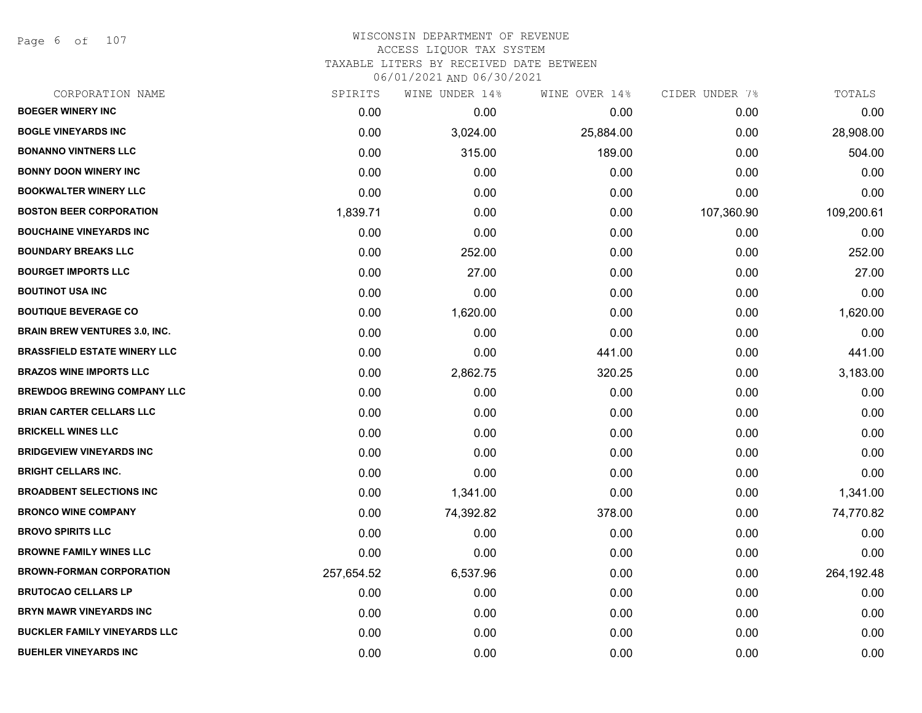Page 6 of 107

| CORPORATION NAME                     | SPIRITS    | WINE UNDER 14% | WINE OVER 14% | CIDER UNDER 7% | TOTALS     |
|--------------------------------------|------------|----------------|---------------|----------------|------------|
| <b>BOEGER WINERY INC</b>             | 0.00       | 0.00           | 0.00          | 0.00           | 0.00       |
| <b>BOGLE VINEYARDS INC</b>           | 0.00       | 3,024.00       | 25,884.00     | 0.00           | 28,908.00  |
| <b>BONANNO VINTNERS LLC</b>          | 0.00       | 315.00         | 189.00        | 0.00           | 504.00     |
| <b>BONNY DOON WINERY INC</b>         | 0.00       | 0.00           | 0.00          | 0.00           | 0.00       |
| <b>BOOKWALTER WINERY LLC</b>         | 0.00       | 0.00           | 0.00          | 0.00           | 0.00       |
| <b>BOSTON BEER CORPORATION</b>       | 1,839.71   | 0.00           | 0.00          | 107,360.90     | 109,200.61 |
| <b>BOUCHAINE VINEYARDS INC</b>       | 0.00       | 0.00           | 0.00          | 0.00           | 0.00       |
| <b>BOUNDARY BREAKS LLC</b>           | 0.00       | 252.00         | 0.00          | 0.00           | 252.00     |
| <b>BOURGET IMPORTS LLC</b>           | 0.00       | 27.00          | 0.00          | 0.00           | 27.00      |
| <b>BOUTINOT USA INC</b>              | 0.00       | 0.00           | 0.00          | 0.00           | 0.00       |
| <b>BOUTIQUE BEVERAGE CO</b>          | 0.00       | 1,620.00       | 0.00          | 0.00           | 1,620.00   |
| <b>BRAIN BREW VENTURES 3.0, INC.</b> | 0.00       | 0.00           | 0.00          | 0.00           | 0.00       |
| <b>BRASSFIELD ESTATE WINERY LLC</b>  | 0.00       | 0.00           | 441.00        | 0.00           | 441.00     |
| <b>BRAZOS WINE IMPORTS LLC</b>       | 0.00       | 2,862.75       | 320.25        | 0.00           | 3,183.00   |
| <b>BREWDOG BREWING COMPANY LLC</b>   | 0.00       | 0.00           | 0.00          | 0.00           | 0.00       |
| <b>BRIAN CARTER CELLARS LLC</b>      | 0.00       | 0.00           | 0.00          | 0.00           | 0.00       |
| <b>BRICKELL WINES LLC</b>            | 0.00       | 0.00           | 0.00          | 0.00           | 0.00       |
| <b>BRIDGEVIEW VINEYARDS INC</b>      | 0.00       | 0.00           | 0.00          | 0.00           | 0.00       |
| <b>BRIGHT CELLARS INC.</b>           | 0.00       | 0.00           | 0.00          | 0.00           | 0.00       |
| <b>BROADBENT SELECTIONS INC</b>      | 0.00       | 1,341.00       | 0.00          | 0.00           | 1,341.00   |
| <b>BRONCO WINE COMPANY</b>           | 0.00       | 74,392.82      | 378.00        | 0.00           | 74,770.82  |
| <b>BROVO SPIRITS LLC</b>             | 0.00       | 0.00           | 0.00          | 0.00           | 0.00       |
| <b>BROWNE FAMILY WINES LLC</b>       | 0.00       | 0.00           | 0.00          | 0.00           | 0.00       |
| <b>BROWN-FORMAN CORPORATION</b>      | 257,654.52 | 6,537.96       | 0.00          | 0.00           | 264,192.48 |
| <b>BRUTOCAO CELLARS LP</b>           | 0.00       | 0.00           | 0.00          | 0.00           | 0.00       |
| <b>BRYN MAWR VINEYARDS INC</b>       | 0.00       | 0.00           | 0.00          | 0.00           | 0.00       |
| <b>BUCKLER FAMILY VINEYARDS LLC</b>  | 0.00       | 0.00           | 0.00          | 0.00           | 0.00       |
| <b>BUEHLER VINEYARDS INC</b>         | 0.00       | 0.00           | 0.00          | 0.00           | 0.00       |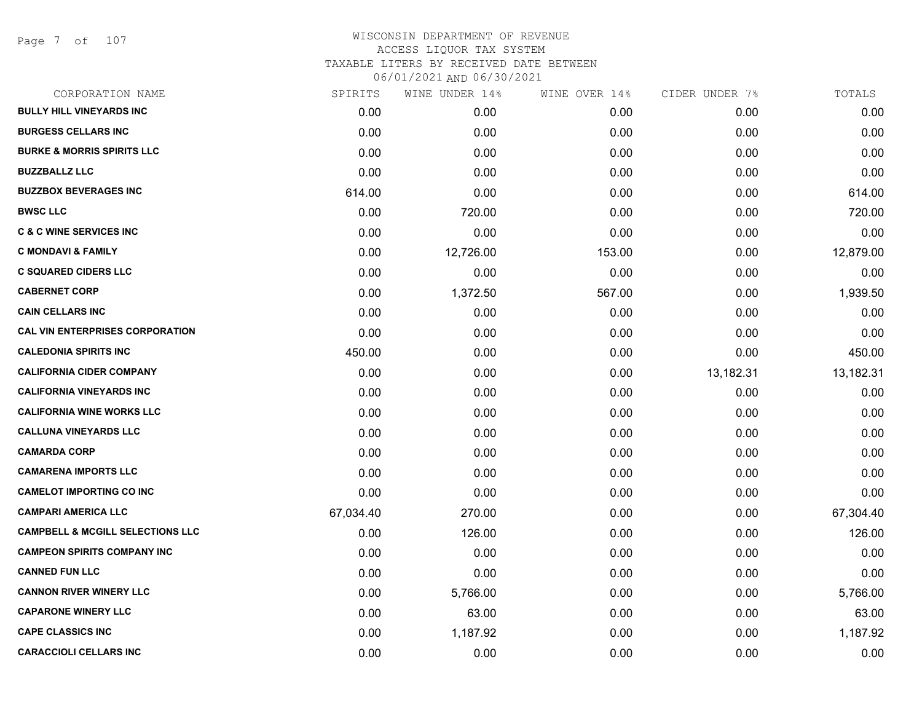Page 7 of 107

| CORPORATION NAME                            | SPIRITS   | WINE UNDER 14% | WINE OVER 14% | CIDER UNDER 7% | TOTALS    |
|---------------------------------------------|-----------|----------------|---------------|----------------|-----------|
| <b>BULLY HILL VINEYARDS INC</b>             | 0.00      | 0.00           | 0.00          | 0.00           | 0.00      |
| <b>BURGESS CELLARS INC</b>                  | 0.00      | 0.00           | 0.00          | 0.00           | 0.00      |
| <b>BURKE &amp; MORRIS SPIRITS LLC</b>       | 0.00      | 0.00           | 0.00          | 0.00           | 0.00      |
| <b>BUZZBALLZ LLC</b>                        | 0.00      | 0.00           | 0.00          | 0.00           | 0.00      |
| <b>BUZZBOX BEVERAGES INC</b>                | 614.00    | 0.00           | 0.00          | 0.00           | 614.00    |
| <b>BWSC LLC</b>                             | 0.00      | 720.00         | 0.00          | 0.00           | 720.00    |
| <b>C &amp; C WINE SERVICES INC</b>          | 0.00      | 0.00           | 0.00          | 0.00           | 0.00      |
| <b>C MONDAVI &amp; FAMILY</b>               | 0.00      | 12,726.00      | 153.00        | 0.00           | 12,879.00 |
| <b>C SQUARED CIDERS LLC</b>                 | 0.00      | 0.00           | 0.00          | 0.00           | 0.00      |
| <b>CABERNET CORP</b>                        | 0.00      | 1,372.50       | 567.00        | 0.00           | 1,939.50  |
| <b>CAIN CELLARS INC</b>                     | 0.00      | 0.00           | 0.00          | 0.00           | 0.00      |
| <b>CAL VIN ENTERPRISES CORPORATION</b>      | 0.00      | 0.00           | 0.00          | 0.00           | 0.00      |
| <b>CALEDONIA SPIRITS INC</b>                | 450.00    | 0.00           | 0.00          | 0.00           | 450.00    |
| <b>CALIFORNIA CIDER COMPANY</b>             | 0.00      | 0.00           | 0.00          | 13,182.31      | 13,182.31 |
| <b>CALIFORNIA VINEYARDS INC</b>             | 0.00      | 0.00           | 0.00          | 0.00           | 0.00      |
| <b>CALIFORNIA WINE WORKS LLC</b>            | 0.00      | 0.00           | 0.00          | 0.00           | 0.00      |
| <b>CALLUNA VINEYARDS LLC</b>                | 0.00      | 0.00           | 0.00          | 0.00           | 0.00      |
| <b>CAMARDA CORP</b>                         | 0.00      | 0.00           | 0.00          | 0.00           | 0.00      |
| <b>CAMARENA IMPORTS LLC</b>                 | 0.00      | 0.00           | 0.00          | 0.00           | 0.00      |
| <b>CAMELOT IMPORTING CO INC</b>             | 0.00      | 0.00           | 0.00          | 0.00           | 0.00      |
| <b>CAMPARI AMERICA LLC</b>                  | 67,034.40 | 270.00         | 0.00          | 0.00           | 67,304.40 |
| <b>CAMPBELL &amp; MCGILL SELECTIONS LLC</b> | 0.00      | 126.00         | 0.00          | 0.00           | 126.00    |
| <b>CAMPEON SPIRITS COMPANY INC</b>          | 0.00      | 0.00           | 0.00          | 0.00           | 0.00      |
| <b>CANNED FUN LLC</b>                       | 0.00      | 0.00           | 0.00          | 0.00           | 0.00      |
| <b>CANNON RIVER WINERY LLC</b>              | 0.00      | 5,766.00       | 0.00          | 0.00           | 5,766.00  |
| <b>CAPARONE WINERY LLC</b>                  | 0.00      | 63.00          | 0.00          | 0.00           | 63.00     |
| <b>CAPE CLASSICS INC</b>                    | 0.00      | 1,187.92       | 0.00          | 0.00           | 1,187.92  |
| <b>CARACCIOLI CELLARS INC</b>               | 0.00      | 0.00           | 0.00          | 0.00           | 0.00      |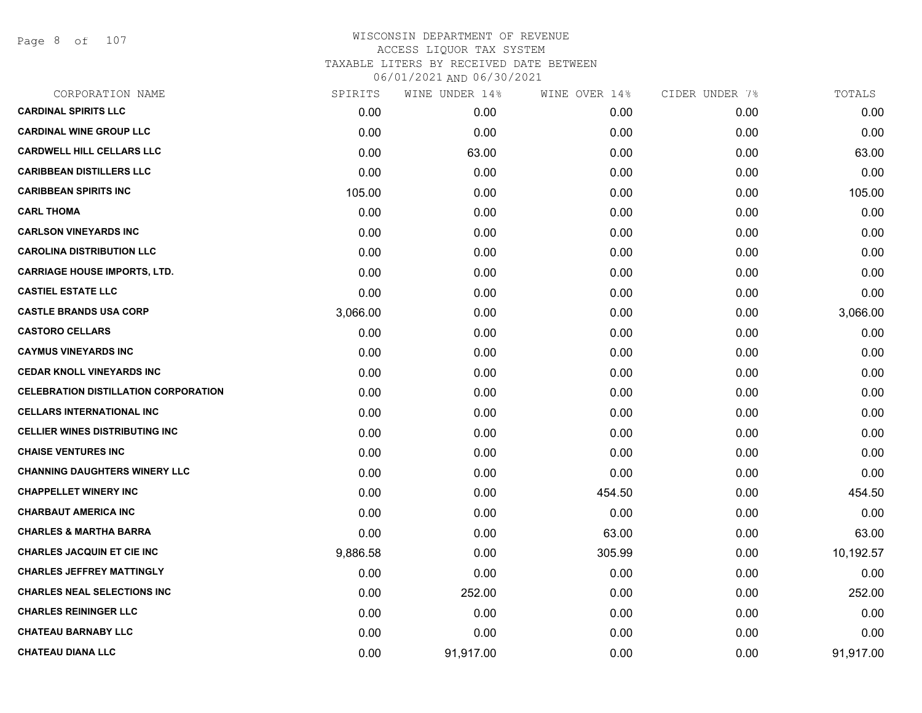Page 8 of 107

| CORPORATION NAME                            | SPIRITS  | WINE UNDER 14%    | WINE OVER 14% | CIDER UNDER 7% | TOTALS    |
|---------------------------------------------|----------|-------------------|---------------|----------------|-----------|
| <b>CARDINAL SPIRITS LLC</b>                 | 0.00     | 0.00 <sub>1</sub> | 0.00          | 0.00           | 0.00      |
| <b>CARDINAL WINE GROUP LLC</b>              | 0.00     | 0.00              | 0.00          | 0.00           | 0.00      |
| <b>CARDWELL HILL CELLARS LLC</b>            | 0.00     | 63.00             | 0.00          | 0.00           | 63.00     |
| <b>CARIBBEAN DISTILLERS LLC</b>             | 0.00     | 0.00              | 0.00          | 0.00           | 0.00      |
| <b>CARIBBEAN SPIRITS INC</b>                | 105.00   | 0.00              | 0.00          | 0.00           | 105.00    |
| <b>CARL THOMA</b>                           | 0.00     | 0.00              | 0.00          | 0.00           | 0.00      |
| <b>CARLSON VINEYARDS INC</b>                | 0.00     | 0.00              | 0.00          | 0.00           | 0.00      |
| <b>CAROLINA DISTRIBUTION LLC</b>            | 0.00     | 0.00              | 0.00          | 0.00           | 0.00      |
| <b>CARRIAGE HOUSE IMPORTS, LTD.</b>         | 0.00     | 0.00              | 0.00          | 0.00           | 0.00      |
| <b>CASTIEL ESTATE LLC</b>                   | 0.00     | 0.00              | 0.00          | 0.00           | 0.00      |
| <b>CASTLE BRANDS USA CORP</b>               | 3,066.00 | 0.00              | 0.00          | 0.00           | 3,066.00  |
| <b>CASTORO CELLARS</b>                      | 0.00     | 0.00              | 0.00          | 0.00           | 0.00      |
| <b>CAYMUS VINEYARDS INC</b>                 | 0.00     | 0.00              | 0.00          | 0.00           | 0.00      |
| <b>CEDAR KNOLL VINEYARDS INC</b>            | 0.00     | 0.00              | 0.00          | 0.00           | 0.00      |
| <b>CELEBRATION DISTILLATION CORPORATION</b> | 0.00     | 0.00              | 0.00          | 0.00           | 0.00      |
| <b>CELLARS INTERNATIONAL INC</b>            | 0.00     | 0.00              | 0.00          | 0.00           | 0.00      |
| <b>CELLIER WINES DISTRIBUTING INC</b>       | 0.00     | 0.00              | 0.00          | 0.00           | 0.00      |
| <b>CHAISE VENTURES INC</b>                  | 0.00     | 0.00              | 0.00          | 0.00           | 0.00      |
| <b>CHANNING DAUGHTERS WINERY LLC</b>        | 0.00     | 0.00              | 0.00          | 0.00           | 0.00      |
| <b>CHAPPELLET WINERY INC</b>                | 0.00     | 0.00              | 454.50        | 0.00           | 454.50    |
| <b>CHARBAUT AMERICA INC</b>                 | 0.00     | 0.00              | 0.00          | 0.00           | 0.00      |
| <b>CHARLES &amp; MARTHA BARRA</b>           | 0.00     | 0.00              | 63.00         | 0.00           | 63.00     |
| <b>CHARLES JACQUIN ET CIE INC</b>           | 9,886.58 | 0.00              | 305.99        | 0.00           | 10,192.57 |
| <b>CHARLES JEFFREY MATTINGLY</b>            | 0.00     | 0.00              | 0.00          | 0.00           | 0.00      |
| <b>CHARLES NEAL SELECTIONS INC</b>          | 0.00     | 252.00            | 0.00          | 0.00           | 252.00    |
| <b>CHARLES REININGER LLC</b>                | 0.00     | 0.00              | 0.00          | 0.00           | 0.00      |
| <b>CHATEAU BARNABY LLC</b>                  | 0.00     | 0.00              | 0.00          | 0.00           | 0.00      |
| <b>CHATEAU DIANA LLC</b>                    | 0.00     | 91,917.00         | 0.00          | 0.00           | 91,917.00 |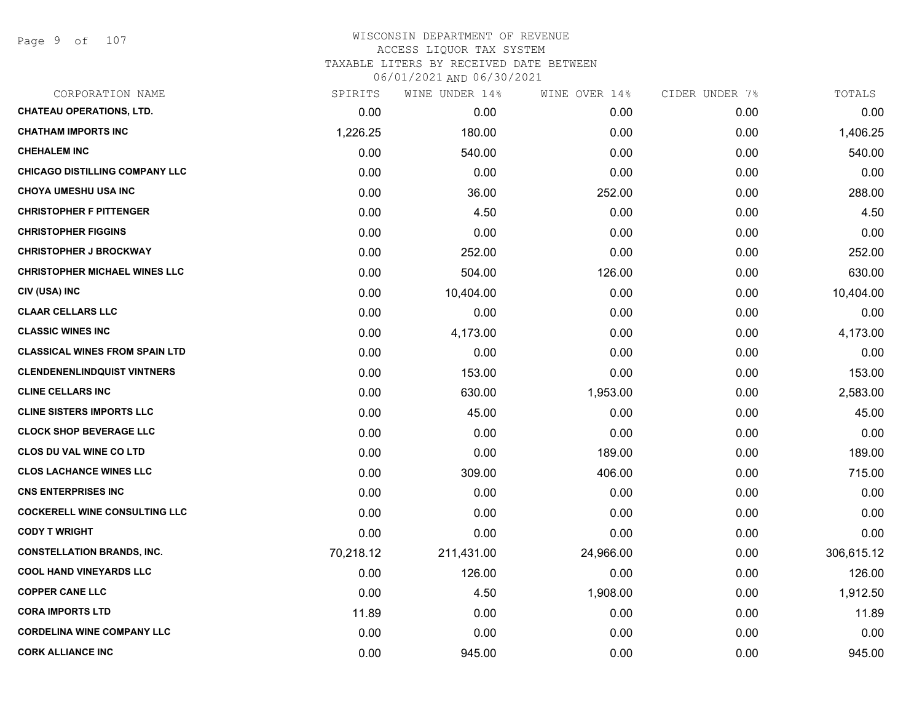| CORPORATION NAME                      | SPIRITS   | WINE UNDER 14% | WINE OVER 14% | CIDER UNDER 7% | TOTALS     |
|---------------------------------------|-----------|----------------|---------------|----------------|------------|
| <b>CHATEAU OPERATIONS, LTD.</b>       | 0.00      | 0.00           | 0.00          | 0.00           | 0.00       |
| <b>CHATHAM IMPORTS INC</b>            | 1,226.25  | 180.00         | 0.00          | 0.00           | 1,406.25   |
| <b>CHEHALEM INC</b>                   | 0.00      | 540.00         | 0.00          | 0.00           | 540.00     |
| <b>CHICAGO DISTILLING COMPANY LLC</b> | 0.00      | 0.00           | 0.00          | 0.00           | 0.00       |
| <b>CHOYA UMESHU USA INC</b>           | 0.00      | 36.00          | 252.00        | 0.00           | 288.00     |
| <b>CHRISTOPHER F PITTENGER</b>        | 0.00      | 4.50           | 0.00          | 0.00           | 4.50       |
| <b>CHRISTOPHER FIGGINS</b>            | 0.00      | 0.00           | 0.00          | 0.00           | 0.00       |
| <b>CHRISTOPHER J BROCKWAY</b>         | 0.00      | 252.00         | 0.00          | 0.00           | 252.00     |
| <b>CHRISTOPHER MICHAEL WINES LLC</b>  | 0.00      | 504.00         | 126.00        | 0.00           | 630.00     |
| CIV (USA) INC                         | 0.00      | 10,404.00      | 0.00          | 0.00           | 10,404.00  |
| <b>CLAAR CELLARS LLC</b>              | 0.00      | 0.00           | 0.00          | 0.00           | 0.00       |
| <b>CLASSIC WINES INC</b>              | 0.00      | 4,173.00       | 0.00          | 0.00           | 4,173.00   |
| <b>CLASSICAL WINES FROM SPAIN LTD</b> | 0.00      | 0.00           | 0.00          | 0.00           | 0.00       |
| <b>CLENDENENLINDQUIST VINTNERS</b>    | 0.00      | 153.00         | 0.00          | 0.00           | 153.00     |
| <b>CLINE CELLARS INC</b>              | 0.00      | 630.00         | 1,953.00      | 0.00           | 2,583.00   |
| <b>CLINE SISTERS IMPORTS LLC</b>      | 0.00      | 45.00          | 0.00          | 0.00           | 45.00      |
| <b>CLOCK SHOP BEVERAGE LLC</b>        | 0.00      | 0.00           | 0.00          | 0.00           | 0.00       |
| <b>CLOS DU VAL WINE CO LTD</b>        | 0.00      | 0.00           | 189.00        | 0.00           | 189.00     |
| <b>CLOS LACHANCE WINES LLC</b>        | 0.00      | 309.00         | 406.00        | 0.00           | 715.00     |
| <b>CNS ENTERPRISES INC</b>            | 0.00      | 0.00           | 0.00          | 0.00           | 0.00       |
| <b>COCKERELL WINE CONSULTING LLC</b>  | 0.00      | 0.00           | 0.00          | 0.00           | 0.00       |
| <b>CODY T WRIGHT</b>                  | 0.00      | 0.00           | 0.00          | 0.00           | 0.00       |
| <b>CONSTELLATION BRANDS, INC.</b>     | 70,218.12 | 211,431.00     | 24,966.00     | 0.00           | 306,615.12 |
| <b>COOL HAND VINEYARDS LLC</b>        | 0.00      | 126.00         | 0.00          | 0.00           | 126.00     |
| <b>COPPER CANE LLC</b>                | 0.00      | 4.50           | 1,908.00      | 0.00           | 1,912.50   |
| <b>CORA IMPORTS LTD</b>               | 11.89     | 0.00           | 0.00          | 0.00           | 11.89      |
| <b>CORDELINA WINE COMPANY LLC</b>     | 0.00      | 0.00           | 0.00          | 0.00           | 0.00       |
| <b>CORK ALLIANCE INC</b>              | 0.00      | 945.00         | 0.00          | 0.00           | 945.00     |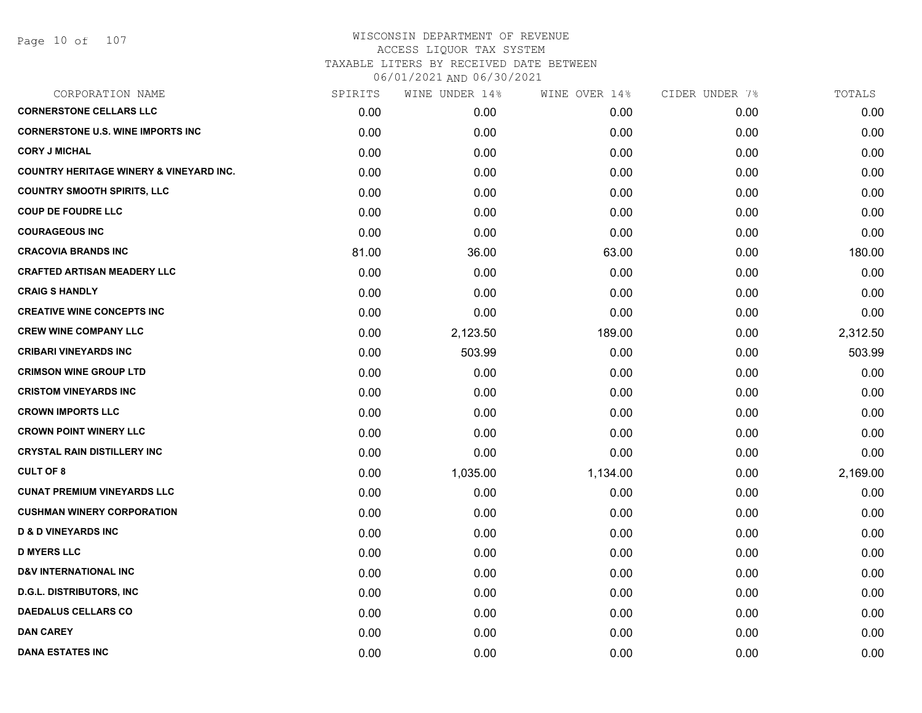| CORPORATION NAME                                   | SPIRITS | WINE UNDER 14% | WINE OVER 14% | CIDER UNDER 7% | TOTALS   |
|----------------------------------------------------|---------|----------------|---------------|----------------|----------|
| <b>CORNERSTONE CELLARS LLC</b>                     | 0.00    | 0.00           | 0.00          | 0.00           | 0.00     |
| <b>CORNERSTONE U.S. WINE IMPORTS INC</b>           | 0.00    | 0.00           | 0.00          | 0.00           | 0.00     |
| <b>CORY J MICHAL</b>                               | 0.00    | 0.00           | 0.00          | 0.00           | 0.00     |
| <b>COUNTRY HERITAGE WINERY &amp; VINEYARD INC.</b> | 0.00    | 0.00           | 0.00          | 0.00           | 0.00     |
| <b>COUNTRY SMOOTH SPIRITS, LLC</b>                 | 0.00    | 0.00           | 0.00          | 0.00           | 0.00     |
| <b>COUP DE FOUDRE LLC</b>                          | 0.00    | 0.00           | 0.00          | 0.00           | 0.00     |
| <b>COURAGEOUS INC</b>                              | 0.00    | 0.00           | 0.00          | 0.00           | 0.00     |
| <b>CRACOVIA BRANDS INC</b>                         | 81.00   | 36.00          | 63.00         | 0.00           | 180.00   |
| <b>CRAFTED ARTISAN MEADERY LLC</b>                 | 0.00    | 0.00           | 0.00          | 0.00           | 0.00     |
| <b>CRAIG S HANDLY</b>                              | 0.00    | 0.00           | 0.00          | 0.00           | 0.00     |
| <b>CREATIVE WINE CONCEPTS INC</b>                  | 0.00    | 0.00           | 0.00          | 0.00           | 0.00     |
| <b>CREW WINE COMPANY LLC</b>                       | 0.00    | 2,123.50       | 189.00        | 0.00           | 2,312.50 |
| <b>CRIBARI VINEYARDS INC</b>                       | 0.00    | 503.99         | 0.00          | 0.00           | 503.99   |
| <b>CRIMSON WINE GROUP LTD</b>                      | 0.00    | 0.00           | 0.00          | 0.00           | 0.00     |
| <b>CRISTOM VINEYARDS INC</b>                       | 0.00    | 0.00           | 0.00          | 0.00           | 0.00     |
| <b>CROWN IMPORTS LLC</b>                           | 0.00    | 0.00           | 0.00          | 0.00           | 0.00     |
| <b>CROWN POINT WINERY LLC</b>                      | 0.00    | 0.00           | 0.00          | 0.00           | 0.00     |
| <b>CRYSTAL RAIN DISTILLERY INC</b>                 | 0.00    | 0.00           | 0.00          | 0.00           | 0.00     |
| <b>CULT OF 8</b>                                   | 0.00    | 1,035.00       | 1,134.00      | 0.00           | 2,169.00 |
| <b>CUNAT PREMIUM VINEYARDS LLC</b>                 | 0.00    | 0.00           | 0.00          | 0.00           | 0.00     |
| <b>CUSHMAN WINERY CORPORATION</b>                  | 0.00    | 0.00           | 0.00          | 0.00           | 0.00     |
| <b>D &amp; D VINEYARDS INC</b>                     | 0.00    | 0.00           | 0.00          | 0.00           | 0.00     |
| <b>D MYERS LLC</b>                                 | 0.00    | 0.00           | 0.00          | 0.00           | 0.00     |
| <b>D&amp;V INTERNATIONAL INC</b>                   | 0.00    | 0.00           | 0.00          | 0.00           | 0.00     |
| <b>D.G.L. DISTRIBUTORS, INC</b>                    | 0.00    | 0.00           | 0.00          | 0.00           | 0.00     |
| <b>DAEDALUS CELLARS CO</b>                         | 0.00    | 0.00           | 0.00          | 0.00           | 0.00     |
| <b>DAN CAREY</b>                                   | 0.00    | 0.00           | 0.00          | 0.00           | 0.00     |
| <b>DANA ESTATES INC</b>                            | 0.00    | 0.00           | 0.00          | 0.00           | 0.00     |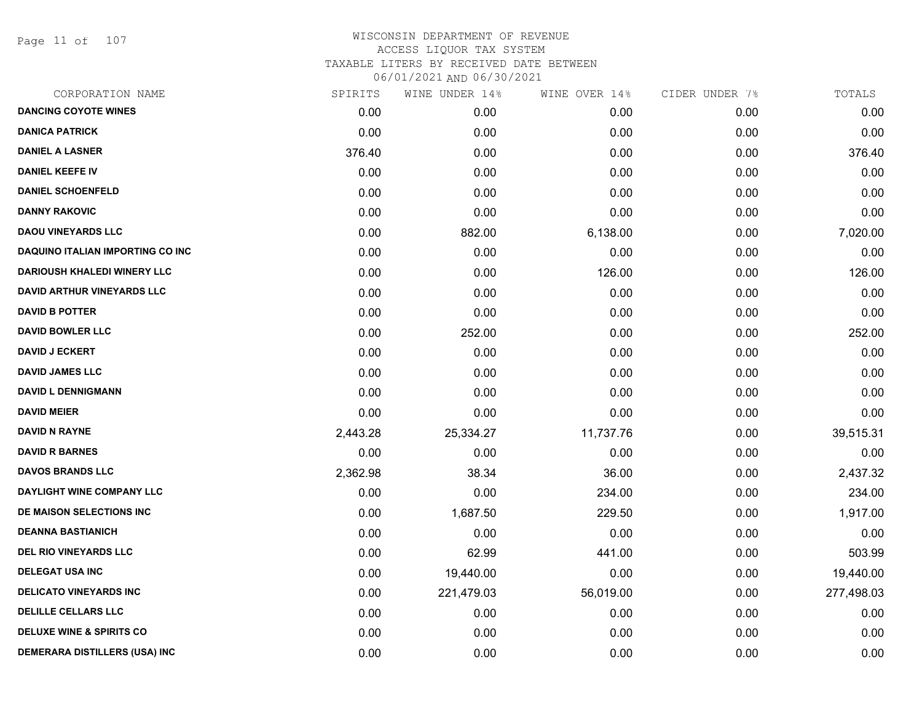Page 11 of 107

| CORPORATION NAME                        | SPIRITS  | WINE UNDER 14% | WINE OVER 14% | CIDER UNDER 7% | TOTALS     |
|-----------------------------------------|----------|----------------|---------------|----------------|------------|
| <b>DANCING COYOTE WINES</b>             | 0.00     | 0.00           | 0.00          | 0.00           | 0.00       |
| <b>DANICA PATRICK</b>                   | 0.00     | 0.00           | 0.00          | 0.00           | 0.00       |
| <b>DANIEL A LASNER</b>                  | 376.40   | 0.00           | 0.00          | 0.00           | 376.40     |
| <b>DANIEL KEEFE IV</b>                  | 0.00     | 0.00           | 0.00          | 0.00           | 0.00       |
| <b>DANIEL SCHOENFELD</b>                | 0.00     | 0.00           | 0.00          | 0.00           | 0.00       |
| <b>DANNY RAKOVIC</b>                    | 0.00     | 0.00           | 0.00          | 0.00           | 0.00       |
| <b>DAOU VINEYARDS LLC</b>               | 0.00     | 882.00         | 6,138.00      | 0.00           | 7,020.00   |
| <b>DAQUINO ITALIAN IMPORTING CO INC</b> | 0.00     | 0.00           | 0.00          | 0.00           | 0.00       |
| <b>DARIOUSH KHALEDI WINERY LLC</b>      | 0.00     | 0.00           | 126.00        | 0.00           | 126.00     |
| <b>DAVID ARTHUR VINEYARDS LLC</b>       | 0.00     | 0.00           | 0.00          | 0.00           | 0.00       |
| <b>DAVID B POTTER</b>                   | 0.00     | 0.00           | 0.00          | 0.00           | 0.00       |
| <b>DAVID BOWLER LLC</b>                 | 0.00     | 252.00         | 0.00          | 0.00           | 252.00     |
| <b>DAVID J ECKERT</b>                   | 0.00     | 0.00           | 0.00          | 0.00           | 0.00       |
| <b>DAVID JAMES LLC</b>                  | 0.00     | 0.00           | 0.00          | 0.00           | 0.00       |
| <b>DAVID L DENNIGMANN</b>               | 0.00     | 0.00           | 0.00          | 0.00           | 0.00       |
| <b>DAVID MEIER</b>                      | 0.00     | 0.00           | 0.00          | 0.00           | 0.00       |
| <b>DAVID N RAYNE</b>                    | 2,443.28 | 25,334.27      | 11,737.76     | 0.00           | 39,515.31  |
| <b>DAVID R BARNES</b>                   | 0.00     | 0.00           | 0.00          | 0.00           | 0.00       |
| <b>DAVOS BRANDS LLC</b>                 | 2,362.98 | 38.34          | 36.00         | 0.00           | 2,437.32   |
| DAYLIGHT WINE COMPANY LLC               | 0.00     | 0.00           | 234.00        | 0.00           | 234.00     |
| DE MAISON SELECTIONS INC                | 0.00     | 1,687.50       | 229.50        | 0.00           | 1,917.00   |
| <b>DEANNA BASTIANICH</b>                | 0.00     | 0.00           | 0.00          | 0.00           | 0.00       |
| <b>DEL RIO VINEYARDS LLC</b>            | 0.00     | 62.99          | 441.00        | 0.00           | 503.99     |
| <b>DELEGAT USA INC</b>                  | 0.00     | 19,440.00      | 0.00          | 0.00           | 19,440.00  |
| <b>DELICATO VINEYARDS INC</b>           | 0.00     | 221,479.03     | 56,019.00     | 0.00           | 277,498.03 |
| <b>DELILLE CELLARS LLC</b>              | 0.00     | 0.00           | 0.00          | 0.00           | 0.00       |
| <b>DELUXE WINE &amp; SPIRITS CO</b>     | 0.00     | 0.00           | 0.00          | 0.00           | 0.00       |
| <b>DEMERARA DISTILLERS (USA) INC</b>    | 0.00     | 0.00           | 0.00          | 0.00           | 0.00       |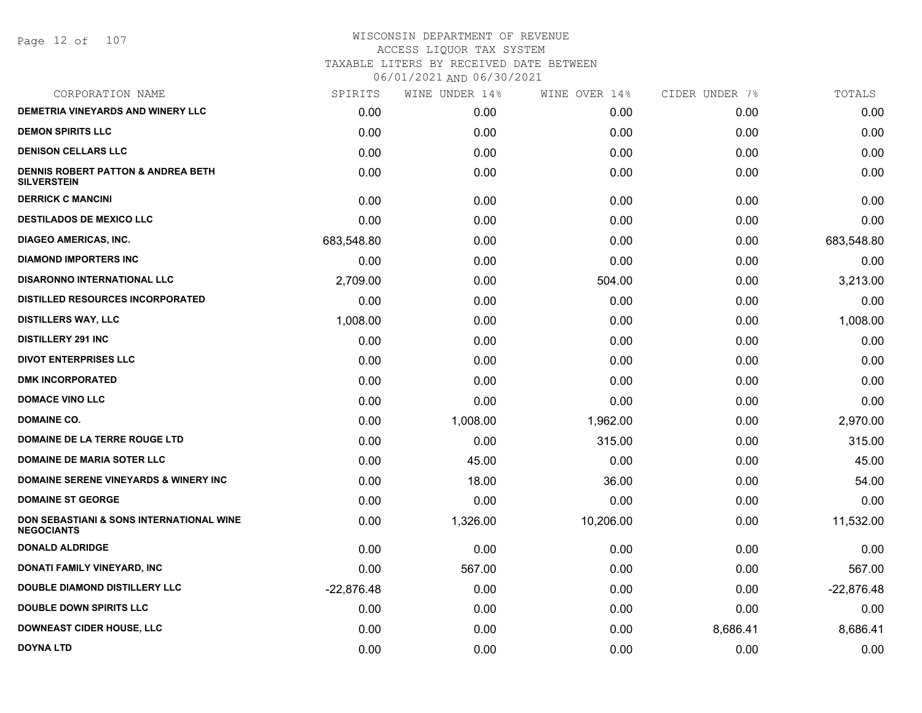Page 12 of 107

| CORPORATION NAME                                              | SPIRITS      | WINE UNDER 14% | WINE OVER 14% | CIDER UNDER 7% | TOTALS       |
|---------------------------------------------------------------|--------------|----------------|---------------|----------------|--------------|
| <b>DEMETRIA VINEYARDS AND WINERY LLC</b>                      | 0.00         | 0.00           | 0.00          | 0.00           | 0.00         |
| <b>DEMON SPIRITS LLC</b>                                      | 0.00         | 0.00           | 0.00          | 0.00           | 0.00         |
| <b>DENISON CELLARS LLC</b>                                    | 0.00         | 0.00           | 0.00          | 0.00           | 0.00         |
| DENNIS ROBERT PATTON & ANDREA BETH<br><b>SILVERSTEIN</b>      | 0.00         | 0.00           | 0.00          | 0.00           | 0.00         |
| <b>DERRICK C MANCINI</b>                                      | 0.00         | 0.00           | 0.00          | 0.00           | 0.00         |
| DESTILADOS DE MEXICO LLC                                      | 0.00         | 0.00           | 0.00          | 0.00           | 0.00         |
| <b>DIAGEO AMERICAS, INC.</b>                                  | 683,548.80   | 0.00           | 0.00          | 0.00           | 683,548.80   |
| <b>DIAMOND IMPORTERS INC</b>                                  | 0.00         | 0.00           | 0.00          | 0.00           | 0.00         |
| <b>DISARONNO INTERNATIONAL LLC</b>                            | 2,709.00     | 0.00           | 504.00        | 0.00           | 3,213.00     |
| <b>DISTILLED RESOURCES INCORPORATED</b>                       | 0.00         | 0.00           | 0.00          | 0.00           | 0.00         |
| <b>DISTILLERS WAY, LLC</b>                                    | 1,008.00     | 0.00           | 0.00          | 0.00           | 1,008.00     |
| <b>DISTILLERY 291 INC</b>                                     | 0.00         | 0.00           | 0.00          | 0.00           | 0.00         |
| <b>DIVOT ENTERPRISES LLC</b>                                  | 0.00         | 0.00           | 0.00          | 0.00           | 0.00         |
| <b>DMK INCORPORATED</b>                                       | 0.00         | 0.00           | 0.00          | 0.00           | 0.00         |
| <b>DOMACE VINO LLC</b>                                        | 0.00         | 0.00           | 0.00          | 0.00           | 0.00         |
| <b>DOMAINE CO.</b>                                            | 0.00         | 1,008.00       | 1,962.00      | 0.00           | 2,970.00     |
| DOMAINE DE LA TERRE ROUGE LTD                                 | 0.00         | 0.00           | 315.00        | 0.00           | 315.00       |
| <b>DOMAINE DE MARIA SOTER LLC</b>                             | 0.00         | 45.00          | 0.00          | 0.00           | 45.00        |
| DOMAINE SERENE VINEYARDS & WINERY INC                         | 0.00         | 18.00          | 36.00         | 0.00           | 54.00        |
| <b>DOMAINE ST GEORGE</b>                                      | 0.00         | 0.00           | 0.00          | 0.00           | 0.00         |
| DON SEBASTIANI & SONS INTERNATIONAL WINE<br><b>NEGOCIANTS</b> | 0.00         | 1,326.00       | 10,206.00     | 0.00           | 11,532.00    |
| <b>DONALD ALDRIDGE</b>                                        | 0.00         | 0.00           | 0.00          | 0.00           | 0.00         |
| DONATI FAMILY VINEYARD, INC                                   | 0.00         | 567.00         | 0.00          | 0.00           | 567.00       |
| <b>DOUBLE DIAMOND DISTILLERY LLC</b>                          | $-22,876.48$ | 0.00           | 0.00          | 0.00           | $-22,876.48$ |
| <b>DOUBLE DOWN SPIRITS LLC</b>                                | 0.00         | 0.00           | 0.00          | 0.00           | 0.00         |
| <b>DOWNEAST CIDER HOUSE, LLC</b>                              | 0.00         | 0.00           | 0.00          | 8,686.41       | 8,686.41     |
| <b>DOYNA LTD</b>                                              | 0.00         | 0.00           | 0.00          | 0.00           | 0.00         |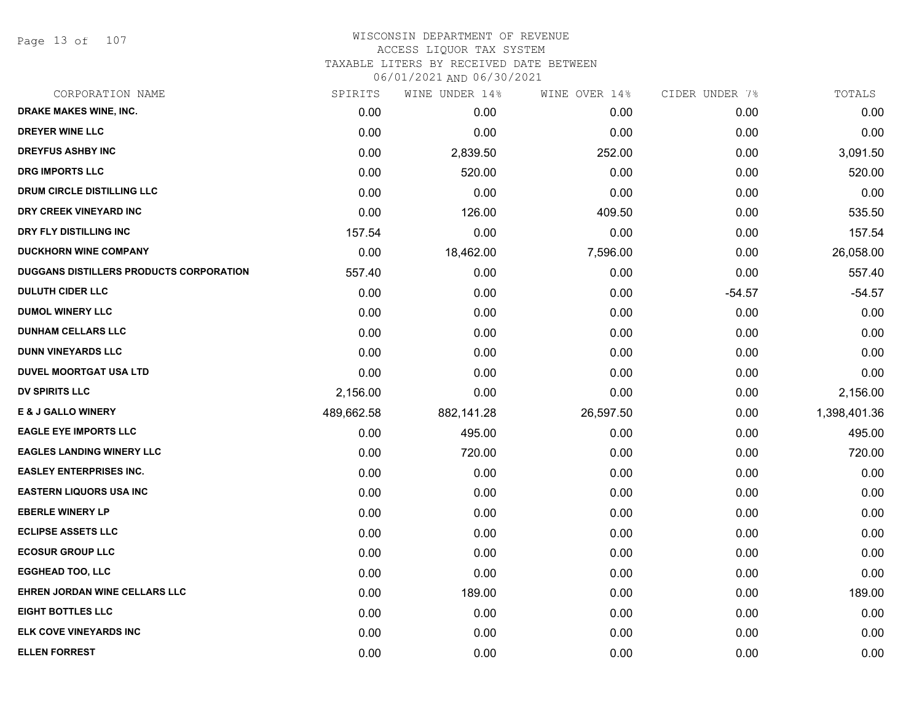Page 13 of 107

| CORPORATION NAME                        | SPIRITS    | WINE UNDER 14% | WINE OVER 14% | CIDER UNDER 7% | TOTALS       |
|-----------------------------------------|------------|----------------|---------------|----------------|--------------|
| DRAKE MAKES WINE, INC.                  | 0.00       | 0.00           | 0.00          | 0.00           | 0.00         |
| <b>DREYER WINE LLC</b>                  | 0.00       | 0.00           | 0.00          | 0.00           | 0.00         |
| <b>DREYFUS ASHBY INC</b>                | 0.00       | 2,839.50       | 252.00        | 0.00           | 3,091.50     |
| <b>DRG IMPORTS LLC</b>                  | 0.00       | 520.00         | 0.00          | 0.00           | 520.00       |
| DRUM CIRCLE DISTILLING LLC              | 0.00       | 0.00           | 0.00          | 0.00           | 0.00         |
| DRY CREEK VINEYARD INC                  | 0.00       | 126.00         | 409.50        | 0.00           | 535.50       |
| DRY FLY DISTILLING INC                  | 157.54     | 0.00           | 0.00          | 0.00           | 157.54       |
| <b>DUCKHORN WINE COMPANY</b>            | 0.00       | 18,462.00      | 7,596.00      | 0.00           | 26,058.00    |
| DUGGANS DISTILLERS PRODUCTS CORPORATION | 557.40     | 0.00           | 0.00          | 0.00           | 557.40       |
| <b>DULUTH CIDER LLC</b>                 | 0.00       | 0.00           | 0.00          | $-54.57$       | $-54.57$     |
| <b>DUMOL WINERY LLC</b>                 | 0.00       | 0.00           | 0.00          | 0.00           | 0.00         |
| <b>DUNHAM CELLARS LLC</b>               | 0.00       | 0.00           | 0.00          | 0.00           | 0.00         |
| <b>DUNN VINEYARDS LLC</b>               | 0.00       | 0.00           | 0.00          | 0.00           | 0.00         |
| <b>DUVEL MOORTGAT USA LTD</b>           | 0.00       | 0.00           | 0.00          | 0.00           | 0.00         |
| DV SPIRITS LLC                          | 2,156.00   | 0.00           | 0.00          | 0.00           | 2,156.00     |
| <b>E &amp; J GALLO WINERY</b>           | 489,662.58 | 882,141.28     | 26,597.50     | 0.00           | 1,398,401.36 |
| <b>EAGLE EYE IMPORTS LLC</b>            | 0.00       | 495.00         | 0.00          | 0.00           | 495.00       |
| <b>EAGLES LANDING WINERY LLC</b>        | 0.00       | 720.00         | 0.00          | 0.00           | 720.00       |
| <b>EASLEY ENTERPRISES INC.</b>          | 0.00       | 0.00           | 0.00          | 0.00           | 0.00         |
| <b>EASTERN LIQUORS USA INC</b>          | 0.00       | 0.00           | 0.00          | 0.00           | 0.00         |
| <b>EBERLE WINERY LP</b>                 | 0.00       | 0.00           | 0.00          | 0.00           | 0.00         |
| <b>ECLIPSE ASSETS LLC</b>               | 0.00       | 0.00           | 0.00          | 0.00           | 0.00         |
| <b>ECOSUR GROUP LLC</b>                 | 0.00       | 0.00           | 0.00          | 0.00           | 0.00         |
| <b>EGGHEAD TOO, LLC</b>                 | 0.00       | 0.00           | 0.00          | 0.00           | 0.00         |
| EHREN JORDAN WINE CELLARS LLC           | 0.00       | 189.00         | 0.00          | 0.00           | 189.00       |
| <b>EIGHT BOTTLES LLC</b>                | 0.00       | 0.00           | 0.00          | 0.00           | 0.00         |
| ELK COVE VINEYARDS INC                  | 0.00       | 0.00           | 0.00          | 0.00           | 0.00         |
| <b>ELLEN FORREST</b>                    | 0.00       | 0.00           | 0.00          | 0.00           | 0.00         |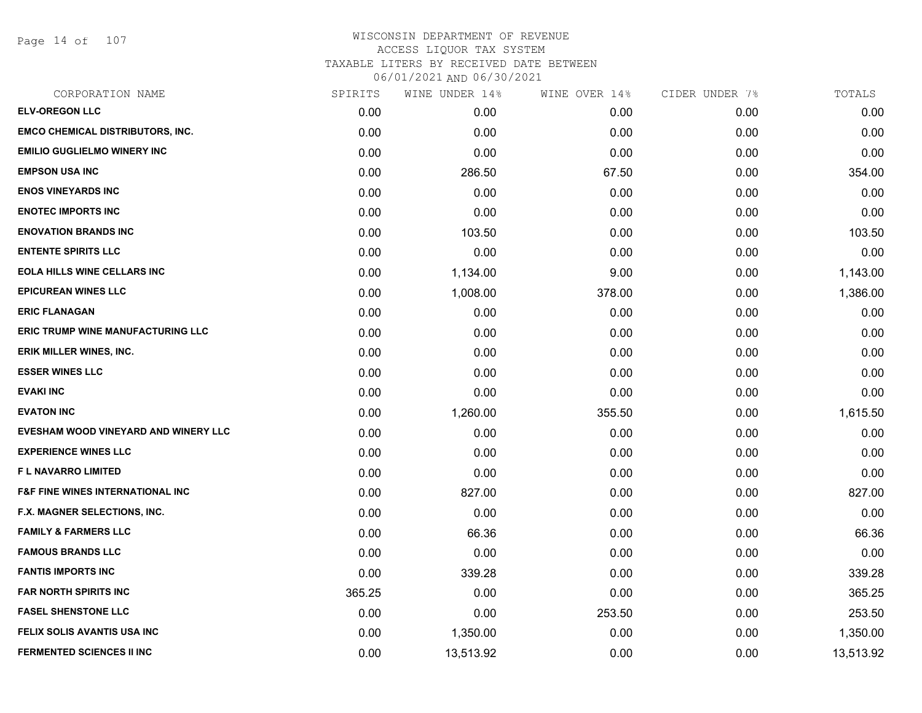Page 14 of 107

| CORPORATION NAME                            | SPIRITS | WINE UNDER 14% | WINE OVER 14% | CIDER UNDER 7% | TOTALS    |
|---------------------------------------------|---------|----------------|---------------|----------------|-----------|
| <b>ELV-OREGON LLC</b>                       | 0.00    | 0.00           | 0.00          | 0.00           | 0.00      |
| <b>EMCO CHEMICAL DISTRIBUTORS, INC.</b>     | 0.00    | 0.00           | 0.00          | 0.00           | 0.00      |
| <b>EMILIO GUGLIELMO WINERY INC</b>          | 0.00    | 0.00           | 0.00          | 0.00           | 0.00      |
| <b>EMPSON USA INC</b>                       | 0.00    | 286.50         | 67.50         | 0.00           | 354.00    |
| <b>ENOS VINEYARDS INC</b>                   | 0.00    | 0.00           | 0.00          | 0.00           | 0.00      |
| <b>ENOTEC IMPORTS INC</b>                   | 0.00    | 0.00           | 0.00          | 0.00           | 0.00      |
| <b>ENOVATION BRANDS INC</b>                 | 0.00    | 103.50         | 0.00          | 0.00           | 103.50    |
| <b>ENTENTE SPIRITS LLC</b>                  | 0.00    | 0.00           | 0.00          | 0.00           | 0.00      |
| <b>EOLA HILLS WINE CELLARS INC</b>          | 0.00    | 1,134.00       | 9.00          | 0.00           | 1,143.00  |
| <b>EPICUREAN WINES LLC</b>                  | 0.00    | 1,008.00       | 378.00        | 0.00           | 1,386.00  |
| <b>ERIC FLANAGAN</b>                        | 0.00    | 0.00           | 0.00          | 0.00           | 0.00      |
| ERIC TRUMP WINE MANUFACTURING LLC           | 0.00    | 0.00           | 0.00          | 0.00           | 0.00      |
| <b>ERIK MILLER WINES, INC.</b>              | 0.00    | 0.00           | 0.00          | 0.00           | 0.00      |
| <b>ESSER WINES LLC</b>                      | 0.00    | 0.00           | 0.00          | 0.00           | 0.00      |
| <b>EVAKI INC</b>                            | 0.00    | 0.00           | 0.00          | 0.00           | 0.00      |
| <b>EVATON INC</b>                           | 0.00    | 1,260.00       | 355.50        | 0.00           | 1,615.50  |
| <b>EVESHAM WOOD VINEYARD AND WINERY LLC</b> | 0.00    | 0.00           | 0.00          | 0.00           | 0.00      |
| <b>EXPERIENCE WINES LLC</b>                 | 0.00    | 0.00           | 0.00          | 0.00           | 0.00      |
| F L NAVARRO LIMITED                         | 0.00    | 0.00           | 0.00          | 0.00           | 0.00      |
| <b>F&amp;F FINE WINES INTERNATIONAL INC</b> | 0.00    | 827.00         | 0.00          | 0.00           | 827.00    |
| F.X. MAGNER SELECTIONS, INC.                | 0.00    | 0.00           | 0.00          | 0.00           | 0.00      |
| <b>FAMILY &amp; FARMERS LLC</b>             | 0.00    | 66.36          | 0.00          | 0.00           | 66.36     |
| <b>FAMOUS BRANDS LLC</b>                    | 0.00    | 0.00           | 0.00          | 0.00           | 0.00      |
| <b>FANTIS IMPORTS INC</b>                   | 0.00    | 339.28         | 0.00          | 0.00           | 339.28    |
| <b>FAR NORTH SPIRITS INC</b>                | 365.25  | 0.00           | 0.00          | 0.00           | 365.25    |
| <b>FASEL SHENSTONE LLC</b>                  | 0.00    | 0.00           | 253.50        | 0.00           | 253.50    |
| <b>FELIX SOLIS AVANTIS USA INC</b>          | 0.00    | 1,350.00       | 0.00          | 0.00           | 1,350.00  |
| <b>FERMENTED SCIENCES II INC</b>            | 0.00    | 13,513.92      | 0.00          | 0.00           | 13,513.92 |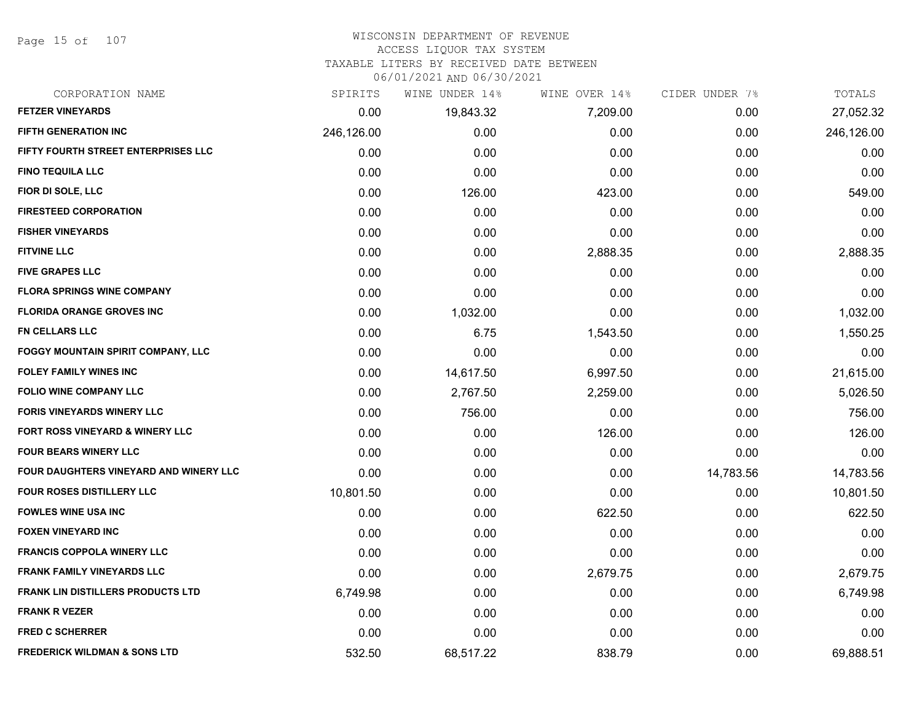Page 15 of 107

# WISCONSIN DEPARTMENT OF REVENUE

# ACCESS LIQUOR TAX SYSTEM

TAXABLE LITERS BY RECEIVED DATE BETWEEN

| CORPORATION NAME                         | SPIRITS    | WINE UNDER 14% | WINE OVER 14% | CIDER UNDER 7% | TOTALS     |
|------------------------------------------|------------|----------------|---------------|----------------|------------|
| <b>FETZER VINEYARDS</b>                  | 0.00       | 19,843.32      | 7,209.00      | 0.00           | 27,052.32  |
| <b>FIFTH GENERATION INC</b>              | 246,126.00 | 0.00           | 0.00          | 0.00           | 246,126.00 |
| FIFTY FOURTH STREET ENTERPRISES LLC      | 0.00       | 0.00           | 0.00          | 0.00           | 0.00       |
| <b>FINO TEQUILA LLC</b>                  | 0.00       | 0.00           | 0.00          | 0.00           | 0.00       |
| FIOR DI SOLE, LLC                        | 0.00       | 126.00         | 423.00        | 0.00           | 549.00     |
| <b>FIRESTEED CORPORATION</b>             | 0.00       | 0.00           | 0.00          | 0.00           | 0.00       |
| <b>FISHER VINEYARDS</b>                  | 0.00       | 0.00           | 0.00          | 0.00           | 0.00       |
| <b>FITVINE LLC</b>                       | 0.00       | 0.00           | 2,888.35      | 0.00           | 2,888.35   |
| <b>FIVE GRAPES LLC</b>                   | 0.00       | 0.00           | 0.00          | 0.00           | 0.00       |
| <b>FLORA SPRINGS WINE COMPANY</b>        | 0.00       | 0.00           | 0.00          | 0.00           | 0.00       |
| <b>FLORIDA ORANGE GROVES INC</b>         | 0.00       | 1,032.00       | 0.00          | 0.00           | 1,032.00   |
| <b>FN CELLARS LLC</b>                    | 0.00       | 6.75           | 1,543.50      | 0.00           | 1,550.25   |
| FOGGY MOUNTAIN SPIRIT COMPANY, LLC       | 0.00       | 0.00           | 0.00          | 0.00           | 0.00       |
| <b>FOLEY FAMILY WINES INC</b>            | 0.00       | 14,617.50      | 6,997.50      | 0.00           | 21,615.00  |
| <b>FOLIO WINE COMPANY LLC</b>            | 0.00       | 2,767.50       | 2,259.00      | 0.00           | 5,026.50   |
| <b>FORIS VINEYARDS WINERY LLC</b>        | 0.00       | 756.00         | 0.00          | 0.00           | 756.00     |
| FORT ROSS VINEYARD & WINERY LLC          | 0.00       | 0.00           | 126.00        | 0.00           | 126.00     |
| <b>FOUR BEARS WINERY LLC</b>             | 0.00       | 0.00           | 0.00          | 0.00           | 0.00       |
| FOUR DAUGHTERS VINEYARD AND WINERY LLC   | 0.00       | 0.00           | 0.00          | 14,783.56      | 14,783.56  |
| <b>FOUR ROSES DISTILLERY LLC</b>         | 10,801.50  | 0.00           | 0.00          | 0.00           | 10,801.50  |
| <b>FOWLES WINE USA INC</b>               | 0.00       | 0.00           | 622.50        | 0.00           | 622.50     |
| <b>FOXEN VINEYARD INC</b>                | 0.00       | 0.00           | 0.00          | 0.00           | 0.00       |
| <b>FRANCIS COPPOLA WINERY LLC</b>        | 0.00       | 0.00           | 0.00          | 0.00           | 0.00       |
| FRANK FAMILY VINEYARDS LLC               | 0.00       | 0.00           | 2,679.75      | 0.00           | 2,679.75   |
| <b>FRANK LIN DISTILLERS PRODUCTS LTD</b> | 6,749.98   | 0.00           | 0.00          | 0.00           | 6,749.98   |
| <b>FRANK R VEZER</b>                     | 0.00       | 0.00           | 0.00          | 0.00           | 0.00       |
| <b>FRED C SCHERRER</b>                   | 0.00       | 0.00           | 0.00          | 0.00           | 0.00       |
| <b>FREDERICK WILDMAN &amp; SONS LTD</b>  | 532.50     | 68,517.22      | 838.79        | 0.00           | 69,888.51  |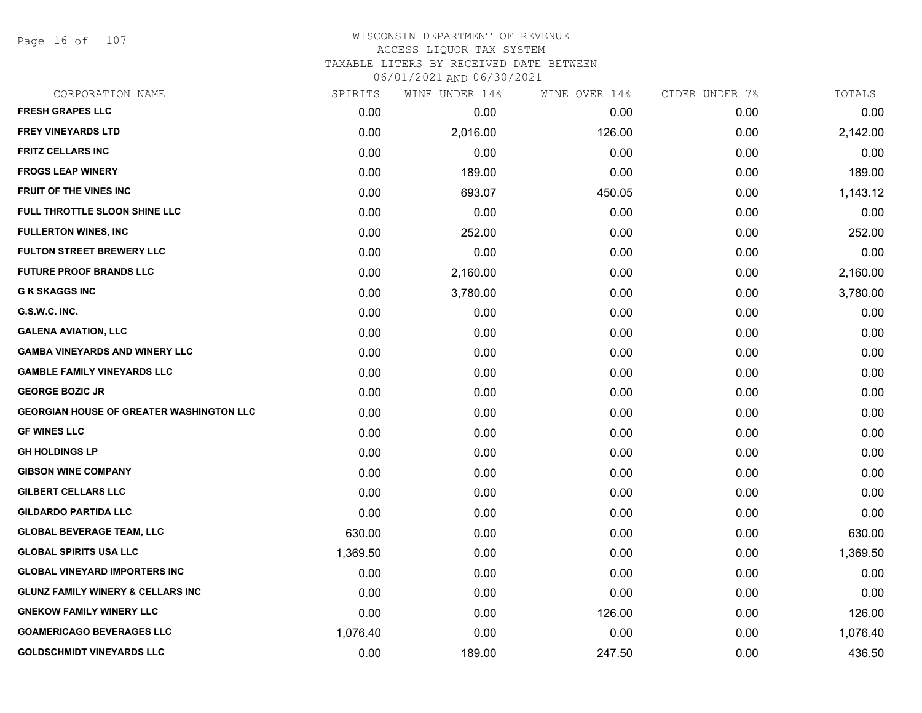Page 16 of 107

# WISCONSIN DEPARTMENT OF REVENUE ACCESS LIQUOR TAX SYSTEM TAXABLE LITERS BY RECEIVED DATE BETWEEN

| CORPORATION NAME                                | SPIRITS  | WINE UNDER 14% | WINE OVER 14% | CIDER UNDER 7% | TOTALS   |
|-------------------------------------------------|----------|----------------|---------------|----------------|----------|
| <b>FRESH GRAPES LLC</b>                         | 0.00     | 0.00           | 0.00          | 0.00           | 0.00     |
| <b>FREY VINEYARDS LTD</b>                       | 0.00     | 2,016.00       | 126.00        | 0.00           | 2,142.00 |
| <b>FRITZ CELLARS INC</b>                        | 0.00     | 0.00           | 0.00          | 0.00           | 0.00     |
| <b>FROGS LEAP WINERY</b>                        | 0.00     | 189.00         | 0.00          | 0.00           | 189.00   |
| <b>FRUIT OF THE VINES INC</b>                   | 0.00     | 693.07         | 450.05        | 0.00           | 1,143.12 |
| FULL THROTTLE SLOON SHINE LLC                   | 0.00     | 0.00           | 0.00          | 0.00           | 0.00     |
| <b>FULLERTON WINES, INC</b>                     | 0.00     | 252.00         | 0.00          | 0.00           | 252.00   |
| <b>FULTON STREET BREWERY LLC</b>                | 0.00     | 0.00           | 0.00          | 0.00           | 0.00     |
| <b>FUTURE PROOF BRANDS LLC</b>                  | 0.00     | 2,160.00       | 0.00          | 0.00           | 2,160.00 |
| <b>G K SKAGGS INC</b>                           | 0.00     | 3,780.00       | 0.00          | 0.00           | 3,780.00 |
| G.S.W.C. INC.                                   | 0.00     | 0.00           | 0.00          | 0.00           | 0.00     |
| <b>GALENA AVIATION, LLC</b>                     | 0.00     | 0.00           | 0.00          | 0.00           | 0.00     |
| <b>GAMBA VINEYARDS AND WINERY LLC</b>           | 0.00     | 0.00           | 0.00          | 0.00           | 0.00     |
| <b>GAMBLE FAMILY VINEYARDS LLC</b>              | 0.00     | 0.00           | 0.00          | 0.00           | 0.00     |
| <b>GEORGE BOZIC JR</b>                          | 0.00     | 0.00           | 0.00          | 0.00           | 0.00     |
| <b>GEORGIAN HOUSE OF GREATER WASHINGTON LLC</b> | 0.00     | 0.00           | 0.00          | 0.00           | 0.00     |
| <b>GF WINES LLC</b>                             | 0.00     | 0.00           | 0.00          | 0.00           | 0.00     |
| <b>GH HOLDINGS LP</b>                           | 0.00     | 0.00           | 0.00          | 0.00           | 0.00     |
| <b>GIBSON WINE COMPANY</b>                      | 0.00     | 0.00           | 0.00          | 0.00           | 0.00     |
| <b>GILBERT CELLARS LLC</b>                      | 0.00     | 0.00           | 0.00          | 0.00           | 0.00     |
| <b>GILDARDO PARTIDA LLC</b>                     | 0.00     | 0.00           | 0.00          | 0.00           | 0.00     |
| <b>GLOBAL BEVERAGE TEAM, LLC</b>                | 630.00   | 0.00           | 0.00          | 0.00           | 630.00   |
| <b>GLOBAL SPIRITS USA LLC</b>                   | 1,369.50 | 0.00           | 0.00          | 0.00           | 1,369.50 |
| <b>GLOBAL VINEYARD IMPORTERS INC</b>            | 0.00     | 0.00           | 0.00          | 0.00           | 0.00     |
| <b>GLUNZ FAMILY WINERY &amp; CELLARS INC</b>    | 0.00     | 0.00           | 0.00          | 0.00           | 0.00     |
| <b>GNEKOW FAMILY WINERY LLC</b>                 | 0.00     | 0.00           | 126.00        | 0.00           | 126.00   |
| <b>GOAMERICAGO BEVERAGES LLC</b>                | 1,076.40 | 0.00           | 0.00          | 0.00           | 1,076.40 |
| <b>GOLDSCHMIDT VINEYARDS LLC</b>                | 0.00     | 189.00         | 247.50        | 0.00           | 436.50   |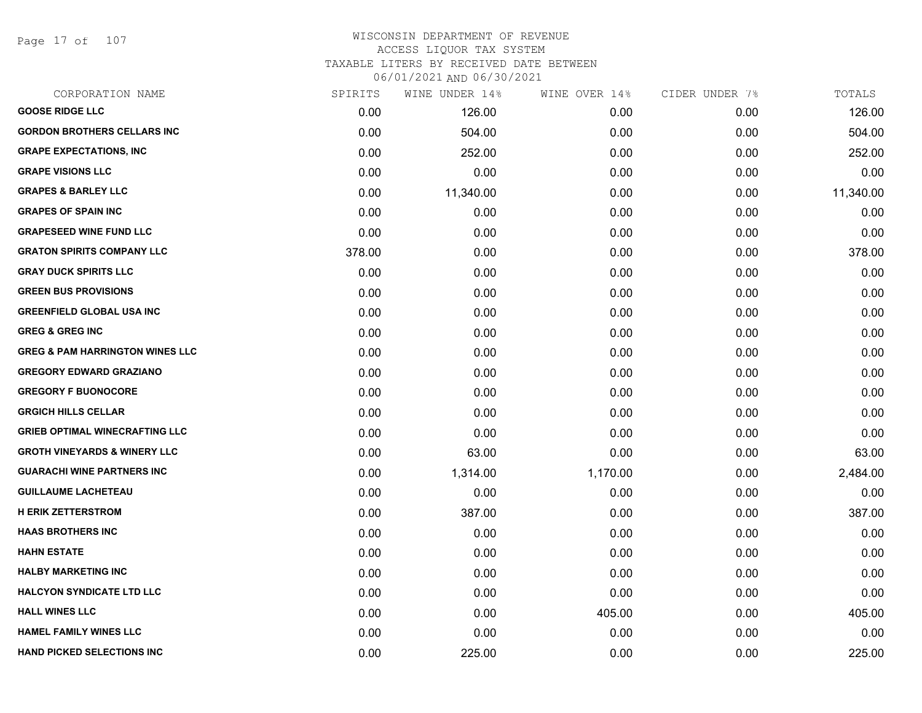Page 17 of 107

#### WISCONSIN DEPARTMENT OF REVENUE ACCESS LIQUOR TAX SYSTEM

TAXABLE LITERS BY RECEIVED DATE BETWEEN

| CORPORATION NAME                           | SPIRITS | WINE UNDER 14% | WINE OVER 14% | CIDER UNDER 7% | TOTALS    |
|--------------------------------------------|---------|----------------|---------------|----------------|-----------|
| <b>GOOSE RIDGE LLC</b>                     | 0.00    | 126.00         | 0.00          | 0.00           | 126.00    |
| <b>GORDON BROTHERS CELLARS INC</b>         | 0.00    | 504.00         | 0.00          | 0.00           | 504.00    |
| <b>GRAPE EXPECTATIONS, INC</b>             | 0.00    | 252.00         | 0.00          | 0.00           | 252.00    |
| <b>GRAPE VISIONS LLC</b>                   | 0.00    | 0.00           | 0.00          | 0.00           | 0.00      |
| <b>GRAPES &amp; BARLEY LLC</b>             | 0.00    | 11,340.00      | 0.00          | 0.00           | 11,340.00 |
| <b>GRAPES OF SPAIN INC</b>                 | 0.00    | 0.00           | 0.00          | 0.00           | 0.00      |
| <b>GRAPESEED WINE FUND LLC</b>             | 0.00    | 0.00           | 0.00          | 0.00           | 0.00      |
| <b>GRATON SPIRITS COMPANY LLC</b>          | 378.00  | 0.00           | 0.00          | 0.00           | 378.00    |
| <b>GRAY DUCK SPIRITS LLC</b>               | 0.00    | 0.00           | 0.00          | 0.00           | 0.00      |
| <b>GREEN BUS PROVISIONS</b>                | 0.00    | 0.00           | 0.00          | 0.00           | 0.00      |
| <b>GREENFIELD GLOBAL USA INC</b>           | 0.00    | 0.00           | 0.00          | 0.00           | 0.00      |
| <b>GREG &amp; GREG INC</b>                 | 0.00    | 0.00           | 0.00          | 0.00           | 0.00      |
| <b>GREG &amp; PAM HARRINGTON WINES LLC</b> | 0.00    | 0.00           | 0.00          | 0.00           | 0.00      |
| <b>GREGORY EDWARD GRAZIANO</b>             | 0.00    | 0.00           | 0.00          | 0.00           | 0.00      |
| <b>GREGORY F BUONOCORE</b>                 | 0.00    | 0.00           | 0.00          | 0.00           | 0.00      |
| <b>GRGICH HILLS CELLAR</b>                 | 0.00    | 0.00           | 0.00          | 0.00           | 0.00      |
| <b>GRIEB OPTIMAL WINECRAFTING LLC</b>      | 0.00    | 0.00           | 0.00          | 0.00           | 0.00      |
| <b>GROTH VINEYARDS &amp; WINERY LLC</b>    | 0.00    | 63.00          | 0.00          | 0.00           | 63.00     |
| <b>GUARACHI WINE PARTNERS INC</b>          | 0.00    | 1,314.00       | 1,170.00      | 0.00           | 2,484.00  |
| <b>GUILLAUME LACHETEAU</b>                 | 0.00    | 0.00           | 0.00          | 0.00           | 0.00      |
| <b>H ERIK ZETTERSTROM</b>                  | 0.00    | 387.00         | 0.00          | 0.00           | 387.00    |
| <b>HAAS BROTHERS INC</b>                   | 0.00    | 0.00           | 0.00          | 0.00           | 0.00      |
| <b>HAHN ESTATE</b>                         | 0.00    | 0.00           | 0.00          | 0.00           | 0.00      |
| <b>HALBY MARKETING INC</b>                 | 0.00    | 0.00           | 0.00          | 0.00           | 0.00      |
| <b>HALCYON SYNDICATE LTD LLC</b>           | 0.00    | 0.00           | 0.00          | 0.00           | 0.00      |
| <b>HALL WINES LLC</b>                      | 0.00    | 0.00           | 405.00        | 0.00           | 405.00    |
| <b>HAMEL FAMILY WINES LLC</b>              | 0.00    | 0.00           | 0.00          | 0.00           | 0.00      |
| <b>HAND PICKED SELECTIONS INC</b>          | 0.00    | 225.00         | 0.00          | 0.00           | 225.00    |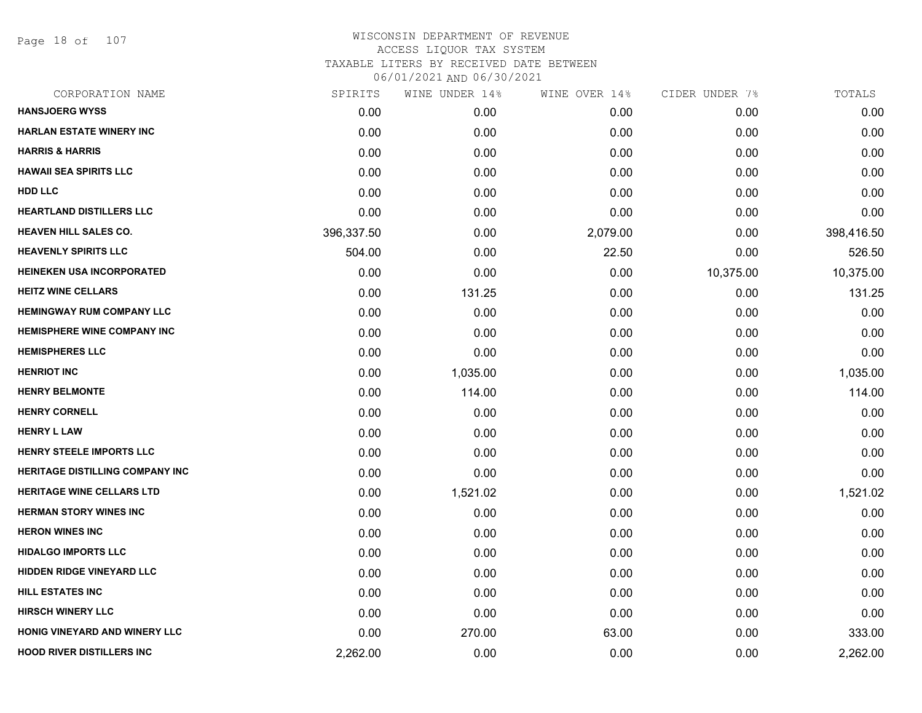Page 18 of 107

| SPIRITS    | WINE UNDER 14% |          |               | TOTALS         |
|------------|----------------|----------|---------------|----------------|
| 0.00       | 0.00           | 0.00     | 0.00          | 0.00           |
| 0.00       | 0.00           | 0.00     | 0.00          | 0.00           |
| 0.00       | 0.00           | 0.00     | 0.00          | 0.00           |
| 0.00       | 0.00           | 0.00     | 0.00          | 0.00           |
| 0.00       | 0.00           | 0.00     | 0.00          | 0.00           |
| 0.00       | 0.00           | 0.00     | 0.00          | 0.00           |
| 396,337.50 | 0.00           | 2,079.00 | 0.00          | 398,416.50     |
| 504.00     | 0.00           | 22.50    | 0.00          | 526.50         |
| 0.00       | 0.00           | 0.00     | 10,375.00     | 10,375.00      |
| 0.00       | 131.25         | 0.00     | 0.00          | 131.25         |
| 0.00       | 0.00           | 0.00     | 0.00          | 0.00           |
| 0.00       | 0.00           | 0.00     | 0.00          | 0.00           |
| 0.00       | 0.00           | 0.00     | 0.00          | 0.00           |
| 0.00       | 1,035.00       | 0.00     | 0.00          | 1,035.00       |
| 0.00       | 114.00         | 0.00     | 0.00          | 114.00         |
| 0.00       | 0.00           | 0.00     | 0.00          | 0.00           |
| 0.00       | 0.00           | 0.00     | 0.00          | 0.00           |
| 0.00       | 0.00           | 0.00     | 0.00          | 0.00           |
| 0.00       | 0.00           | 0.00     | 0.00          | 0.00           |
| 0.00       | 1,521.02       | 0.00     | 0.00          | 1,521.02       |
| 0.00       | 0.00           | 0.00     | 0.00          | 0.00           |
| 0.00       | 0.00           | 0.00     | 0.00          | 0.00           |
| 0.00       | 0.00           | 0.00     | 0.00          | 0.00           |
| 0.00       | 0.00           | 0.00     | 0.00          | 0.00           |
| 0.00       | 0.00           | 0.00     | 0.00          | 0.00           |
| 0.00       | 0.00           | 0.00     | 0.00          | 0.00           |
| 0.00       | 270.00         | 63.00    | 0.00          | 333.00         |
| 2,262.00   | 0.00           | 0.00     | 0.00          | 2,262.00       |
|            |                |          | WINE OVER 14% | CIDER UNDER 7% |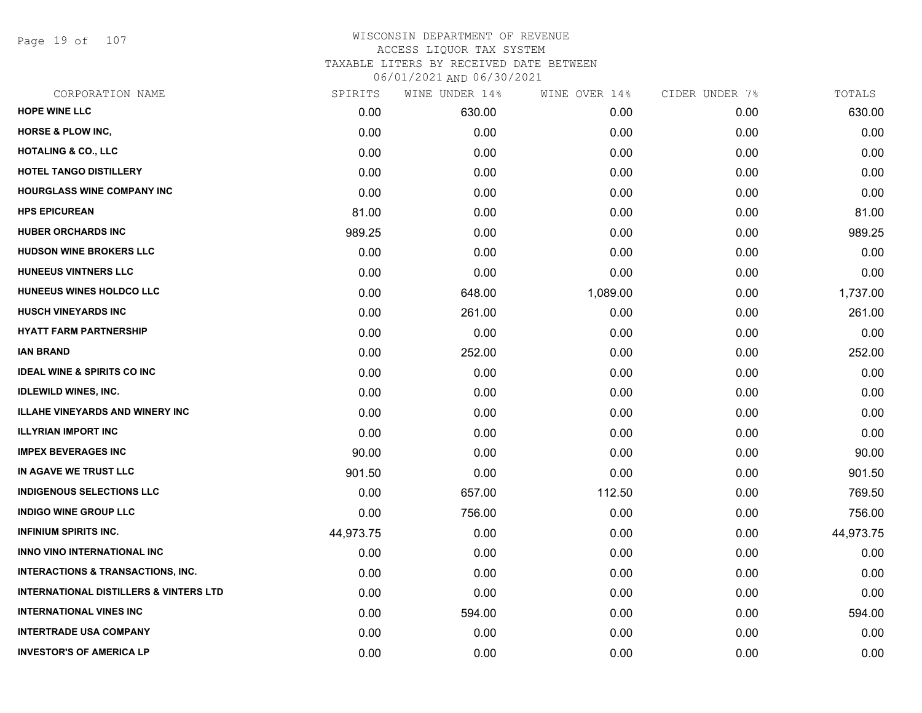Page 19 of 107

| CORPORATION NAME                                  | SPIRITS   | WINE UNDER 14% | WINE OVER 14% | CIDER UNDER 7% | TOTALS    |
|---------------------------------------------------|-----------|----------------|---------------|----------------|-----------|
| <b>HOPE WINE LLC</b>                              | 0.00      | 630.00         | 0.00          | 0.00           | 630.00    |
| <b>HORSE &amp; PLOW INC,</b>                      | 0.00      | 0.00           | 0.00          | 0.00           | 0.00      |
| <b>HOTALING &amp; CO., LLC</b>                    | 0.00      | 0.00           | 0.00          | 0.00           | 0.00      |
| <b>HOTEL TANGO DISTILLERY</b>                     | 0.00      | 0.00           | 0.00          | 0.00           | 0.00      |
| <b>HOURGLASS WINE COMPANY INC</b>                 | 0.00      | 0.00           | 0.00          | 0.00           | 0.00      |
| <b>HPS EPICUREAN</b>                              | 81.00     | 0.00           | 0.00          | 0.00           | 81.00     |
| <b>HUBER ORCHARDS INC</b>                         | 989.25    | 0.00           | 0.00          | 0.00           | 989.25    |
| <b>HUDSON WINE BROKERS LLC</b>                    | 0.00      | 0.00           | 0.00          | 0.00           | 0.00      |
| <b>HUNEEUS VINTNERS LLC</b>                       | 0.00      | 0.00           | 0.00          | 0.00           | 0.00      |
| HUNEEUS WINES HOLDCO LLC                          | 0.00      | 648.00         | 1,089.00      | 0.00           | 1,737.00  |
| <b>HUSCH VINEYARDS INC</b>                        | 0.00      | 261.00         | 0.00          | 0.00           | 261.00    |
| <b>HYATT FARM PARTNERSHIP</b>                     | 0.00      | 0.00           | 0.00          | 0.00           | 0.00      |
| <b>IAN BRAND</b>                                  | 0.00      | 252.00         | 0.00          | 0.00           | 252.00    |
| <b>IDEAL WINE &amp; SPIRITS CO INC</b>            | 0.00      | 0.00           | 0.00          | 0.00           | 0.00      |
| <b>IDLEWILD WINES, INC.</b>                       | 0.00      | 0.00           | 0.00          | 0.00           | 0.00      |
| <b>ILLAHE VINEYARDS AND WINERY INC</b>            | 0.00      | 0.00           | 0.00          | 0.00           | 0.00      |
| <b>ILLYRIAN IMPORT INC</b>                        | 0.00      | 0.00           | 0.00          | 0.00           | 0.00      |
| <b>IMPEX BEVERAGES INC</b>                        | 90.00     | 0.00           | 0.00          | 0.00           | 90.00     |
| IN AGAVE WE TRUST LLC                             | 901.50    | 0.00           | 0.00          | 0.00           | 901.50    |
| <b>INDIGENOUS SELECTIONS LLC</b>                  | 0.00      | 657.00         | 112.50        | 0.00           | 769.50    |
| <b>INDIGO WINE GROUP LLC</b>                      | 0.00      | 756.00         | 0.00          | 0.00           | 756.00    |
| <b>INFINIUM SPIRITS INC.</b>                      | 44,973.75 | 0.00           | 0.00          | 0.00           | 44,973.75 |
| INNO VINO INTERNATIONAL INC                       | 0.00      | 0.00           | 0.00          | 0.00           | 0.00      |
| <b>INTERACTIONS &amp; TRANSACTIONS, INC.</b>      | 0.00      | 0.00           | 0.00          | 0.00           | 0.00      |
| <b>INTERNATIONAL DISTILLERS &amp; VINTERS LTD</b> | 0.00      | 0.00           | 0.00          | 0.00           | 0.00      |
| <b>INTERNATIONAL VINES INC</b>                    | 0.00      | 594.00         | 0.00          | 0.00           | 594.00    |
| <b>INTERTRADE USA COMPANY</b>                     | 0.00      | 0.00           | 0.00          | 0.00           | 0.00      |
| <b>INVESTOR'S OF AMERICA LP</b>                   | 0.00      | 0.00           | 0.00          | 0.00           | 0.00      |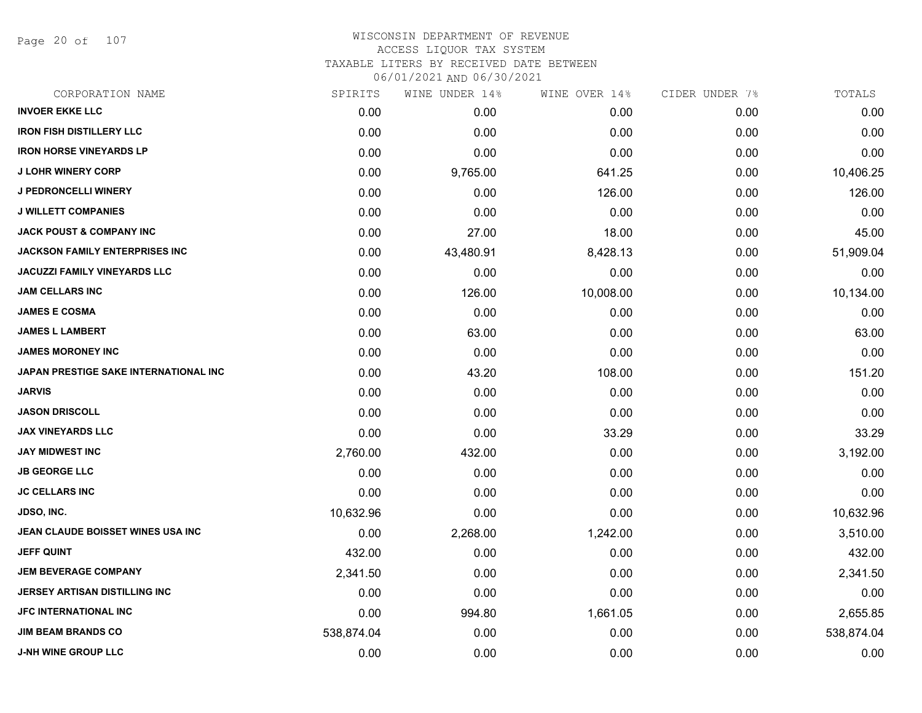Page 20 of 107

|            | WINE UNDER 14% | WINE OVER 14% | CIDER UNDER 7% | TOTALS     |
|------------|----------------|---------------|----------------|------------|
| 0.00       | 0.00           | 0.00          | 0.00           | 0.00       |
| 0.00       | 0.00           | 0.00          | 0.00           | 0.00       |
| 0.00       | 0.00           | 0.00          | 0.00           | 0.00       |
| 0.00       | 9,765.00       | 641.25        | 0.00           | 10,406.25  |
| 0.00       | 0.00           | 126.00        | 0.00           | 126.00     |
| 0.00       | 0.00           | 0.00          | 0.00           | 0.00       |
| 0.00       | 27.00          | 18.00         | 0.00           | 45.00      |
| 0.00       | 43,480.91      | 8,428.13      | 0.00           | 51,909.04  |
| 0.00       | 0.00           | 0.00          | 0.00           | 0.00       |
| 0.00       | 126.00         | 10,008.00     | 0.00           | 10,134.00  |
| 0.00       | 0.00           | 0.00          | 0.00           | 0.00       |
| 0.00       | 63.00          | 0.00          | 0.00           | 63.00      |
| 0.00       | 0.00           | 0.00          | 0.00           | 0.00       |
| 0.00       | 43.20          | 108.00        | 0.00           | 151.20     |
| 0.00       | 0.00           | 0.00          | 0.00           | 0.00       |
| 0.00       | 0.00           | 0.00          | 0.00           | 0.00       |
| 0.00       | 0.00           | 33.29         | 0.00           | 33.29      |
| 2,760.00   | 432.00         | 0.00          | 0.00           | 3,192.00   |
| 0.00       | 0.00           | 0.00          | 0.00           | 0.00       |
| 0.00       | 0.00           | 0.00          | 0.00           | 0.00       |
| 10,632.96  | 0.00           | 0.00          | 0.00           | 10,632.96  |
| 0.00       | 2,268.00       | 1,242.00      | 0.00           | 3,510.00   |
| 432.00     | 0.00           | 0.00          | 0.00           | 432.00     |
| 2,341.50   | 0.00           | 0.00          | 0.00           | 2,341.50   |
| 0.00       | 0.00           | 0.00          | 0.00           | 0.00       |
| 0.00       | 994.80         | 1,661.05      | 0.00           | 2,655.85   |
| 538,874.04 | 0.00           | 0.00          | 0.00           | 538,874.04 |
| 0.00       | 0.00           | 0.00          | 0.00           | 0.00       |
|            | SPIRITS        |               |                |            |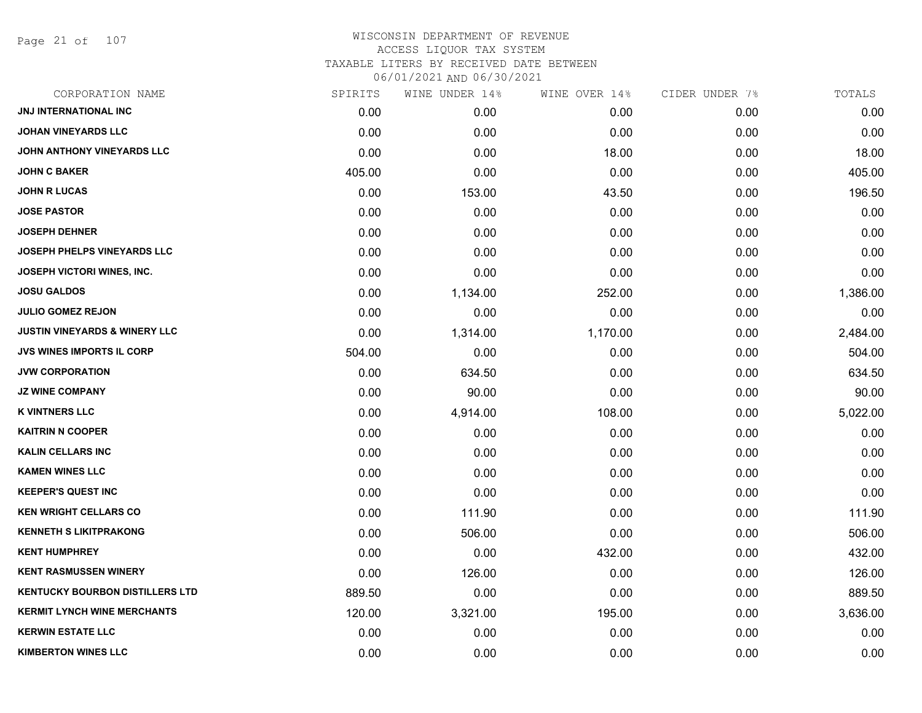Page 21 of 107

| CORPORATION NAME                         | SPIRITS | WINE UNDER 14% | WINE OVER 14% | CIDER UNDER 7% | TOTALS   |
|------------------------------------------|---------|----------------|---------------|----------------|----------|
| JNJ INTERNATIONAL INC                    | 0.00    | 0.00           | 0.00          | 0.00           | 0.00     |
| <b>JOHAN VINEYARDS LLC</b>               | 0.00    | 0.00           | 0.00          | 0.00           | 0.00     |
| JOHN ANTHONY VINEYARDS LLC               | 0.00    | 0.00           | 18.00         | 0.00           | 18.00    |
| <b>JOHN C BAKER</b>                      | 405.00  | 0.00           | 0.00          | 0.00           | 405.00   |
| <b>JOHN R LUCAS</b>                      | 0.00    | 153.00         | 43.50         | 0.00           | 196.50   |
| <b>JOSE PASTOR</b>                       | 0.00    | 0.00           | 0.00          | 0.00           | 0.00     |
| <b>JOSEPH DEHNER</b>                     | 0.00    | 0.00           | 0.00          | 0.00           | 0.00     |
| <b>JOSEPH PHELPS VINEYARDS LLC</b>       | 0.00    | 0.00           | 0.00          | 0.00           | 0.00     |
| JOSEPH VICTORI WINES, INC.               | 0.00    | 0.00           | 0.00          | 0.00           | 0.00     |
| <b>JOSU GALDOS</b>                       | 0.00    | 1,134.00       | 252.00        | 0.00           | 1,386.00 |
| <b>JULIO GOMEZ REJON</b>                 | 0.00    | 0.00           | 0.00          | 0.00           | 0.00     |
| <b>JUSTIN VINEYARDS &amp; WINERY LLC</b> | 0.00    | 1,314.00       | 1,170.00      | 0.00           | 2,484.00 |
| <b>JVS WINES IMPORTS IL CORP</b>         | 504.00  | 0.00           | 0.00          | 0.00           | 504.00   |
| <b>JVW CORPORATION</b>                   | 0.00    | 634.50         | 0.00          | 0.00           | 634.50   |
| <b>JZ WINE COMPANY</b>                   | 0.00    | 90.00          | 0.00          | 0.00           | 90.00    |
| <b>K VINTNERS LLC</b>                    | 0.00    | 4,914.00       | 108.00        | 0.00           | 5,022.00 |
| <b>KAITRIN N COOPER</b>                  | 0.00    | 0.00           | 0.00          | 0.00           | 0.00     |
| <b>KALIN CELLARS INC</b>                 | 0.00    | 0.00           | 0.00          | 0.00           | 0.00     |
| <b>KAMEN WINES LLC</b>                   | 0.00    | 0.00           | 0.00          | 0.00           | 0.00     |
| <b>KEEPER'S QUEST INC</b>                | 0.00    | 0.00           | 0.00          | 0.00           | 0.00     |
| <b>KEN WRIGHT CELLARS CO</b>             | 0.00    | 111.90         | 0.00          | 0.00           | 111.90   |
| <b>KENNETH S LIKITPRAKONG</b>            | 0.00    | 506.00         | 0.00          | 0.00           | 506.00   |
| <b>KENT HUMPHREY</b>                     | 0.00    | 0.00           | 432.00        | 0.00           | 432.00   |
| <b>KENT RASMUSSEN WINERY</b>             | 0.00    | 126.00         | 0.00          | 0.00           | 126.00   |
| <b>KENTUCKY BOURBON DISTILLERS LTD</b>   | 889.50  | 0.00           | 0.00          | 0.00           | 889.50   |
| <b>KERMIT LYNCH WINE MERCHANTS</b>       | 120.00  | 3,321.00       | 195.00        | 0.00           | 3,636.00 |
| <b>KERWIN ESTATE LLC</b>                 | 0.00    | 0.00           | 0.00          | 0.00           | 0.00     |
| <b>KIMBERTON WINES LLC</b>               | 0.00    | 0.00           | 0.00          | 0.00           | 0.00     |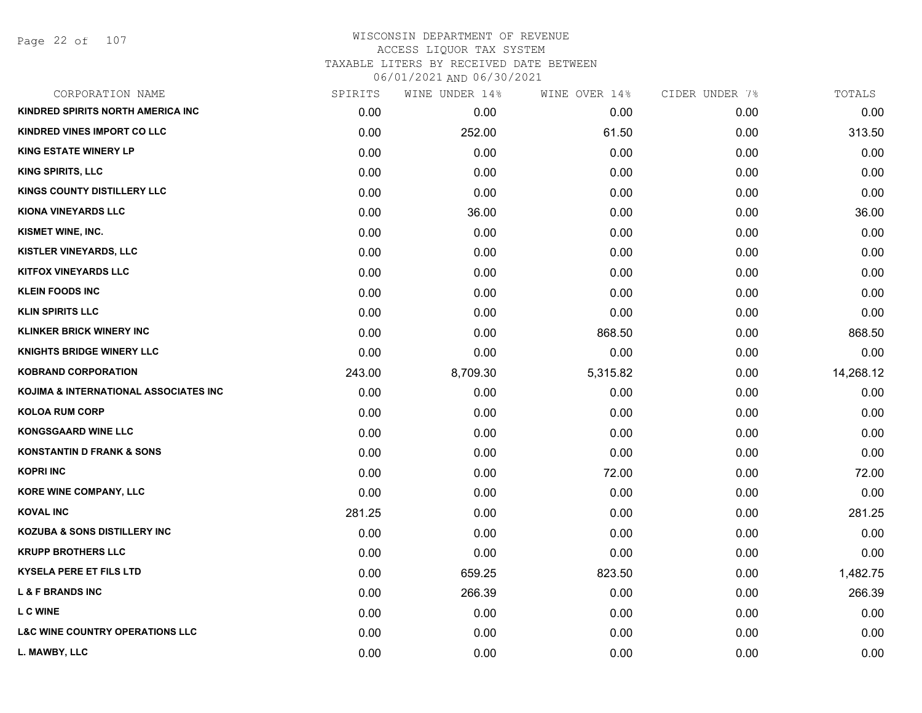Page 22 of 107

| CORPORATION NAME                                  | SPIRITS | WINE UNDER 14% | WINE OVER 14% | CIDER UNDER 7% | TOTALS    |
|---------------------------------------------------|---------|----------------|---------------|----------------|-----------|
| KINDRED SPIRITS NORTH AMERICA INC                 | 0.00    | 0.00           | 0.00          | 0.00           | 0.00      |
| <b>KINDRED VINES IMPORT CO LLC</b>                | 0.00    | 252.00         | 61.50         | 0.00           | 313.50    |
| <b>KING ESTATE WINERY LP</b>                      | 0.00    | 0.00           | 0.00          | 0.00           | 0.00      |
| <b>KING SPIRITS, LLC</b>                          | 0.00    | 0.00           | 0.00          | 0.00           | 0.00      |
| <b>KINGS COUNTY DISTILLERY LLC</b>                | 0.00    | 0.00           | 0.00          | 0.00           | 0.00      |
| <b>KIONA VINEYARDS LLC</b>                        | 0.00    | 36.00          | 0.00          | 0.00           | 36.00     |
| KISMET WINE, INC.                                 | 0.00    | 0.00           | 0.00          | 0.00           | 0.00      |
| KISTLER VINEYARDS, LLC                            | 0.00    | 0.00           | 0.00          | 0.00           | 0.00      |
| <b>KITFOX VINEYARDS LLC</b>                       | 0.00    | 0.00           | 0.00          | 0.00           | 0.00      |
| <b>KLEIN FOODS INC</b>                            | 0.00    | 0.00           | 0.00          | 0.00           | 0.00      |
| <b>KLIN SPIRITS LLC</b>                           | 0.00    | 0.00           | 0.00          | 0.00           | 0.00      |
| <b>KLINKER BRICK WINERY INC</b>                   | 0.00    | 0.00           | 868.50        | 0.00           | 868.50    |
| <b>KNIGHTS BRIDGE WINERY LLC</b>                  | 0.00    | 0.00           | 0.00          | 0.00           | 0.00      |
| <b>KOBRAND CORPORATION</b>                        | 243.00  | 8,709.30       | 5,315.82      | 0.00           | 14,268.12 |
| <b>KOJIMA &amp; INTERNATIONAL ASSOCIATES INC.</b> | 0.00    | 0.00           | 0.00          | 0.00           | 0.00      |
| <b>KOLOA RUM CORP</b>                             | 0.00    | 0.00           | 0.00          | 0.00           | 0.00      |
| <b>KONGSGAARD WINE LLC</b>                        | 0.00    | 0.00           | 0.00          | 0.00           | 0.00      |
| <b>KONSTANTIN D FRANK &amp; SONS</b>              | 0.00    | 0.00           | 0.00          | 0.00           | 0.00      |
| <b>KOPRI INC</b>                                  | 0.00    | 0.00           | 72.00         | 0.00           | 72.00     |
| KORE WINE COMPANY, LLC                            | 0.00    | 0.00           | 0.00          | 0.00           | 0.00      |
| <b>KOVAL INC</b>                                  | 281.25  | 0.00           | 0.00          | 0.00           | 281.25    |
| <b>KOZUBA &amp; SONS DISTILLERY INC</b>           | 0.00    | 0.00           | 0.00          | 0.00           | 0.00      |
| <b>KRUPP BROTHERS LLC</b>                         | 0.00    | 0.00           | 0.00          | 0.00           | 0.00      |
| <b>KYSELA PERE ET FILS LTD</b>                    | 0.00    | 659.25         | 823.50        | 0.00           | 1,482.75  |
| <b>L &amp; F BRANDS INC</b>                       | 0.00    | 266.39         | 0.00          | 0.00           | 266.39    |
| <b>LC WINE</b>                                    | 0.00    | 0.00           | 0.00          | 0.00           | 0.00      |
| <b>L&amp;C WINE COUNTRY OPERATIONS LLC</b>        | 0.00    | 0.00           | 0.00          | 0.00           | 0.00      |
| L. MAWBY, LLC                                     | 0.00    | 0.00           | 0.00          | 0.00           | 0.00      |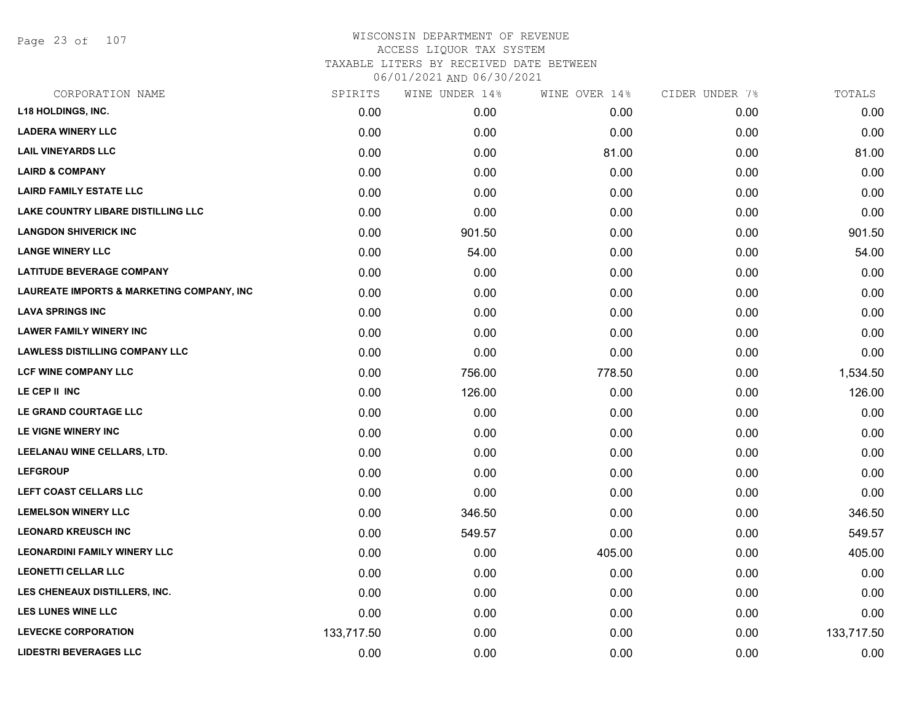Page 23 of 107

| CORPORATION NAME                          | SPIRITS    | WINE UNDER 14% | WINE OVER 14% | CIDER UNDER 7% | TOTALS     |
|-------------------------------------------|------------|----------------|---------------|----------------|------------|
| <b>L18 HOLDINGS, INC.</b>                 | 0.00       | 0.00           | 0.00          | 0.00           | 0.00       |
| <b>LADERA WINERY LLC</b>                  | 0.00       | 0.00           | 0.00          | 0.00           | 0.00       |
| <b>LAIL VINEYARDS LLC</b>                 | 0.00       | 0.00           | 81.00         | 0.00           | 81.00      |
| <b>LAIRD &amp; COMPANY</b>                | 0.00       | 0.00           | 0.00          | 0.00           | 0.00       |
| <b>LAIRD FAMILY ESTATE LLC</b>            | 0.00       | 0.00           | 0.00          | 0.00           | 0.00       |
| <b>LAKE COUNTRY LIBARE DISTILLING LLC</b> | 0.00       | 0.00           | 0.00          | 0.00           | 0.00       |
| <b>LANGDON SHIVERICK INC</b>              | 0.00       | 901.50         | 0.00          | 0.00           | 901.50     |
| <b>LANGE WINERY LLC</b>                   | 0.00       | 54.00          | 0.00          | 0.00           | 54.00      |
| <b>LATITUDE BEVERAGE COMPANY</b>          | 0.00       | 0.00           | 0.00          | 0.00           | 0.00       |
| LAUREATE IMPORTS & MARKETING COMPANY, INC | 0.00       | 0.00           | 0.00          | 0.00           | 0.00       |
| <b>LAVA SPRINGS INC</b>                   | 0.00       | 0.00           | 0.00          | 0.00           | 0.00       |
| <b>LAWER FAMILY WINERY INC</b>            | 0.00       | 0.00           | 0.00          | 0.00           | 0.00       |
| <b>LAWLESS DISTILLING COMPANY LLC</b>     | 0.00       | 0.00           | 0.00          | 0.00           | 0.00       |
| <b>LCF WINE COMPANY LLC</b>               | 0.00       | 756.00         | 778.50        | 0.00           | 1,534.50   |
| LE CEP II INC                             | 0.00       | 126.00         | 0.00          | 0.00           | 126.00     |
| LE GRAND COURTAGE LLC                     | 0.00       | 0.00           | 0.00          | 0.00           | 0.00       |
| LE VIGNE WINERY INC                       | 0.00       | 0.00           | 0.00          | 0.00           | 0.00       |
| LEELANAU WINE CELLARS, LTD.               | 0.00       | 0.00           | 0.00          | 0.00           | 0.00       |
| <b>LEFGROUP</b>                           | 0.00       | 0.00           | 0.00          | 0.00           | 0.00       |
| LEFT COAST CELLARS LLC                    | 0.00       | 0.00           | 0.00          | 0.00           | 0.00       |
| <b>LEMELSON WINERY LLC</b>                | 0.00       | 346.50         | 0.00          | 0.00           | 346.50     |
| <b>LEONARD KREUSCH INC</b>                | 0.00       | 549.57         | 0.00          | 0.00           | 549.57     |
| <b>LEONARDINI FAMILY WINERY LLC</b>       | 0.00       | 0.00           | 405.00        | 0.00           | 405.00     |
| <b>LEONETTI CELLAR LLC</b>                | 0.00       | 0.00           | 0.00          | 0.00           | 0.00       |
| LES CHENEAUX DISTILLERS, INC.             | 0.00       | 0.00           | 0.00          | 0.00           | 0.00       |
| <b>LES LUNES WINE LLC</b>                 | 0.00       | 0.00           | 0.00          | 0.00           | 0.00       |
| <b>LEVECKE CORPORATION</b>                | 133,717.50 | 0.00           | 0.00          | 0.00           | 133,717.50 |
| <b>LIDESTRI BEVERAGES LLC</b>             | 0.00       | 0.00           | 0.00          | 0.00           | 0.00       |
|                                           |            |                |               |                |            |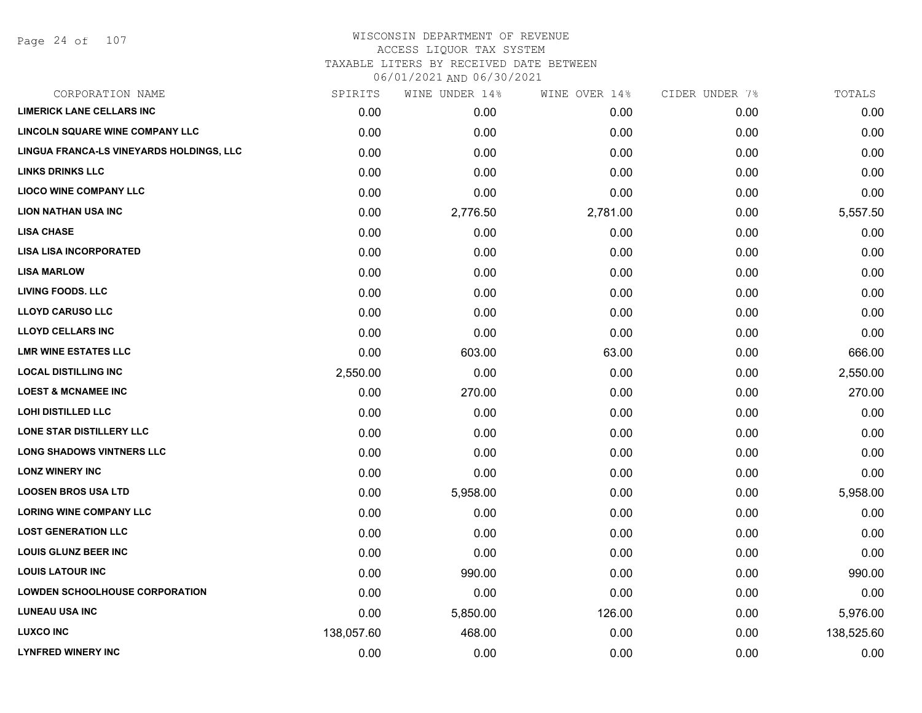#### WISCONSIN DEPARTMENT OF REVENUE ACCESS LIQUOR TAX SYSTEM TAXABLE LITERS BY RECEIVED DATE BETWEEN

| CORPORATION NAME                         | SPIRITS    | WINE UNDER 14% | WINE OVER 14% | CIDER UNDER 7% | TOTALS     |
|------------------------------------------|------------|----------------|---------------|----------------|------------|
| <b>LIMERICK LANE CELLARS INC</b>         | 0.00       | 0.00           | 0.00          | 0.00           | 0.00       |
| LINCOLN SQUARE WINE COMPANY LLC          | 0.00       | 0.00           | 0.00          | 0.00           | 0.00       |
| LINGUA FRANCA-LS VINEYARDS HOLDINGS, LLC | 0.00       | 0.00           | 0.00          | 0.00           | 0.00       |
| <b>LINKS DRINKS LLC</b>                  | 0.00       | 0.00           | 0.00          | 0.00           | 0.00       |
| <b>LIOCO WINE COMPANY LLC</b>            | 0.00       | 0.00           | 0.00          | 0.00           | 0.00       |
| <b>LION NATHAN USA INC</b>               | 0.00       | 2,776.50       | 2,781.00      | 0.00           | 5,557.50   |
| <b>LISA CHASE</b>                        | 0.00       | 0.00           | 0.00          | 0.00           | 0.00       |
| <b>LISA LISA INCORPORATED</b>            | 0.00       | 0.00           | 0.00          | 0.00           | 0.00       |
| <b>LISA MARLOW</b>                       | 0.00       | 0.00           | 0.00          | 0.00           | 0.00       |
| <b>LIVING FOODS. LLC</b>                 | 0.00       | 0.00           | 0.00          | 0.00           | 0.00       |
| <b>LLOYD CARUSO LLC</b>                  | 0.00       | 0.00           | 0.00          | 0.00           | 0.00       |
| <b>LLOYD CELLARS INC</b>                 | 0.00       | 0.00           | 0.00          | 0.00           | 0.00       |
| <b>LMR WINE ESTATES LLC</b>              | 0.00       | 603.00         | 63.00         | 0.00           | 666.00     |
| <b>LOCAL DISTILLING INC</b>              | 2,550.00   | 0.00           | 0.00          | 0.00           | 2,550.00   |
| <b>LOEST &amp; MCNAMEE INC</b>           | 0.00       | 270.00         | 0.00          | 0.00           | 270.00     |
| LOHI DISTILLED LLC                       | 0.00       | 0.00           | 0.00          | 0.00           | 0.00       |
| LONE STAR DISTILLERY LLC                 | 0.00       | 0.00           | 0.00          | 0.00           | 0.00       |
| <b>LONG SHADOWS VINTNERS LLC</b>         | 0.00       | 0.00           | 0.00          | 0.00           | 0.00       |
| <b>LONZ WINERY INC</b>                   | 0.00       | 0.00           | 0.00          | 0.00           | 0.00       |
| <b>LOOSEN BROS USA LTD</b>               | 0.00       | 5,958.00       | 0.00          | 0.00           | 5,958.00   |
| <b>LORING WINE COMPANY LLC</b>           | 0.00       | 0.00           | 0.00          | 0.00           | 0.00       |
| <b>LOST GENERATION LLC</b>               | 0.00       | 0.00           | 0.00          | 0.00           | 0.00       |
| <b>LOUIS GLUNZ BEER INC</b>              | 0.00       | 0.00           | 0.00          | 0.00           | 0.00       |
| <b>LOUIS LATOUR INC</b>                  | 0.00       | 990.00         | 0.00          | 0.00           | 990.00     |
| <b>LOWDEN SCHOOLHOUSE CORPORATION</b>    | 0.00       | 0.00           | 0.00          | 0.00           | 0.00       |
| <b>LUNEAU USA INC</b>                    | 0.00       | 5,850.00       | 126.00        | 0.00           | 5,976.00   |
| <b>LUXCO INC</b>                         | 138,057.60 | 468.00         | 0.00          | 0.00           | 138,525.60 |
| <b>LYNFRED WINERY INC</b>                | 0.00       | 0.00           | 0.00          | 0.00           | 0.00       |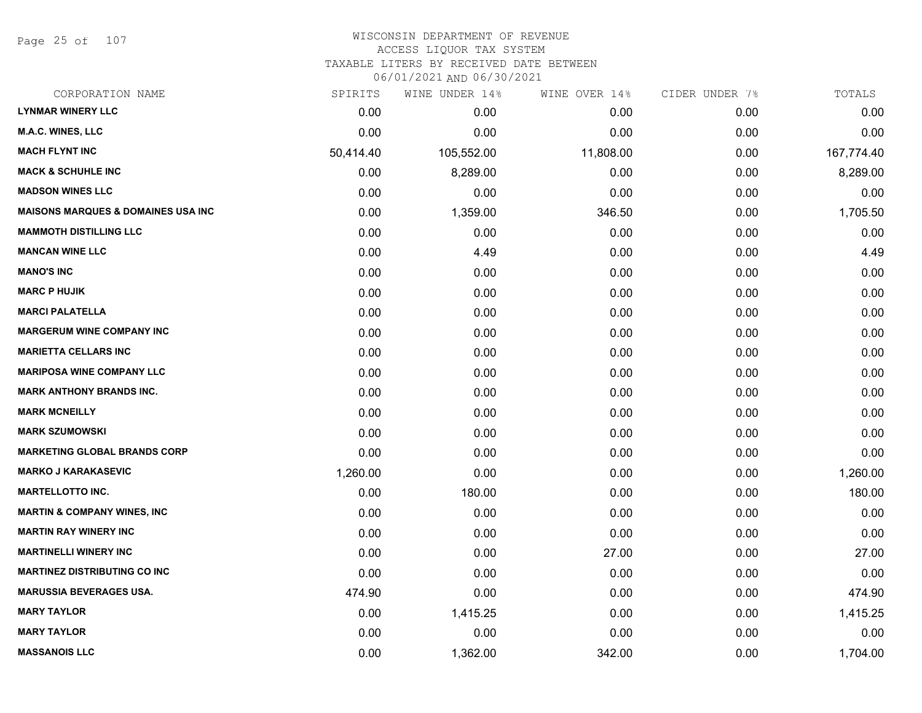Page 25 of 107

#### WISCONSIN DEPARTMENT OF REVENUE ACCESS LIQUOR TAX SYSTEM TAXABLE LITERS BY RECEIVED DATE BETWEEN

| CORPORATION NAME                               | SPIRITS   | WINE UNDER 14% | WINE OVER 14% | CIDER UNDER 7% | TOTALS     |
|------------------------------------------------|-----------|----------------|---------------|----------------|------------|
| <b>LYNMAR WINERY LLC</b>                       | 0.00      | 0.00           | 0.00          | 0.00           | 0.00       |
| <b>M.A.C. WINES, LLC</b>                       | 0.00      | 0.00           | 0.00          | 0.00           | 0.00       |
| <b>MACH FLYNT INC</b>                          | 50,414.40 | 105,552.00     | 11,808.00     | 0.00           | 167,774.40 |
| <b>MACK &amp; SCHUHLE INC</b>                  | 0.00      | 8,289.00       | 0.00          | 0.00           | 8,289.00   |
| <b>MADSON WINES LLC</b>                        | 0.00      | 0.00           | 0.00          | 0.00           | 0.00       |
| <b>MAISONS MARQUES &amp; DOMAINES USA INC.</b> | 0.00      | 1,359.00       | 346.50        | 0.00           | 1,705.50   |
| <b>MAMMOTH DISTILLING LLC</b>                  | 0.00      | 0.00           | 0.00          | 0.00           | 0.00       |
| <b>MANCAN WINE LLC</b>                         | 0.00      | 4.49           | 0.00          | 0.00           | 4.49       |
| <b>MANO'S INC</b>                              | 0.00      | 0.00           | 0.00          | 0.00           | 0.00       |
| <b>MARC P HUJIK</b>                            | 0.00      | 0.00           | 0.00          | 0.00           | 0.00       |
| <b>MARCI PALATELLA</b>                         | 0.00      | 0.00           | 0.00          | 0.00           | 0.00       |
| <b>MARGERUM WINE COMPANY INC</b>               | 0.00      | 0.00           | 0.00          | 0.00           | 0.00       |
| <b>MARIETTA CELLARS INC</b>                    | 0.00      | 0.00           | 0.00          | 0.00           | 0.00       |
| <b>MARIPOSA WINE COMPANY LLC</b>               | 0.00      | 0.00           | 0.00          | 0.00           | 0.00       |
| <b>MARK ANTHONY BRANDS INC.</b>                | 0.00      | 0.00           | 0.00          | 0.00           | 0.00       |
| <b>MARK MCNEILLY</b>                           | 0.00      | 0.00           | 0.00          | 0.00           | 0.00       |
| <b>MARK SZUMOWSKI</b>                          | 0.00      | 0.00           | 0.00          | 0.00           | 0.00       |
| <b>MARKETING GLOBAL BRANDS CORP</b>            | 0.00      | 0.00           | 0.00          | 0.00           | 0.00       |
| <b>MARKO J KARAKASEVIC</b>                     | 1,260.00  | 0.00           | 0.00          | 0.00           | 1,260.00   |
| <b>MARTELLOTTO INC.</b>                        | 0.00      | 180.00         | 0.00          | 0.00           | 180.00     |
| <b>MARTIN &amp; COMPANY WINES, INC</b>         | 0.00      | 0.00           | 0.00          | 0.00           | 0.00       |
| <b>MARTIN RAY WINERY INC</b>                   | 0.00      | 0.00           | 0.00          | 0.00           | 0.00       |
| <b>MARTINELLI WINERY INC</b>                   | 0.00      | 0.00           | 27.00         | 0.00           | 27.00      |
| <b>MARTINEZ DISTRIBUTING CO INC</b>            | 0.00      | 0.00           | 0.00          | 0.00           | 0.00       |
| <b>MARUSSIA BEVERAGES USA.</b>                 | 474.90    | 0.00           | 0.00          | 0.00           | 474.90     |
| <b>MARY TAYLOR</b>                             | 0.00      | 1,415.25       | 0.00          | 0.00           | 1,415.25   |
| <b>MARY TAYLOR</b>                             | 0.00      | 0.00           | 0.00          | 0.00           | 0.00       |
| <b>MASSANOIS LLC</b>                           | 0.00      | 1,362.00       | 342.00        | 0.00           | 1,704.00   |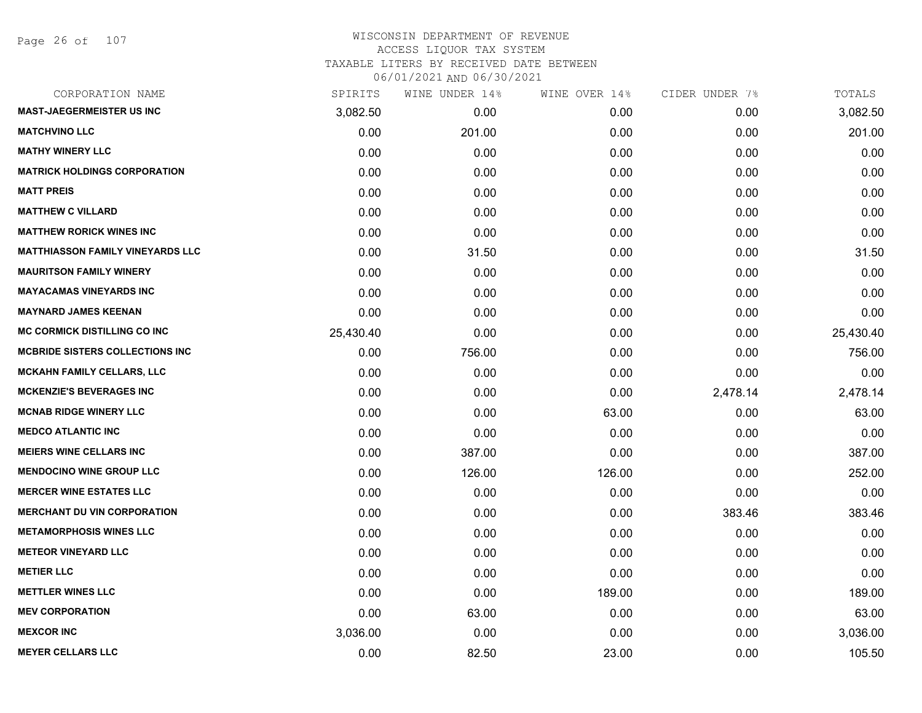# WISCONSIN DEPARTMENT OF REVENUE ACCESS LIQUOR TAX SYSTEM TAXABLE LITERS BY RECEIVED DATE BETWEEN

| CORPORATION NAME                        | SPIRITS   | WINE UNDER 14% | WINE OVER 14% | CIDER UNDER 7% | TOTALS    |
|-----------------------------------------|-----------|----------------|---------------|----------------|-----------|
| <b>MAST-JAEGERMEISTER US INC</b>        | 3,082.50  | 0.00           | 0.00          | 0.00           | 3,082.50  |
| <b>MATCHVINO LLC</b>                    | 0.00      | 201.00         | 0.00          | 0.00           | 201.00    |
| <b>MATHY WINERY LLC</b>                 | 0.00      | 0.00           | 0.00          | 0.00           | 0.00      |
| <b>MATRICK HOLDINGS CORPORATION</b>     | 0.00      | 0.00           | 0.00          | 0.00           | 0.00      |
| <b>MATT PREIS</b>                       | 0.00      | 0.00           | 0.00          | 0.00           | 0.00      |
| <b>MATTHEW C VILLARD</b>                | 0.00      | 0.00           | 0.00          | 0.00           | 0.00      |
| <b>MATTHEW RORICK WINES INC</b>         | 0.00      | 0.00           | 0.00          | 0.00           | 0.00      |
| <b>MATTHIASSON FAMILY VINEYARDS LLC</b> | 0.00      | 31.50          | 0.00          | 0.00           | 31.50     |
| <b>MAURITSON FAMILY WINERY</b>          | 0.00      | 0.00           | 0.00          | 0.00           | 0.00      |
| <b>MAYACAMAS VINEYARDS INC</b>          | 0.00      | 0.00           | 0.00          | 0.00           | 0.00      |
| <b>MAYNARD JAMES KEENAN</b>             | 0.00      | 0.00           | 0.00          | 0.00           | 0.00      |
| <b>MC CORMICK DISTILLING CO INC</b>     | 25,430.40 | 0.00           | 0.00          | 0.00           | 25,430.40 |
| <b>MCBRIDE SISTERS COLLECTIONS INC</b>  | 0.00      | 756.00         | 0.00          | 0.00           | 756.00    |
| <b>MCKAHN FAMILY CELLARS, LLC</b>       | 0.00      | 0.00           | 0.00          | 0.00           | 0.00      |
| <b>MCKENZIE'S BEVERAGES INC</b>         | 0.00      | 0.00           | 0.00          | 2,478.14       | 2,478.14  |
| <b>MCNAB RIDGE WINERY LLC</b>           | 0.00      | 0.00           | 63.00         | 0.00           | 63.00     |
| <b>MEDCO ATLANTIC INC</b>               | 0.00      | 0.00           | 0.00          | 0.00           | 0.00      |
| <b>MEIERS WINE CELLARS INC</b>          | 0.00      | 387.00         | 0.00          | 0.00           | 387.00    |
| <b>MENDOCINO WINE GROUP LLC</b>         | 0.00      | 126.00         | 126.00        | 0.00           | 252.00    |
| <b>MERCER WINE ESTATES LLC</b>          | 0.00      | 0.00           | 0.00          | 0.00           | 0.00      |
| <b>MERCHANT DU VIN CORPORATION</b>      | 0.00      | 0.00           | 0.00          | 383.46         | 383.46    |
| <b>METAMORPHOSIS WINES LLC</b>          | 0.00      | 0.00           | 0.00          | 0.00           | 0.00      |
| <b>METEOR VINEYARD LLC</b>              | 0.00      | 0.00           | 0.00          | 0.00           | 0.00      |
| <b>METIER LLC</b>                       | 0.00      | 0.00           | 0.00          | 0.00           | 0.00      |
| <b>METTLER WINES LLC</b>                | 0.00      | 0.00           | 189.00        | 0.00           | 189.00    |
| <b>MEV CORPORATION</b>                  | 0.00      | 63.00          | 0.00          | 0.00           | 63.00     |
| <b>MEXCOR INC</b>                       | 3,036.00  | 0.00           | 0.00          | 0.00           | 3,036.00  |
| <b>MEYER CELLARS LLC</b>                | 0.00      | 82.50          | 23.00         | 0.00           | 105.50    |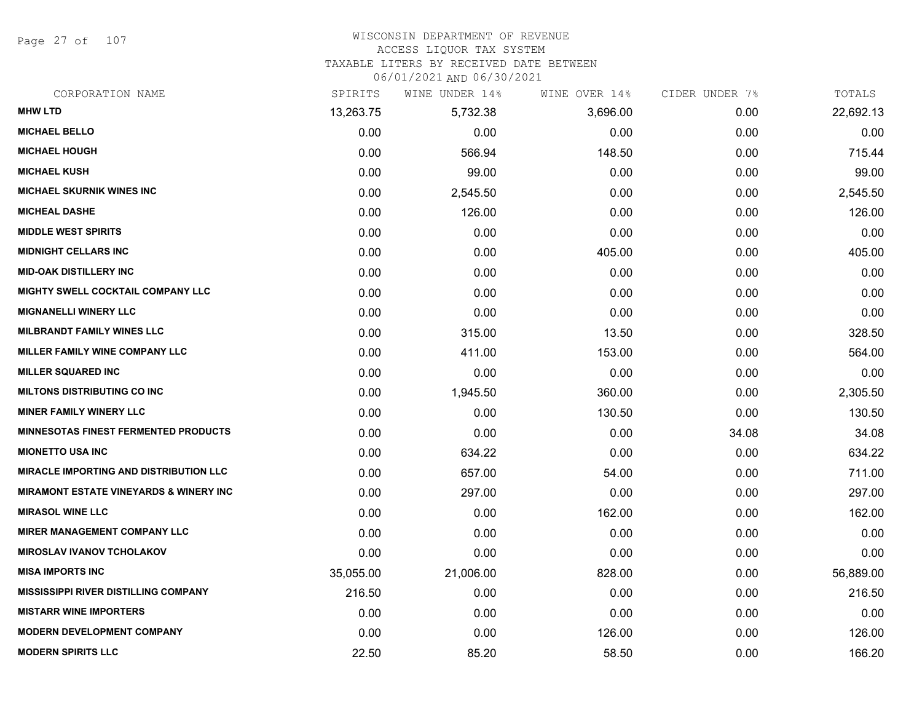Page 27 of 107

#### WISCONSIN DEPARTMENT OF REVENUE ACCESS LIQUOR TAX SYSTEM

TAXABLE LITERS BY RECEIVED DATE BETWEEN

| CORPORATION NAME                                  | SPIRITS   | WINE UNDER 14% | WINE OVER 14% | CIDER UNDER 7% | TOTALS    |
|---------------------------------------------------|-----------|----------------|---------------|----------------|-----------|
| <b>MHW LTD</b>                                    | 13,263.75 | 5,732.38       | 3,696.00      | 0.00           | 22,692.13 |
| <b>MICHAEL BELLO</b>                              | 0.00      | 0.00           | 0.00          | 0.00           | 0.00      |
| <b>MICHAEL HOUGH</b>                              | 0.00      | 566.94         | 148.50        | 0.00           | 715.44    |
| <b>MICHAEL KUSH</b>                               | 0.00      | 99.00          | 0.00          | 0.00           | 99.00     |
| <b>MICHAEL SKURNIK WINES INC</b>                  | 0.00      | 2,545.50       | 0.00          | 0.00           | 2,545.50  |
| <b>MICHEAL DASHE</b>                              | 0.00      | 126.00         | 0.00          | 0.00           | 126.00    |
| <b>MIDDLE WEST SPIRITS</b>                        | 0.00      | 0.00           | 0.00          | 0.00           | 0.00      |
| <b>MIDNIGHT CELLARS INC</b>                       | 0.00      | 0.00           | 405.00        | 0.00           | 405.00    |
| <b>MID-OAK DISTILLERY INC</b>                     | 0.00      | 0.00           | 0.00          | 0.00           | 0.00      |
| <b>MIGHTY SWELL COCKTAIL COMPANY LLC</b>          | 0.00      | 0.00           | 0.00          | 0.00           | 0.00      |
| <b>MIGNANELLI WINERY LLC</b>                      | 0.00      | 0.00           | 0.00          | 0.00           | 0.00      |
| <b>MILBRANDT FAMILY WINES LLC</b>                 | 0.00      | 315.00         | 13.50         | 0.00           | 328.50    |
| MILLER FAMILY WINE COMPANY LLC                    | 0.00      | 411.00         | 153.00        | 0.00           | 564.00    |
| <b>MILLER SQUARED INC</b>                         | 0.00      | 0.00           | 0.00          | 0.00           | 0.00      |
| <b>MILTONS DISTRIBUTING CO INC</b>                | 0.00      | 1,945.50       | 360.00        | 0.00           | 2,305.50  |
| <b>MINER FAMILY WINERY LLC</b>                    | 0.00      | 0.00           | 130.50        | 0.00           | 130.50    |
| <b>MINNESOTAS FINEST FERMENTED PRODUCTS</b>       | 0.00      | 0.00           | 0.00          | 34.08          | 34.08     |
| <b>MIONETTO USA INC</b>                           | 0.00      | 634.22         | 0.00          | 0.00           | 634.22    |
| <b>MIRACLE IMPORTING AND DISTRIBUTION LLC</b>     | 0.00      | 657.00         | 54.00         | 0.00           | 711.00    |
| <b>MIRAMONT ESTATE VINEYARDS &amp; WINERY INC</b> | 0.00      | 297.00         | 0.00          | 0.00           | 297.00    |
| <b>MIRASOL WINE LLC</b>                           | 0.00      | 0.00           | 162.00        | 0.00           | 162.00    |
| <b>MIRER MANAGEMENT COMPANY LLC</b>               | 0.00      | 0.00           | 0.00          | 0.00           | 0.00      |
| <b>MIROSLAV IVANOV TCHOLAKOV</b>                  | 0.00      | 0.00           | 0.00          | 0.00           | 0.00      |
| <b>MISA IMPORTS INC</b>                           | 35,055.00 | 21,006.00      | 828.00        | 0.00           | 56,889.00 |
| <b>MISSISSIPPI RIVER DISTILLING COMPANY</b>       | 216.50    | 0.00           | 0.00          | 0.00           | 216.50    |
| <b>MISTARR WINE IMPORTERS</b>                     | 0.00      | 0.00           | 0.00          | 0.00           | 0.00      |
| <b>MODERN DEVELOPMENT COMPANY</b>                 | 0.00      | 0.00           | 126.00        | 0.00           | 126.00    |
| <b>MODERN SPIRITS LLC</b>                         | 22.50     | 85.20          | 58.50         | 0.00           | 166.20    |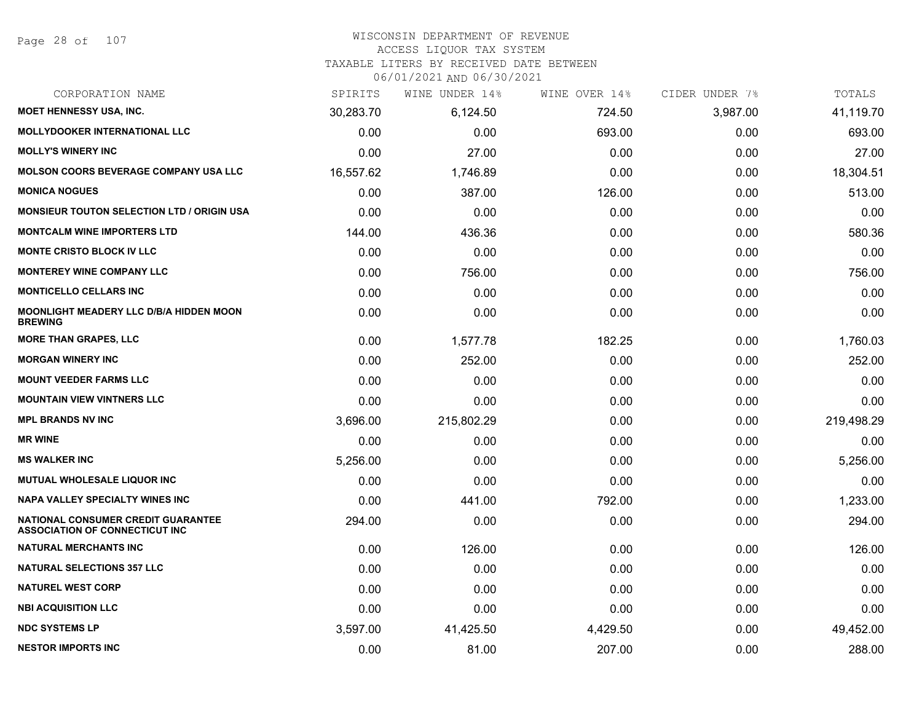# WISCONSIN DEPARTMENT OF REVENUE

#### ACCESS LIQUOR TAX SYSTEM

TAXABLE LITERS BY RECEIVED DATE BETWEEN

| CORPORATION NAME                                                                   | SPIRITS   | WINE UNDER 14% | WINE OVER 14% | CIDER UNDER 7% | TOTALS     |
|------------------------------------------------------------------------------------|-----------|----------------|---------------|----------------|------------|
| MOET HENNESSY USA, INC.                                                            | 30,283.70 | 6,124.50       | 724.50        | 3,987.00       | 41,119.70  |
| MOLLYDOOKER INTERNATIONAL LLC                                                      | 0.00      | 0.00           | 693.00        | 0.00           | 693.00     |
| <b>MOLLY'S WINERY INC</b>                                                          | 0.00      | 27.00          | 0.00          | 0.00           | 27.00      |
| <b>MOLSON COORS BEVERAGE COMPANY USA LLC</b>                                       | 16,557.62 | 1,746.89       | 0.00          | 0.00           | 18,304.51  |
| <b>MONICA NOGUES</b>                                                               | 0.00      | 387.00         | 126.00        | 0.00           | 513.00     |
| <b>MONSIEUR TOUTON SELECTION LTD / ORIGIN USA</b>                                  | 0.00      | 0.00           | 0.00          | 0.00           | 0.00       |
| <b>MONTCALM WINE IMPORTERS LTD</b>                                                 | 144.00    | 436.36         | 0.00          | 0.00           | 580.36     |
| <b>MONTE CRISTO BLOCK IV LLC</b>                                                   | 0.00      | 0.00           | 0.00          | 0.00           | 0.00       |
| <b>MONTEREY WINE COMPANY LLC</b>                                                   | 0.00      | 756.00         | 0.00          | 0.00           | 756.00     |
| <b>MONTICELLO CELLARS INC</b>                                                      | 0.00      | 0.00           | 0.00          | 0.00           | 0.00       |
| <b>MOONLIGHT MEADERY LLC D/B/A HIDDEN MOON</b><br><b>BREWING</b>                   | 0.00      | 0.00           | 0.00          | 0.00           | 0.00       |
| <b>MORE THAN GRAPES, LLC</b>                                                       | 0.00      | 1,577.78       | 182.25        | 0.00           | 1,760.03   |
| <b>MORGAN WINERY INC</b>                                                           | 0.00      | 252.00         | 0.00          | 0.00           | 252.00     |
| <b>MOUNT VEEDER FARMS LLC</b>                                                      | 0.00      | 0.00           | 0.00          | 0.00           | 0.00       |
| <b>MOUNTAIN VIEW VINTNERS LLC</b>                                                  | 0.00      | 0.00           | 0.00          | 0.00           | 0.00       |
| <b>MPL BRANDS NV INC</b>                                                           | 3,696.00  | 215,802.29     | 0.00          | 0.00           | 219,498.29 |
| <b>MR WINE</b>                                                                     | 0.00      | 0.00           | 0.00          | 0.00           | 0.00       |
| <b>MS WALKER INC</b>                                                               | 5,256.00  | 0.00           | 0.00          | 0.00           | 5,256.00   |
| MUTUAL WHOLESALE LIQUOR INC                                                        | 0.00      | 0.00           | 0.00          | 0.00           | 0.00       |
| <b>NAPA VALLEY SPECIALTY WINES INC</b>                                             | 0.00      | 441.00         | 792.00        | 0.00           | 1,233.00   |
| <b>NATIONAL CONSUMER CREDIT GUARANTEE</b><br><b>ASSOCIATION OF CONNECTICUT INC</b> | 294.00    | 0.00           | 0.00          | 0.00           | 294.00     |
| <b>NATURAL MERCHANTS INC</b>                                                       | 0.00      | 126.00         | 0.00          | 0.00           | 126.00     |
| <b>NATURAL SELECTIONS 357 LLC</b>                                                  | 0.00      | 0.00           | 0.00          | 0.00           | 0.00       |
| <b>NATUREL WEST CORP</b>                                                           | 0.00      | 0.00           | 0.00          | 0.00           | 0.00       |
| <b>NBI ACQUISITION LLC</b>                                                         | 0.00      | 0.00           | 0.00          | 0.00           | 0.00       |
| <b>NDC SYSTEMS LP</b>                                                              | 3,597.00  | 41,425.50      | 4,429.50      | 0.00           | 49,452.00  |
| <b>NESTOR IMPORTS INC</b>                                                          | 0.00      | 81.00          | 207.00        | 0.00           | 288.00     |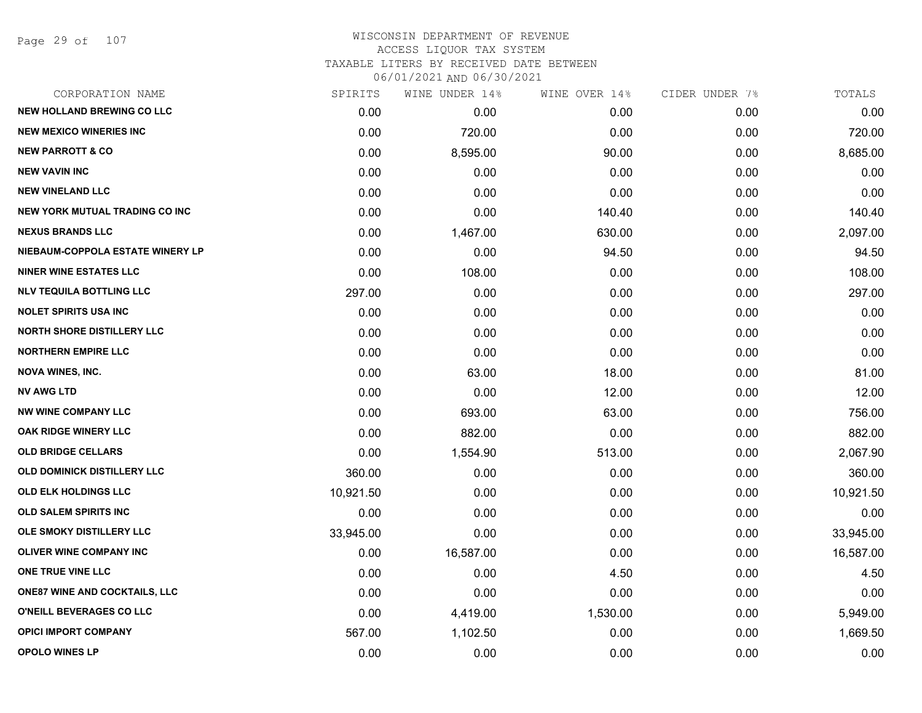Page 29 of 107

| CORPORATION NAME                      | SPIRITS   | WINE UNDER 14% | WINE OVER 14% | CIDER UNDER 7% | TOTALS    |
|---------------------------------------|-----------|----------------|---------------|----------------|-----------|
| <b>NEW HOLLAND BREWING CO LLC</b>     | 0.00      | 0.00           | 0.00          | 0.00           | 0.00      |
| <b>NEW MEXICO WINERIES INC</b>        | 0.00      | 720.00         | 0.00          | 0.00           | 720.00    |
| <b>NEW PARROTT &amp; CO</b>           | 0.00      | 8,595.00       | 90.00         | 0.00           | 8,685.00  |
| <b>NEW VAVIN INC</b>                  | 0.00      | 0.00           | 0.00          | 0.00           | 0.00      |
| <b>NEW VINELAND LLC</b>               | 0.00      | 0.00           | 0.00          | 0.00           | 0.00      |
| <b>NEW YORK MUTUAL TRADING CO INC</b> | 0.00      | 0.00           | 140.40        | 0.00           | 140.40    |
| <b>NEXUS BRANDS LLC</b>               | 0.00      | 1,467.00       | 630.00        | 0.00           | 2,097.00  |
| NIEBAUM-COPPOLA ESTATE WINERY LP      | 0.00      | 0.00           | 94.50         | 0.00           | 94.50     |
| <b>NINER WINE ESTATES LLC</b>         | 0.00      | 108.00         | 0.00          | 0.00           | 108.00    |
| <b>NLV TEQUILA BOTTLING LLC</b>       | 297.00    | 0.00           | 0.00          | 0.00           | 297.00    |
| <b>NOLET SPIRITS USA INC</b>          | 0.00      | 0.00           | 0.00          | 0.00           | 0.00      |
| <b>NORTH SHORE DISTILLERY LLC</b>     | 0.00      | 0.00           | 0.00          | 0.00           | 0.00      |
| <b>NORTHERN EMPIRE LLC</b>            | 0.00      | 0.00           | 0.00          | 0.00           | 0.00      |
| <b>NOVA WINES, INC.</b>               | 0.00      | 63.00          | 18.00         | 0.00           | 81.00     |
| <b>NV AWG LTD</b>                     | 0.00      | 0.00           | 12.00         | 0.00           | 12.00     |
| <b>NW WINE COMPANY LLC</b>            | 0.00      | 693.00         | 63.00         | 0.00           | 756.00    |
| <b>OAK RIDGE WINERY LLC</b>           | 0.00      | 882.00         | 0.00          | 0.00           | 882.00    |
| <b>OLD BRIDGE CELLARS</b>             | 0.00      | 1,554.90       | 513.00        | 0.00           | 2,067.90  |
| OLD DOMINICK DISTILLERY LLC           | 360.00    | 0.00           | 0.00          | 0.00           | 360.00    |
| OLD ELK HOLDINGS LLC                  | 10,921.50 | 0.00           | 0.00          | 0.00           | 10,921.50 |
| <b>OLD SALEM SPIRITS INC</b>          | 0.00      | 0.00           | 0.00          | 0.00           | 0.00      |
| OLE SMOKY DISTILLERY LLC              | 33,945.00 | 0.00           | 0.00          | 0.00           | 33,945.00 |
| <b>OLIVER WINE COMPANY INC</b>        | 0.00      | 16,587.00      | 0.00          | 0.00           | 16,587.00 |
| <b>ONE TRUE VINE LLC</b>              | 0.00      | 0.00           | 4.50          | 0.00           | 4.50      |
| <b>ONE87 WINE AND COCKTAILS, LLC</b>  | 0.00      | 0.00           | 0.00          | 0.00           | 0.00      |
| O'NEILL BEVERAGES CO LLC              | 0.00      | 4,419.00       | 1,530.00      | 0.00           | 5,949.00  |
| <b>OPICI IMPORT COMPANY</b>           | 567.00    | 1,102.50       | 0.00          | 0.00           | 1,669.50  |
| <b>OPOLO WINES LP</b>                 | 0.00      | 0.00           | 0.00          | 0.00           | 0.00      |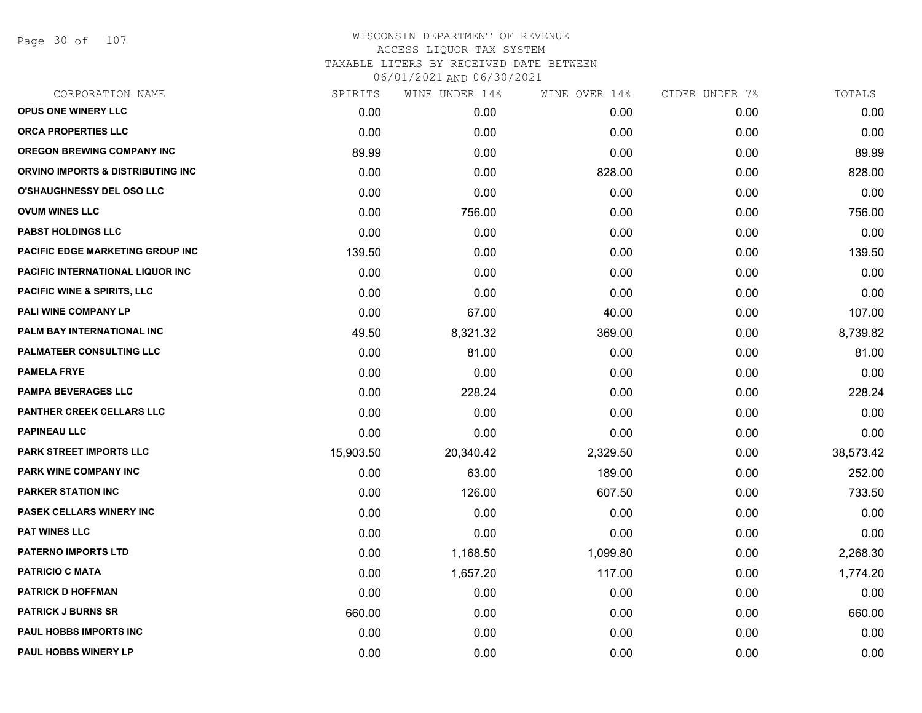Page 30 of 107

| SPIRITS   | WINE UNDER 14% | WINE OVER 14% | CIDER UNDER 7% | TOTALS    |
|-----------|----------------|---------------|----------------|-----------|
| 0.00      | 0.00           | 0.00          | 0.00           | 0.00      |
| 0.00      | 0.00           | 0.00          | 0.00           | 0.00      |
| 89.99     | 0.00           | 0.00          | 0.00           | 89.99     |
| 0.00      | 0.00           | 828.00        | 0.00           | 828.00    |
| 0.00      | 0.00           | 0.00          | 0.00           | 0.00      |
| 0.00      | 756.00         | 0.00          | 0.00           | 756.00    |
| 0.00      | 0.00           | 0.00          | 0.00           | 0.00      |
| 139.50    | 0.00           | 0.00          | 0.00           | 139.50    |
| 0.00      | 0.00           | 0.00          | 0.00           | 0.00      |
| 0.00      | 0.00           | 0.00          | 0.00           | 0.00      |
| 0.00      | 67.00          | 40.00         | 0.00           | 107.00    |
| 49.50     | 8,321.32       | 369.00        | 0.00           | 8,739.82  |
| 0.00      | 81.00          | 0.00          | 0.00           | 81.00     |
| 0.00      | 0.00           | 0.00          | 0.00           | 0.00      |
| 0.00      | 228.24         | 0.00          | 0.00           | 228.24    |
| 0.00      | 0.00           | 0.00          | 0.00           | 0.00      |
| 0.00      | 0.00           | 0.00          | 0.00           | 0.00      |
| 15,903.50 | 20,340.42      | 2,329.50      | 0.00           | 38,573.42 |
| 0.00      | 63.00          | 189.00        | 0.00           | 252.00    |
| 0.00      | 126.00         | 607.50        | 0.00           | 733.50    |
| 0.00      | 0.00           | 0.00          | 0.00           | 0.00      |
| 0.00      | 0.00           | 0.00          | 0.00           | 0.00      |
| 0.00      | 1,168.50       | 1,099.80      | 0.00           | 2,268.30  |
| 0.00      | 1,657.20       | 117.00        | 0.00           | 1,774.20  |
| 0.00      | 0.00           | 0.00          | 0.00           | 0.00      |
| 660.00    | 0.00           | 0.00          | 0.00           | 660.00    |
| 0.00      | 0.00           | 0.00          | 0.00           | 0.00      |
| 0.00      | 0.00           | 0.00          | 0.00           | 0.00      |
|           |                |               |                |           |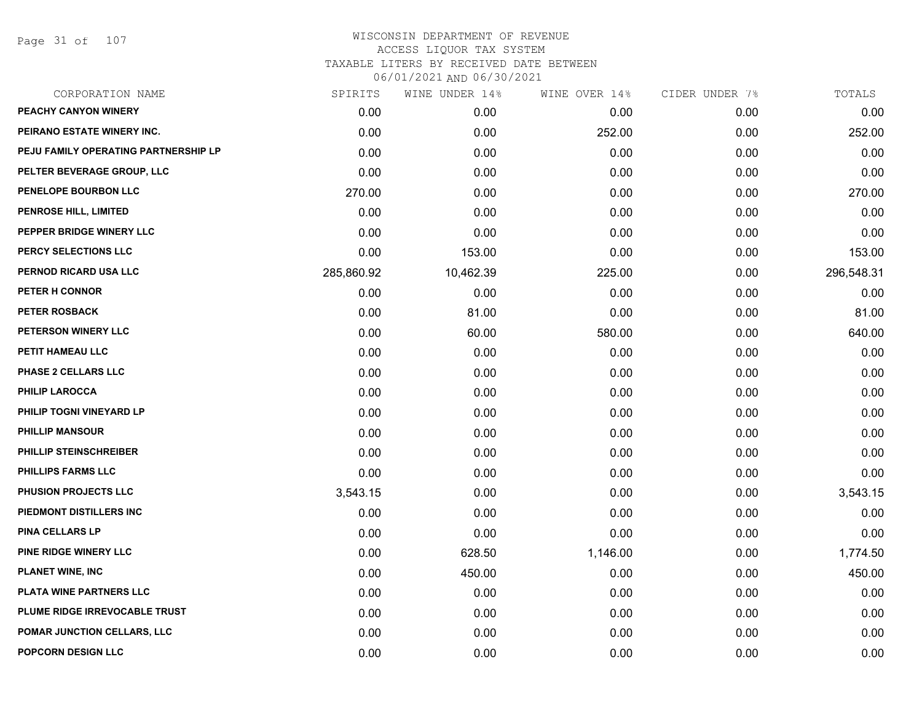Page 31 of 107

|            | WINE UNDER 14% |          |               | TOTALS         |
|------------|----------------|----------|---------------|----------------|
| 0.00       | 0.00           | 0.00     | 0.00          | 0.00           |
| 0.00       | 0.00           | 252.00   | 0.00          | 252.00         |
| 0.00       | 0.00           | 0.00     | 0.00          | 0.00           |
| 0.00       | 0.00           | 0.00     | 0.00          | 0.00           |
| 270.00     | 0.00           | 0.00     | 0.00          | 270.00         |
| 0.00       | 0.00           | 0.00     | 0.00          | 0.00           |
| 0.00       | 0.00           | 0.00     | 0.00          | 0.00           |
| 0.00       | 153.00         | 0.00     | 0.00          | 153.00         |
| 285,860.92 | 10,462.39      | 225.00   | 0.00          | 296,548.31     |
| 0.00       | 0.00           | 0.00     | 0.00          | 0.00           |
| 0.00       | 81.00          | 0.00     | 0.00          | 81.00          |
| 0.00       | 60.00          | 580.00   | 0.00          | 640.00         |
| 0.00       | 0.00           | 0.00     | 0.00          | 0.00           |
| 0.00       | 0.00           | 0.00     | 0.00          | 0.00           |
| 0.00       | 0.00           | 0.00     | 0.00          | 0.00           |
| 0.00       | 0.00           | 0.00     | 0.00          | 0.00           |
| 0.00       | 0.00           | 0.00     | 0.00          | 0.00           |
| 0.00       | 0.00           | 0.00     | 0.00          | 0.00           |
| 0.00       | 0.00           | 0.00     | 0.00          | 0.00           |
| 3,543.15   | 0.00           | 0.00     | 0.00          | 3,543.15       |
| 0.00       | 0.00           | 0.00     | 0.00          | 0.00           |
| 0.00       | 0.00           | 0.00     | 0.00          | 0.00           |
| 0.00       | 628.50         | 1,146.00 | 0.00          | 1,774.50       |
| 0.00       | 450.00         | 0.00     | 0.00          | 450.00         |
| 0.00       | 0.00           | 0.00     | 0.00          | 0.00           |
| 0.00       | 0.00           | 0.00     | 0.00          | 0.00           |
| 0.00       | 0.00           | 0.00     | 0.00          | 0.00           |
| 0.00       | 0.00           | 0.00     | 0.00          | 0.00           |
|            | SPIRITS        |          | WINE OVER 14% | CIDER UNDER 7% |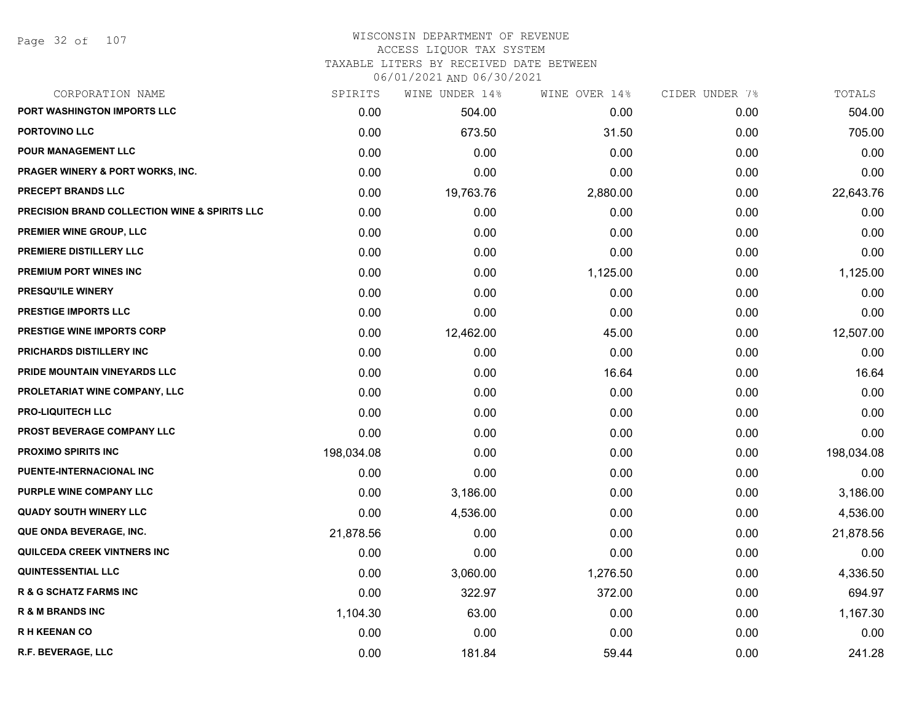#### WISCONSIN DEPARTMENT OF REVENUE ACCESS LIQUOR TAX SYSTEM

# TAXABLE LITERS BY RECEIVED DATE BETWEEN

| CORPORATION NAME                                         | SPIRITS    | WINE UNDER 14% | WINE OVER 14% | CIDER UNDER 7% | TOTALS     |
|----------------------------------------------------------|------------|----------------|---------------|----------------|------------|
| PORT WASHINGTON IMPORTS LLC                              | 0.00       | 504.00         | 0.00          | 0.00           | 504.00     |
| <b>PORTOVINO LLC</b>                                     | 0.00       | 673.50         | 31.50         | 0.00           | 705.00     |
| <b>POUR MANAGEMENT LLC</b>                               | 0.00       | 0.00           | 0.00          | 0.00           | 0.00       |
| <b>PRAGER WINERY &amp; PORT WORKS, INC.</b>              | 0.00       | 0.00           | 0.00          | 0.00           | 0.00       |
| PRECEPT BRANDS LLC                                       | 0.00       | 19,763.76      | 2,880.00      | 0.00           | 22,643.76  |
| <b>PRECISION BRAND COLLECTION WINE &amp; SPIRITS LLC</b> | 0.00       | 0.00           | 0.00          | 0.00           | 0.00       |
| PREMIER WINE GROUP, LLC                                  | 0.00       | 0.00           | 0.00          | 0.00           | 0.00       |
| PREMIERE DISTILLERY LLC                                  | 0.00       | 0.00           | 0.00          | 0.00           | 0.00       |
| PREMIUM PORT WINES INC                                   | 0.00       | 0.00           | 1,125.00      | 0.00           | 1,125.00   |
| <b>PRESQU'ILE WINERY</b>                                 | 0.00       | 0.00           | 0.00          | 0.00           | 0.00       |
| PRESTIGE IMPORTS LLC                                     | 0.00       | 0.00           | 0.00          | 0.00           | 0.00       |
| PRESTIGE WINE IMPORTS CORP                               | 0.00       | 12,462.00      | 45.00         | 0.00           | 12,507.00  |
| PRICHARDS DISTILLERY INC                                 | 0.00       | 0.00           | 0.00          | 0.00           | 0.00       |
| PRIDE MOUNTAIN VINEYARDS LLC                             | 0.00       | 0.00           | 16.64         | 0.00           | 16.64      |
| PROLETARIAT WINE COMPANY, LLC                            | 0.00       | 0.00           | 0.00          | 0.00           | 0.00       |
| <b>PRO-LIQUITECH LLC</b>                                 | 0.00       | 0.00           | 0.00          | 0.00           | 0.00       |
| PROST BEVERAGE COMPANY LLC                               | 0.00       | 0.00           | 0.00          | 0.00           | 0.00       |
| <b>PROXIMO SPIRITS INC</b>                               | 198,034.08 | 0.00           | 0.00          | 0.00           | 198,034.08 |
| PUENTE-INTERNACIONAL INC                                 | 0.00       | 0.00           | 0.00          | 0.00           | 0.00       |
| PURPLE WINE COMPANY LLC                                  | 0.00       | 3,186.00       | 0.00          | 0.00           | 3,186.00   |
| <b>QUADY SOUTH WINERY LLC</b>                            | 0.00       | 4,536.00       | 0.00          | 0.00           | 4,536.00   |
| QUE ONDA BEVERAGE, INC.                                  | 21,878.56  | 0.00           | 0.00          | 0.00           | 21,878.56  |
| QUILCEDA CREEK VINTNERS INC                              | 0.00       | 0.00           | 0.00          | 0.00           | 0.00       |
| <b>QUINTESSENTIAL LLC</b>                                | 0.00       | 3,060.00       | 1,276.50      | 0.00           | 4,336.50   |
| <b>R &amp; G SCHATZ FARMS INC</b>                        | 0.00       | 322.97         | 372.00        | 0.00           | 694.97     |
| <b>R &amp; M BRANDS INC</b>                              | 1,104.30   | 63.00          | 0.00          | 0.00           | 1,167.30   |
| <b>RH KEENAN CO</b>                                      | 0.00       | 0.00           | 0.00          | 0.00           | 0.00       |
| R.F. BEVERAGE, LLC                                       | 0.00       | 181.84         | 59.44         | 0.00           | 241.28     |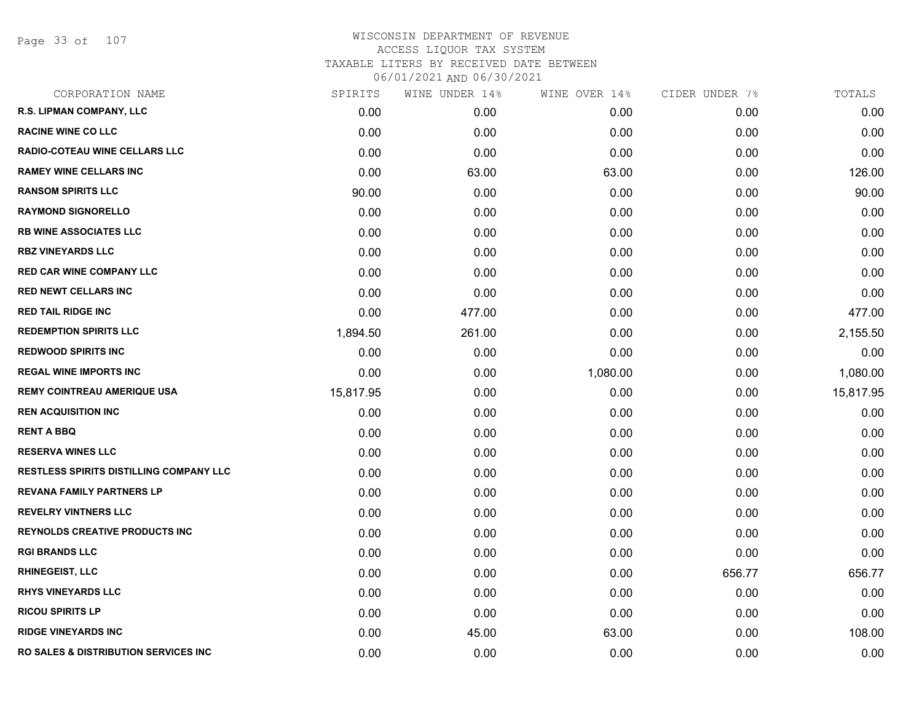Page 33 of 107

| CORPORATION NAME                                 | SPIRITS   | WINE UNDER 14% | WINE OVER 14% | CIDER UNDER 7% | TOTALS    |
|--------------------------------------------------|-----------|----------------|---------------|----------------|-----------|
| R.S. LIPMAN COMPANY, LLC                         | 0.00      | 0.00           | 0.00          | 0.00           | 0.00      |
| <b>RACINE WINE CO LLC</b>                        | 0.00      | 0.00           | 0.00          | 0.00           | 0.00      |
| RADIO-COTEAU WINE CELLARS LLC                    | 0.00      | 0.00           | 0.00          | 0.00           | 0.00      |
| <b>RAMEY WINE CELLARS INC</b>                    | 0.00      | 63.00          | 63.00         | 0.00           | 126.00    |
| <b>RANSOM SPIRITS LLC</b>                        | 90.00     | 0.00           | 0.00          | 0.00           | 90.00     |
| <b>RAYMOND SIGNORELLO</b>                        | 0.00      | 0.00           | 0.00          | 0.00           | 0.00      |
| <b>RB WINE ASSOCIATES LLC</b>                    | 0.00      | 0.00           | 0.00          | 0.00           | 0.00      |
| <b>RBZ VINEYARDS LLC</b>                         | 0.00      | 0.00           | 0.00          | 0.00           | 0.00      |
| <b>RED CAR WINE COMPANY LLC</b>                  | 0.00      | 0.00           | 0.00          | 0.00           | 0.00      |
| <b>RED NEWT CELLARS INC</b>                      | 0.00      | 0.00           | 0.00          | 0.00           | 0.00      |
| <b>RED TAIL RIDGE INC</b>                        | 0.00      | 477.00         | 0.00          | 0.00           | 477.00    |
| <b>REDEMPTION SPIRITS LLC</b>                    | 1,894.50  | 261.00         | 0.00          | 0.00           | 2,155.50  |
| <b>REDWOOD SPIRITS INC</b>                       | 0.00      | 0.00           | 0.00          | 0.00           | 0.00      |
| <b>REGAL WINE IMPORTS INC</b>                    | 0.00      | 0.00           | 1,080.00      | 0.00           | 1,080.00  |
| <b>REMY COINTREAU AMERIQUE USA</b>               | 15,817.95 | 0.00           | 0.00          | 0.00           | 15,817.95 |
| <b>REN ACQUISITION INC</b>                       | 0.00      | 0.00           | 0.00          | 0.00           | 0.00      |
| <b>RENT A BBQ</b>                                | 0.00      | 0.00           | 0.00          | 0.00           | 0.00      |
| <b>RESERVA WINES LLC</b>                         | 0.00      | 0.00           | 0.00          | 0.00           | 0.00      |
| RESTLESS SPIRITS DISTILLING COMPANY LLC          | 0.00      | 0.00           | 0.00          | 0.00           | 0.00      |
| <b>REVANA FAMILY PARTNERS LP</b>                 | 0.00      | 0.00           | 0.00          | 0.00           | 0.00      |
| <b>REVELRY VINTNERS LLC</b>                      | 0.00      | 0.00           | 0.00          | 0.00           | 0.00      |
| <b>REYNOLDS CREATIVE PRODUCTS INC</b>            | 0.00      | 0.00           | 0.00          | 0.00           | 0.00      |
| <b>RGI BRANDS LLC</b>                            | 0.00      | 0.00           | 0.00          | 0.00           | 0.00      |
| <b>RHINEGEIST, LLC</b>                           | 0.00      | 0.00           | 0.00          | 656.77         | 656.77    |
| <b>RHYS VINEYARDS LLC</b>                        | 0.00      | 0.00           | 0.00          | 0.00           | 0.00      |
| <b>RICOU SPIRITS LP</b>                          | 0.00      | 0.00           | 0.00          | 0.00           | 0.00      |
| <b>RIDGE VINEYARDS INC</b>                       | 0.00      | 45.00          | 63.00         | 0.00           | 108.00    |
| <b>RO SALES &amp; DISTRIBUTION SERVICES INC.</b> | 0.00      | 0.00           | 0.00          | 0.00           | 0.00      |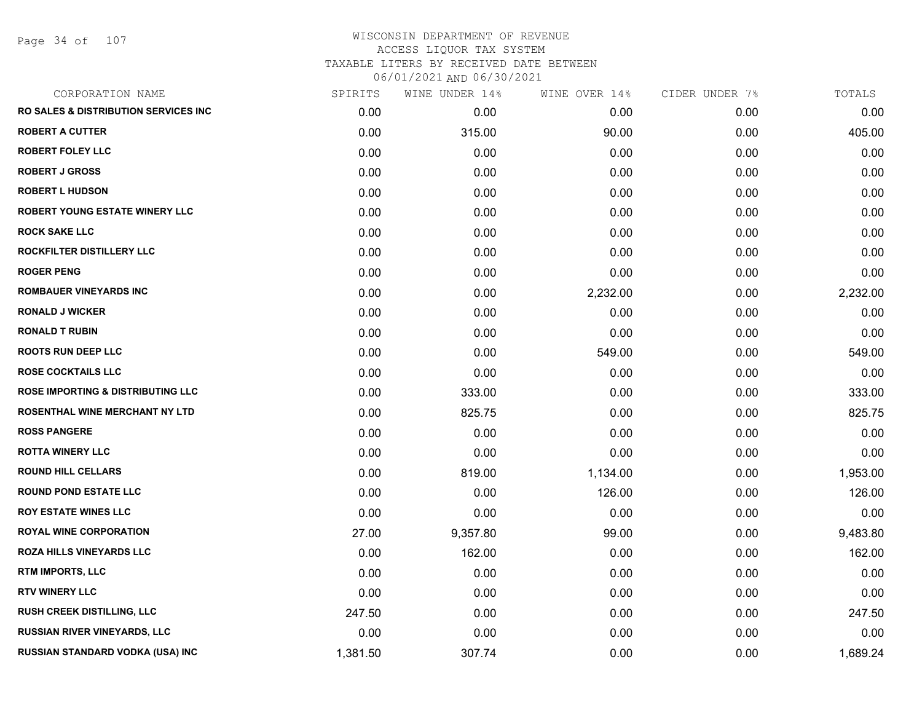Page 34 of 107

| CORPORATION NAME                                 | SPIRITS  | WINE UNDER 14% | WINE OVER 14% | CIDER UNDER 7% | TOTALS   |
|--------------------------------------------------|----------|----------------|---------------|----------------|----------|
| <b>RO SALES &amp; DISTRIBUTION SERVICES INC.</b> | 0.00     | 0.00           | 0.00          | 0.00           | 0.00     |
| <b>ROBERT A CUTTER</b>                           | 0.00     | 315.00         | 90.00         | 0.00           | 405.00   |
| <b>ROBERT FOLEY LLC</b>                          | 0.00     | 0.00           | 0.00          | 0.00           | 0.00     |
| <b>ROBERT J GROSS</b>                            | 0.00     | 0.00           | 0.00          | 0.00           | 0.00     |
| <b>ROBERT L HUDSON</b>                           | 0.00     | 0.00           | 0.00          | 0.00           | 0.00     |
| <b>ROBERT YOUNG ESTATE WINERY LLC</b>            | 0.00     | 0.00           | 0.00          | 0.00           | 0.00     |
| <b>ROCK SAKE LLC</b>                             | 0.00     | 0.00           | 0.00          | 0.00           | 0.00     |
| ROCKFILTER DISTILLERY LLC                        | 0.00     | 0.00           | 0.00          | 0.00           | 0.00     |
| <b>ROGER PENG</b>                                | 0.00     | 0.00           | 0.00          | 0.00           | 0.00     |
| <b>ROMBAUER VINEYARDS INC</b>                    | 0.00     | 0.00           | 2,232.00      | 0.00           | 2,232.00 |
| <b>RONALD J WICKER</b>                           | 0.00     | 0.00           | 0.00          | 0.00           | 0.00     |
| <b>RONALD T RUBIN</b>                            | 0.00     | 0.00           | 0.00          | 0.00           | 0.00     |
| <b>ROOTS RUN DEEP LLC</b>                        | 0.00     | 0.00           | 549.00        | 0.00           | 549.00   |
| <b>ROSE COCKTAILS LLC</b>                        | 0.00     | 0.00           | 0.00          | 0.00           | 0.00     |
| <b>ROSE IMPORTING &amp; DISTRIBUTING LLC</b>     | 0.00     | 333.00         | 0.00          | 0.00           | 333.00   |
| <b>ROSENTHAL WINE MERCHANT NY LTD</b>            | 0.00     | 825.75         | 0.00          | 0.00           | 825.75   |
| <b>ROSS PANGERE</b>                              | 0.00     | 0.00           | 0.00          | 0.00           | 0.00     |
| <b>ROTTA WINERY LLC</b>                          | 0.00     | 0.00           | 0.00          | 0.00           | 0.00     |
| <b>ROUND HILL CELLARS</b>                        | 0.00     | 819.00         | 1,134.00      | 0.00           | 1,953.00 |
| <b>ROUND POND ESTATE LLC</b>                     | 0.00     | 0.00           | 126.00        | 0.00           | 126.00   |
| <b>ROY ESTATE WINES LLC</b>                      | 0.00     | 0.00           | 0.00          | 0.00           | 0.00     |
| <b>ROYAL WINE CORPORATION</b>                    | 27.00    | 9,357.80       | 99.00         | 0.00           | 9,483.80 |
| <b>ROZA HILLS VINEYARDS LLC</b>                  | 0.00     | 162.00         | 0.00          | 0.00           | 162.00   |
| RTM IMPORTS, LLC                                 | 0.00     | 0.00           | 0.00          | 0.00           | 0.00     |
| <b>RTV WINERY LLC</b>                            | 0.00     | 0.00           | 0.00          | 0.00           | 0.00     |
| RUSH CREEK DISTILLING, LLC                       | 247.50   | 0.00           | 0.00          | 0.00           | 247.50   |
| <b>RUSSIAN RIVER VINEYARDS, LLC</b>              | 0.00     | 0.00           | 0.00          | 0.00           | 0.00     |
| RUSSIAN STANDARD VODKA (USA) INC                 | 1,381.50 | 307.74         | 0.00          | 0.00           | 1,689.24 |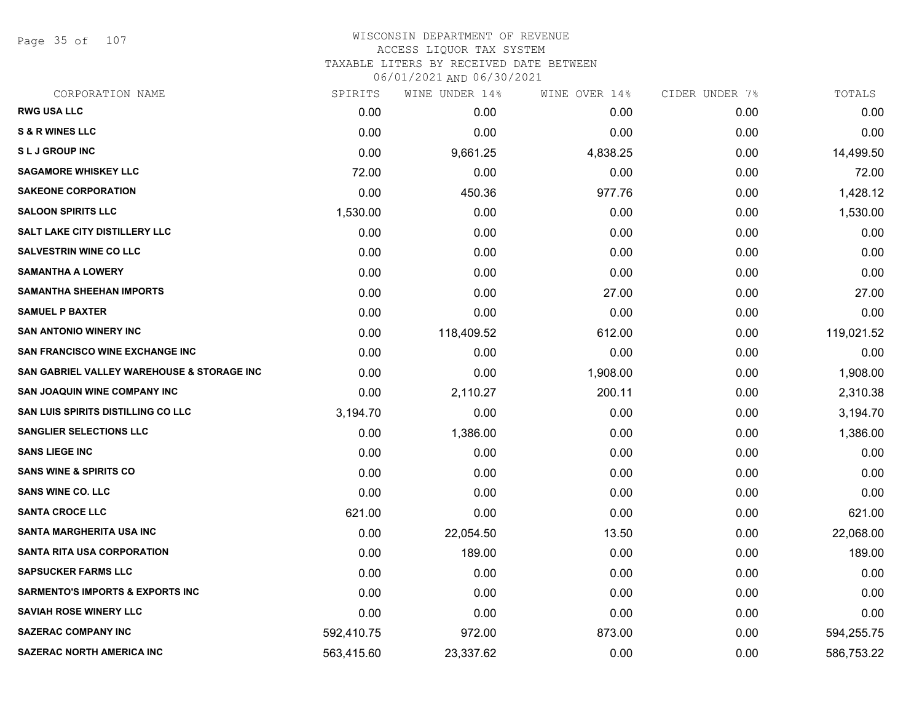Page 35 of 107

#### WISCONSIN DEPARTMENT OF REVENUE ACCESS LIQUOR TAX SYSTEM TAXABLE LITERS BY RECEIVED DATE BETWEEN

| CORPORATION NAME                            | SPIRITS    | WINE UNDER 14% | WINE OVER 14% | CIDER UNDER 7% | TOTALS     |
|---------------------------------------------|------------|----------------|---------------|----------------|------------|
| <b>RWG USA LLC</b>                          | 0.00       | 0.00           | 0.00          | 0.00           | 0.00       |
| <b>S &amp; R WINES LLC</b>                  | 0.00       | 0.00           | 0.00          | 0.00           | 0.00       |
| <b>SLJ GROUP INC</b>                        | 0.00       | 9,661.25       | 4,838.25      | 0.00           | 14,499.50  |
| <b>SAGAMORE WHISKEY LLC</b>                 | 72.00      | 0.00           | 0.00          | 0.00           | 72.00      |
| <b>SAKEONE CORPORATION</b>                  | 0.00       | 450.36         | 977.76        | 0.00           | 1,428.12   |
| <b>SALOON SPIRITS LLC</b>                   | 1,530.00   | 0.00           | 0.00          | 0.00           | 1,530.00   |
| SALT LAKE CITY DISTILLERY LLC               | 0.00       | 0.00           | 0.00          | 0.00           | 0.00       |
| <b>SALVESTRIN WINE CO LLC</b>               | 0.00       | 0.00           | 0.00          | 0.00           | 0.00       |
| <b>SAMANTHA A LOWERY</b>                    | 0.00       | 0.00           | 0.00          | 0.00           | 0.00       |
| <b>SAMANTHA SHEEHAN IMPORTS</b>             | 0.00       | 0.00           | 27.00         | 0.00           | 27.00      |
| <b>SAMUEL P BAXTER</b>                      | 0.00       | 0.00           | 0.00          | 0.00           | 0.00       |
| <b>SAN ANTONIO WINERY INC</b>               | 0.00       | 118,409.52     | 612.00        | 0.00           | 119,021.52 |
| <b>SAN FRANCISCO WINE EXCHANGE INC</b>      | 0.00       | 0.00           | 0.00          | 0.00           | 0.00       |
| SAN GABRIEL VALLEY WAREHOUSE & STORAGE INC  | 0.00       | 0.00           | 1,908.00      | 0.00           | 1,908.00   |
| SAN JOAQUIN WINE COMPANY INC                | 0.00       | 2,110.27       | 200.11        | 0.00           | 2,310.38   |
| SAN LUIS SPIRITS DISTILLING CO LLC          | 3,194.70   | 0.00           | 0.00          | 0.00           | 3,194.70   |
| <b>SANGLIER SELECTIONS LLC</b>              | 0.00       | 1,386.00       | 0.00          | 0.00           | 1,386.00   |
| <b>SANS LIEGE INC</b>                       | 0.00       | 0.00           | 0.00          | 0.00           | 0.00       |
| <b>SANS WINE &amp; SPIRITS CO</b>           | 0.00       | 0.00           | 0.00          | 0.00           | 0.00       |
| <b>SANS WINE CO. LLC</b>                    | 0.00       | 0.00           | 0.00          | 0.00           | 0.00       |
| <b>SANTA CROCE LLC</b>                      | 621.00     | 0.00           | 0.00          | 0.00           | 621.00     |
| SANTA MARGHERITA USA INC                    | 0.00       | 22,054.50      | 13.50         | 0.00           | 22,068.00  |
| <b>SANTA RITA USA CORPORATION</b>           | 0.00       | 189.00         | 0.00          | 0.00           | 189.00     |
| <b>SAPSUCKER FARMS LLC</b>                  | 0.00       | 0.00           | 0.00          | 0.00           | 0.00       |
| <b>SARMENTO'S IMPORTS &amp; EXPORTS INC</b> | 0.00       | 0.00           | 0.00          | 0.00           | 0.00       |
| <b>SAVIAH ROSE WINERY LLC</b>               | 0.00       | 0.00           | 0.00          | 0.00           | 0.00       |
| <b>SAZERAC COMPANY INC</b>                  | 592,410.75 | 972.00         | 873.00        | 0.00           | 594,255.75 |
| <b>SAZERAC NORTH AMERICA INC</b>            | 563,415.60 | 23,337.62      | 0.00          | 0.00           | 586,753.22 |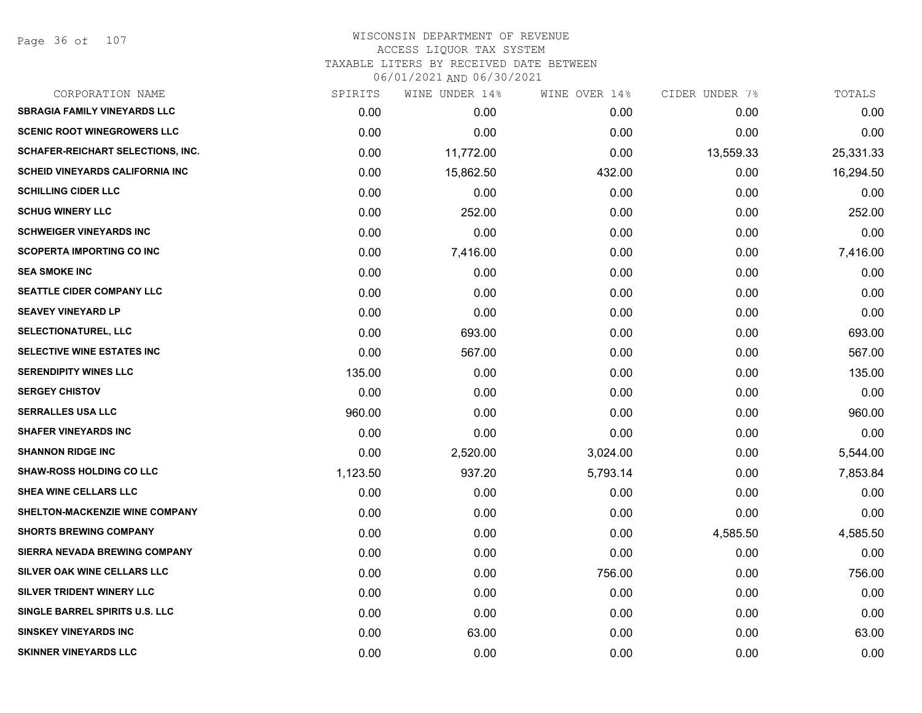| CORPORATION NAME                        | SPIRITS  | WINE UNDER 14% | WINE OVER 14% | CIDER UNDER 7% | TOTALS    |
|-----------------------------------------|----------|----------------|---------------|----------------|-----------|
| <b>SBRAGIA FAMILY VINEYARDS LLC</b>     | 0.00     | 0.00           | 0.00          | 0.00           | 0.00      |
| <b>SCENIC ROOT WINEGROWERS LLC</b>      | 0.00     | 0.00           | 0.00          | 0.00           | 0.00      |
| SCHAFER-REICHART SELECTIONS, INC.       | 0.00     | 11,772.00      | 0.00          | 13,559.33      | 25,331.33 |
| <b>SCHEID VINEYARDS CALIFORNIA INC.</b> | 0.00     | 15,862.50      | 432.00        | 0.00           | 16,294.50 |
| <b>SCHILLING CIDER LLC</b>              | 0.00     | 0.00           | 0.00          | 0.00           | 0.00      |
| <b>SCHUG WINERY LLC</b>                 | 0.00     | 252.00         | 0.00          | 0.00           | 252.00    |
| <b>SCHWEIGER VINEYARDS INC</b>          | 0.00     | 0.00           | 0.00          | 0.00           | 0.00      |
| <b>SCOPERTA IMPORTING CO INC</b>        | 0.00     | 7,416.00       | 0.00          | 0.00           | 7,416.00  |
| <b>SEA SMOKE INC</b>                    | 0.00     | 0.00           | 0.00          | 0.00           | 0.00      |
| SEATTLE CIDER COMPANY LLC               | 0.00     | 0.00           | 0.00          | 0.00           | 0.00      |
| <b>SEAVEY VINEYARD LP</b>               | 0.00     | 0.00           | 0.00          | 0.00           | 0.00      |
| <b>SELECTIONATUREL, LLC</b>             | 0.00     | 693.00         | 0.00          | 0.00           | 693.00    |
| <b>SELECTIVE WINE ESTATES INC</b>       | 0.00     | 567.00         | 0.00          | 0.00           | 567.00    |
| <b>SERENDIPITY WINES LLC</b>            | 135.00   | 0.00           | 0.00          | 0.00           | 135.00    |
| <b>SERGEY CHISTOV</b>                   | 0.00     | 0.00           | 0.00          | 0.00           | 0.00      |
| <b>SERRALLES USA LLC</b>                | 960.00   | 0.00           | 0.00          | 0.00           | 960.00    |
| <b>SHAFER VINEYARDS INC</b>             | 0.00     | 0.00           | 0.00          | 0.00           | 0.00      |
| <b>SHANNON RIDGE INC</b>                | 0.00     | 2,520.00       | 3,024.00      | 0.00           | 5,544.00  |
| <b>SHAW-ROSS HOLDING CO LLC</b>         | 1,123.50 | 937.20         | 5,793.14      | 0.00           | 7,853.84  |
| SHEA WINE CELLARS LLC                   | 0.00     | 0.00           | 0.00          | 0.00           | 0.00      |
| SHELTON-MACKENZIE WINE COMPANY          | 0.00     | 0.00           | 0.00          | 0.00           | 0.00      |
| <b>SHORTS BREWING COMPANY</b>           | 0.00     | 0.00           | 0.00          | 4,585.50       | 4,585.50  |
| SIERRA NEVADA BREWING COMPANY           | 0.00     | 0.00           | 0.00          | 0.00           | 0.00      |
| SILVER OAK WINE CELLARS LLC             | 0.00     | 0.00           | 756.00        | 0.00           | 756.00    |
| SILVER TRIDENT WINERY LLC               | 0.00     | 0.00           | 0.00          | 0.00           | 0.00      |
| SINGLE BARREL SPIRITS U.S. LLC          | 0.00     | 0.00           | 0.00          | 0.00           | 0.00      |
| <b>SINSKEY VINEYARDS INC</b>            | 0.00     | 63.00          | 0.00          | 0.00           | 63.00     |
| <b>SKINNER VINEYARDS LLC</b>            | 0.00     | 0.00           | 0.00          | 0.00           | 0.00      |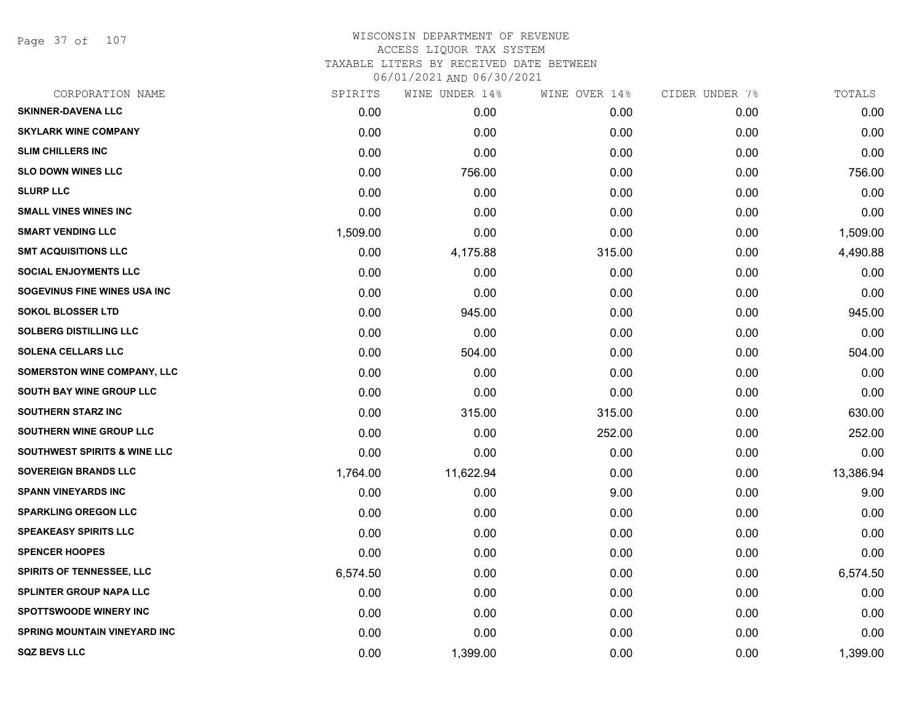Page 37 of 107

| SPIRITS  | WINE UNDER 14% | WINE OVER 14% | CIDER UNDER 7% | TOTALS    |
|----------|----------------|---------------|----------------|-----------|
| 0.00     | 0.00           | 0.00          | 0.00           | 0.00      |
| 0.00     | 0.00           | 0.00          | 0.00           | 0.00      |
| 0.00     | 0.00           | 0.00          | 0.00           | 0.00      |
| 0.00     | 756.00         | 0.00          | 0.00           | 756.00    |
| 0.00     | 0.00           | 0.00          | 0.00           | 0.00      |
| 0.00     | 0.00           | 0.00          | 0.00           | 0.00      |
| 1,509.00 | 0.00           | 0.00          | 0.00           | 1,509.00  |
| 0.00     | 4,175.88       | 315.00        | 0.00           | 4,490.88  |
| 0.00     | 0.00           | 0.00          | 0.00           | 0.00      |
| 0.00     | 0.00           | 0.00          | 0.00           | 0.00      |
| 0.00     | 945.00         | 0.00          | 0.00           | 945.00    |
| 0.00     | 0.00           | 0.00          | 0.00           | 0.00      |
| 0.00     | 504.00         | 0.00          | 0.00           | 504.00    |
| 0.00     | 0.00           | 0.00          | 0.00           | 0.00      |
| 0.00     | 0.00           | 0.00          | 0.00           | 0.00      |
| 0.00     | 315.00         | 315.00        | 0.00           | 630.00    |
| 0.00     | 0.00           | 252.00        | 0.00           | 252.00    |
| 0.00     | 0.00           | 0.00          | 0.00           | 0.00      |
| 1,764.00 | 11,622.94      | 0.00          | 0.00           | 13,386.94 |
| 0.00     | 0.00           | 9.00          | 0.00           | 9.00      |
| 0.00     | 0.00           | 0.00          | 0.00           | 0.00      |
| 0.00     | 0.00           | 0.00          | 0.00           | 0.00      |
| 0.00     | 0.00           | 0.00          | 0.00           | 0.00      |
| 6,574.50 | 0.00           | 0.00          | 0.00           | 6,574.50  |
| 0.00     | 0.00           | 0.00          | 0.00           | 0.00      |
| 0.00     | 0.00           | 0.00          | 0.00           | 0.00      |
| 0.00     | 0.00           | 0.00          | 0.00           | 0.00      |
| 0.00     | 1,399.00       | 0.00          | 0.00           | 1,399.00  |
|          |                |               |                |           |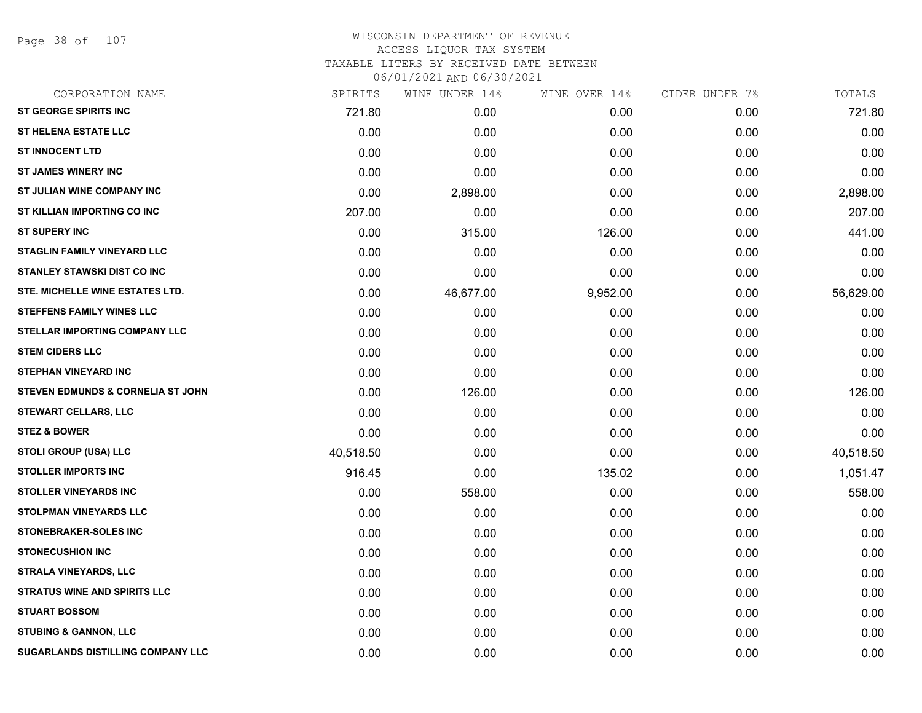Page 38 of 107

| CORPORATION NAME                         | SPIRITS   | WINE UNDER 14% | WINE OVER 14% | CIDER UNDER 7% | TOTALS    |
|------------------------------------------|-----------|----------------|---------------|----------------|-----------|
| <b>ST GEORGE SPIRITS INC</b>             | 721.80    | 0.00           | 0.00          | 0.00           | 721.80    |
| <b>ST HELENA ESTATE LLC</b>              | 0.00      | 0.00           | 0.00          | 0.00           | 0.00      |
| <b>ST INNOCENT LTD</b>                   | 0.00      | 0.00           | 0.00          | 0.00           | 0.00      |
| <b>ST JAMES WINERY INC</b>               | 0.00      | 0.00           | 0.00          | 0.00           | 0.00      |
| ST JULIAN WINE COMPANY INC               | 0.00      | 2,898.00       | 0.00          | 0.00           | 2,898.00  |
| ST KILLIAN IMPORTING CO INC              | 207.00    | 0.00           | 0.00          | 0.00           | 207.00    |
| <b>ST SUPERY INC</b>                     | 0.00      | 315.00         | 126.00        | 0.00           | 441.00    |
| <b>STAGLIN FAMILY VINEYARD LLC</b>       | 0.00      | 0.00           | 0.00          | 0.00           | 0.00      |
| <b>STANLEY STAWSKI DIST CO INC</b>       | 0.00      | 0.00           | 0.00          | 0.00           | 0.00      |
| STE. MICHELLE WINE ESTATES LTD.          | 0.00      | 46,677.00      | 9,952.00      | 0.00           | 56,629.00 |
| <b>STEFFENS FAMILY WINES LLC</b>         | 0.00      | 0.00           | 0.00          | 0.00           | 0.00      |
| STELLAR IMPORTING COMPANY LLC            | 0.00      | 0.00           | 0.00          | 0.00           | 0.00      |
| <b>STEM CIDERS LLC</b>                   | 0.00      | 0.00           | 0.00          | 0.00           | 0.00      |
| <b>STEPHAN VINEYARD INC</b>              | 0.00      | 0.00           | 0.00          | 0.00           | 0.00      |
| STEVEN EDMUNDS & CORNELIA ST JOHN        | 0.00      | 126.00         | 0.00          | 0.00           | 126.00    |
| <b>STEWART CELLARS, LLC</b>              | 0.00      | 0.00           | 0.00          | 0.00           | 0.00      |
| <b>STEZ &amp; BOWER</b>                  | 0.00      | 0.00           | 0.00          | 0.00           | 0.00      |
| STOLI GROUP (USA) LLC                    | 40,518.50 | 0.00           | 0.00          | 0.00           | 40,518.50 |
| <b>STOLLER IMPORTS INC</b>               | 916.45    | 0.00           | 135.02        | 0.00           | 1,051.47  |
| <b>STOLLER VINEYARDS INC</b>             | 0.00      | 558.00         | 0.00          | 0.00           | 558.00    |
| <b>STOLPMAN VINEYARDS LLC</b>            | 0.00      | 0.00           | 0.00          | 0.00           | 0.00      |
| <b>STONEBRAKER-SOLES INC</b>             | 0.00      | 0.00           | 0.00          | 0.00           | 0.00      |
| <b>STONECUSHION INC</b>                  | 0.00      | 0.00           | 0.00          | 0.00           | 0.00      |
| <b>STRALA VINEYARDS, LLC</b>             | 0.00      | 0.00           | 0.00          | 0.00           | 0.00      |
| <b>STRATUS WINE AND SPIRITS LLC</b>      | 0.00      | 0.00           | 0.00          | 0.00           | 0.00      |
| <b>STUART BOSSOM</b>                     | 0.00      | 0.00           | 0.00          | 0.00           | 0.00      |
| <b>STUBING &amp; GANNON, LLC</b>         | 0.00      | 0.00           | 0.00          | 0.00           | 0.00      |
| <b>SUGARLANDS DISTILLING COMPANY LLC</b> | 0.00      | 0.00           | 0.00          | 0.00           | 0.00      |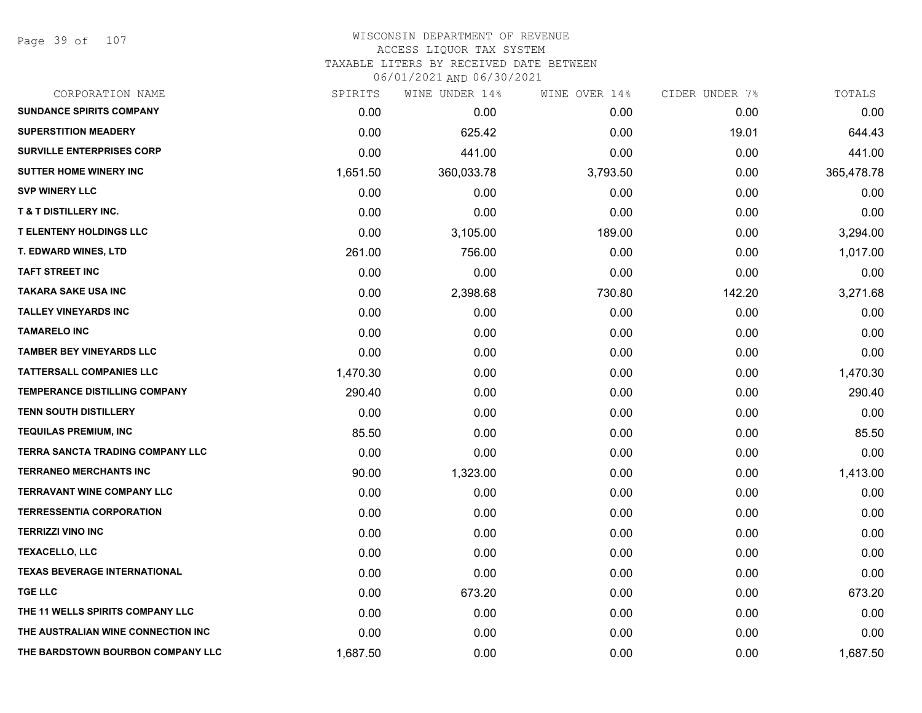Page 39 of 107

# WISCONSIN DEPARTMENT OF REVENUE ACCESS LIQUOR TAX SYSTEM TAXABLE LITERS BY RECEIVED DATE BETWEEN

| CORPORATION NAME                        | SPIRITS  | WINE UNDER 14% | WINE OVER 14% | CIDER UNDER 7% | TOTALS     |
|-----------------------------------------|----------|----------------|---------------|----------------|------------|
| <b>SUNDANCE SPIRITS COMPANY</b>         | 0.00     | 0.00           | 0.00          | 0.00           | 0.00       |
| <b>SUPERSTITION MEADERY</b>             | 0.00     | 625.42         | 0.00          | 19.01          | 644.43     |
| <b>SURVILLE ENTERPRISES CORP</b>        | 0.00     | 441.00         | 0.00          | 0.00           | 441.00     |
| <b>SUTTER HOME WINERY INC</b>           | 1,651.50 | 360,033.78     | 3,793.50      | 0.00           | 365,478.78 |
| <b>SVP WINERY LLC</b>                   | 0.00     | 0.00           | 0.00          | 0.00           | 0.00       |
| <b>T &amp; T DISTILLERY INC.</b>        | 0.00     | 0.00           | 0.00          | 0.00           | 0.00       |
| <b>T ELENTENY HOLDINGS LLC</b>          | 0.00     | 3,105.00       | 189.00        | 0.00           | 3,294.00   |
| <b>T. EDWARD WINES, LTD</b>             | 261.00   | 756.00         | 0.00          | 0.00           | 1,017.00   |
| <b>TAFT STREET INC</b>                  | 0.00     | 0.00           | 0.00          | 0.00           | 0.00       |
| <b>TAKARA SAKE USA INC</b>              | 0.00     | 2,398.68       | 730.80        | 142.20         | 3,271.68   |
| <b>TALLEY VINEYARDS INC</b>             | 0.00     | 0.00           | 0.00          | 0.00           | 0.00       |
| <b>TAMARELO INC</b>                     | 0.00     | 0.00           | 0.00          | 0.00           | 0.00       |
| <b>TAMBER BEY VINEYARDS LLC</b>         | 0.00     | 0.00           | 0.00          | 0.00           | 0.00       |
| <b>TATTERSALL COMPANIES LLC</b>         | 1,470.30 | 0.00           | 0.00          | 0.00           | 1,470.30   |
| <b>TEMPERANCE DISTILLING COMPANY</b>    | 290.40   | 0.00           | 0.00          | 0.00           | 290.40     |
| <b>TENN SOUTH DISTILLERY</b>            | 0.00     | 0.00           | 0.00          | 0.00           | 0.00       |
| <b>TEQUILAS PREMIUM, INC</b>            | 85.50    | 0.00           | 0.00          | 0.00           | 85.50      |
| <b>TERRA SANCTA TRADING COMPANY LLC</b> | 0.00     | 0.00           | 0.00          | 0.00           | 0.00       |
| <b>TERRANEO MERCHANTS INC</b>           | 90.00    | 1,323.00       | 0.00          | 0.00           | 1,413.00   |
| <b>TERRAVANT WINE COMPANY LLC</b>       | 0.00     | 0.00           | 0.00          | 0.00           | 0.00       |
| <b>TERRESSENTIA CORPORATION</b>         | 0.00     | 0.00           | 0.00          | 0.00           | 0.00       |
| <b>TERRIZZI VINO INC</b>                | 0.00     | 0.00           | 0.00          | 0.00           | 0.00       |
| <b>TEXACELLO, LLC</b>                   | 0.00     | 0.00           | 0.00          | 0.00           | 0.00       |
| <b>TEXAS BEVERAGE INTERNATIONAL</b>     | 0.00     | 0.00           | 0.00          | 0.00           | 0.00       |
| <b>TGE LLC</b>                          | 0.00     | 673.20         | 0.00          | 0.00           | 673.20     |
| THE 11 WELLS SPIRITS COMPANY LLC        | 0.00     | 0.00           | 0.00          | 0.00           | 0.00       |
| THE AUSTRALIAN WINE CONNECTION INC      | 0.00     | 0.00           | 0.00          | 0.00           | 0.00       |
| THE BARDSTOWN BOURBON COMPANY LLC       | 1,687.50 | 0.00           | 0.00          | 0.00           | 1,687.50   |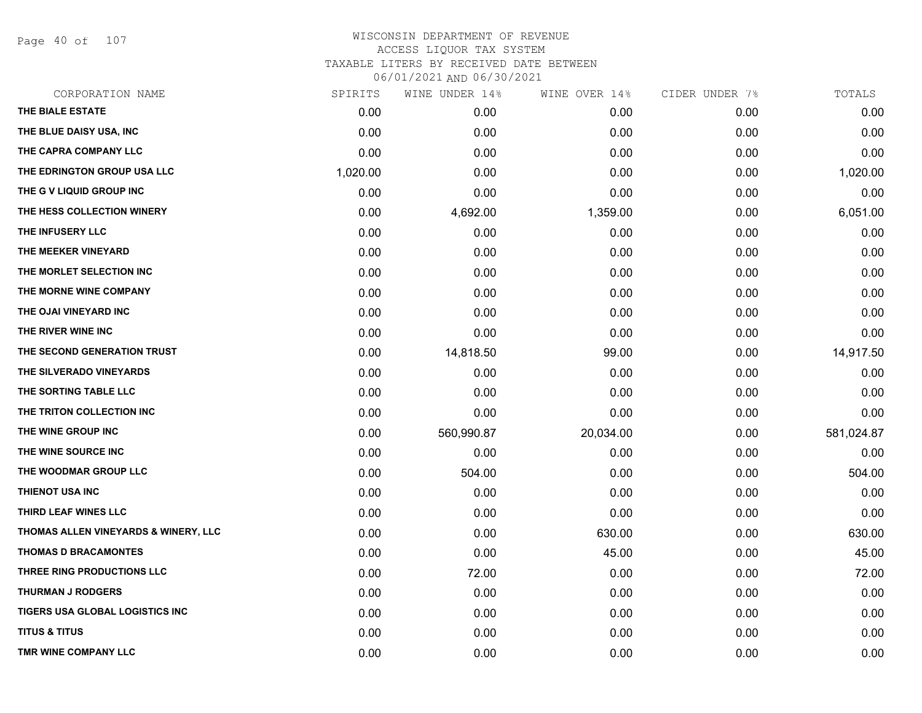Page 40 of 107

|          | WINE UNDER 14% | WINE OVER 14% |      | TOTALS         |
|----------|----------------|---------------|------|----------------|
| 0.00     | 0.00           | 0.00          | 0.00 | 0.00           |
| 0.00     | 0.00           | 0.00          | 0.00 | 0.00           |
| 0.00     | 0.00           | 0.00          | 0.00 | 0.00           |
| 1,020.00 | 0.00           | 0.00          | 0.00 | 1,020.00       |
| 0.00     | 0.00           | 0.00          | 0.00 | 0.00           |
| 0.00     | 4,692.00       | 1,359.00      | 0.00 | 6,051.00       |
| 0.00     | 0.00           | 0.00          | 0.00 | 0.00           |
| 0.00     | 0.00           | 0.00          | 0.00 | 0.00           |
| 0.00     | 0.00           | 0.00          | 0.00 | 0.00           |
| 0.00     | 0.00           | 0.00          | 0.00 | 0.00           |
| 0.00     | 0.00           | 0.00          | 0.00 | 0.00           |
| 0.00     | 0.00           | 0.00          | 0.00 | 0.00           |
| 0.00     | 14,818.50      | 99.00         | 0.00 | 14,917.50      |
| 0.00     | 0.00           | 0.00          | 0.00 | 0.00           |
| 0.00     | 0.00           | 0.00          | 0.00 | 0.00           |
| 0.00     | 0.00           | 0.00          | 0.00 | 0.00           |
| 0.00     | 560,990.87     | 20,034.00     | 0.00 | 581,024.87     |
| 0.00     | 0.00           | 0.00          | 0.00 | 0.00           |
| 0.00     | 504.00         | 0.00          | 0.00 | 504.00         |
| 0.00     | 0.00           | 0.00          | 0.00 | 0.00           |
| 0.00     | 0.00           | 0.00          | 0.00 | 0.00           |
| 0.00     | 0.00           | 630.00        | 0.00 | 630.00         |
| 0.00     | 0.00           | 45.00         | 0.00 | 45.00          |
| 0.00     | 72.00          | 0.00          | 0.00 | 72.00          |
| 0.00     | 0.00           | 0.00          | 0.00 | 0.00           |
| 0.00     | 0.00           | 0.00          | 0.00 | 0.00           |
| 0.00     | 0.00           | 0.00          | 0.00 | 0.00           |
| 0.00     | 0.00           | 0.00          | 0.00 | 0.00           |
|          | SPIRITS        |               |      | CIDER UNDER 7% |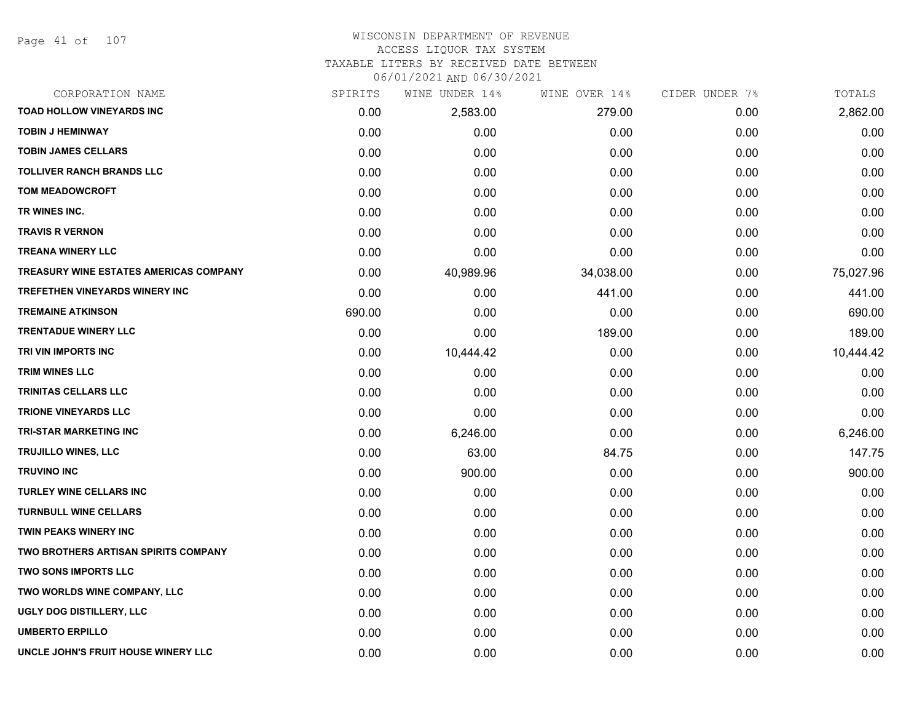Page 41 of 107

### WISCONSIN DEPARTMENT OF REVENUE ACCESS LIQUOR TAX SYSTEM

TAXABLE LITERS BY RECEIVED DATE BETWEEN

| CORPORATION NAME                       | SPIRITS | WINE UNDER 14% | WINE OVER 14% | CIDER UNDER 7% | TOTALS    |
|----------------------------------------|---------|----------------|---------------|----------------|-----------|
| <b>TOAD HOLLOW VINEYARDS INC</b>       | 0.00    | 2,583.00       | 279.00        | 0.00           | 2,862.00  |
| <b>TOBIN J HEMINWAY</b>                | 0.00    | 0.00           | 0.00          | 0.00           | 0.00      |
| <b>TOBIN JAMES CELLARS</b>             | 0.00    | 0.00           | 0.00          | 0.00           | 0.00      |
| <b>TOLLIVER RANCH BRANDS LLC</b>       | 0.00    | 0.00           | 0.00          | 0.00           | 0.00      |
| <b>TOM MEADOWCROFT</b>                 | 0.00    | 0.00           | 0.00          | 0.00           | 0.00      |
| TR WINES INC.                          | 0.00    | 0.00           | 0.00          | 0.00           | 0.00      |
| <b>TRAVIS R VERNON</b>                 | 0.00    | 0.00           | 0.00          | 0.00           | 0.00      |
| <b>TREANA WINERY LLC</b>               | 0.00    | 0.00           | 0.00          | 0.00           | 0.00      |
| TREASURY WINE ESTATES AMERICAS COMPANY | 0.00    | 40,989.96      | 34,038.00     | 0.00           | 75,027.96 |
| TREFETHEN VINEYARDS WINERY INC         | 0.00    | 0.00           | 441.00        | 0.00           | 441.00    |
| <b>TREMAINE ATKINSON</b>               | 690.00  | 0.00           | 0.00          | 0.00           | 690.00    |
| <b>TRENTADUE WINERY LLC</b>            | 0.00    | 0.00           | 189.00        | 0.00           | 189.00    |
| TRI VIN IMPORTS INC                    | 0.00    | 10,444.42      | 0.00          | 0.00           | 10,444.42 |
| TRIM WINES LLC                         | 0.00    | 0.00           | 0.00          | 0.00           | 0.00      |
| TRINITAS CELLARS LLC                   | 0.00    | 0.00           | 0.00          | 0.00           | 0.00      |
| <b>TRIONE VINEYARDS LLC</b>            | 0.00    | 0.00           | 0.00          | 0.00           | 0.00      |
| <b>TRI-STAR MARKETING INC</b>          | 0.00    | 6,246.00       | 0.00          | 0.00           | 6,246.00  |
| <b>TRUJILLO WINES, LLC</b>             | 0.00    | 63.00          | 84.75         | 0.00           | 147.75    |
| <b>TRUVINO INC</b>                     | 0.00    | 900.00         | 0.00          | 0.00           | 900.00    |
| <b>TURLEY WINE CELLARS INC</b>         | 0.00    | 0.00           | 0.00          | 0.00           | 0.00      |
| <b>TURNBULL WINE CELLARS</b>           | 0.00    | 0.00           | 0.00          | 0.00           | 0.00      |
| TWIN PEAKS WINERY INC                  | 0.00    | 0.00           | 0.00          | 0.00           | 0.00      |
| TWO BROTHERS ARTISAN SPIRITS COMPANY   | 0.00    | 0.00           | 0.00          | 0.00           | 0.00      |
| <b>TWO SONS IMPORTS LLC</b>            | 0.00    | 0.00           | 0.00          | 0.00           | 0.00      |
| TWO WORLDS WINE COMPANY, LLC           | 0.00    | 0.00           | 0.00          | 0.00           | 0.00      |
| UGLY DOG DISTILLERY, LLC               | 0.00    | 0.00           | 0.00          | 0.00           | 0.00      |
| <b>UMBERTO ERPILLO</b>                 | 0.00    | 0.00           | 0.00          | 0.00           | 0.00      |
| UNCLE JOHN'S FRUIT HOUSE WINERY LLC    | 0.00    | 0.00           | 0.00          | 0.00           | 0.00      |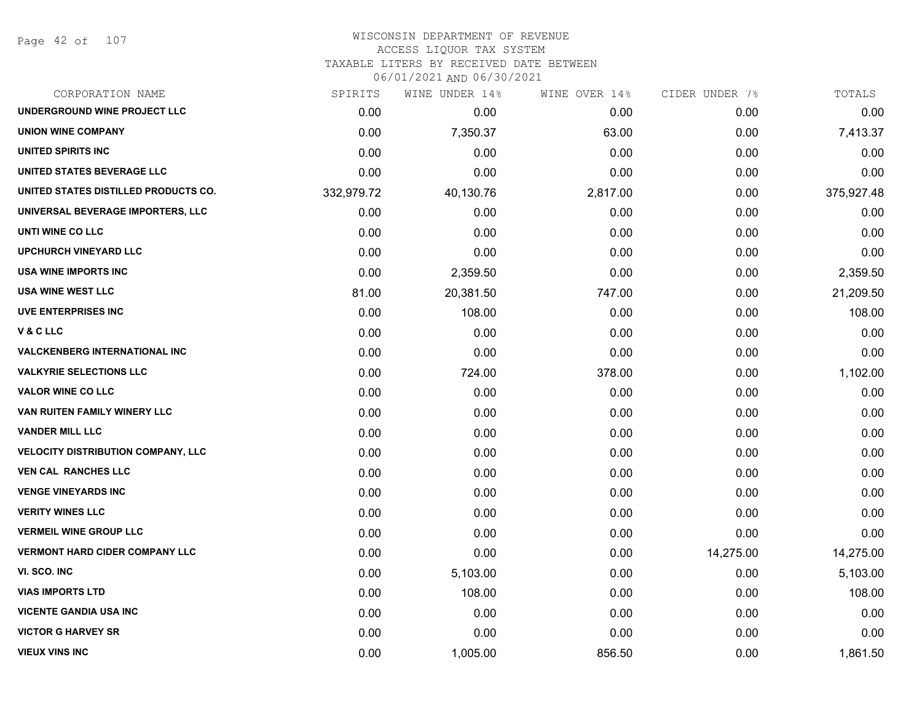#### WISCONSIN DEPARTMENT OF REVENUE ACCESS LIQUOR TAX SYSTEM

TAXABLE LITERS BY RECEIVED DATE BETWEEN

| CORPORATION NAME                      | SPIRITS    | WINE UNDER 14% | WINE OVER 14% | CIDER UNDER 7% | TOTALS     |
|---------------------------------------|------------|----------------|---------------|----------------|------------|
| UNDERGROUND WINE PROJECT LLC          | 0.00       | 0.00           | 0.00          | 0.00           | 0.00       |
| <b>UNION WINE COMPANY</b>             | 0.00       | 7,350.37       | 63.00         | 0.00           | 7,413.37   |
| <b>UNITED SPIRITS INC</b>             | 0.00       | 0.00           | 0.00          | 0.00           | 0.00       |
| UNITED STATES BEVERAGE LLC            | 0.00       | 0.00           | 0.00          | 0.00           | 0.00       |
| UNITED STATES DISTILLED PRODUCTS CO.  | 332,979.72 | 40,130.76      | 2,817.00      | 0.00           | 375,927.48 |
| UNIVERSAL BEVERAGE IMPORTERS, LLC     | 0.00       | 0.00           | 0.00          | 0.00           | 0.00       |
| UNTI WINE CO LLC                      | 0.00       | 0.00           | 0.00          | 0.00           | 0.00       |
| UPCHURCH VINEYARD LLC                 | 0.00       | 0.00           | 0.00          | 0.00           | 0.00       |
| <b>USA WINE IMPORTS INC</b>           | 0.00       | 2,359.50       | 0.00          | 0.00           | 2,359.50   |
| <b>USA WINE WEST LLC</b>              | 81.00      | 20,381.50      | 747.00        | 0.00           | 21,209.50  |
| <b>UVE ENTERPRISES INC</b>            | 0.00       | 108.00         | 0.00          | 0.00           | 108.00     |
| V&CLLC                                | 0.00       | 0.00           | 0.00          | 0.00           | 0.00       |
| <b>VALCKENBERG INTERNATIONAL INC</b>  | 0.00       | 0.00           | 0.00          | 0.00           | 0.00       |
| <b>VALKYRIE SELECTIONS LLC</b>        | 0.00       | 724.00         | 378.00        | 0.00           | 1,102.00   |
| <b>VALOR WINE CO LLC</b>              | 0.00       | 0.00           | 0.00          | 0.00           | 0.00       |
| VAN RUITEN FAMILY WINERY LLC          | 0.00       | 0.00           | 0.00          | 0.00           | 0.00       |
| <b>VANDER MILL LLC</b>                | 0.00       | 0.00           | 0.00          | 0.00           | 0.00       |
| VELOCITY DISTRIBUTION COMPANY, LLC    | 0.00       | 0.00           | 0.00          | 0.00           | 0.00       |
| <b>VEN CAL RANCHES LLC</b>            | 0.00       | 0.00           | 0.00          | 0.00           | 0.00       |
| <b>VENGE VINEYARDS INC</b>            | 0.00       | 0.00           | 0.00          | 0.00           | 0.00       |
| <b>VERITY WINES LLC</b>               | 0.00       | 0.00           | 0.00          | 0.00           | 0.00       |
| <b>VERMEIL WINE GROUP LLC</b>         | 0.00       | 0.00           | 0.00          | 0.00           | 0.00       |
| <b>VERMONT HARD CIDER COMPANY LLC</b> | 0.00       | 0.00           | 0.00          | 14,275.00      | 14,275.00  |
| VI. SCO. INC                          | 0.00       | 5,103.00       | 0.00          | 0.00           | 5,103.00   |
| <b>VIAS IMPORTS LTD</b>               | 0.00       | 108.00         | 0.00          | 0.00           | 108.00     |
| <b>VICENTE GANDIA USA INC</b>         | 0.00       | 0.00           | 0.00          | 0.00           | 0.00       |
| <b>VICTOR G HARVEY SR</b>             | 0.00       | 0.00           | 0.00          | 0.00           | 0.00       |
| <b>VIEUX VINS INC</b>                 | 0.00       | 1,005.00       | 856.50        | 0.00           | 1,861.50   |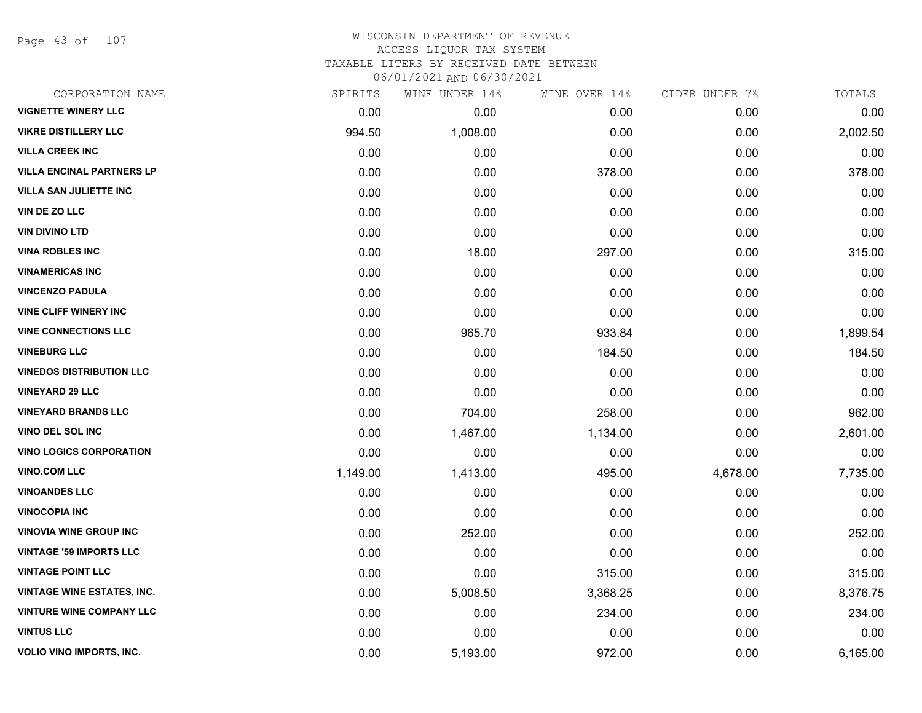Page 43 of 107

| CORPORATION NAME                  | SPIRITS  | WINE UNDER 14% | WINE OVER 14% | CIDER UNDER 7% | TOTALS   |
|-----------------------------------|----------|----------------|---------------|----------------|----------|
| <b>VIGNETTE WINERY LLC</b>        | 0.00     | 0.00           | 0.00          | 0.00           | 0.00     |
| <b>VIKRE DISTILLERY LLC</b>       | 994.50   | 1,008.00       | 0.00          | 0.00           | 2,002.50 |
| <b>VILLA CREEK INC</b>            | 0.00     | 0.00           | 0.00          | 0.00           | 0.00     |
| <b>VILLA ENCINAL PARTNERS LP</b>  | 0.00     | 0.00           | 378.00        | 0.00           | 378.00   |
| <b>VILLA SAN JULIETTE INC</b>     | 0.00     | 0.00           | 0.00          | 0.00           | 0.00     |
| VIN DE ZO LLC                     | 0.00     | 0.00           | 0.00          | 0.00           | 0.00     |
| <b>VIN DIVINO LTD</b>             | 0.00     | 0.00           | 0.00          | 0.00           | 0.00     |
| <b>VINA ROBLES INC</b>            | 0.00     | 18.00          | 297.00        | 0.00           | 315.00   |
| <b>VINAMERICAS INC</b>            | 0.00     | 0.00           | 0.00          | 0.00           | 0.00     |
| <b>VINCENZO PADULA</b>            | 0.00     | 0.00           | 0.00          | 0.00           | 0.00     |
| <b>VINE CLIFF WINERY INC</b>      | 0.00     | 0.00           | 0.00          | 0.00           | 0.00     |
| <b>VINE CONNECTIONS LLC</b>       | 0.00     | 965.70         | 933.84        | 0.00           | 1,899.54 |
| <b>VINEBURG LLC</b>               | 0.00     | 0.00           | 184.50        | 0.00           | 184.50   |
| <b>VINEDOS DISTRIBUTION LLC</b>   | 0.00     | 0.00           | 0.00          | 0.00           | 0.00     |
| <b>VINEYARD 29 LLC</b>            | 0.00     | 0.00           | 0.00          | 0.00           | 0.00     |
| <b>VINEYARD BRANDS LLC</b>        | 0.00     | 704.00         | 258.00        | 0.00           | 962.00   |
| <b>VINO DEL SOL INC</b>           | 0.00     | 1,467.00       | 1,134.00      | 0.00           | 2,601.00 |
| <b>VINO LOGICS CORPORATION</b>    | 0.00     | 0.00           | 0.00          | 0.00           | 0.00     |
| <b>VINO.COM LLC</b>               | 1,149.00 | 1,413.00       | 495.00        | 4,678.00       | 7,735.00 |
| <b>VINOANDES LLC</b>              | 0.00     | 0.00           | 0.00          | 0.00           | 0.00     |
| <b>VINOCOPIA INC</b>              | 0.00     | 0.00           | 0.00          | 0.00           | 0.00     |
| <b>VINOVIA WINE GROUP INC</b>     | 0.00     | 252.00         | 0.00          | 0.00           | 252.00   |
| <b>VINTAGE '59 IMPORTS LLC</b>    | 0.00     | 0.00           | 0.00          | 0.00           | 0.00     |
| <b>VINTAGE POINT LLC</b>          | 0.00     | 0.00           | 315.00        | 0.00           | 315.00   |
| <b>VINTAGE WINE ESTATES, INC.</b> | 0.00     | 5,008.50       | 3,368.25      | 0.00           | 8,376.75 |
| <b>VINTURE WINE COMPANY LLC</b>   | 0.00     | 0.00           | 234.00        | 0.00           | 234.00   |
| <b>VINTUS LLC</b>                 | 0.00     | 0.00           | 0.00          | 0.00           | 0.00     |
| <b>VOLIO VINO IMPORTS, INC.</b>   | 0.00     | 5,193.00       | 972.00        | 0.00           | 6,165.00 |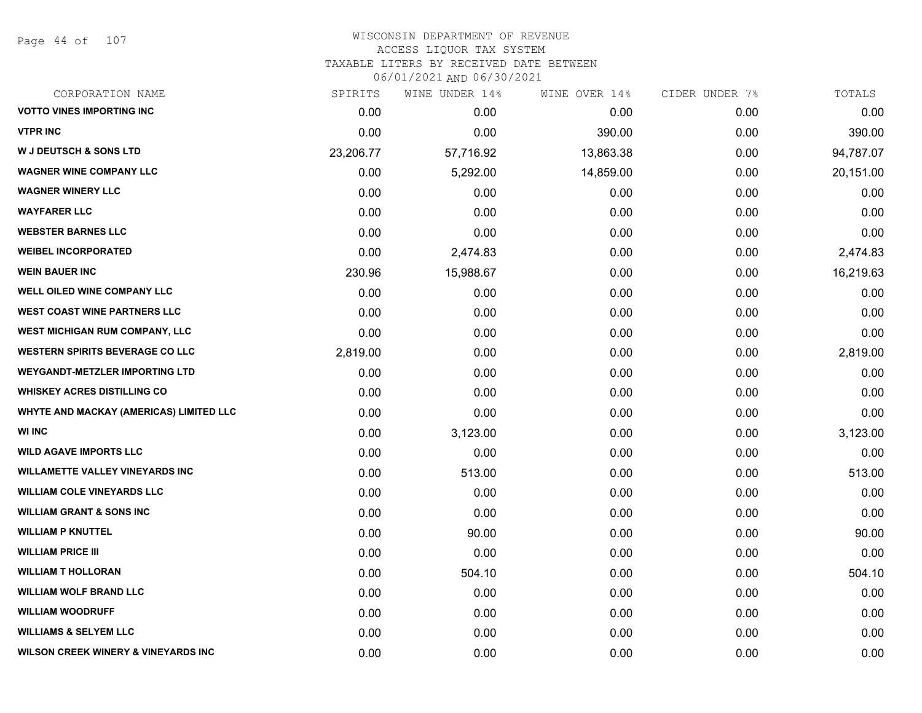Page 44 of 107

| CORPORATION NAME                               | SPIRITS   | WINE UNDER 14% | WINE OVER 14% | CIDER UNDER 7% | TOTALS    |
|------------------------------------------------|-----------|----------------|---------------|----------------|-----------|
| <b>VOTTO VINES IMPORTING INC</b>               | 0.00      | 0.00           | 0.00          | 0.00           | 0.00      |
| <b>VTPR INC</b>                                | 0.00      | 0.00           | 390.00        | 0.00           | 390.00    |
| <b>W J DEUTSCH &amp; SONS LTD</b>              | 23,206.77 | 57,716.92      | 13,863.38     | 0.00           | 94,787.07 |
| <b>WAGNER WINE COMPANY LLC</b>                 | 0.00      | 5,292.00       | 14,859.00     | 0.00           | 20,151.00 |
| <b>WAGNER WINERY LLC</b>                       | 0.00      | 0.00           | 0.00          | 0.00           | 0.00      |
| <b>WAYFARER LLC</b>                            | 0.00      | 0.00           | 0.00          | 0.00           | 0.00      |
| <b>WEBSTER BARNES LLC</b>                      | 0.00      | 0.00           | 0.00          | 0.00           | 0.00      |
| <b>WEIBEL INCORPORATED</b>                     | 0.00      | 2,474.83       | 0.00          | 0.00           | 2,474.83  |
| <b>WEIN BAUER INC</b>                          | 230.96    | 15,988.67      | 0.00          | 0.00           | 16,219.63 |
| WELL OILED WINE COMPANY LLC                    | 0.00      | 0.00           | 0.00          | 0.00           | 0.00      |
| <b>WEST COAST WINE PARTNERS LLC</b>            | 0.00      | 0.00           | 0.00          | 0.00           | 0.00      |
| WEST MICHIGAN RUM COMPANY, LLC                 | 0.00      | 0.00           | 0.00          | 0.00           | 0.00      |
| <b>WESTERN SPIRITS BEVERAGE CO LLC</b>         | 2,819.00  | 0.00           | 0.00          | 0.00           | 2,819.00  |
| <b>WEYGANDT-METZLER IMPORTING LTD</b>          | 0.00      | 0.00           | 0.00          | 0.00           | 0.00      |
| <b>WHISKEY ACRES DISTILLING CO</b>             | 0.00      | 0.00           | 0.00          | 0.00           | 0.00      |
| WHYTE AND MACKAY (AMERICAS) LIMITED LLC        | 0.00      | 0.00           | 0.00          | 0.00           | 0.00      |
| <b>WI INC</b>                                  | 0.00      | 3,123.00       | 0.00          | 0.00           | 3,123.00  |
| <b>WILD AGAVE IMPORTS LLC</b>                  | 0.00      | 0.00           | 0.00          | 0.00           | 0.00      |
| <b>WILLAMETTE VALLEY VINEYARDS INC</b>         | 0.00      | 513.00         | 0.00          | 0.00           | 513.00    |
| <b>WILLIAM COLE VINEYARDS LLC</b>              | 0.00      | 0.00           | 0.00          | 0.00           | 0.00      |
| <b>WILLIAM GRANT &amp; SONS INC</b>            | 0.00      | 0.00           | 0.00          | 0.00           | 0.00      |
| <b>WILLIAM P KNUTTEL</b>                       | 0.00      | 90.00          | 0.00          | 0.00           | 90.00     |
| <b>WILLIAM PRICE III</b>                       | 0.00      | 0.00           | 0.00          | 0.00           | 0.00      |
| <b>WILLIAM T HOLLORAN</b>                      | 0.00      | 504.10         | 0.00          | 0.00           | 504.10    |
| <b>WILLIAM WOLF BRAND LLC</b>                  | 0.00      | 0.00           | 0.00          | 0.00           | 0.00      |
| <b>WILLIAM WOODRUFF</b>                        | 0.00      | 0.00           | 0.00          | 0.00           | 0.00      |
| <b>WILLIAMS &amp; SELYEM LLC</b>               | 0.00      | 0.00           | 0.00          | 0.00           | 0.00      |
| <b>WILSON CREEK WINERY &amp; VINEYARDS INC</b> | 0.00      | 0.00           | 0.00          | 0.00           | 0.00      |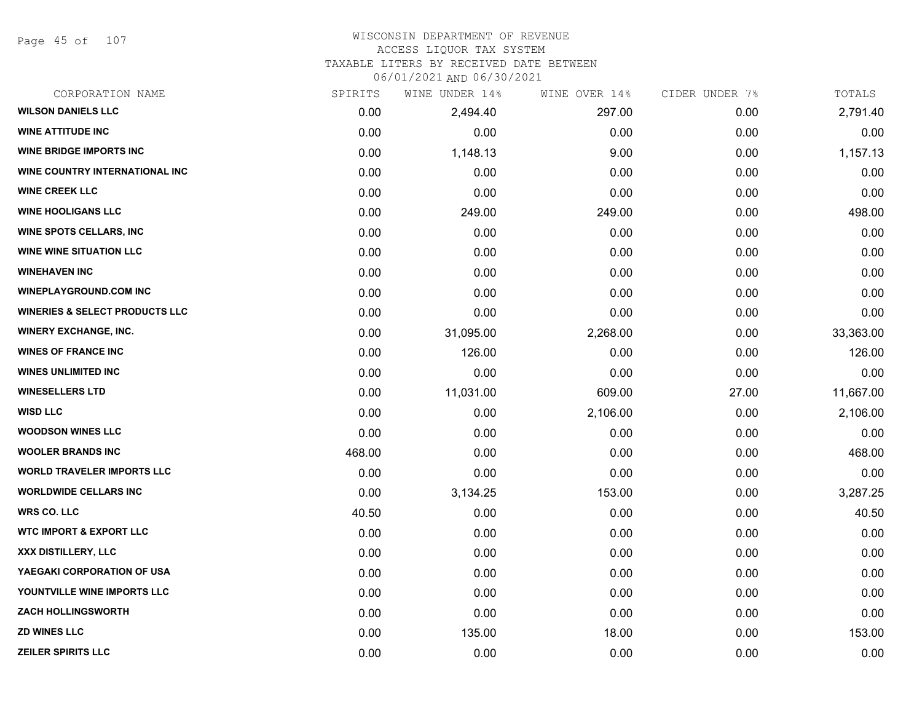Page 45 of 107

#### WISCONSIN DEPARTMENT OF REVENUE ACCESS LIQUOR TAX SYSTEM

TAXABLE LITERS BY RECEIVED DATE BETWEEN

| CORPORATION NAME                          | SPIRITS | WINE UNDER 14% | WINE OVER 14% | CIDER UNDER 7% | TOTALS    |
|-------------------------------------------|---------|----------------|---------------|----------------|-----------|
| <b>WILSON DANIELS LLC</b>                 | 0.00    | 2,494.40       | 297.00        | 0.00           | 2,791.40  |
| <b>WINE ATTITUDE INC</b>                  | 0.00    | 0.00           | 0.00          | 0.00           | 0.00      |
| <b>WINE BRIDGE IMPORTS INC</b>            | 0.00    | 1,148.13       | 9.00          | 0.00           | 1,157.13  |
| WINE COUNTRY INTERNATIONAL INC            | 0.00    | 0.00           | 0.00          | 0.00           | 0.00      |
| <b>WINE CREEK LLC</b>                     | 0.00    | 0.00           | 0.00          | 0.00           | 0.00      |
| <b>WINE HOOLIGANS LLC</b>                 | 0.00    | 249.00         | 249.00        | 0.00           | 498.00    |
| <b>WINE SPOTS CELLARS, INC</b>            | 0.00    | 0.00           | 0.00          | 0.00           | 0.00      |
| <b>WINE WINE SITUATION LLC</b>            | 0.00    | 0.00           | 0.00          | 0.00           | 0.00      |
| <b>WINEHAVEN INC</b>                      | 0.00    | 0.00           | 0.00          | 0.00           | 0.00      |
| <b>WINEPLAYGROUND.COM INC</b>             | 0.00    | 0.00           | 0.00          | 0.00           | 0.00      |
| <b>WINERIES &amp; SELECT PRODUCTS LLC</b> | 0.00    | 0.00           | 0.00          | 0.00           | 0.00      |
| <b>WINERY EXCHANGE, INC.</b>              | 0.00    | 31,095.00      | 2,268.00      | 0.00           | 33,363.00 |
| <b>WINES OF FRANCE INC</b>                | 0.00    | 126.00         | 0.00          | 0.00           | 126.00    |
| <b>WINES UNLIMITED INC</b>                | 0.00    | 0.00           | 0.00          | 0.00           | 0.00      |
| <b>WINESELLERS LTD</b>                    | 0.00    | 11,031.00      | 609.00        | 27.00          | 11,667.00 |
| <b>WISD LLC</b>                           | 0.00    | 0.00           | 2,106.00      | 0.00           | 2,106.00  |
| <b>WOODSON WINES LLC</b>                  | 0.00    | 0.00           | 0.00          | 0.00           | 0.00      |
| <b>WOOLER BRANDS INC</b>                  | 468.00  | 0.00           | 0.00          | 0.00           | 468.00    |
| <b>WORLD TRAVELER IMPORTS LLC</b>         | 0.00    | 0.00           | 0.00          | 0.00           | 0.00      |
| <b>WORLDWIDE CELLARS INC</b>              | 0.00    | 3,134.25       | 153.00        | 0.00           | 3,287.25  |
| <b>WRS CO. LLC</b>                        | 40.50   | 0.00           | 0.00          | 0.00           | 40.50     |
| <b>WTC IMPORT &amp; EXPORT LLC</b>        | 0.00    | 0.00           | 0.00          | 0.00           | 0.00      |
| <b>XXX DISTILLERY, LLC</b>                | 0.00    | 0.00           | 0.00          | 0.00           | 0.00      |
| YAEGAKI CORPORATION OF USA                | 0.00    | 0.00           | 0.00          | 0.00           | 0.00      |
| YOUNTVILLE WINE IMPORTS LLC               | 0.00    | 0.00           | 0.00          | 0.00           | 0.00      |
| <b>ZACH HOLLINGSWORTH</b>                 | 0.00    | 0.00           | 0.00          | 0.00           | 0.00      |
| <b>ZD WINES LLC</b>                       | 0.00    | 135.00         | 18.00         | 0.00           | 153.00    |
| <b>ZEILER SPIRITS LLC</b>                 | 0.00    | 0.00           | 0.00          | 0.00           | 0.00      |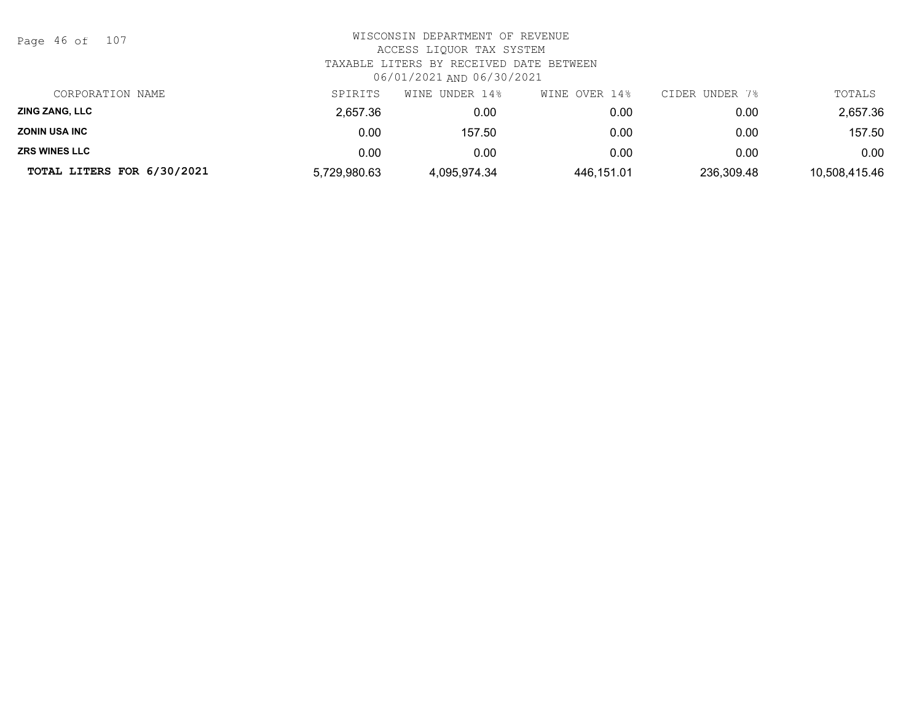| Page 46 of |  |  | 107 |
|------------|--|--|-----|
|------------|--|--|-----|

| CORPORATION NAME           | SPIRITS      | WINE UNDER 14% | WINE OVER 14% | CIDER UNDER 7% | TOTALS        |
|----------------------------|--------------|----------------|---------------|----------------|---------------|
| <b>ZING ZANG, LLC</b>      | 2.657.36     | 0.00           | 0.00          | 0.00           | 2,657.36      |
| <b>ZONIN USA INC</b>       | 0.00         | 157.50         | 0.00          | 0.00           | 157.50        |
| <b>ZRS WINES LLC</b>       | 0.00         | 0.00           | 0.00          | 0.00           | 0.00          |
| TOTAL LITERS FOR 6/30/2021 | 5,729,980.63 | 4.095.974.34   | 446,151.01    | 236,309.48     | 10,508,415.46 |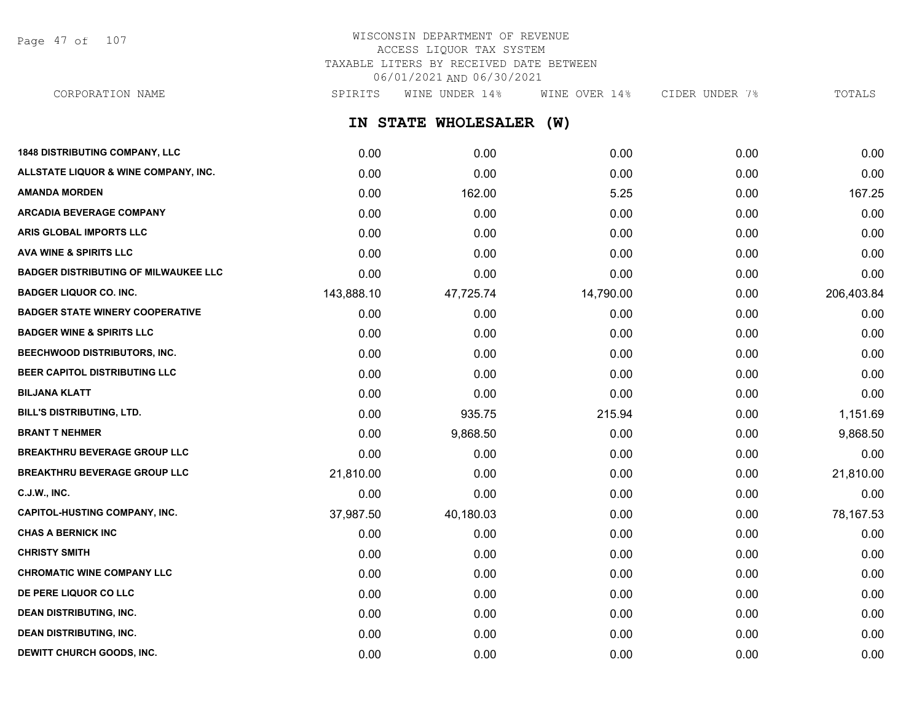Page 47 of 107

# WISCONSIN DEPARTMENT OF REVENUE ACCESS LIQUOR TAX SYSTEM TAXABLE LITERS BY RECEIVED DATE BETWEEN 06/01/2021 AND 06/30/2021

**IN STATE WHOLESALER (W) 1848 DISTRIBUTING COMPANY, LLC** 0.00 0.00 0.00 0.00 0.00 **ALLSTATE LIQUOR & WINE COMPANY, INC.** 0.00 0.00 0.00 0.00 0.00 **AMANDA MORDEN** 0.00 162.00 5.25 0.00 167.25 **ARCADIA BEVERAGE COMPANY**  $0.00$   $0.00$   $0.00$   $0.00$   $0.00$   $0.00$   $0.00$   $0.00$   $0.00$   $0.00$   $0.00$   $0.00$   $0.00$   $0.00$   $0.00$   $0.00$   $0.00$   $0.00$   $0.00$   $0.00$   $0.00$   $0.00$   $0.00$   $0.00$   $0.00$   $0.00$   $0.00$   $0.00$ **ARIS GLOBAL IMPORTS LLC** 0.00 0.00 0.00 0.00 0.00 **AVA WINE & SPIRITS LLC** 0.00 0.00 0.00 0.00 0.00 **BADGER DISTRIBUTING OF MILWAUKEE LLC** 0.00 0.00 0.00 0.00 0.00 **BADGER LIQUOR CO. INC.** 206,403.84 143,888.10 14,725.74 14,790.00 14,790.00 0.00 206,403.84 **BADGER STATE WINERY COOPERATIVE** 0.00 0.00 0.00 0.00 0.00 **BADGER WINE & SPIRITS LLC** 0.00 0.00 0.00 0.00 0.00 **BEECHWOOD DISTRIBUTORS, INC.** 0.00 0.00 0.00 0.00 0.00 **BEER CAPITOL DISTRIBUTING LLC** 0.00 0.00 0.00 0.00 0.00 **BILJANA KLATT** 0.00 0.00 0.00 0.00 0.00 **BILL'S DISTRIBUTING, LTD.** 0.00 935.75 215.94 0.00 1,151.69 **BRANT T NEHMER** 0.00 9,868.50 0.00 0.00 9,868.50 **BREAKTHRU BEVERAGE GROUP LLC** 0.00 0.00 0.00 0.00 0.00 **BREAKTHRU BEVERAGE GROUP LLC** 21,810.00 0.00 0.00 0.00 21,810.00 **C.J.W., INC.** 6.00 **0.00 0.00 0.00 0.00 0.00 0.00 0.00 0.00 0.00 0.00 0.00 0.00 0.00 CAPITOL-HUSTING COMPANY, INC.** 37,987.50 40,180.03 0.00 0.00 78,167.53 **CHAS A BERNICK INC** 0.00 0.00 0.00 0.00 0.00 **CHRISTY SMITH** 0.00 0.00 0.00 0.00 0.00 **CHROMATIC WINE COMPANY LLC** 0.00 0.00 0.00 0.00 0.00 **DE PERE LIQUOR CO LLC** 0.00 0.00 0.00 0.00 0.00 **DEAN DISTRIBUTING, INC.** 0.00 0.00 0.00 0.00 0.00 CORPORATION NAME SPIRITS WINE UNDER 14% WINE OVER 14% CIDER UNDER 7% TOTALS

**DEAN DISTRIBUTING, INC.** 0.00 0.00 0.00 0.00 0.00 **DEWITT CHURCH GOODS, INC.** 0.00 0.00 0.00 0.00 0.00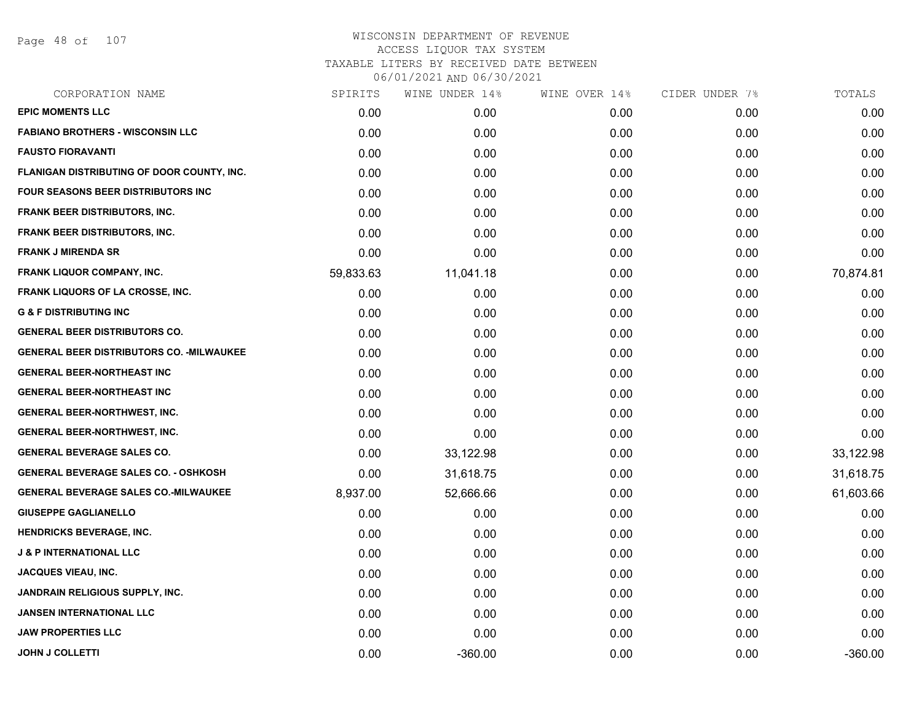Page 48 of 107

| CORPORATION NAME                                 | SPIRITS   | WINE UNDER 14% | WINE OVER 14% | CIDER UNDER 7% | TOTALS    |
|--------------------------------------------------|-----------|----------------|---------------|----------------|-----------|
| <b>EPIC MOMENTS LLC</b>                          | 0.00      | 0.00           | 0.00          | 0.00           | 0.00      |
| <b>FABIANO BROTHERS - WISCONSIN LLC</b>          | 0.00      | 0.00           | 0.00          | 0.00           | 0.00      |
| <b>FAUSTO FIORAVANTI</b>                         | 0.00      | 0.00           | 0.00          | 0.00           | 0.00      |
| FLANIGAN DISTRIBUTING OF DOOR COUNTY, INC.       | 0.00      | 0.00           | 0.00          | 0.00           | 0.00      |
| <b>FOUR SEASONS BEER DISTRIBUTORS INC.</b>       | 0.00      | 0.00           | 0.00          | 0.00           | 0.00      |
| <b>FRANK BEER DISTRIBUTORS, INC.</b>             | 0.00      | 0.00           | 0.00          | 0.00           | 0.00      |
| <b>FRANK BEER DISTRIBUTORS, INC.</b>             | 0.00      | 0.00           | 0.00          | 0.00           | 0.00      |
| <b>FRANK J MIRENDA SR</b>                        | 0.00      | 0.00           | 0.00          | 0.00           | 0.00      |
| FRANK LIQUOR COMPANY, INC.                       | 59,833.63 | 11,041.18      | 0.00          | 0.00           | 70,874.81 |
| <b>FRANK LIQUORS OF LA CROSSE, INC.</b>          | 0.00      | 0.00           | 0.00          | 0.00           | 0.00      |
| <b>G &amp; F DISTRIBUTING INC</b>                | 0.00      | 0.00           | 0.00          | 0.00           | 0.00      |
| <b>GENERAL BEER DISTRIBUTORS CO.</b>             | 0.00      | 0.00           | 0.00          | 0.00           | 0.00      |
| <b>GENERAL BEER DISTRIBUTORS CO. - MILWAUKEE</b> | 0.00      | 0.00           | 0.00          | 0.00           | 0.00      |
| <b>GENERAL BEER-NORTHEAST INC</b>                | 0.00      | 0.00           | 0.00          | 0.00           | 0.00      |
| <b>GENERAL BEER-NORTHEAST INC</b>                | 0.00      | 0.00           | 0.00          | 0.00           | 0.00      |
| <b>GENERAL BEER-NORTHWEST, INC.</b>              | 0.00      | 0.00           | 0.00          | 0.00           | 0.00      |
| <b>GENERAL BEER-NORTHWEST, INC.</b>              | 0.00      | 0.00           | 0.00          | 0.00           | 0.00      |
| <b>GENERAL BEVERAGE SALES CO.</b>                | 0.00      | 33,122.98      | 0.00          | 0.00           | 33,122.98 |
| <b>GENERAL BEVERAGE SALES CO. - OSHKOSH</b>      | 0.00      | 31,618.75      | 0.00          | 0.00           | 31,618.75 |
| <b>GENERAL BEVERAGE SALES CO.-MILWAUKEE</b>      | 8,937.00  | 52,666.66      | 0.00          | 0.00           | 61,603.66 |
| <b>GIUSEPPE GAGLIANELLO</b>                      | 0.00      | 0.00           | 0.00          | 0.00           | 0.00      |
| <b>HENDRICKS BEVERAGE, INC.</b>                  | 0.00      | 0.00           | 0.00          | 0.00           | 0.00      |
| <b>J &amp; P INTERNATIONAL LLC</b>               | 0.00      | 0.00           | 0.00          | 0.00           | 0.00      |
| <b>JACQUES VIEAU, INC.</b>                       | 0.00      | 0.00           | 0.00          | 0.00           | 0.00      |
| JANDRAIN RELIGIOUS SUPPLY, INC.                  | 0.00      | 0.00           | 0.00          | 0.00           | 0.00      |
| <b>JANSEN INTERNATIONAL LLC</b>                  | 0.00      | 0.00           | 0.00          | 0.00           | 0.00      |
| <b>JAW PROPERTIES LLC</b>                        | 0.00      | 0.00           | 0.00          | 0.00           | 0.00      |
| <b>JOHN J COLLETTI</b>                           | 0.00      | $-360.00$      | 0.00          | 0.00           | $-360.00$ |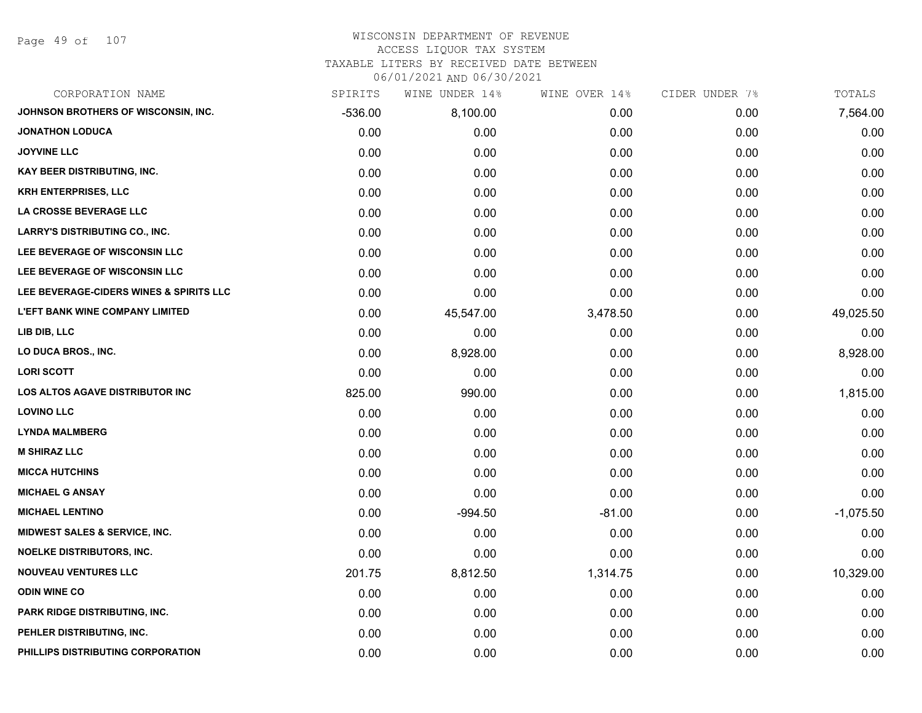Page 49 of 107

# WISCONSIN DEPARTMENT OF REVENUE ACCESS LIQUOR TAX SYSTEM TAXABLE LITERS BY RECEIVED DATE BETWEEN

| CORPORATION NAME                        | SPIRITS   | WINE UNDER 14% | WINE OVER 14% | CIDER UNDER 7% | TOTALS      |
|-----------------------------------------|-----------|----------------|---------------|----------------|-------------|
| JOHNSON BROTHERS OF WISCONSIN, INC.     | $-536.00$ | 8,100.00       | 0.00          | 0.00           | 7,564.00    |
| <b>JONATHON LODUCA</b>                  | 0.00      | 0.00           | 0.00          | 0.00           | 0.00        |
| <b>JOYVINE LLC</b>                      | 0.00      | 0.00           | 0.00          | 0.00           | 0.00        |
| <b>KAY BEER DISTRIBUTING, INC.</b>      | 0.00      | 0.00           | 0.00          | 0.00           | 0.00        |
| <b>KRH ENTERPRISES, LLC</b>             | 0.00      | 0.00           | 0.00          | 0.00           | 0.00        |
| LA CROSSE BEVERAGE LLC                  | 0.00      | 0.00           | 0.00          | 0.00           | 0.00        |
| <b>LARRY'S DISTRIBUTING CO., INC.</b>   | 0.00      | 0.00           | 0.00          | 0.00           | 0.00        |
| LEE BEVERAGE OF WISCONSIN LLC           | 0.00      | 0.00           | 0.00          | 0.00           | 0.00        |
| LEE BEVERAGE OF WISCONSIN LLC           | 0.00      | 0.00           | 0.00          | 0.00           | 0.00        |
| LEE BEVERAGE-CIDERS WINES & SPIRITS LLC | 0.00      | 0.00           | 0.00          | 0.00           | 0.00        |
| <b>L'EFT BANK WINE COMPANY LIMITED</b>  | 0.00      | 45,547.00      | 3,478.50      | 0.00           | 49,025.50   |
| LIB DIB, LLC                            | 0.00      | 0.00           | 0.00          | 0.00           | 0.00        |
| LO DUCA BROS., INC.                     | 0.00      | 8,928.00       | 0.00          | 0.00           | 8,928.00    |
| <b>LORI SCOTT</b>                       | 0.00      | 0.00           | 0.00          | 0.00           | 0.00        |
| <b>LOS ALTOS AGAVE DISTRIBUTOR INC</b>  | 825.00    | 990.00         | 0.00          | 0.00           | 1,815.00    |
| <b>LOVINO LLC</b>                       | 0.00      | 0.00           | 0.00          | 0.00           | 0.00        |
| <b>LYNDA MALMBERG</b>                   | 0.00      | 0.00           | 0.00          | 0.00           | 0.00        |
| <b>M SHIRAZ LLC</b>                     | 0.00      | 0.00           | 0.00          | 0.00           | 0.00        |
| <b>MICCA HUTCHINS</b>                   | 0.00      | 0.00           | 0.00          | 0.00           | 0.00        |
| <b>MICHAEL G ANSAY</b>                  | 0.00      | 0.00           | 0.00          | 0.00           | 0.00        |
| <b>MICHAEL LENTINO</b>                  | 0.00      | $-994.50$      | $-81.00$      | 0.00           | $-1,075.50$ |
| MIDWEST SALES & SERVICE, INC.           | 0.00      | 0.00           | 0.00          | 0.00           | 0.00        |
| <b>NOELKE DISTRIBUTORS, INC.</b>        | 0.00      | 0.00           | 0.00          | 0.00           | 0.00        |
| <b>NOUVEAU VENTURES LLC</b>             | 201.75    | 8,812.50       | 1,314.75      | 0.00           | 10,329.00   |
| <b>ODIN WINE CO</b>                     | 0.00      | 0.00           | 0.00          | 0.00           | 0.00        |
| PARK RIDGE DISTRIBUTING, INC.           | 0.00      | 0.00           | 0.00          | 0.00           | 0.00        |
| PEHLER DISTRIBUTING, INC.               | 0.00      | 0.00           | 0.00          | 0.00           | 0.00        |
| PHILLIPS DISTRIBUTING CORPORATION       | 0.00      | 0.00           | 0.00          | 0.00           | 0.00        |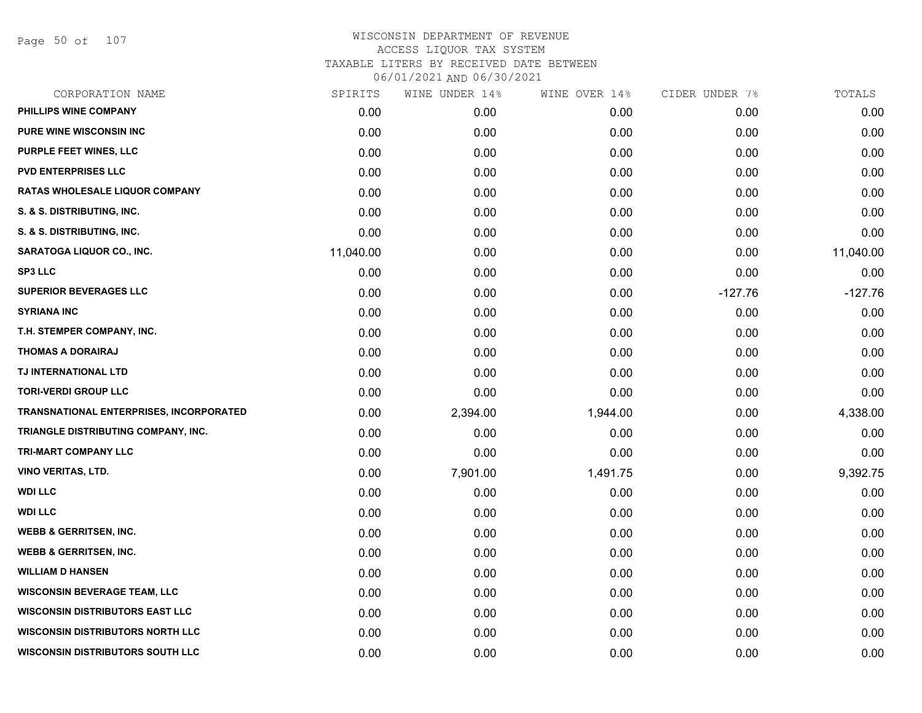Page 50 of 107

| CORPORATION NAME                        | SPIRITS   | WINE UNDER 14% | WINE OVER 14% | CIDER UNDER 7% | TOTALS    |
|-----------------------------------------|-----------|----------------|---------------|----------------|-----------|
| PHILLIPS WINE COMPANY                   | 0.00      | 0.00           | 0.00          | 0.00           | 0.00      |
| <b>PURE WINE WISCONSIN INC</b>          | 0.00      | 0.00           | 0.00          | 0.00           | 0.00      |
| PURPLE FEET WINES, LLC                  | 0.00      | 0.00           | 0.00          | 0.00           | 0.00      |
| <b>PVD ENTERPRISES LLC</b>              | 0.00      | 0.00           | 0.00          | 0.00           | 0.00      |
| RATAS WHOLESALE LIQUOR COMPANY          | 0.00      | 0.00           | 0.00          | 0.00           | 0.00      |
| S. & S. DISTRIBUTING, INC.              | 0.00      | 0.00           | 0.00          | 0.00           | 0.00      |
| S. & S. DISTRIBUTING, INC.              | 0.00      | 0.00           | 0.00          | 0.00           | 0.00      |
| SARATOGA LIQUOR CO., INC.               | 11,040.00 | 0.00           | 0.00          | 0.00           | 11,040.00 |
| <b>SP3 LLC</b>                          | 0.00      | 0.00           | 0.00          | 0.00           | 0.00      |
| <b>SUPERIOR BEVERAGES LLC</b>           | 0.00      | 0.00           | 0.00          | $-127.76$      | $-127.76$ |
| <b>SYRIANA INC</b>                      | 0.00      | 0.00           | 0.00          | 0.00           | 0.00      |
| T.H. STEMPER COMPANY, INC.              | 0.00      | 0.00           | 0.00          | 0.00           | 0.00      |
| <b>THOMAS A DORAIRAJ</b>                | 0.00      | 0.00           | 0.00          | 0.00           | 0.00      |
| TJ INTERNATIONAL LTD                    | 0.00      | 0.00           | 0.00          | 0.00           | 0.00      |
| <b>TORI-VERDI GROUP LLC</b>             | 0.00      | 0.00           | 0.00          | 0.00           | 0.00      |
| TRANSNATIONAL ENTERPRISES, INCORPORATED | 0.00      | 2,394.00       | 1,944.00      | 0.00           | 4,338.00  |
| TRIANGLE DISTRIBUTING COMPANY, INC.     | 0.00      | 0.00           | 0.00          | 0.00           | 0.00      |
| TRI-MART COMPANY LLC                    | 0.00      | 0.00           | 0.00          | 0.00           | 0.00      |
| <b>VINO VERITAS, LTD.</b>               | 0.00      | 7,901.00       | 1,491.75      | 0.00           | 9,392.75  |
| <b>WDI LLC</b>                          | 0.00      | 0.00           | 0.00          | 0.00           | 0.00      |
| <b>WDI LLC</b>                          | 0.00      | 0.00           | 0.00          | 0.00           | 0.00      |
| <b>WEBB &amp; GERRITSEN, INC.</b>       | 0.00      | 0.00           | 0.00          | 0.00           | 0.00      |
| <b>WEBB &amp; GERRITSEN, INC.</b>       | 0.00      | 0.00           | 0.00          | 0.00           | 0.00      |
| <b>WILLIAM D HANSEN</b>                 | 0.00      | 0.00           | 0.00          | 0.00           | 0.00      |
| <b>WISCONSIN BEVERAGE TEAM, LLC</b>     | 0.00      | 0.00           | 0.00          | 0.00           | 0.00      |
| <b>WISCONSIN DISTRIBUTORS EAST LLC</b>  | 0.00      | 0.00           | 0.00          | 0.00           | 0.00      |
| <b>WISCONSIN DISTRIBUTORS NORTH LLC</b> | 0.00      | 0.00           | 0.00          | 0.00           | 0.00      |
| <b>WISCONSIN DISTRIBUTORS SOUTH LLC</b> | 0.00      | 0.00           | 0.00          | 0.00           | 0.00      |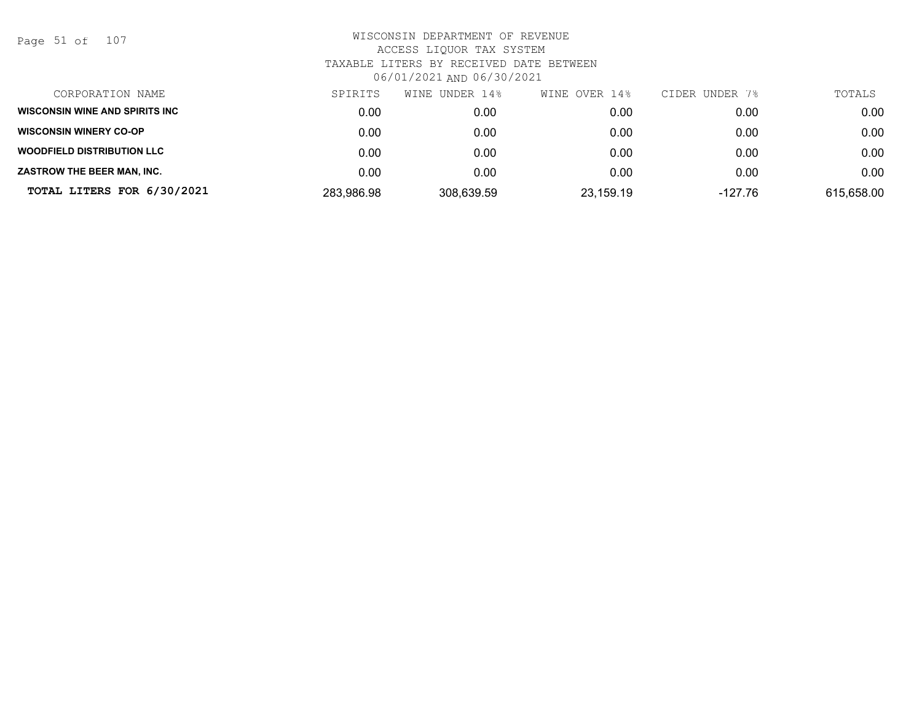Page 51 of 107

| CORPORATION NAME                      | SPIRITS    | WINE UNDER 14% | WINE OVER 14% | CIDER UNDER 7% | TOTALS     |
|---------------------------------------|------------|----------------|---------------|----------------|------------|
| <b>WISCONSIN WINE AND SPIRITS INC</b> | 0.00       | 0.00           | 0.00          | 0.00           | 0.00       |
| <b>WISCONSIN WINERY CO-OP</b>         | 0.00       | 0.00           | 0.00          | 0.00           | 0.00       |
| <b>WOODFIELD DISTRIBUTION LLC</b>     | 0.00       | 0.00           | 0.00          | 0.00           | 0.00       |
| ZASTROW THE BEER MAN, INC.            | 0.00       | 0.00           | 0.00          | 0.00           | 0.00       |
| TOTAL LITERS FOR 6/30/2021            | 283,986.98 | 308,639.59     | 23,159.19     | $-127.76$      | 615,658.00 |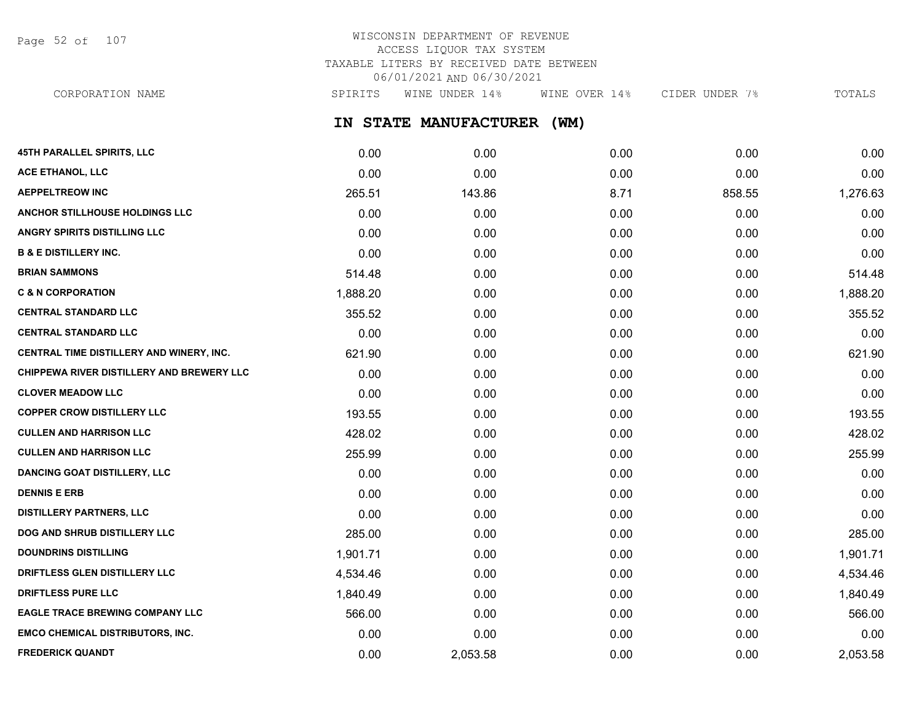Page 52 of 107

# WISCONSIN DEPARTMENT OF REVENUE ACCESS LIQUOR TAX SYSTEM TAXABLE LITERS BY RECEIVED DATE BETWEEN 06/01/2021 AND 06/30/2021

**IN STATE MANUFACTURER (WM)** CORPORATION NAME SPIRITS WINE UNDER 14% WINE OVER 14% CIDER UNDER 7% TOTALS

| <b>45TH PARALLEL SPIRITS, LLC</b>         | 0.00     | 0.00     | 0.00 | 0.00   | 0.00     |
|-------------------------------------------|----------|----------|------|--------|----------|
| ACE ETHANOL, LLC                          | 0.00     | 0.00     | 0.00 | 0.00   | 0.00     |
| <b>AEPPELTREOW INC</b>                    | 265.51   | 143.86   | 8.71 | 858.55 | 1,276.63 |
| ANCHOR STILLHOUSE HOLDINGS LLC            | 0.00     | 0.00     | 0.00 | 0.00   | 0.00     |
| ANGRY SPIRITS DISTILLING LLC              | 0.00     | 0.00     | 0.00 | 0.00   | 0.00     |
| <b>B &amp; E DISTILLERY INC.</b>          | 0.00     | 0.00     | 0.00 | 0.00   | 0.00     |
| <b>BRIAN SAMMONS</b>                      | 514.48   | 0.00     | 0.00 | 0.00   | 514.48   |
| <b>C &amp; N CORPORATION</b>              | 1,888.20 | 0.00     | 0.00 | 0.00   | 1,888.20 |
| <b>CENTRAL STANDARD LLC</b>               | 355.52   | 0.00     | 0.00 | 0.00   | 355.52   |
| <b>CENTRAL STANDARD LLC</b>               | 0.00     | 0.00     | 0.00 | 0.00   | 0.00     |
| CENTRAL TIME DISTILLERY AND WINERY, INC.  | 621.90   | 0.00     | 0.00 | 0.00   | 621.90   |
| CHIPPEWA RIVER DISTILLERY AND BREWERY LLC | 0.00     | 0.00     | 0.00 | 0.00   | 0.00     |
| <b>CLOVER MEADOW LLC</b>                  | 0.00     | 0.00     | 0.00 | 0.00   | 0.00     |
| <b>COPPER CROW DISTILLERY LLC</b>         | 193.55   | 0.00     | 0.00 | 0.00   | 193.55   |
| <b>CULLEN AND HARRISON LLC</b>            | 428.02   | 0.00     | 0.00 | 0.00   | 428.02   |
| <b>CULLEN AND HARRISON LLC</b>            | 255.99   | 0.00     | 0.00 | 0.00   | 255.99   |
| <b>DANCING GOAT DISTILLERY, LLC</b>       | 0.00     | 0.00     | 0.00 | 0.00   | 0.00     |
| <b>DENNIS E ERB</b>                       | 0.00     | 0.00     | 0.00 | 0.00   | 0.00     |
| <b>DISTILLERY PARTNERS, LLC</b>           | 0.00     | 0.00     | 0.00 | 0.00   | 0.00     |
| DOG AND SHRUB DISTILLERY LLC              | 285.00   | 0.00     | 0.00 | 0.00   | 285.00   |
| <b>DOUNDRINS DISTILLING</b>               | 1,901.71 | 0.00     | 0.00 | 0.00   | 1,901.71 |
| DRIFTLESS GLEN DISTILLERY LLC             | 4,534.46 | 0.00     | 0.00 | 0.00   | 4,534.46 |
| <b>DRIFTLESS PURE LLC</b>                 | 1,840.49 | 0.00     | 0.00 | 0.00   | 1,840.49 |
| <b>EAGLE TRACE BREWING COMPANY LLC</b>    | 566.00   | 0.00     | 0.00 | 0.00   | 566.00   |
| <b>EMCO CHEMICAL DISTRIBUTORS, INC.</b>   | 0.00     | 0.00     | 0.00 | 0.00   | 0.00     |
| <b>FREDERICK QUANDT</b>                   | 0.00     | 2,053.58 | 0.00 | 0.00   | 2,053.58 |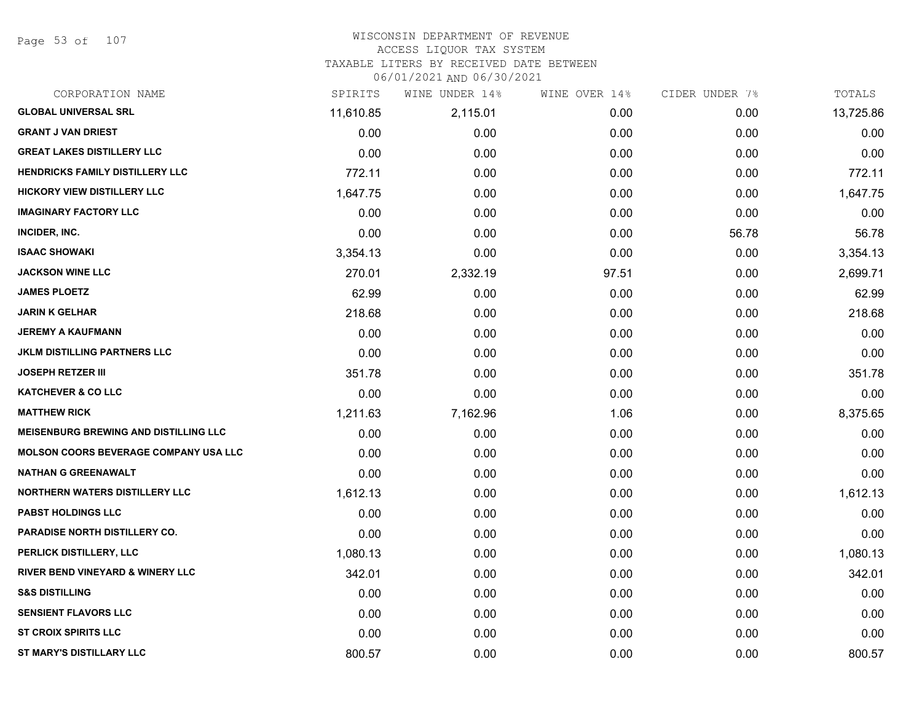Page 53 of 107

# WISCONSIN DEPARTMENT OF REVENUE ACCESS LIQUOR TAX SYSTEM TAXABLE LITERS BY RECEIVED DATE BETWEEN

| CORPORATION NAME                             | SPIRITS   | WINE UNDER 14% | WINE OVER 14% | CIDER UNDER 7% | TOTALS    |
|----------------------------------------------|-----------|----------------|---------------|----------------|-----------|
| <b>GLOBAL UNIVERSAL SRL</b>                  | 11,610.85 | 2,115.01       | 0.00          | 0.00           | 13,725.86 |
| <b>GRANT J VAN DRIEST</b>                    | 0.00      | 0.00           | 0.00          | 0.00           | 0.00      |
| <b>GREAT LAKES DISTILLERY LLC</b>            | 0.00      | 0.00           | 0.00          | 0.00           | 0.00      |
| <b>HENDRICKS FAMILY DISTILLERY LLC</b>       | 772.11    | 0.00           | 0.00          | 0.00           | 772.11    |
| <b>HICKORY VIEW DISTILLERY LLC</b>           | 1,647.75  | 0.00           | 0.00          | 0.00           | 1,647.75  |
| <b>IMAGINARY FACTORY LLC</b>                 | 0.00      | 0.00           | 0.00          | 0.00           | 0.00      |
| INCIDER, INC.                                | 0.00      | 0.00           | 0.00          | 56.78          | 56.78     |
| <b>ISAAC SHOWAKI</b>                         | 3,354.13  | 0.00           | 0.00          | 0.00           | 3,354.13  |
| <b>JACKSON WINE LLC</b>                      | 270.01    | 2,332.19       | 97.51         | 0.00           | 2,699.71  |
| <b>JAMES PLOETZ</b>                          | 62.99     | 0.00           | 0.00          | 0.00           | 62.99     |
| <b>JARIN K GELHAR</b>                        | 218.68    | 0.00           | 0.00          | 0.00           | 218.68    |
| <b>JEREMY A KAUFMANN</b>                     | 0.00      | 0.00           | 0.00          | 0.00           | 0.00      |
| JKLM DISTILLING PARTNERS LLC                 | 0.00      | 0.00           | 0.00          | 0.00           | 0.00      |
| <b>JOSEPH RETZER III</b>                     | 351.78    | 0.00           | 0.00          | 0.00           | 351.78    |
| <b>KATCHEVER &amp; CO LLC</b>                | 0.00      | 0.00           | 0.00          | 0.00           | 0.00      |
| <b>MATTHEW RICK</b>                          | 1,211.63  | 7,162.96       | 1.06          | 0.00           | 8,375.65  |
| <b>MEISENBURG BREWING AND DISTILLING LLC</b> | 0.00      | 0.00           | 0.00          | 0.00           | 0.00      |
| <b>MOLSON COORS BEVERAGE COMPANY USA LLC</b> | 0.00      | 0.00           | 0.00          | 0.00           | 0.00      |
| <b>NATHAN G GREENAWALT</b>                   | 0.00      | 0.00           | 0.00          | 0.00           | 0.00      |
| <b>NORTHERN WATERS DISTILLERY LLC</b>        | 1,612.13  | 0.00           | 0.00          | 0.00           | 1,612.13  |
| <b>PABST HOLDINGS LLC</b>                    | 0.00      | 0.00           | 0.00          | 0.00           | 0.00      |
| PARADISE NORTH DISTILLERY CO.                | 0.00      | 0.00           | 0.00          | 0.00           | 0.00      |
| PERLICK DISTILLERY, LLC                      | 1,080.13  | 0.00           | 0.00          | 0.00           | 1,080.13  |
| <b>RIVER BEND VINEYARD &amp; WINERY LLC</b>  | 342.01    | 0.00           | 0.00          | 0.00           | 342.01    |
| <b>S&amp;S DISTILLING</b>                    | 0.00      | 0.00           | 0.00          | 0.00           | 0.00      |
| <b>SENSIENT FLAVORS LLC</b>                  | 0.00      | 0.00           | 0.00          | 0.00           | 0.00      |
| <b>ST CROIX SPIRITS LLC</b>                  | 0.00      | 0.00           | 0.00          | 0.00           | 0.00      |
| <b>ST MARY'S DISTILLARY LLC</b>              | 800.57    | 0.00           | 0.00          | 0.00           | 800.57    |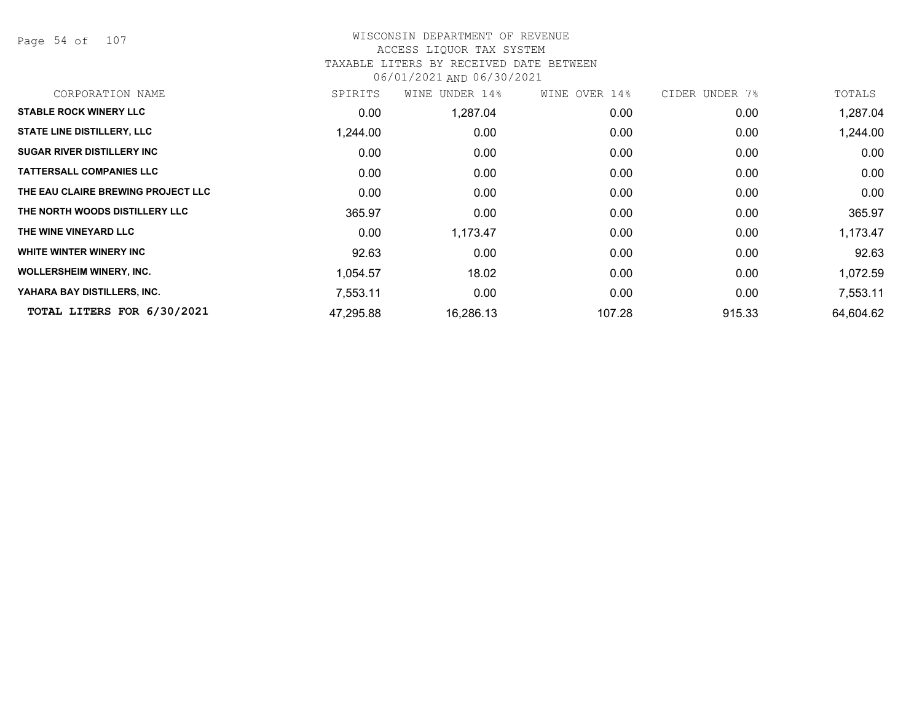Page 54 of 107

# WISCONSIN DEPARTMENT OF REVENUE ACCESS LIQUOR TAX SYSTEM TAXABLE LITERS BY RECEIVED DATE BETWEEN

| CORPORATION NAME                   | SPIRITS   | WINE UNDER 14% | WINE OVER 14% | CIDER UNDER 7% | TOTALS    |
|------------------------------------|-----------|----------------|---------------|----------------|-----------|
| <b>STABLE ROCK WINERY LLC</b>      | 0.00      | 1,287.04       | 0.00          | 0.00           | 1,287.04  |
| <b>STATE LINE DISTILLERY, LLC</b>  | 1,244.00  | 0.00           | 0.00          | 0.00           | 1,244.00  |
| <b>SUGAR RIVER DISTILLERY INC</b>  | 0.00      | 0.00           | 0.00          | 0.00           | 0.00      |
| <b>TATTERSALL COMPANIES LLC</b>    | 0.00      | 0.00           | 0.00          | 0.00           | 0.00      |
| THE EAU CLAIRE BREWING PROJECT LLC | 0.00      | 0.00           | 0.00          | 0.00           | 0.00      |
| THE NORTH WOODS DISTILLERY LLC     | 365.97    | 0.00           | 0.00          | 0.00           | 365.97    |
| THE WINE VINEYARD LLC              | 0.00      | 1,173.47       | 0.00          | 0.00           | 1,173.47  |
| WHITE WINTER WINERY INC            | 92.63     | 0.00           | 0.00          | 0.00           | 92.63     |
| <b>WOLLERSHEIM WINERY, INC.</b>    | 1,054.57  | 18.02          | 0.00          | 0.00           | 1,072.59  |
| YAHARA BAY DISTILLERS, INC.        | 7,553.11  | 0.00           | 0.00          | 0.00           | 7,553.11  |
| TOTAL LITERS FOR 6/30/2021         | 47,295.88 | 16,286.13      | 107.28        | 915.33         | 64,604.62 |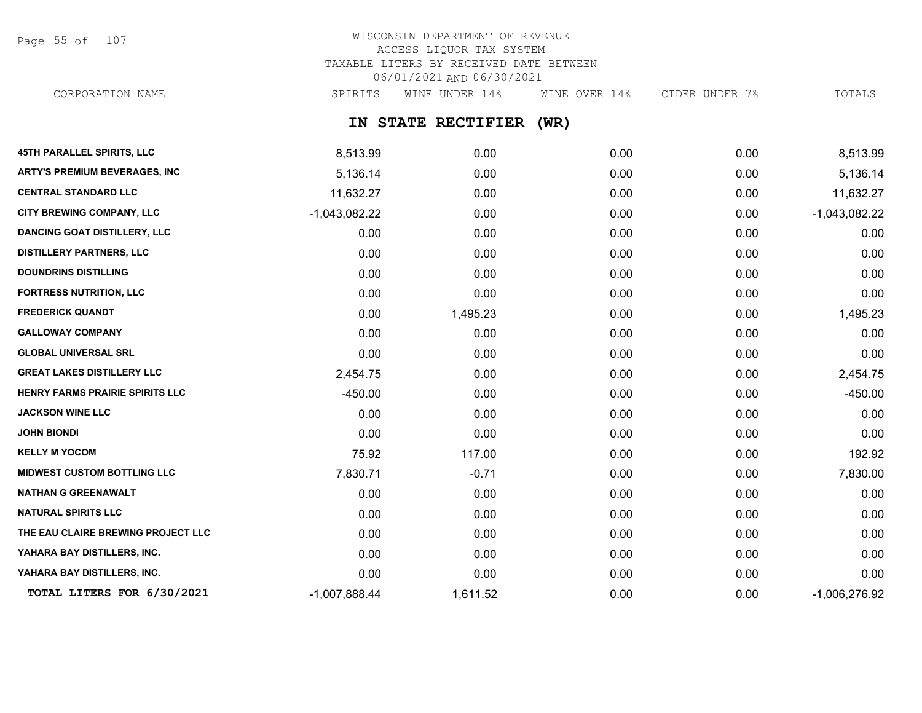Page 55 of 107

# WISCONSIN DEPARTMENT OF REVENUE ACCESS LIQUOR TAX SYSTEM TAXABLE LITERS BY RECEIVED DATE BETWEEN 06/01/2021 AND 06/30/2021

CORPORATION NAME SPIRITS WINE UNDER 14% WINE OVER 14% CIDER UNDER 7% TOTALS

# **IN STATE RECTIFIER (WR)**

| 45TH PARALLEL SPIRITS, LLC           | 8,513.99        | 0.00     | 0.00 | 0.00 | 8,513.99        |
|--------------------------------------|-----------------|----------|------|------|-----------------|
| <b>ARTY'S PREMIUM BEVERAGES, INC</b> | 5,136.14        | 0.00     | 0.00 | 0.00 | 5,136.14        |
| <b>CENTRAL STANDARD LLC</b>          | 11,632.27       | 0.00     | 0.00 | 0.00 | 11,632.27       |
| CITY BREWING COMPANY, LLC            | $-1,043,082.22$ | 0.00     | 0.00 | 0.00 | $-1,043,082.22$ |
| <b>DANCING GOAT DISTILLERY, LLC</b>  | 0.00            | 0.00     | 0.00 | 0.00 | 0.00            |
| <b>DISTILLERY PARTNERS, LLC</b>      | 0.00            | 0.00     | 0.00 | 0.00 | 0.00            |
| <b>DOUNDRINS DISTILLING</b>          | 0.00            | 0.00     | 0.00 | 0.00 | 0.00            |
| <b>FORTRESS NUTRITION, LLC</b>       | 0.00            | 0.00     | 0.00 | 0.00 | 0.00            |
| <b>FREDERICK QUANDT</b>              | 0.00            | 1,495.23 | 0.00 | 0.00 | 1,495.23        |
| <b>GALLOWAY COMPANY</b>              | 0.00            | 0.00     | 0.00 | 0.00 | 0.00            |
| <b>GLOBAL UNIVERSAL SRL</b>          | 0.00            | 0.00     | 0.00 | 0.00 | 0.00            |
| <b>GREAT LAKES DISTILLERY LLC</b>    | 2,454.75        | 0.00     | 0.00 | 0.00 | 2,454.75        |
| HENRY FARMS PRAIRIE SPIRITS LLC      | $-450.00$       | 0.00     | 0.00 | 0.00 | $-450.00$       |
| <b>JACKSON WINE LLC</b>              | 0.00            | 0.00     | 0.00 | 0.00 | 0.00            |
| <b>JOHN BIONDI</b>                   | 0.00            | 0.00     | 0.00 | 0.00 | 0.00            |
| <b>KELLY M YOCOM</b>                 | 75.92           | 117.00   | 0.00 | 0.00 | 192.92          |
| <b>MIDWEST CUSTOM BOTTLING LLC</b>   | 7,830.71        | $-0.71$  | 0.00 | 0.00 | 7,830.00        |
| <b>NATHAN G GREENAWALT</b>           | 0.00            | 0.00     | 0.00 | 0.00 | 0.00            |
| <b>NATURAL SPIRITS LLC</b>           | 0.00            | 0.00     | 0.00 | 0.00 | 0.00            |
| THE EAU CLAIRE BREWING PROJECT LLC   | 0.00            | 0.00     | 0.00 | 0.00 | 0.00            |
| YAHARA BAY DISTILLERS, INC.          | 0.00            | 0.00     | 0.00 | 0.00 | 0.00            |
| YAHARA BAY DISTILLERS, INC.          | 0.00            | 0.00     | 0.00 | 0.00 | 0.00            |
| TOTAL LITERS FOR 6/30/2021           | $-1,007,888.44$ | 1,611.52 | 0.00 | 0.00 | $-1,006,276.92$ |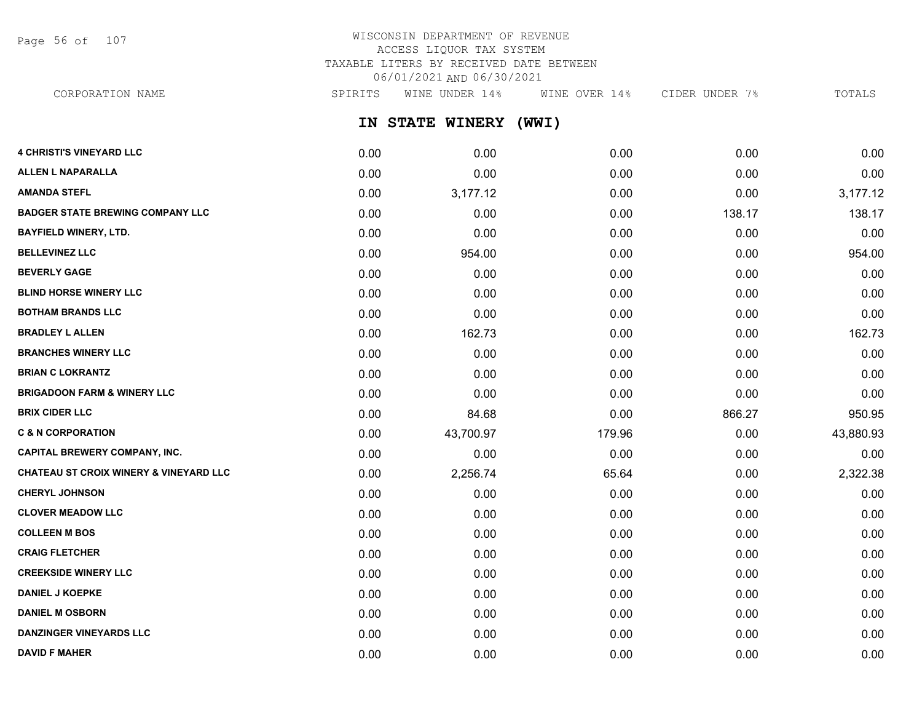Page 56 of 107

# WISCONSIN DEPARTMENT OF REVENUE ACCESS LIQUOR TAX SYSTEM TAXABLE LITERS BY RECEIVED DATE BETWEEN 06/01/2021 AND 06/30/2021

CORPORATION NAME SPIRITS WINE UNDER 14% WINE OVER 14% CIDER UNDER 7% TOTALS

**IN STATE WINERY (WWI)**

| <b>4 CHRISTI'S VINEYARD LLC</b>                   | 0.00 | 0.00      | 0.00   | 0.00   | 0.00      |
|---------------------------------------------------|------|-----------|--------|--------|-----------|
| <b>ALLEN L NAPARALLA</b>                          | 0.00 | 0.00      | 0.00   | 0.00   | 0.00      |
| <b>AMANDA STEFL</b>                               | 0.00 | 3,177.12  | 0.00   | 0.00   | 3,177.12  |
| <b>BADGER STATE BREWING COMPANY LLC</b>           | 0.00 | 0.00      | 0.00   | 138.17 | 138.17    |
| <b>BAYFIELD WINERY, LTD.</b>                      | 0.00 | 0.00      | 0.00   | 0.00   | 0.00      |
| <b>BELLEVINEZ LLC</b>                             | 0.00 | 954.00    | 0.00   | 0.00   | 954.00    |
| <b>BEVERLY GAGE</b>                               | 0.00 | 0.00      | 0.00   | 0.00   | 0.00      |
| <b>BLIND HORSE WINERY LLC</b>                     | 0.00 | 0.00      | 0.00   | 0.00   | 0.00      |
| <b>BOTHAM BRANDS LLC</b>                          | 0.00 | 0.00      | 0.00   | 0.00   | 0.00      |
| <b>BRADLEY L ALLEN</b>                            | 0.00 | 162.73    | 0.00   | 0.00   | 162.73    |
| <b>BRANCHES WINERY LLC</b>                        | 0.00 | 0.00      | 0.00   | 0.00   | 0.00      |
| <b>BRIAN C LOKRANTZ</b>                           | 0.00 | 0.00      | 0.00   | 0.00   | 0.00      |
| <b>BRIGADOON FARM &amp; WINERY LLC</b>            | 0.00 | 0.00      | 0.00   | 0.00   | 0.00      |
| <b>BRIX CIDER LLC</b>                             | 0.00 | 84.68     | 0.00   | 866.27 | 950.95    |
| <b>C &amp; N CORPORATION</b>                      | 0.00 | 43,700.97 | 179.96 | 0.00   | 43,880.93 |
| <b>CAPITAL BREWERY COMPANY, INC.</b>              | 0.00 | 0.00      | 0.00   | 0.00   | 0.00      |
| <b>CHATEAU ST CROIX WINERY &amp; VINEYARD LLC</b> | 0.00 | 2,256.74  | 65.64  | 0.00   | 2,322.38  |
| <b>CHERYL JOHNSON</b>                             | 0.00 | 0.00      | 0.00   | 0.00   | 0.00      |
| <b>CLOVER MEADOW LLC</b>                          | 0.00 | 0.00      | 0.00   | 0.00   | 0.00      |
| <b>COLLEEN M BOS</b>                              | 0.00 | 0.00      | 0.00   | 0.00   | 0.00      |
| <b>CRAIG FLETCHER</b>                             | 0.00 | 0.00      | 0.00   | 0.00   | 0.00      |
| <b>CREEKSIDE WINERY LLC</b>                       | 0.00 | 0.00      | 0.00   | 0.00   | 0.00      |
| <b>DANIEL J KOEPKE</b>                            | 0.00 | 0.00      | 0.00   | 0.00   | 0.00      |
| <b>DANIEL M OSBORN</b>                            | 0.00 | 0.00      | 0.00   | 0.00   | 0.00      |
| <b>DANZINGER VINEYARDS LLC</b>                    | 0.00 | 0.00      | 0.00   | 0.00   | 0.00      |
| <b>DAVID F MAHER</b>                              | 0.00 | 0.00      | 0.00   | 0.00   | 0.00      |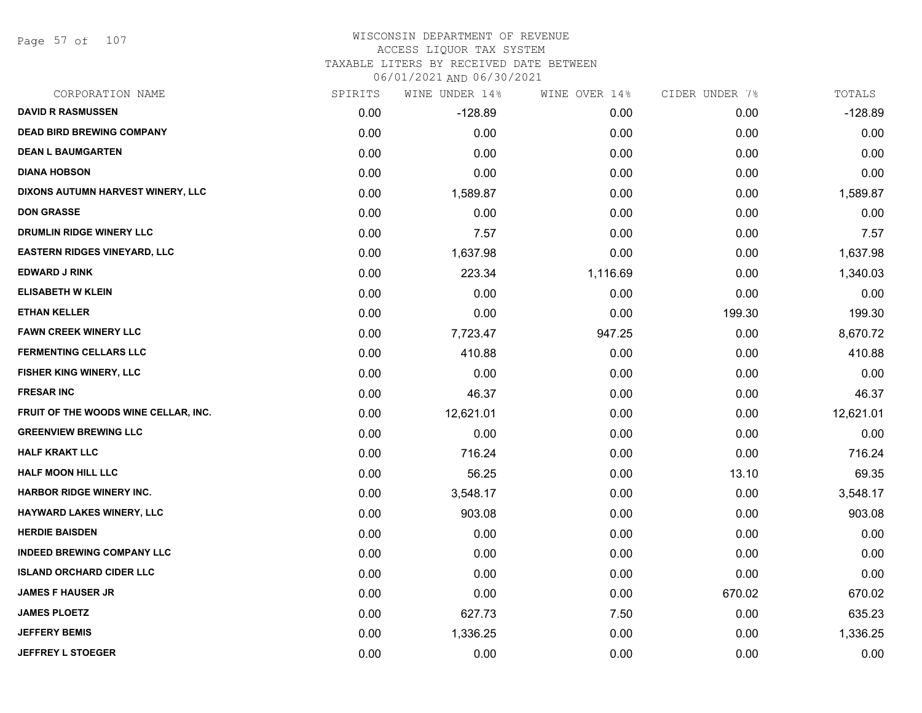Page 57 of 107

#### WISCONSIN DEPARTMENT OF REVENUE ACCESS LIQUOR TAX SYSTEM TAXABLE LITERS BY RECEIVED DATE BETWEEN

| CORPORATION NAME                     | SPIRITS | WINE UNDER 14% | WINE OVER 14% | CIDER UNDER 7% | TOTALS    |
|--------------------------------------|---------|----------------|---------------|----------------|-----------|
| <b>DAVID R RASMUSSEN</b>             | 0.00    | $-128.89$      | 0.00          | 0.00           | $-128.89$ |
| <b>DEAD BIRD BREWING COMPANY</b>     | 0.00    | 0.00           | 0.00          | 0.00           | 0.00      |
| <b>DEAN L BAUMGARTEN</b>             | 0.00    | 0.00           | 0.00          | 0.00           | 0.00      |
| <b>DIANA HOBSON</b>                  | 0.00    | 0.00           | 0.00          | 0.00           | 0.00      |
| DIXONS AUTUMN HARVEST WINERY, LLC    | 0.00    | 1,589.87       | 0.00          | 0.00           | 1,589.87  |
| <b>DON GRASSE</b>                    | 0.00    | 0.00           | 0.00          | 0.00           | 0.00      |
| DRUMLIN RIDGE WINERY LLC             | 0.00    | 7.57           | 0.00          | 0.00           | 7.57      |
| <b>EASTERN RIDGES VINEYARD, LLC</b>  | 0.00    | 1,637.98       | 0.00          | 0.00           | 1,637.98  |
| <b>EDWARD J RINK</b>                 | 0.00    | 223.34         | 1,116.69      | 0.00           | 1,340.03  |
| <b>ELISABETH W KLEIN</b>             | 0.00    | 0.00           | 0.00          | 0.00           | 0.00      |
| <b>ETHAN KELLER</b>                  | 0.00    | 0.00           | 0.00          | 199.30         | 199.30    |
| <b>FAWN CREEK WINERY LLC</b>         | 0.00    | 7,723.47       | 947.25        | 0.00           | 8,670.72  |
| <b>FERMENTING CELLARS LLC</b>        | 0.00    | 410.88         | 0.00          | 0.00           | 410.88    |
| FISHER KING WINERY, LLC              | 0.00    | 0.00           | 0.00          | 0.00           | 0.00      |
| <b>FRESAR INC</b>                    | 0.00    | 46.37          | 0.00          | 0.00           | 46.37     |
| FRUIT OF THE WOODS WINE CELLAR, INC. | 0.00    | 12,621.01      | 0.00          | 0.00           | 12,621.01 |
| <b>GREENVIEW BREWING LLC</b>         | 0.00    | 0.00           | 0.00          | 0.00           | 0.00      |
| <b>HALF KRAKT LLC</b>                | 0.00    | 716.24         | 0.00          | 0.00           | 716.24    |
| HALF MOON HILL LLC                   | 0.00    | 56.25          | 0.00          | 13.10          | 69.35     |
| <b>HARBOR RIDGE WINERY INC.</b>      | 0.00    | 3,548.17       | 0.00          | 0.00           | 3,548.17  |
| HAYWARD LAKES WINERY, LLC            | 0.00    | 903.08         | 0.00          | 0.00           | 903.08    |
| <b>HERDIE BAISDEN</b>                | 0.00    | 0.00           | 0.00          | 0.00           | 0.00      |
| <b>INDEED BREWING COMPANY LLC</b>    | 0.00    | 0.00           | 0.00          | 0.00           | 0.00      |
| <b>ISLAND ORCHARD CIDER LLC</b>      | 0.00    | 0.00           | 0.00          | 0.00           | 0.00      |
| <b>JAMES F HAUSER JR</b>             | 0.00    | 0.00           | 0.00          | 670.02         | 670.02    |
| <b>JAMES PLOETZ</b>                  | 0.00    | 627.73         | 7.50          | 0.00           | 635.23    |
| <b>JEFFERY BEMIS</b>                 | 0.00    | 1,336.25       | 0.00          | 0.00           | 1,336.25  |
| <b>JEFFREY L STOEGER</b>             | 0.00    | 0.00           | 0.00          | 0.00           | 0.00      |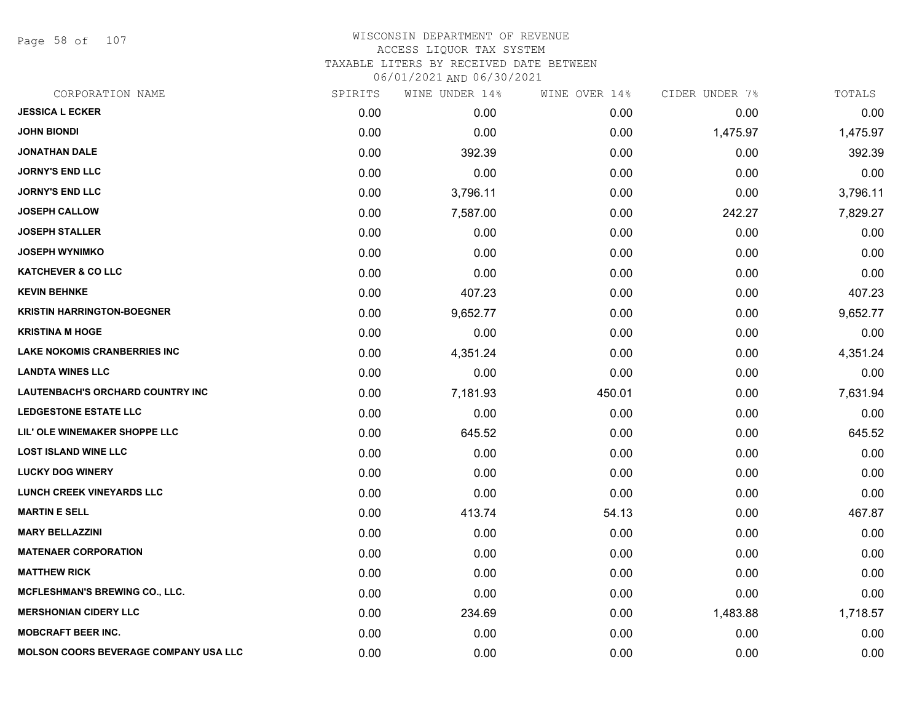Page 58 of 107

#### WISCONSIN DEPARTMENT OF REVENUE ACCESS LIQUOR TAX SYSTEM TAXABLE LITERS BY RECEIVED DATE BETWEEN

| CORPORATION NAME                             | SPIRITS | WINE UNDER 14% | WINE OVER 14% | CIDER UNDER 7% | TOTALS   |
|----------------------------------------------|---------|----------------|---------------|----------------|----------|
| <b>JESSICA L ECKER</b>                       | 0.00    | 0.00           | 0.00          | 0.00           | 0.00     |
| <b>JOHN BIONDI</b>                           | 0.00    | 0.00           | 0.00          | 1,475.97       | 1,475.97 |
| <b>JONATHAN DALE</b>                         | 0.00    | 392.39         | 0.00          | 0.00           | 392.39   |
| <b>JORNY'S END LLC</b>                       | 0.00    | 0.00           | 0.00          | 0.00           | 0.00     |
| <b>JORNY'S END LLC</b>                       | 0.00    | 3,796.11       | 0.00          | 0.00           | 3,796.11 |
| <b>JOSEPH CALLOW</b>                         | 0.00    | 7,587.00       | 0.00          | 242.27         | 7,829.27 |
| <b>JOSEPH STALLER</b>                        | 0.00    | 0.00           | 0.00          | 0.00           | 0.00     |
| <b>JOSEPH WYNIMKO</b>                        | 0.00    | 0.00           | 0.00          | 0.00           | 0.00     |
| <b>KATCHEVER &amp; CO LLC</b>                | 0.00    | 0.00           | 0.00          | 0.00           | 0.00     |
| <b>KEVIN BEHNKE</b>                          | 0.00    | 407.23         | 0.00          | 0.00           | 407.23   |
| <b>KRISTIN HARRINGTON-BOEGNER</b>            | 0.00    | 9,652.77       | 0.00          | 0.00           | 9,652.77 |
| <b>KRISTINA M HOGE</b>                       | 0.00    | 0.00           | 0.00          | 0.00           | 0.00     |
| <b>LAKE NOKOMIS CRANBERRIES INC</b>          | 0.00    | 4,351.24       | 0.00          | 0.00           | 4,351.24 |
| <b>LANDTA WINES LLC</b>                      | 0.00    | 0.00           | 0.00          | 0.00           | 0.00     |
| <b>LAUTENBACH'S ORCHARD COUNTRY INC</b>      | 0.00    | 7,181.93       | 450.01        | 0.00           | 7,631.94 |
| LEDGESTONE ESTATE LLC                        | 0.00    | 0.00           | 0.00          | 0.00           | 0.00     |
| LIL' OLE WINEMAKER SHOPPE LLC                | 0.00    | 645.52         | 0.00          | 0.00           | 645.52   |
| <b>LOST ISLAND WINE LLC</b>                  | 0.00    | 0.00           | 0.00          | 0.00           | 0.00     |
| <b>LUCKY DOG WINERY</b>                      | 0.00    | 0.00           | 0.00          | 0.00           | 0.00     |
| <b>LUNCH CREEK VINEYARDS LLC</b>             | 0.00    | 0.00           | 0.00          | 0.00           | 0.00     |
| <b>MARTIN E SELL</b>                         | 0.00    | 413.74         | 54.13         | 0.00           | 467.87   |
| <b>MARY BELLAZZINI</b>                       | 0.00    | 0.00           | 0.00          | 0.00           | 0.00     |
| <b>MATENAER CORPORATION</b>                  | 0.00    | 0.00           | 0.00          | 0.00           | 0.00     |
| <b>MATTHEW RICK</b>                          | 0.00    | 0.00           | 0.00          | 0.00           | 0.00     |
| MCFLESHMAN'S BREWING CO., LLC.               | 0.00    | 0.00           | 0.00          | 0.00           | 0.00     |
| <b>MERSHONIAN CIDERY LLC</b>                 | 0.00    | 234.69         | 0.00          | 1,483.88       | 1,718.57 |
| <b>MOBCRAFT BEER INC.</b>                    | 0.00    | 0.00           | 0.00          | 0.00           | 0.00     |
| <b>MOLSON COORS BEVERAGE COMPANY USA LLC</b> | 0.00    | 0.00           | 0.00          | 0.00           | 0.00     |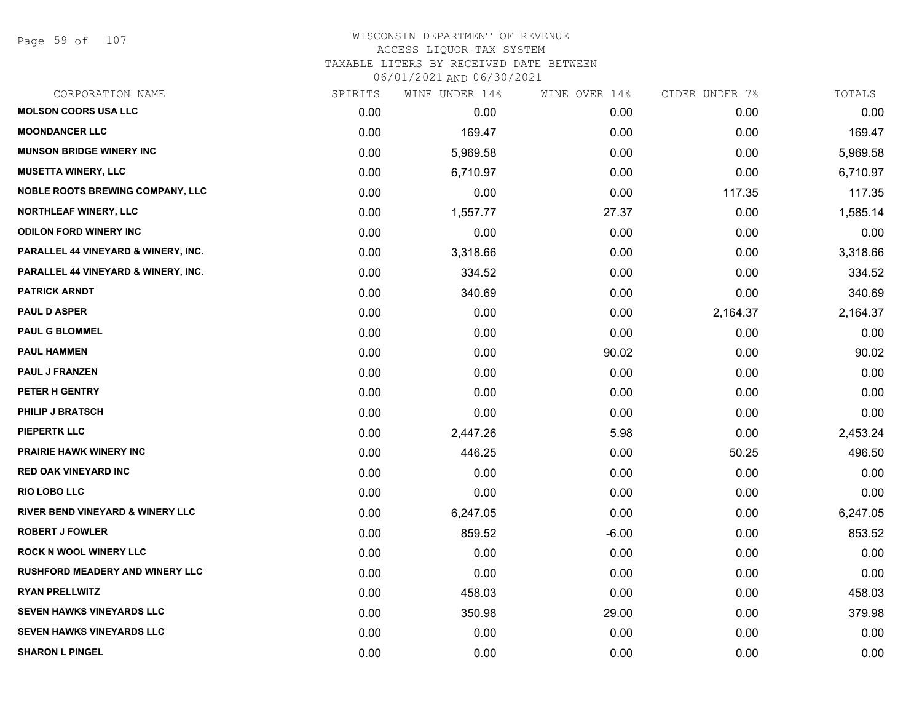Page 59 of 107

| CORPORATION NAME                            | SPIRITS | WINE UNDER 14% | WINE OVER 14% | CIDER UNDER 7% | TOTALS   |
|---------------------------------------------|---------|----------------|---------------|----------------|----------|
| <b>MOLSON COORS USA LLC</b>                 | 0.00    | 0.00           | 0.00          | 0.00           | 0.00     |
| <b>MOONDANCER LLC</b>                       | 0.00    | 169.47         | 0.00          | 0.00           | 169.47   |
| <b>MUNSON BRIDGE WINERY INC</b>             | 0.00    | 5,969.58       | 0.00          | 0.00           | 5,969.58 |
| <b>MUSETTA WINERY, LLC</b>                  | 0.00    | 6,710.97       | 0.00          | 0.00           | 6,710.97 |
| <b>NOBLE ROOTS BREWING COMPANY, LLC</b>     | 0.00    | 0.00           | 0.00          | 117.35         | 117.35   |
| NORTHLEAF WINERY, LLC                       | 0.00    | 1,557.77       | 27.37         | 0.00           | 1,585.14 |
| <b>ODILON FORD WINERY INC</b>               | 0.00    | 0.00           | 0.00          | 0.00           | 0.00     |
| PARALLEL 44 VINEYARD & WINERY, INC.         | 0.00    | 3,318.66       | 0.00          | 0.00           | 3,318.66 |
| PARALLEL 44 VINEYARD & WINERY, INC.         | 0.00    | 334.52         | 0.00          | 0.00           | 334.52   |
| <b>PATRICK ARNDT</b>                        | 0.00    | 340.69         | 0.00          | 0.00           | 340.69   |
| <b>PAUL D ASPER</b>                         | 0.00    | 0.00           | 0.00          | 2,164.37       | 2,164.37 |
| <b>PAUL G BLOMMEL</b>                       | 0.00    | 0.00           | 0.00          | 0.00           | 0.00     |
| <b>PAUL HAMMEN</b>                          | 0.00    | 0.00           | 90.02         | 0.00           | 90.02    |
| <b>PAUL J FRANZEN</b>                       | 0.00    | 0.00           | 0.00          | 0.00           | 0.00     |
| PETER H GENTRY                              | 0.00    | 0.00           | 0.00          | 0.00           | 0.00     |
| <b>PHILIP J BRATSCH</b>                     | 0.00    | 0.00           | 0.00          | 0.00           | 0.00     |
| <b>PIEPERTK LLC</b>                         | 0.00    | 2,447.26       | 5.98          | 0.00           | 2,453.24 |
| <b>PRAIRIE HAWK WINERY INC</b>              | 0.00    | 446.25         | 0.00          | 50.25          | 496.50   |
| <b>RED OAK VINEYARD INC</b>                 | 0.00    | 0.00           | 0.00          | 0.00           | 0.00     |
| <b>RIO LOBO LLC</b>                         | 0.00    | 0.00           | 0.00          | 0.00           | 0.00     |
| <b>RIVER BEND VINEYARD &amp; WINERY LLC</b> | 0.00    | 6,247.05       | 0.00          | 0.00           | 6,247.05 |
| <b>ROBERT J FOWLER</b>                      | 0.00    | 859.52         | $-6.00$       | 0.00           | 853.52   |
| <b>ROCK N WOOL WINERY LLC</b>               | 0.00    | 0.00           | 0.00          | 0.00           | 0.00     |
| <b>RUSHFORD MEADERY AND WINERY LLC</b>      | 0.00    | 0.00           | 0.00          | 0.00           | 0.00     |
| <b>RYAN PRELLWITZ</b>                       | 0.00    | 458.03         | 0.00          | 0.00           | 458.03   |
| <b>SEVEN HAWKS VINEYARDS LLC</b>            | 0.00    | 350.98         | 29.00         | 0.00           | 379.98   |
| <b>SEVEN HAWKS VINEYARDS LLC</b>            | 0.00    | 0.00           | 0.00          | 0.00           | 0.00     |
| <b>SHARON L PINGEL</b>                      | 0.00    | 0.00           | 0.00          | 0.00           | 0.00     |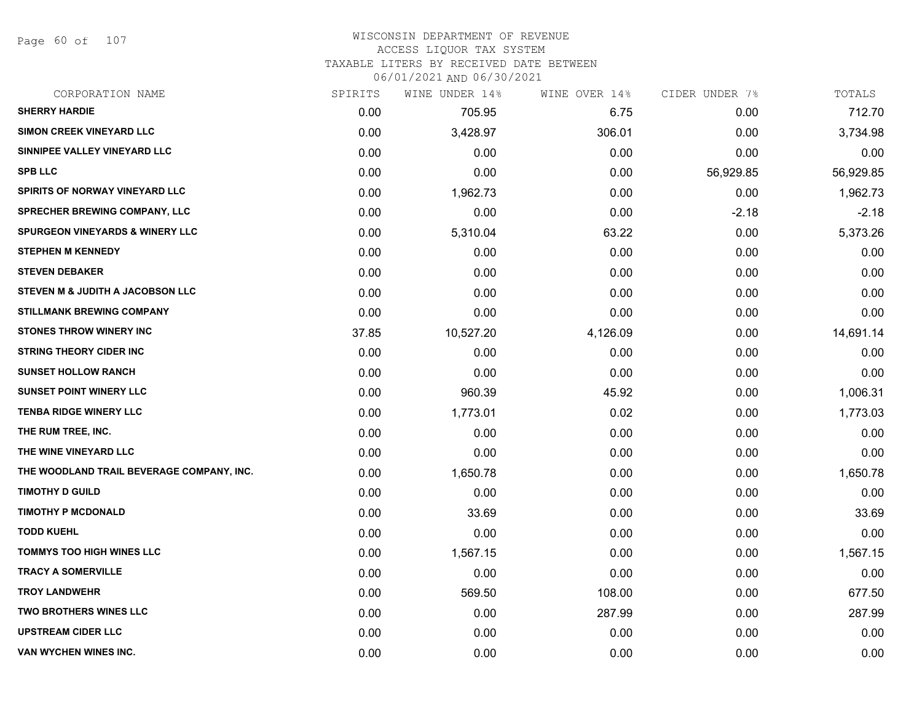Page 60 of 107

#### WISCONSIN DEPARTMENT OF REVENUE ACCESS LIQUOR TAX SYSTEM

TAXABLE LITERS BY RECEIVED DATE BETWEEN

| CORPORATION NAME                            | SPIRITS | WINE UNDER 14% | WINE OVER 14% | CIDER UNDER 7% | TOTALS    |
|---------------------------------------------|---------|----------------|---------------|----------------|-----------|
| <b>SHERRY HARDIE</b>                        | 0.00    | 705.95         | 6.75          | 0.00           | 712.70    |
| SIMON CREEK VINEYARD LLC                    | 0.00    | 3,428.97       | 306.01        | 0.00           | 3,734.98  |
| SINNIPEE VALLEY VINEYARD LLC                | 0.00    | 0.00           | 0.00          | 0.00           | 0.00      |
| <b>SPB LLC</b>                              | 0.00    | 0.00           | 0.00          | 56,929.85      | 56,929.85 |
| SPIRITS OF NORWAY VINEYARD LLC              | 0.00    | 1,962.73       | 0.00          | 0.00           | 1,962.73  |
| <b>SPRECHER BREWING COMPANY, LLC</b>        | 0.00    | 0.00           | 0.00          | $-2.18$        | $-2.18$   |
| <b>SPURGEON VINEYARDS &amp; WINERY LLC</b>  | 0.00    | 5,310.04       | 63.22         | 0.00           | 5,373.26  |
| <b>STEPHEN M KENNEDY</b>                    | 0.00    | 0.00           | 0.00          | 0.00           | 0.00      |
| <b>STEVEN DEBAKER</b>                       | 0.00    | 0.00           | 0.00          | 0.00           | 0.00      |
| <b>STEVEN M &amp; JUDITH A JACOBSON LLC</b> | 0.00    | 0.00           | 0.00          | 0.00           | 0.00      |
| <b>STILLMANK BREWING COMPANY</b>            | 0.00    | 0.00           | 0.00          | 0.00           | 0.00      |
| <b>STONES THROW WINERY INC</b>              | 37.85   | 10,527.20      | 4,126.09      | 0.00           | 14,691.14 |
| <b>STRING THEORY CIDER INC</b>              | 0.00    | 0.00           | 0.00          | 0.00           | 0.00      |
| <b>SUNSET HOLLOW RANCH</b>                  | 0.00    | 0.00           | 0.00          | 0.00           | 0.00      |
| <b>SUNSET POINT WINERY LLC</b>              | 0.00    | 960.39         | 45.92         | 0.00           | 1,006.31  |
| <b>TENBA RIDGE WINERY LLC</b>               | 0.00    | 1,773.01       | 0.02          | 0.00           | 1,773.03  |
| THE RUM TREE, INC.                          | 0.00    | 0.00           | 0.00          | 0.00           | 0.00      |
| THE WINE VINEYARD LLC                       | 0.00    | 0.00           | 0.00          | 0.00           | 0.00      |
| THE WOODLAND TRAIL BEVERAGE COMPANY, INC.   | 0.00    | 1,650.78       | 0.00          | 0.00           | 1,650.78  |
| <b>TIMOTHY D GUILD</b>                      | 0.00    | 0.00           | 0.00          | 0.00           | 0.00      |
| <b>TIMOTHY P MCDONALD</b>                   | 0.00    | 33.69          | 0.00          | 0.00           | 33.69     |
| <b>TODD KUEHL</b>                           | 0.00    | 0.00           | 0.00          | 0.00           | 0.00      |
| <b>TOMMYS TOO HIGH WINES LLC</b>            | 0.00    | 1,567.15       | 0.00          | 0.00           | 1,567.15  |
| <b>TRACY A SOMERVILLE</b>                   | 0.00    | 0.00           | 0.00          | 0.00           | 0.00      |
| <b>TROY LANDWEHR</b>                        | 0.00    | 569.50         | 108.00        | 0.00           | 677.50    |
| <b>TWO BROTHERS WINES LLC</b>               | 0.00    | 0.00           | 287.99        | 0.00           | 287.99    |
| <b>UPSTREAM CIDER LLC</b>                   | 0.00    | 0.00           | 0.00          | 0.00           | 0.00      |
| VAN WYCHEN WINES INC.                       | 0.00    | 0.00           | 0.00          | 0.00           | 0.00      |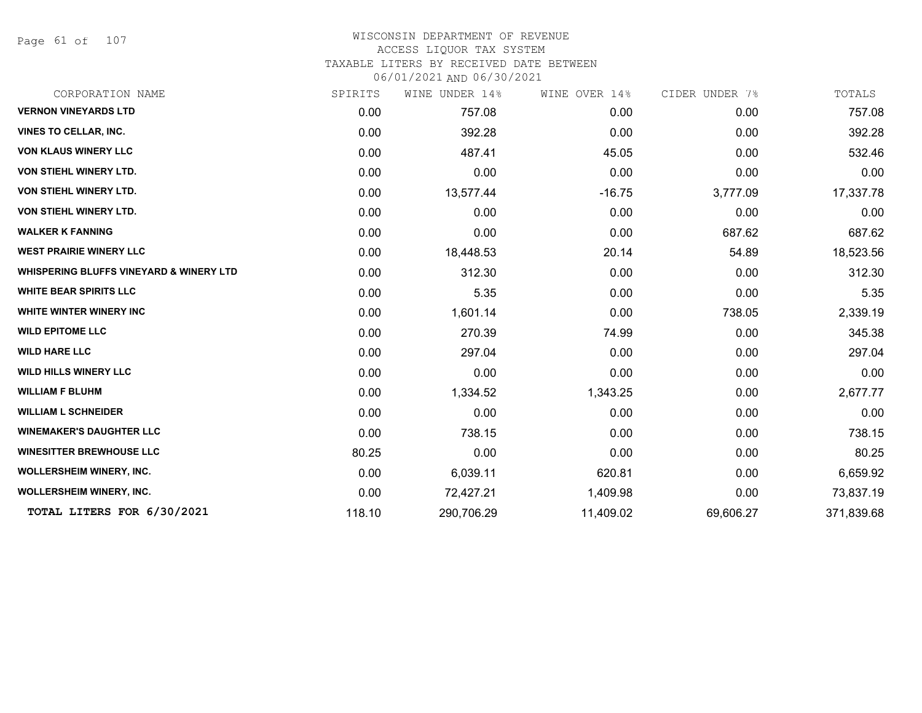Page 61 of 107

# WISCONSIN DEPARTMENT OF REVENUE ACCESS LIQUOR TAX SYSTEM

TAXABLE LITERS BY RECEIVED DATE BETWEEN

| CORPORATION NAME                                   | SPIRITS | WINE UNDER 14% | WINE OVER 14% | CIDER UNDER 7% | TOTALS     |
|----------------------------------------------------|---------|----------------|---------------|----------------|------------|
| <b>VERNON VINEYARDS LTD</b>                        | 0.00    | 757.08         | 0.00          | 0.00           | 757.08     |
| <b>VINES TO CELLAR, INC.</b>                       | 0.00    | 392.28         | 0.00          | 0.00           | 392.28     |
| <b>VON KLAUS WINERY LLC</b>                        | 0.00    | 487.41         | 45.05         | 0.00           | 532.46     |
| VON STIEHL WINERY LTD.                             | 0.00    | 0.00           | 0.00          | 0.00           | 0.00       |
| VON STIEHL WINERY LTD.                             | 0.00    | 13,577.44      | $-16.75$      | 3,777.09       | 17,337.78  |
| VON STIEHL WINERY LTD.                             | 0.00    | 0.00           | 0.00          | 0.00           | 0.00       |
| <b>WALKER K FANNING</b>                            | 0.00    | 0.00           | 0.00          | 687.62         | 687.62     |
| <b>WEST PRAIRIE WINERY LLC</b>                     | 0.00    | 18,448.53      | 20.14         | 54.89          | 18,523.56  |
| <b>WHISPERING BLUFFS VINEYARD &amp; WINERY LTD</b> | 0.00    | 312.30         | 0.00          | 0.00           | 312.30     |
| <b>WHITE BEAR SPIRITS LLC</b>                      | 0.00    | 5.35           | 0.00          | 0.00           | 5.35       |
| <b>WHITE WINTER WINERY INC</b>                     | 0.00    | 1,601.14       | 0.00          | 738.05         | 2,339.19   |
| <b>WILD EPITOME LLC</b>                            | 0.00    | 270.39         | 74.99         | 0.00           | 345.38     |
| <b>WILD HARE LLC</b>                               | 0.00    | 297.04         | 0.00          | 0.00           | 297.04     |
| <b>WILD HILLS WINERY LLC</b>                       | 0.00    | 0.00           | 0.00          | 0.00           | 0.00       |
| <b>WILLIAM F BLUHM</b>                             | 0.00    | 1,334.52       | 1,343.25      | 0.00           | 2,677.77   |
| <b>WILLIAM L SCHNEIDER</b>                         | 0.00    | 0.00           | 0.00          | 0.00           | 0.00       |
| <b>WINEMAKER'S DAUGHTER LLC</b>                    | 0.00    | 738.15         | 0.00          | 0.00           | 738.15     |
| <b>WINESITTER BREWHOUSE LLC</b>                    | 80.25   | 0.00           | 0.00          | 0.00           | 80.25      |
| <b>WOLLERSHEIM WINERY, INC.</b>                    | 0.00    | 6,039.11       | 620.81        | 0.00           | 6,659.92   |
| <b>WOLLERSHEIM WINERY, INC.</b>                    | 0.00    | 72,427.21      | 1,409.98      | 0.00           | 73,837.19  |
| TOTAL LITERS FOR 6/30/2021                         | 118.10  | 290,706.29     | 11,409.02     | 69,606.27      | 371,839.68 |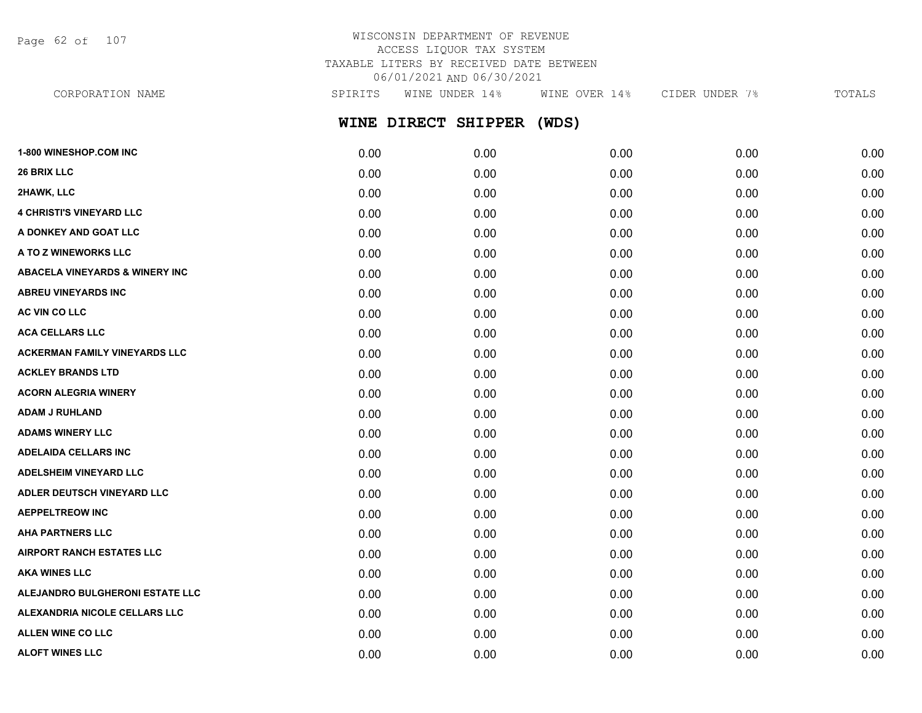Page 62 of 107

# WISCONSIN DEPARTMENT OF REVENUE ACCESS LIQUOR TAX SYSTEM TAXABLE LITERS BY RECEIVED DATE BETWEEN 06/01/2021 AND 06/30/2021

CORPORATION NAME SPIRITS WINE UNDER 14% WINE OVER 14% CIDER UNDER 7% TOTALS

**WINE DIRECT SHIPPER (WDS)**

| 1-800 WINESHOP.COM INC                    | 0.00 | 0.00 | 0.00 | 0.00 | 0.00 |
|-------------------------------------------|------|------|------|------|------|
| 26 BRIX LLC                               | 0.00 | 0.00 | 0.00 | 0.00 | 0.00 |
| 2HAWK, LLC                                | 0.00 | 0.00 | 0.00 | 0.00 | 0.00 |
| <b>4 CHRISTI'S VINEYARD LLC</b>           | 0.00 | 0.00 | 0.00 | 0.00 | 0.00 |
| A DONKEY AND GOAT LLC                     | 0.00 | 0.00 | 0.00 | 0.00 | 0.00 |
| A TO Z WINEWORKS LLC                      | 0.00 | 0.00 | 0.00 | 0.00 | 0.00 |
| <b>ABACELA VINEYARDS &amp; WINERY INC</b> | 0.00 | 0.00 | 0.00 | 0.00 | 0.00 |
| <b>ABREU VINEYARDS INC</b>                | 0.00 | 0.00 | 0.00 | 0.00 | 0.00 |
| AC VIN CO LLC                             | 0.00 | 0.00 | 0.00 | 0.00 | 0.00 |
| <b>ACA CELLARS LLC</b>                    | 0.00 | 0.00 | 0.00 | 0.00 | 0.00 |
| <b>ACKERMAN FAMILY VINEYARDS LLC</b>      | 0.00 | 0.00 | 0.00 | 0.00 | 0.00 |
| <b>ACKLEY BRANDS LTD</b>                  | 0.00 | 0.00 | 0.00 | 0.00 | 0.00 |
| <b>ACORN ALEGRIA WINERY</b>               | 0.00 | 0.00 | 0.00 | 0.00 | 0.00 |
| <b>ADAM J RUHLAND</b>                     | 0.00 | 0.00 | 0.00 | 0.00 | 0.00 |
| <b>ADAMS WINERY LLC</b>                   | 0.00 | 0.00 | 0.00 | 0.00 | 0.00 |
| <b>ADELAIDA CELLARS INC</b>               | 0.00 | 0.00 | 0.00 | 0.00 | 0.00 |
| <b>ADELSHEIM VINEYARD LLC</b>             | 0.00 | 0.00 | 0.00 | 0.00 | 0.00 |
| ADLER DEUTSCH VINEYARD LLC                | 0.00 | 0.00 | 0.00 | 0.00 | 0.00 |
| <b>AEPPELTREOW INC</b>                    | 0.00 | 0.00 | 0.00 | 0.00 | 0.00 |
| <b>AHA PARTNERS LLC</b>                   | 0.00 | 0.00 | 0.00 | 0.00 | 0.00 |
| <b>AIRPORT RANCH ESTATES LLC</b>          | 0.00 | 0.00 | 0.00 | 0.00 | 0.00 |
| <b>AKA WINES LLC</b>                      | 0.00 | 0.00 | 0.00 | 0.00 | 0.00 |
| ALEJANDRO BULGHERONI ESTATE LLC           | 0.00 | 0.00 | 0.00 | 0.00 | 0.00 |
| ALEXANDRIA NICOLE CELLARS LLC             | 0.00 | 0.00 | 0.00 | 0.00 | 0.00 |
| <b>ALLEN WINE CO LLC</b>                  | 0.00 | 0.00 | 0.00 | 0.00 | 0.00 |
| <b>ALOFT WINES LLC</b>                    | 0.00 | 0.00 | 0.00 | 0.00 | 0.00 |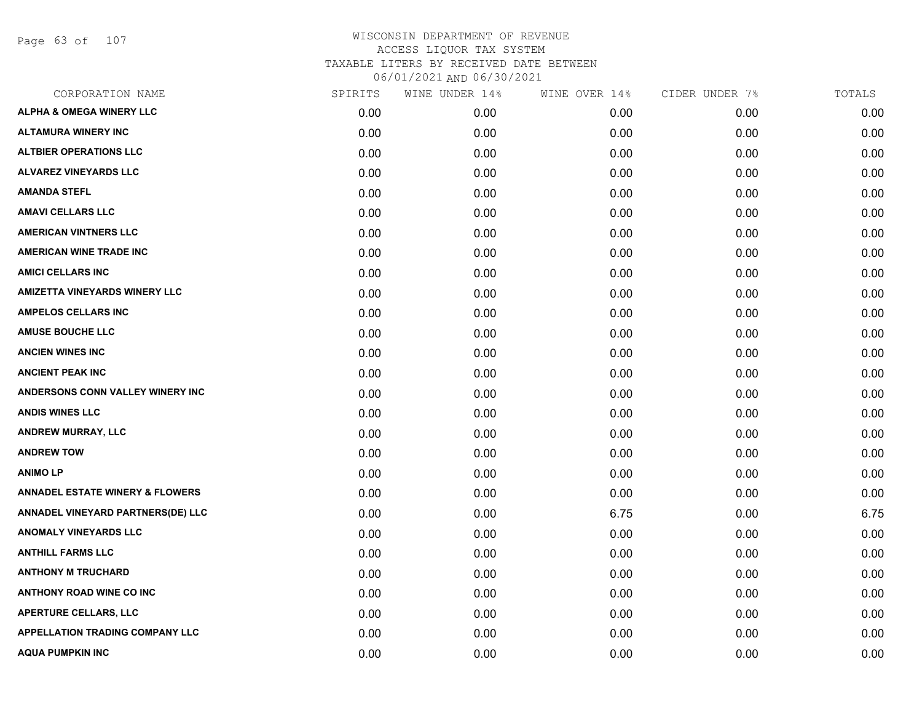Page 63 of 107

| CORPORATION NAME                           | SPIRITS | WINE UNDER 14% | WINE OVER 14% | CIDER UNDER 7% | TOTALS |
|--------------------------------------------|---------|----------------|---------------|----------------|--------|
| <b>ALPHA &amp; OMEGA WINERY LLC</b>        | 0.00    | 0.00           | 0.00          | 0.00           | 0.00   |
| <b>ALTAMURA WINERY INC</b>                 | 0.00    | 0.00           | 0.00          | 0.00           | 0.00   |
| <b>ALTBIER OPERATIONS LLC</b>              | 0.00    | 0.00           | 0.00          | 0.00           | 0.00   |
| <b>ALVAREZ VINEYARDS LLC</b>               | 0.00    | 0.00           | 0.00          | 0.00           | 0.00   |
| <b>AMANDA STEFL</b>                        | 0.00    | 0.00           | 0.00          | 0.00           | 0.00   |
| <b>AMAVI CELLARS LLC</b>                   | 0.00    | 0.00           | 0.00          | 0.00           | 0.00   |
| <b>AMERICAN VINTNERS LLC</b>               | 0.00    | 0.00           | 0.00          | 0.00           | 0.00   |
| <b>AMERICAN WINE TRADE INC</b>             | 0.00    | 0.00           | 0.00          | 0.00           | 0.00   |
| <b>AMICI CELLARS INC</b>                   | 0.00    | 0.00           | 0.00          | 0.00           | 0.00   |
| <b>AMIZETTA VINEYARDS WINERY LLC</b>       | 0.00    | 0.00           | 0.00          | 0.00           | 0.00   |
| <b>AMPELOS CELLARS INC</b>                 | 0.00    | 0.00           | 0.00          | 0.00           | 0.00   |
| <b>AMUSE BOUCHE LLC</b>                    | 0.00    | 0.00           | 0.00          | 0.00           | 0.00   |
| <b>ANCIEN WINES INC</b>                    | 0.00    | 0.00           | 0.00          | 0.00           | 0.00   |
| <b>ANCIENT PEAK INC</b>                    | 0.00    | 0.00           | 0.00          | 0.00           | 0.00   |
| ANDERSONS CONN VALLEY WINERY INC           | 0.00    | 0.00           | 0.00          | 0.00           | 0.00   |
| <b>ANDIS WINES LLC</b>                     | 0.00    | 0.00           | 0.00          | 0.00           | 0.00   |
| <b>ANDREW MURRAY, LLC</b>                  | 0.00    | 0.00           | 0.00          | 0.00           | 0.00   |
| <b>ANDREW TOW</b>                          | 0.00    | 0.00           | 0.00          | 0.00           | 0.00   |
| <b>ANIMOLP</b>                             | 0.00    | 0.00           | 0.00          | 0.00           | 0.00   |
| <b>ANNADEL ESTATE WINERY &amp; FLOWERS</b> | 0.00    | 0.00           | 0.00          | 0.00           | 0.00   |
| ANNADEL VINEYARD PARTNERS(DE) LLC          | 0.00    | 0.00           | 6.75          | 0.00           | 6.75   |
| <b>ANOMALY VINEYARDS LLC</b>               | 0.00    | 0.00           | 0.00          | 0.00           | 0.00   |
| <b>ANTHILL FARMS LLC</b>                   | 0.00    | 0.00           | 0.00          | 0.00           | 0.00   |
| <b>ANTHONY M TRUCHARD</b>                  | 0.00    | 0.00           | 0.00          | 0.00           | 0.00   |
| <b>ANTHONY ROAD WINE CO INC</b>            | 0.00    | 0.00           | 0.00          | 0.00           | 0.00   |
| <b>APERTURE CELLARS, LLC</b>               | 0.00    | 0.00           | 0.00          | 0.00           | 0.00   |
| <b>APPELLATION TRADING COMPANY LLC</b>     | 0.00    | 0.00           | 0.00          | 0.00           | 0.00   |
| <b>AQUA PUMPKIN INC</b>                    | 0.00    | 0.00           | 0.00          | 0.00           | 0.00   |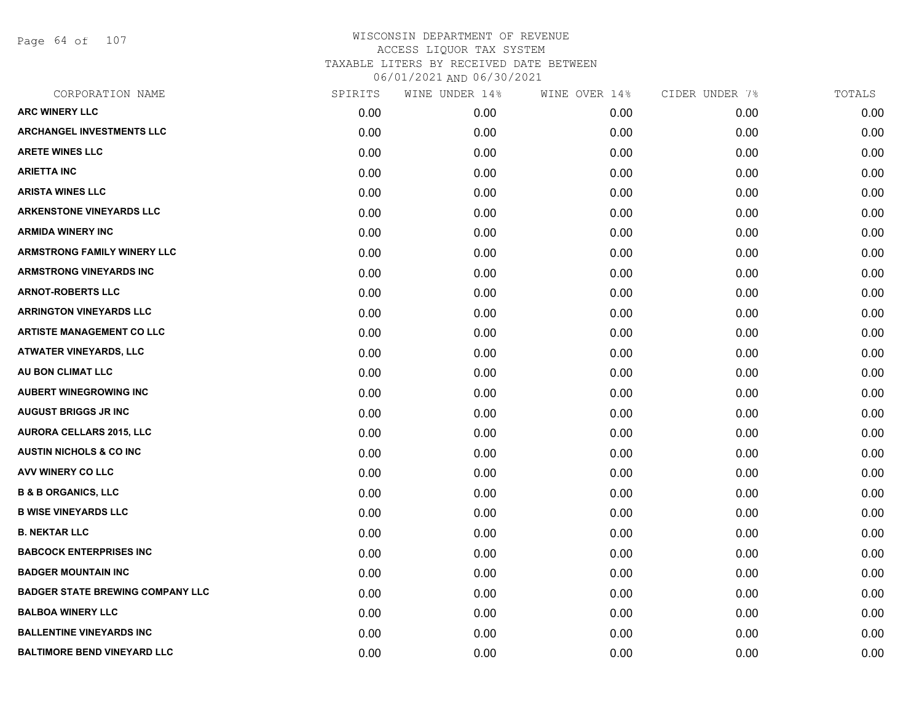Page 64 of 107

| CORPORATION NAME                        | SPIRITS | WINE UNDER 14% | WINE OVER 14% | CIDER UNDER 7% | TOTALS |
|-----------------------------------------|---------|----------------|---------------|----------------|--------|
| <b>ARC WINERY LLC</b>                   | 0.00    | 0.00           | 0.00          | 0.00           | 0.00   |
| <b>ARCHANGEL INVESTMENTS LLC</b>        | 0.00    | 0.00           | 0.00          | 0.00           | 0.00   |
| <b>ARETE WINES LLC</b>                  | 0.00    | 0.00           | 0.00          | 0.00           | 0.00   |
| <b>ARIETTA INC</b>                      | 0.00    | 0.00           | 0.00          | 0.00           | 0.00   |
| <b>ARISTA WINES LLC</b>                 | 0.00    | 0.00           | 0.00          | 0.00           | 0.00   |
| <b>ARKENSTONE VINEYARDS LLC</b>         | 0.00    | 0.00           | 0.00          | 0.00           | 0.00   |
| <b>ARMIDA WINERY INC</b>                | 0.00    | 0.00           | 0.00          | 0.00           | 0.00   |
| <b>ARMSTRONG FAMILY WINERY LLC</b>      | 0.00    | 0.00           | 0.00          | 0.00           | 0.00   |
| <b>ARMSTRONG VINEYARDS INC</b>          | 0.00    | 0.00           | 0.00          | 0.00           | 0.00   |
| <b>ARNOT-ROBERTS LLC</b>                | 0.00    | 0.00           | 0.00          | 0.00           | 0.00   |
| <b>ARRINGTON VINEYARDS LLC</b>          | 0.00    | 0.00           | 0.00          | 0.00           | 0.00   |
| <b>ARTISTE MANAGEMENT CO LLC</b>        | 0.00    | 0.00           | 0.00          | 0.00           | 0.00   |
| <b>ATWATER VINEYARDS, LLC</b>           | 0.00    | 0.00           | 0.00          | 0.00           | 0.00   |
| AU BON CLIMAT LLC                       | 0.00    | 0.00           | 0.00          | 0.00           | 0.00   |
| <b>AUBERT WINEGROWING INC</b>           | 0.00    | 0.00           | 0.00          | 0.00           | 0.00   |
| <b>AUGUST BRIGGS JR INC</b>             | 0.00    | 0.00           | 0.00          | 0.00           | 0.00   |
| <b>AURORA CELLARS 2015, LLC</b>         | 0.00    | 0.00           | 0.00          | 0.00           | 0.00   |
| <b>AUSTIN NICHOLS &amp; CO INC.</b>     | 0.00    | 0.00           | 0.00          | 0.00           | 0.00   |
| AVV WINERY CO LLC                       | 0.00    | 0.00           | 0.00          | 0.00           | 0.00   |
| <b>B &amp; B ORGANICS, LLC</b>          | 0.00    | 0.00           | 0.00          | 0.00           | 0.00   |
| <b>B WISE VINEYARDS LLC</b>             | 0.00    | 0.00           | 0.00          | 0.00           | 0.00   |
| <b>B. NEKTAR LLC</b>                    | 0.00    | 0.00           | 0.00          | 0.00           | 0.00   |
| <b>BABCOCK ENTERPRISES INC</b>          | 0.00    | 0.00           | 0.00          | 0.00           | 0.00   |
| <b>BADGER MOUNTAIN INC</b>              | 0.00    | 0.00           | 0.00          | 0.00           | 0.00   |
| <b>BADGER STATE BREWING COMPANY LLC</b> | 0.00    | 0.00           | 0.00          | 0.00           | 0.00   |
| <b>BALBOA WINERY LLC</b>                | 0.00    | 0.00           | 0.00          | 0.00           | 0.00   |
| <b>BALLENTINE VINEYARDS INC</b>         | 0.00    | 0.00           | 0.00          | 0.00           | 0.00   |
| <b>BALTIMORE BEND VINEYARD LLC</b>      | 0.00    | 0.00           | 0.00          | 0.00           | 0.00   |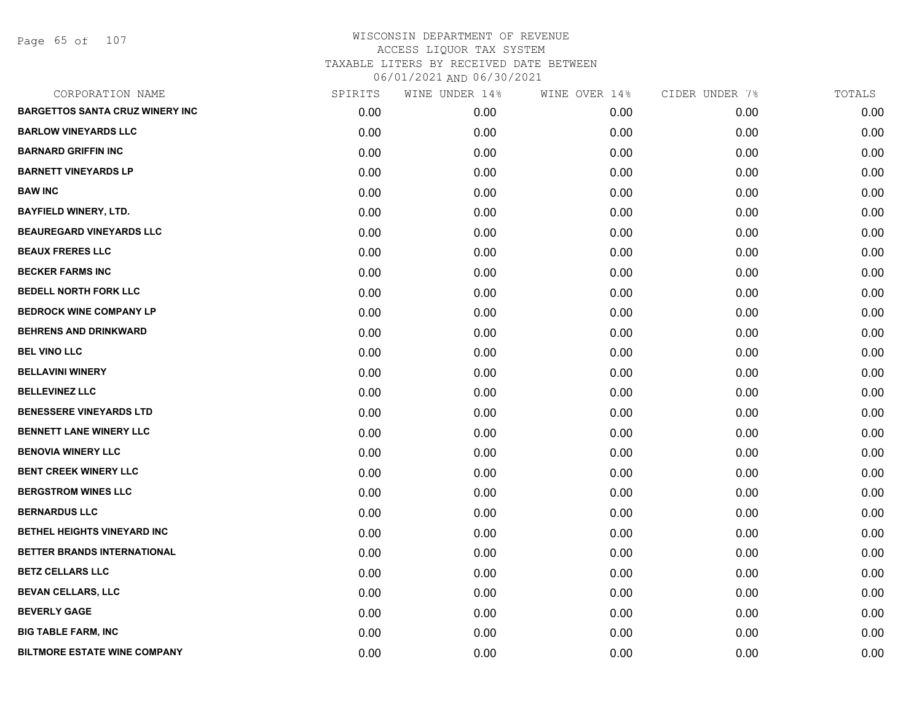Page 65 of 107

| CORPORATION NAME                       | SPIRITS | WINE UNDER 14% | WINE OVER 14% | CIDER UNDER 7% | TOTALS |
|----------------------------------------|---------|----------------|---------------|----------------|--------|
| <b>BARGETTOS SANTA CRUZ WINERY INC</b> | 0.00    | 0.00           | 0.00          | 0.00           | 0.00   |
| <b>BARLOW VINEYARDS LLC</b>            | 0.00    | 0.00           | 0.00          | 0.00           | 0.00   |
| <b>BARNARD GRIFFIN INC</b>             | 0.00    | 0.00           | 0.00          | 0.00           | 0.00   |
| <b>BARNETT VINEYARDS LP</b>            | 0.00    | 0.00           | 0.00          | 0.00           | 0.00   |
| <b>BAW INC</b>                         | 0.00    | 0.00           | 0.00          | 0.00           | 0.00   |
| <b>BAYFIELD WINERY, LTD.</b>           | 0.00    | 0.00           | 0.00          | 0.00           | 0.00   |
| <b>BEAUREGARD VINEYARDS LLC</b>        | 0.00    | 0.00           | 0.00          | 0.00           | 0.00   |
| <b>BEAUX FRERES LLC</b>                | 0.00    | 0.00           | 0.00          | 0.00           | 0.00   |
| <b>BECKER FARMS INC</b>                | 0.00    | 0.00           | 0.00          | 0.00           | 0.00   |
| <b>BEDELL NORTH FORK LLC</b>           | 0.00    | 0.00           | 0.00          | 0.00           | 0.00   |
| <b>BEDROCK WINE COMPANY LP</b>         | 0.00    | 0.00           | 0.00          | 0.00           | 0.00   |
| <b>BEHRENS AND DRINKWARD</b>           | 0.00    | 0.00           | 0.00          | 0.00           | 0.00   |
| <b>BEL VINO LLC</b>                    | 0.00    | 0.00           | 0.00          | 0.00           | 0.00   |
| <b>BELLAVINI WINERY</b>                | 0.00    | 0.00           | 0.00          | 0.00           | 0.00   |
| <b>BELLEVINEZ LLC</b>                  | 0.00    | 0.00           | 0.00          | 0.00           | 0.00   |
| <b>BENESSERE VINEYARDS LTD</b>         | 0.00    | 0.00           | 0.00          | 0.00           | 0.00   |
| <b>BENNETT LANE WINERY LLC</b>         | 0.00    | 0.00           | 0.00          | 0.00           | 0.00   |
| <b>BENOVIA WINERY LLC</b>              | 0.00    | 0.00           | 0.00          | 0.00           | 0.00   |
| <b>BENT CREEK WINERY LLC</b>           | 0.00    | 0.00           | 0.00          | 0.00           | 0.00   |
| <b>BERGSTROM WINES LLC</b>             | 0.00    | 0.00           | 0.00          | 0.00           | 0.00   |
| <b>BERNARDUS LLC</b>                   | 0.00    | 0.00           | 0.00          | 0.00           | 0.00   |
| BETHEL HEIGHTS VINEYARD INC            | 0.00    | 0.00           | 0.00          | 0.00           | 0.00   |
| BETTER BRANDS INTERNATIONAL            | 0.00    | 0.00           | 0.00          | 0.00           | 0.00   |
| <b>BETZ CELLARS LLC</b>                | 0.00    | 0.00           | 0.00          | 0.00           | 0.00   |
| <b>BEVAN CELLARS, LLC</b>              | 0.00    | 0.00           | 0.00          | 0.00           | 0.00   |
| <b>BEVERLY GAGE</b>                    | 0.00    | 0.00           | 0.00          | 0.00           | 0.00   |
| <b>BIG TABLE FARM, INC</b>             | 0.00    | 0.00           | 0.00          | 0.00           | 0.00   |
| <b>BILTMORE ESTATE WINE COMPANY</b>    | 0.00    | 0.00           | 0.00          | 0.00           | 0.00   |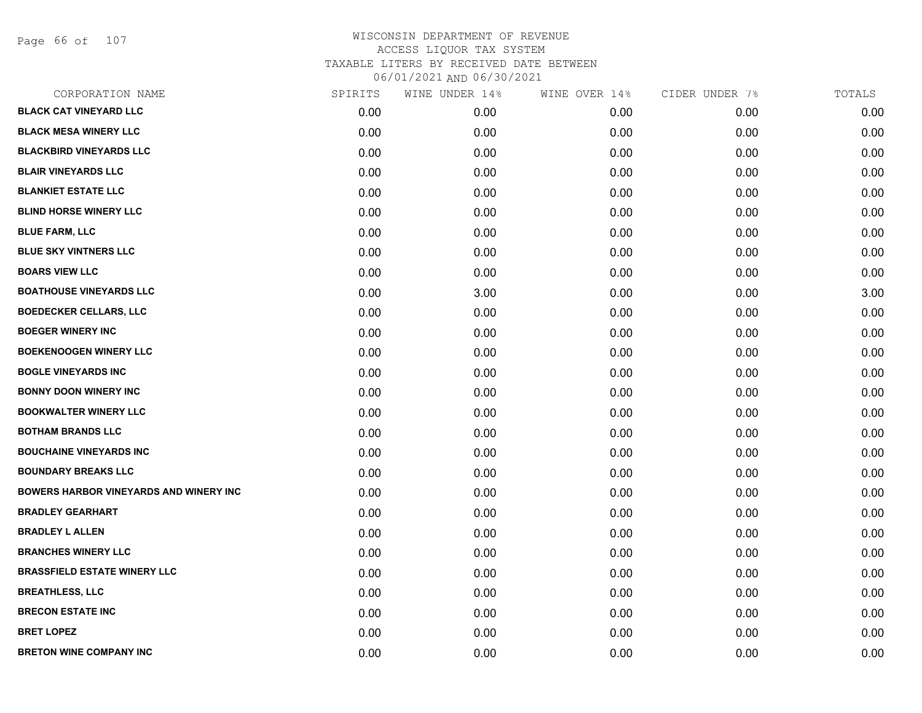Page 66 of 107

| CORPORATION NAME                       | SPIRITS | WINE UNDER 14% | WINE OVER 14% | CIDER UNDER 7% | TOTALS |
|----------------------------------------|---------|----------------|---------------|----------------|--------|
| <b>BLACK CAT VINEYARD LLC</b>          | 0.00    | 0.00           | 0.00          | 0.00           | 0.00   |
| <b>BLACK MESA WINERY LLC</b>           | 0.00    | 0.00           | 0.00          | 0.00           | 0.00   |
| <b>BLACKBIRD VINEYARDS LLC</b>         | 0.00    | 0.00           | 0.00          | 0.00           | 0.00   |
| <b>BLAIR VINEYARDS LLC</b>             | 0.00    | 0.00           | 0.00          | 0.00           | 0.00   |
| <b>BLANKIET ESTATE LLC</b>             | 0.00    | 0.00           | 0.00          | 0.00           | 0.00   |
| <b>BLIND HORSE WINERY LLC</b>          | 0.00    | 0.00           | 0.00          | 0.00           | 0.00   |
| <b>BLUE FARM, LLC</b>                  | 0.00    | 0.00           | 0.00          | 0.00           | 0.00   |
| <b>BLUE SKY VINTNERS LLC</b>           | 0.00    | 0.00           | 0.00          | 0.00           | 0.00   |
| <b>BOARS VIEW LLC</b>                  | 0.00    | 0.00           | 0.00          | 0.00           | 0.00   |
| <b>BOATHOUSE VINEYARDS LLC</b>         | 0.00    | 3.00           | 0.00          | 0.00           | 3.00   |
| <b>BOEDECKER CELLARS, LLC</b>          | 0.00    | 0.00           | 0.00          | 0.00           | 0.00   |
| <b>BOEGER WINERY INC</b>               | 0.00    | 0.00           | 0.00          | 0.00           | 0.00   |
| <b>BOEKENOOGEN WINERY LLC</b>          | 0.00    | 0.00           | 0.00          | 0.00           | 0.00   |
| <b>BOGLE VINEYARDS INC</b>             | 0.00    | 0.00           | 0.00          | 0.00           | 0.00   |
| <b>BONNY DOON WINERY INC</b>           | 0.00    | 0.00           | 0.00          | 0.00           | 0.00   |
| <b>BOOKWALTER WINERY LLC</b>           | 0.00    | 0.00           | 0.00          | 0.00           | 0.00   |
| <b>BOTHAM BRANDS LLC</b>               | 0.00    | 0.00           | 0.00          | 0.00           | 0.00   |
| <b>BOUCHAINE VINEYARDS INC</b>         | 0.00    | 0.00           | 0.00          | 0.00           | 0.00   |
| <b>BOUNDARY BREAKS LLC</b>             | 0.00    | 0.00           | 0.00          | 0.00           | 0.00   |
| BOWERS HARBOR VINEYARDS AND WINERY INC | 0.00    | 0.00           | 0.00          | 0.00           | 0.00   |
| <b>BRADLEY GEARHART</b>                | 0.00    | 0.00           | 0.00          | 0.00           | 0.00   |
| <b>BRADLEY L ALLEN</b>                 | 0.00    | 0.00           | 0.00          | 0.00           | 0.00   |
| <b>BRANCHES WINERY LLC</b>             | 0.00    | 0.00           | 0.00          | 0.00           | 0.00   |
| <b>BRASSFIELD ESTATE WINERY LLC</b>    | 0.00    | 0.00           | 0.00          | 0.00           | 0.00   |
| <b>BREATHLESS, LLC</b>                 | 0.00    | 0.00           | 0.00          | 0.00           | 0.00   |
| <b>BRECON ESTATE INC</b>               | 0.00    | 0.00           | 0.00          | 0.00           | 0.00   |
| <b>BRET LOPEZ</b>                      | 0.00    | 0.00           | 0.00          | 0.00           | 0.00   |
| <b>BRETON WINE COMPANY INC</b>         | 0.00    | 0.00           | 0.00          | 0.00           | 0.00   |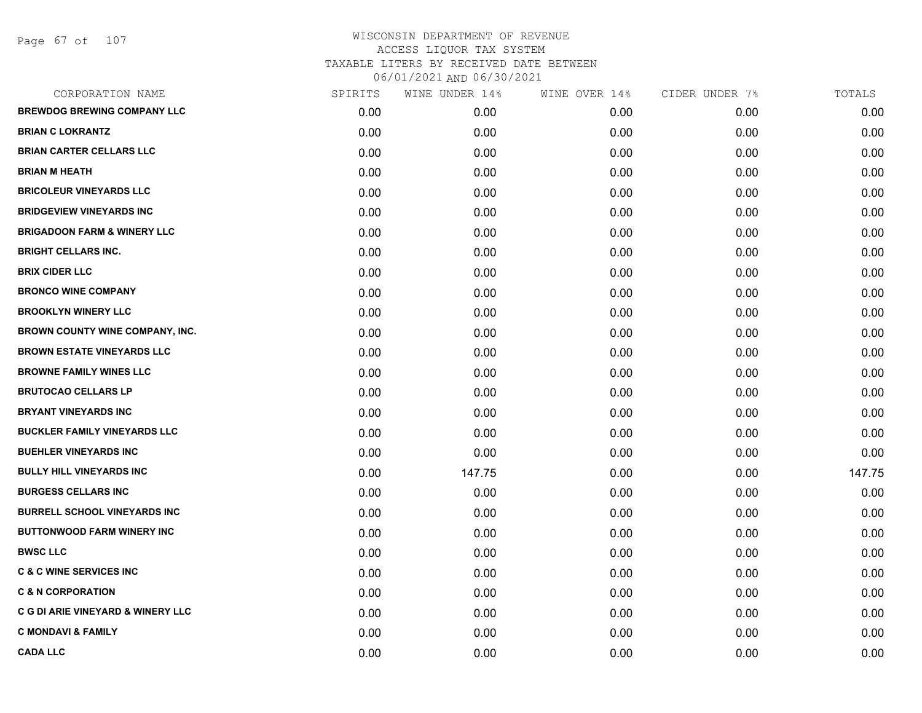Page 67 of 107

| CORPORATION NAME                       | SPIRITS | WINE UNDER 14% | WINE OVER 14% | CIDER UNDER 7% | TOTALS |
|----------------------------------------|---------|----------------|---------------|----------------|--------|
| <b>BREWDOG BREWING COMPANY LLC</b>     | 0.00    | 0.00           | 0.00          | 0.00           | 0.00   |
| <b>BRIAN C LOKRANTZ</b>                | 0.00    | 0.00           | 0.00          | 0.00           | 0.00   |
| <b>BRIAN CARTER CELLARS LLC</b>        | 0.00    | 0.00           | 0.00          | 0.00           | 0.00   |
| <b>BRIAN M HEATH</b>                   | 0.00    | 0.00           | 0.00          | 0.00           | 0.00   |
| <b>BRICOLEUR VINEYARDS LLC</b>         | 0.00    | 0.00           | 0.00          | 0.00           | 0.00   |
| <b>BRIDGEVIEW VINEYARDS INC</b>        | 0.00    | 0.00           | 0.00          | 0.00           | 0.00   |
| <b>BRIGADOON FARM &amp; WINERY LLC</b> | 0.00    | 0.00           | 0.00          | 0.00           | 0.00   |
| <b>BRIGHT CELLARS INC.</b>             | 0.00    | 0.00           | 0.00          | 0.00           | 0.00   |
| <b>BRIX CIDER LLC</b>                  | 0.00    | 0.00           | 0.00          | 0.00           | 0.00   |
| <b>BRONCO WINE COMPANY</b>             | 0.00    | 0.00           | 0.00          | 0.00           | 0.00   |
| <b>BROOKLYN WINERY LLC</b>             | 0.00    | 0.00           | 0.00          | 0.00           | 0.00   |
| BROWN COUNTY WINE COMPANY, INC.        | 0.00    | 0.00           | 0.00          | 0.00           | 0.00   |
| <b>BROWN ESTATE VINEYARDS LLC</b>      | 0.00    | 0.00           | 0.00          | 0.00           | 0.00   |
| <b>BROWNE FAMILY WINES LLC</b>         | 0.00    | 0.00           | 0.00          | 0.00           | 0.00   |
| <b>BRUTOCAO CELLARS LP</b>             | 0.00    | 0.00           | 0.00          | 0.00           | 0.00   |
| <b>BRYANT VINEYARDS INC</b>            | 0.00    | 0.00           | 0.00          | 0.00           | 0.00   |
| <b>BUCKLER FAMILY VINEYARDS LLC</b>    | 0.00    | 0.00           | 0.00          | 0.00           | 0.00   |
| <b>BUEHLER VINEYARDS INC</b>           | 0.00    | 0.00           | 0.00          | 0.00           | 0.00   |
| <b>BULLY HILL VINEYARDS INC</b>        | 0.00    | 147.75         | 0.00          | 0.00           | 147.75 |
| <b>BURGESS CELLARS INC</b>             | 0.00    | 0.00           | 0.00          | 0.00           | 0.00   |
| <b>BURRELL SCHOOL VINEYARDS INC</b>    | 0.00    | 0.00           | 0.00          | 0.00           | 0.00   |
| <b>BUTTONWOOD FARM WINERY INC</b>      | 0.00    | 0.00           | 0.00          | 0.00           | 0.00   |
| <b>BWSC LLC</b>                        | 0.00    | 0.00           | 0.00          | 0.00           | 0.00   |
| <b>C &amp; C WINE SERVICES INC</b>     | 0.00    | 0.00           | 0.00          | 0.00           | 0.00   |
| <b>C &amp; N CORPORATION</b>           | 0.00    | 0.00           | 0.00          | 0.00           | 0.00   |
| C G DI ARIE VINEYARD & WINERY LLC      | 0.00    | 0.00           | 0.00          | 0.00           | 0.00   |
| <b>C MONDAVI &amp; FAMILY</b>          | 0.00    | 0.00           | 0.00          | 0.00           | 0.00   |
| <b>CADA LLC</b>                        | 0.00    | 0.00           | 0.00          | 0.00           | 0.00   |
|                                        |         |                |               |                |        |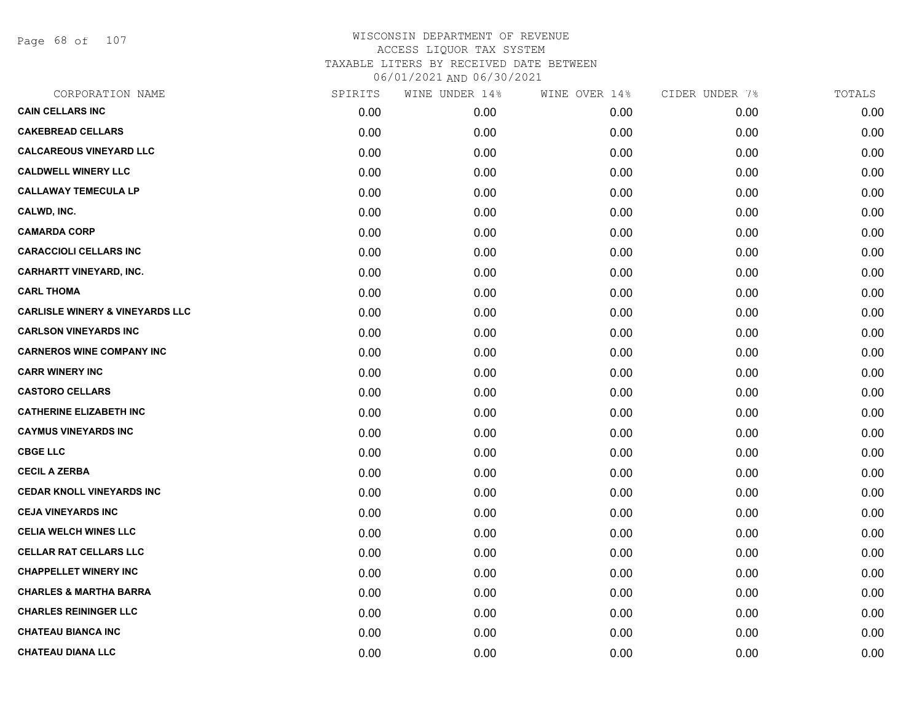Page 68 of 107

| CORPORATION NAME                           | SPIRITS | WINE UNDER 14% | WINE OVER 14% | CIDER UNDER 7% | TOTALS |
|--------------------------------------------|---------|----------------|---------------|----------------|--------|
| <b>CAIN CELLARS INC</b>                    | 0.00    | 0.00           | 0.00          | 0.00           | 0.00   |
| <b>CAKEBREAD CELLARS</b>                   | 0.00    | 0.00           | 0.00          | 0.00           | 0.00   |
| <b>CALCAREOUS VINEYARD LLC</b>             | 0.00    | 0.00           | 0.00          | 0.00           | 0.00   |
| <b>CALDWELL WINERY LLC</b>                 | 0.00    | 0.00           | 0.00          | 0.00           | 0.00   |
| <b>CALLAWAY TEMECULA LP</b>                | 0.00    | 0.00           | 0.00          | 0.00           | 0.00   |
| CALWD, INC.                                | 0.00    | 0.00           | 0.00          | 0.00           | 0.00   |
| <b>CAMARDA CORP</b>                        | 0.00    | 0.00           | 0.00          | 0.00           | 0.00   |
| <b>CARACCIOLI CELLARS INC</b>              | 0.00    | 0.00           | 0.00          | 0.00           | 0.00   |
| <b>CARHARTT VINEYARD, INC.</b>             | 0.00    | 0.00           | 0.00          | 0.00           | 0.00   |
| <b>CARL THOMA</b>                          | 0.00    | 0.00           | 0.00          | 0.00           | 0.00   |
| <b>CARLISLE WINERY &amp; VINEYARDS LLC</b> | 0.00    | 0.00           | 0.00          | 0.00           | 0.00   |
| <b>CARLSON VINEYARDS INC</b>               | 0.00    | 0.00           | 0.00          | 0.00           | 0.00   |
| <b>CARNEROS WINE COMPANY INC</b>           | 0.00    | 0.00           | 0.00          | 0.00           | 0.00   |
| <b>CARR WINERY INC</b>                     | 0.00    | 0.00           | 0.00          | 0.00           | 0.00   |
| <b>CASTORO CELLARS</b>                     | 0.00    | 0.00           | 0.00          | 0.00           | 0.00   |
| <b>CATHERINE ELIZABETH INC</b>             | 0.00    | 0.00           | 0.00          | 0.00           | 0.00   |
| <b>CAYMUS VINEYARDS INC</b>                | 0.00    | 0.00           | 0.00          | 0.00           | 0.00   |
| <b>CBGE LLC</b>                            | 0.00    | 0.00           | 0.00          | 0.00           | 0.00   |
| <b>CECIL A ZERBA</b>                       | 0.00    | 0.00           | 0.00          | 0.00           | 0.00   |
| <b>CEDAR KNOLL VINEYARDS INC</b>           | 0.00    | 0.00           | 0.00          | 0.00           | 0.00   |
| <b>CEJA VINEYARDS INC</b>                  | 0.00    | 0.00           | 0.00          | 0.00           | 0.00   |
| <b>CELIA WELCH WINES LLC</b>               | 0.00    | 0.00           | 0.00          | 0.00           | 0.00   |
| <b>CELLAR RAT CELLARS LLC</b>              | 0.00    | 0.00           | 0.00          | 0.00           | 0.00   |
| <b>CHAPPELLET WINERY INC</b>               | 0.00    | 0.00           | 0.00          | 0.00           | 0.00   |
| <b>CHARLES &amp; MARTHA BARRA</b>          | 0.00    | 0.00           | 0.00          | 0.00           | 0.00   |
| <b>CHARLES REININGER LLC</b>               | 0.00    | 0.00           | 0.00          | 0.00           | 0.00   |
| <b>CHATEAU BIANCA INC</b>                  | 0.00    | 0.00           | 0.00          | 0.00           | 0.00   |
| <b>CHATEAU DIANA LLC</b>                   | 0.00    | 0.00           | 0.00          | 0.00           | 0.00   |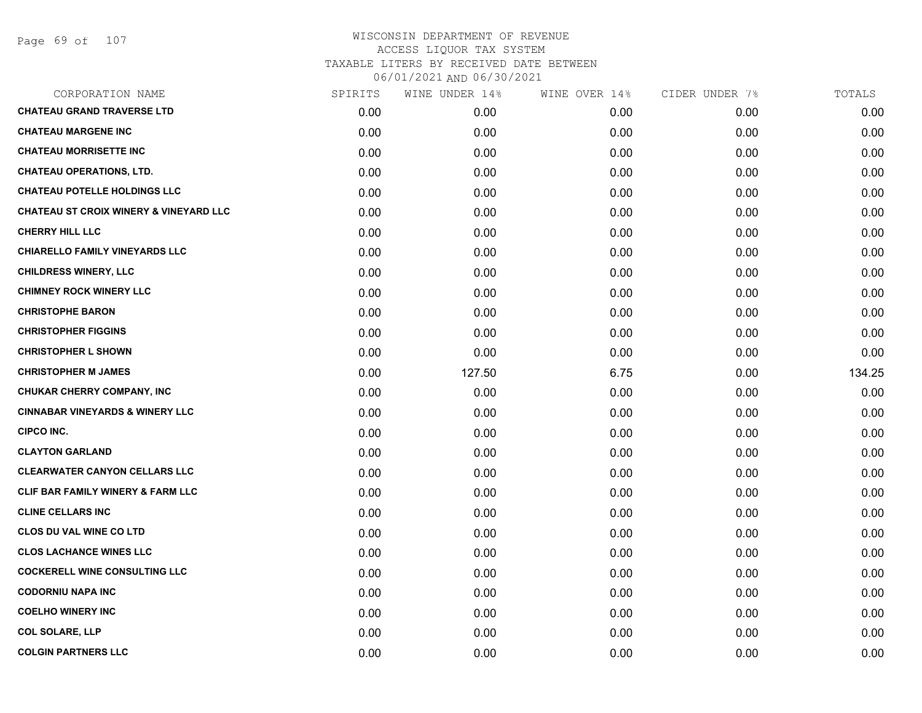| CORPORATION NAME                                  | SPIRITS | WINE UNDER 14% | WINE OVER 14% | CIDER UNDER 7% | TOTALS |
|---------------------------------------------------|---------|----------------|---------------|----------------|--------|
| <b>CHATEAU GRAND TRAVERSE LTD</b>                 | 0.00    | 0.00           | 0.00          | 0.00           | 0.00   |
| <b>CHATEAU MARGENE INC</b>                        | 0.00    | 0.00           | 0.00          | 0.00           | 0.00   |
| <b>CHATEAU MORRISETTE INC</b>                     | 0.00    | 0.00           | 0.00          | 0.00           | 0.00   |
| <b>CHATEAU OPERATIONS, LTD.</b>                   | 0.00    | 0.00           | 0.00          | 0.00           | 0.00   |
| <b>CHATEAU POTELLE HOLDINGS LLC</b>               | 0.00    | 0.00           | 0.00          | 0.00           | 0.00   |
| <b>CHATEAU ST CROIX WINERY &amp; VINEYARD LLC</b> | 0.00    | 0.00           | 0.00          | 0.00           | 0.00   |
| <b>CHERRY HILL LLC</b>                            | 0.00    | 0.00           | 0.00          | 0.00           | 0.00   |
| <b>CHIARELLO FAMILY VINEYARDS LLC</b>             | 0.00    | 0.00           | 0.00          | 0.00           | 0.00   |
| <b>CHILDRESS WINERY, LLC</b>                      | 0.00    | 0.00           | 0.00          | 0.00           | 0.00   |
| <b>CHIMNEY ROCK WINERY LLC</b>                    | 0.00    | 0.00           | 0.00          | 0.00           | 0.00   |
| <b>CHRISTOPHE BARON</b>                           | 0.00    | 0.00           | 0.00          | 0.00           | 0.00   |
| <b>CHRISTOPHER FIGGINS</b>                        | 0.00    | 0.00           | 0.00          | 0.00           | 0.00   |
| <b>CHRISTOPHER L SHOWN</b>                        | 0.00    | 0.00           | 0.00          | 0.00           | 0.00   |
| <b>CHRISTOPHER M JAMES</b>                        | 0.00    | 127.50         | 6.75          | 0.00           | 134.25 |
| <b>CHUKAR CHERRY COMPANY, INC</b>                 | 0.00    | 0.00           | 0.00          | 0.00           | 0.00   |
| <b>CINNABAR VINEYARDS &amp; WINERY LLC</b>        | 0.00    | 0.00           | 0.00          | 0.00           | 0.00   |
| <b>CIPCO INC.</b>                                 | 0.00    | 0.00           | 0.00          | 0.00           | 0.00   |
| <b>CLAYTON GARLAND</b>                            | 0.00    | 0.00           | 0.00          | 0.00           | 0.00   |
| <b>CLEARWATER CANYON CELLARS LLC</b>              | 0.00    | 0.00           | 0.00          | 0.00           | 0.00   |
| CLIF BAR FAMILY WINERY & FARM LLC                 | 0.00    | 0.00           | 0.00          | 0.00           | 0.00   |
| <b>CLINE CELLARS INC</b>                          | 0.00    | 0.00           | 0.00          | 0.00           | 0.00   |
| <b>CLOS DU VAL WINE CO LTD</b>                    | 0.00    | 0.00           | 0.00          | 0.00           | 0.00   |
| <b>CLOS LACHANCE WINES LLC</b>                    | 0.00    | 0.00           | 0.00          | 0.00           | 0.00   |
| <b>COCKERELL WINE CONSULTING LLC</b>              | 0.00    | 0.00           | 0.00          | 0.00           | 0.00   |
| <b>CODORNIU NAPA INC</b>                          | 0.00    | 0.00           | 0.00          | 0.00           | 0.00   |
| <b>COELHO WINERY INC</b>                          | 0.00    | 0.00           | 0.00          | 0.00           | 0.00   |
| <b>COL SOLARE, LLP</b>                            | 0.00    | 0.00           | 0.00          | 0.00           | 0.00   |
| <b>COLGIN PARTNERS LLC</b>                        | 0.00    | 0.00           | 0.00          | 0.00           | 0.00   |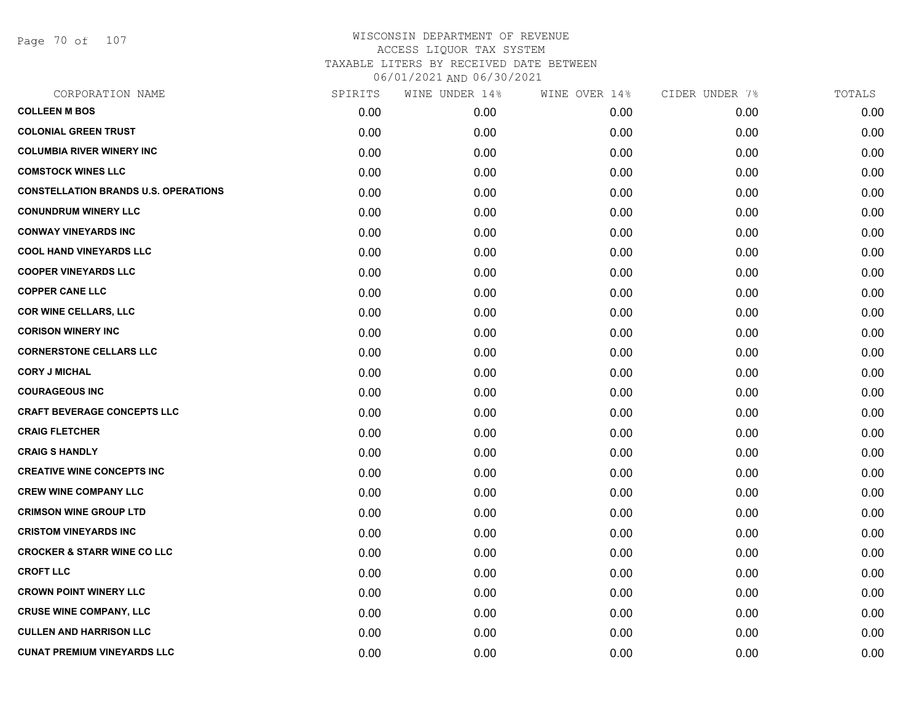Page 70 of 107

| CORPORATION NAME                            | SPIRITS | WINE UNDER 14% | WINE OVER 14% | CIDER UNDER 7% | TOTALS |
|---------------------------------------------|---------|----------------|---------------|----------------|--------|
| <b>COLLEEN M BOS</b>                        | 0.00    | 0.00           | 0.00          | 0.00           | 0.00   |
| <b>COLONIAL GREEN TRUST</b>                 | 0.00    | 0.00           | 0.00          | 0.00           | 0.00   |
| <b>COLUMBIA RIVER WINERY INC</b>            | 0.00    | 0.00           | 0.00          | 0.00           | 0.00   |
| <b>COMSTOCK WINES LLC</b>                   | 0.00    | 0.00           | 0.00          | 0.00           | 0.00   |
| <b>CONSTELLATION BRANDS U.S. OPERATIONS</b> | 0.00    | 0.00           | 0.00          | 0.00           | 0.00   |
| <b>CONUNDRUM WINERY LLC</b>                 | 0.00    | 0.00           | 0.00          | 0.00           | 0.00   |
| <b>CONWAY VINEYARDS INC</b>                 | 0.00    | 0.00           | 0.00          | 0.00           | 0.00   |
| <b>COOL HAND VINEYARDS LLC</b>              | 0.00    | 0.00           | 0.00          | 0.00           | 0.00   |
| <b>COOPER VINEYARDS LLC</b>                 | 0.00    | 0.00           | 0.00          | 0.00           | 0.00   |
| <b>COPPER CANE LLC</b>                      | 0.00    | 0.00           | 0.00          | 0.00           | 0.00   |
| <b>COR WINE CELLARS, LLC</b>                | 0.00    | 0.00           | 0.00          | 0.00           | 0.00   |
| <b>CORISON WINERY INC</b>                   | 0.00    | 0.00           | 0.00          | 0.00           | 0.00   |
| <b>CORNERSTONE CELLARS LLC</b>              | 0.00    | 0.00           | 0.00          | 0.00           | 0.00   |
| <b>CORY J MICHAL</b>                        | 0.00    | 0.00           | 0.00          | 0.00           | 0.00   |
| <b>COURAGEOUS INC</b>                       | 0.00    | 0.00           | 0.00          | 0.00           | 0.00   |
| <b>CRAFT BEVERAGE CONCEPTS LLC</b>          | 0.00    | 0.00           | 0.00          | 0.00           | 0.00   |
| <b>CRAIG FLETCHER</b>                       | 0.00    | 0.00           | 0.00          | 0.00           | 0.00   |
| <b>CRAIG S HANDLY</b>                       | 0.00    | 0.00           | 0.00          | 0.00           | 0.00   |
| <b>CREATIVE WINE CONCEPTS INC</b>           | 0.00    | 0.00           | 0.00          | 0.00           | 0.00   |
| <b>CREW WINE COMPANY LLC</b>                | 0.00    | 0.00           | 0.00          | 0.00           | 0.00   |
| <b>CRIMSON WINE GROUP LTD</b>               | 0.00    | 0.00           | 0.00          | 0.00           | 0.00   |
| <b>CRISTOM VINEYARDS INC</b>                | 0.00    | 0.00           | 0.00          | 0.00           | 0.00   |
| <b>CROCKER &amp; STARR WINE CO LLC</b>      | 0.00    | 0.00           | 0.00          | 0.00           | 0.00   |
| <b>CROFT LLC</b>                            | 0.00    | 0.00           | 0.00          | 0.00           | 0.00   |
| <b>CROWN POINT WINERY LLC</b>               | 0.00    | 0.00           | 0.00          | 0.00           | 0.00   |
| <b>CRUSE WINE COMPANY, LLC</b>              | 0.00    | 0.00           | 0.00          | 0.00           | 0.00   |
| <b>CULLEN AND HARRISON LLC</b>              | 0.00    | 0.00           | 0.00          | 0.00           | 0.00   |
| <b>CUNAT PREMIUM VINEYARDS LLC</b>          | 0.00    | 0.00           | 0.00          | 0.00           | 0.00   |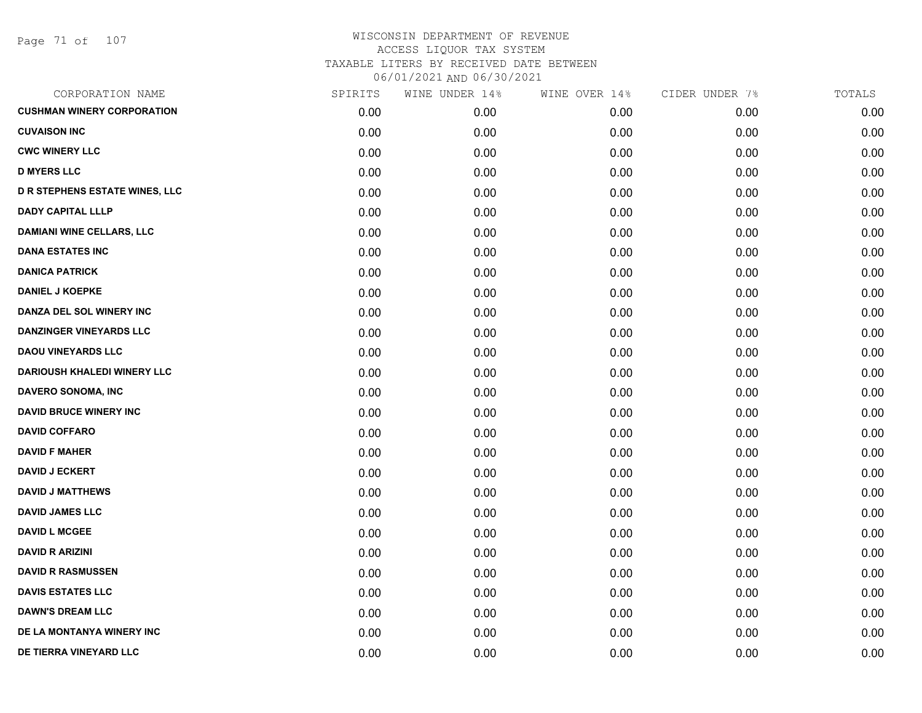| CORPORATION NAME                      | SPIRITS | WINE UNDER 14% | WINE OVER 14% | CIDER UNDER 7% | TOTALS |
|---------------------------------------|---------|----------------|---------------|----------------|--------|
| <b>CUSHMAN WINERY CORPORATION</b>     | 0.00    | 0.00           | 0.00          | 0.00           | 0.00   |
| <b>CUVAISON INC</b>                   | 0.00    | 0.00           | 0.00          | 0.00           | 0.00   |
| <b>CWC WINERY LLC</b>                 | 0.00    | 0.00           | 0.00          | 0.00           | 0.00   |
| <b>D MYERS LLC</b>                    | 0.00    | 0.00           | 0.00          | 0.00           | 0.00   |
| <b>D R STEPHENS ESTATE WINES, LLC</b> | 0.00    | 0.00           | 0.00          | 0.00           | 0.00   |
| <b>DADY CAPITAL LLLP</b>              | 0.00    | 0.00           | 0.00          | 0.00           | 0.00   |
| <b>DAMIANI WINE CELLARS, LLC</b>      | 0.00    | 0.00           | 0.00          | 0.00           | 0.00   |
| <b>DANA ESTATES INC</b>               | 0.00    | 0.00           | 0.00          | 0.00           | 0.00   |
| <b>DANICA PATRICK</b>                 | 0.00    | 0.00           | 0.00          | 0.00           | 0.00   |
| <b>DANIEL J KOEPKE</b>                | 0.00    | 0.00           | 0.00          | 0.00           | 0.00   |
| DANZA DEL SOL WINERY INC              | 0.00    | 0.00           | 0.00          | 0.00           | 0.00   |
| <b>DANZINGER VINEYARDS LLC</b>        | 0.00    | 0.00           | 0.00          | 0.00           | 0.00   |
| <b>DAOU VINEYARDS LLC</b>             | 0.00    | 0.00           | 0.00          | 0.00           | 0.00   |
| <b>DARIOUSH KHALEDI WINERY LLC</b>    | 0.00    | 0.00           | 0.00          | 0.00           | 0.00   |
| <b>DAVERO SONOMA, INC</b>             | 0.00    | 0.00           | 0.00          | 0.00           | 0.00   |
| <b>DAVID BRUCE WINERY INC</b>         | 0.00    | 0.00           | 0.00          | 0.00           | 0.00   |
| <b>DAVID COFFARO</b>                  | 0.00    | 0.00           | 0.00          | 0.00           | 0.00   |
| <b>DAVID F MAHER</b>                  | 0.00    | 0.00           | 0.00          | 0.00           | 0.00   |
| <b>DAVID J ECKERT</b>                 | 0.00    | 0.00           | 0.00          | 0.00           | 0.00   |
| <b>DAVID J MATTHEWS</b>               | 0.00    | 0.00           | 0.00          | 0.00           | 0.00   |
| <b>DAVID JAMES LLC</b>                | 0.00    | 0.00           | 0.00          | 0.00           | 0.00   |
| <b>DAVID L MCGEE</b>                  | 0.00    | 0.00           | 0.00          | 0.00           | 0.00   |
| <b>DAVID R ARIZINI</b>                | 0.00    | 0.00           | 0.00          | 0.00           | 0.00   |
| <b>DAVID R RASMUSSEN</b>              | 0.00    | 0.00           | 0.00          | 0.00           | 0.00   |
| <b>DAVIS ESTATES LLC</b>              | 0.00    | 0.00           | 0.00          | 0.00           | 0.00   |
| <b>DAWN'S DREAM LLC</b>               | 0.00    | 0.00           | 0.00          | 0.00           | 0.00   |
| DE LA MONTANYA WINERY INC             | 0.00    | 0.00           | 0.00          | 0.00           | 0.00   |
| DE TIERRA VINEYARD LLC                | 0.00    | 0.00           | 0.00          | 0.00           | 0.00   |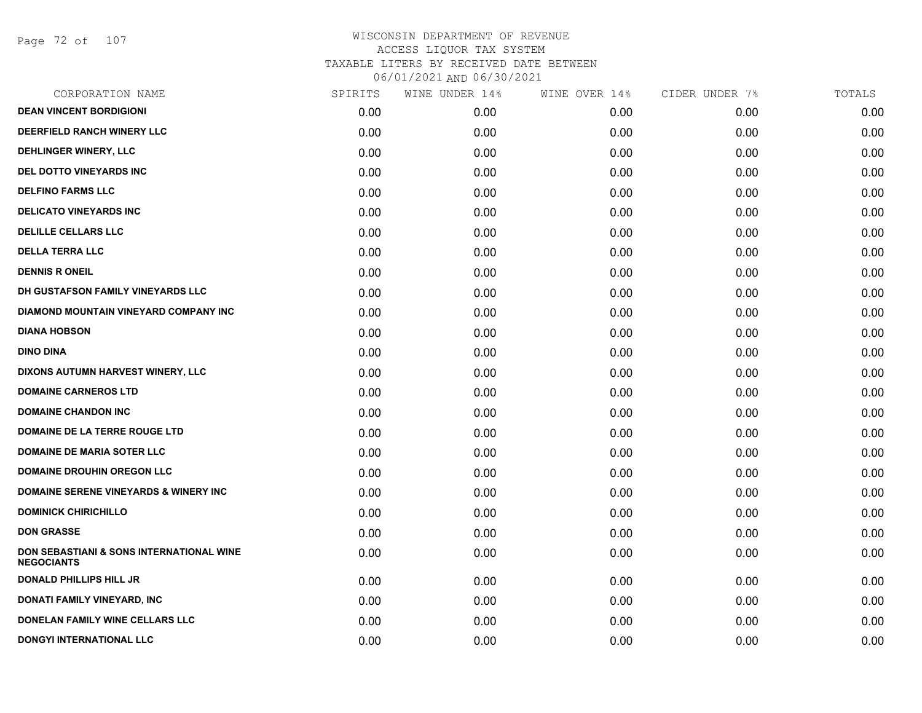Page 72 of 107

| CORPORATION NAME                                                         | SPIRITS | WINE UNDER 14% | WINE OVER 14% | CIDER UNDER 7% | TOTALS |
|--------------------------------------------------------------------------|---------|----------------|---------------|----------------|--------|
| <b>DEAN VINCENT BORDIGIONI</b>                                           | 0.00    | 0.00           | 0.00          | 0.00           | 0.00   |
| DEERFIELD RANCH WINERY LLC                                               | 0.00    | 0.00           | 0.00          | 0.00           | 0.00   |
| DEHLINGER WINERY, LLC                                                    | 0.00    | 0.00           | 0.00          | 0.00           | 0.00   |
| DEL DOTTO VINEYARDS INC                                                  | 0.00    | 0.00           | 0.00          | 0.00           | 0.00   |
| <b>DELFINO FARMS LLC</b>                                                 | 0.00    | 0.00           | 0.00          | 0.00           | 0.00   |
| <b>DELICATO VINEYARDS INC</b>                                            | 0.00    | 0.00           | 0.00          | 0.00           | 0.00   |
| <b>DELILLE CELLARS LLC</b>                                               | 0.00    | 0.00           | 0.00          | 0.00           | 0.00   |
| <b>DELLA TERRA LLC</b>                                                   | 0.00    | 0.00           | 0.00          | 0.00           | 0.00   |
| <b>DENNIS R ONEIL</b>                                                    | 0.00    | 0.00           | 0.00          | 0.00           | 0.00   |
| DH GUSTAFSON FAMILY VINEYARDS LLC                                        | 0.00    | 0.00           | 0.00          | 0.00           | 0.00   |
| DIAMOND MOUNTAIN VINEYARD COMPANY INC                                    | 0.00    | 0.00           | 0.00          | 0.00           | 0.00   |
| <b>DIANA HOBSON</b>                                                      | 0.00    | 0.00           | 0.00          | 0.00           | 0.00   |
| <b>DINO DINA</b>                                                         | 0.00    | 0.00           | 0.00          | 0.00           | 0.00   |
| DIXONS AUTUMN HARVEST WINERY, LLC                                        | 0.00    | 0.00           | 0.00          | 0.00           | 0.00   |
| <b>DOMAINE CARNEROS LTD</b>                                              | 0.00    | 0.00           | 0.00          | 0.00           | 0.00   |
| <b>DOMAINE CHANDON INC</b>                                               | 0.00    | 0.00           | 0.00          | 0.00           | 0.00   |
| DOMAINE DE LA TERRE ROUGE LTD                                            | 0.00    | 0.00           | 0.00          | 0.00           | 0.00   |
| <b>DOMAINE DE MARIA SOTER LLC</b>                                        | 0.00    | 0.00           | 0.00          | 0.00           | 0.00   |
| <b>DOMAINE DROUHIN OREGON LLC</b>                                        | 0.00    | 0.00           | 0.00          | 0.00           | 0.00   |
| <b>DOMAINE SERENE VINEYARDS &amp; WINERY INC</b>                         | 0.00    | 0.00           | 0.00          | 0.00           | 0.00   |
| <b>DOMINICK CHIRICHILLO</b>                                              | 0.00    | 0.00           | 0.00          | 0.00           | 0.00   |
| <b>DON GRASSE</b>                                                        | 0.00    | 0.00           | 0.00          | 0.00           | 0.00   |
| <b>DON SEBASTIANI &amp; SONS INTERNATIONAL WINE</b><br><b>NEGOCIANTS</b> | 0.00    | 0.00           | 0.00          | 0.00           | 0.00   |
| <b>DONALD PHILLIPS HILL JR</b>                                           | 0.00    | 0.00           | 0.00          | 0.00           | 0.00   |
| DONATI FAMILY VINEYARD, INC                                              | 0.00    | 0.00           | 0.00          | 0.00           | 0.00   |
| <b>DONELAN FAMILY WINE CELLARS LLC</b>                                   | 0.00    | 0.00           | 0.00          | 0.00           | 0.00   |
| <b>DONGYI INTERNATIONAL LLC</b>                                          | 0.00    | 0.00           | 0.00          | 0.00           | 0.00   |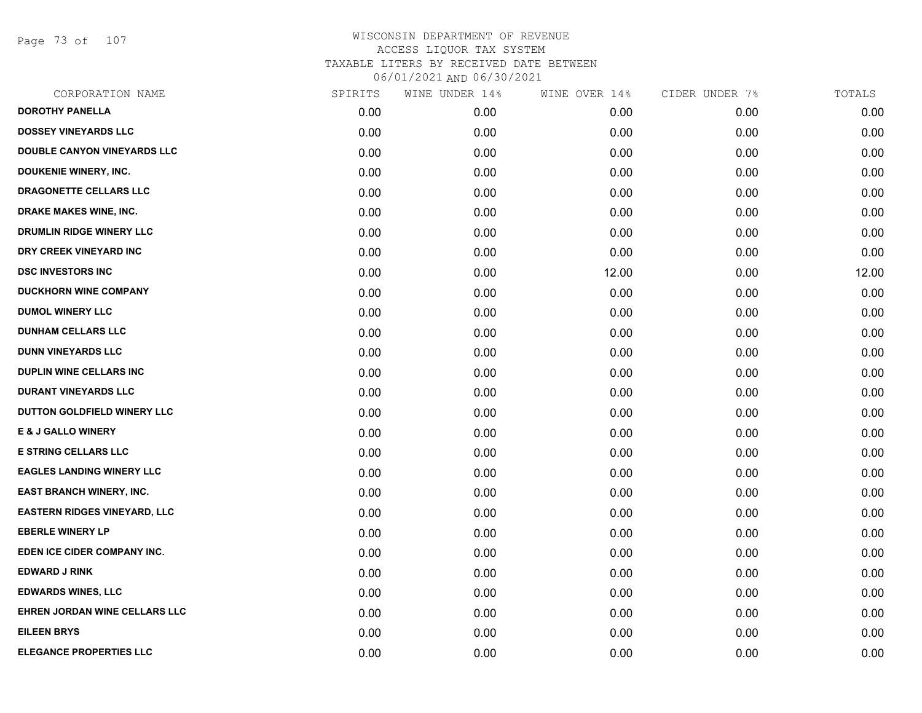Page 73 of 107

| CORPORATION NAME                    | SPIRITS | WINE UNDER 14% | WINE OVER 14% | CIDER UNDER 7% | TOTALS |
|-------------------------------------|---------|----------------|---------------|----------------|--------|
| <b>DOROTHY PANELLA</b>              | 0.00    | 0.00           | 0.00          | 0.00           | 0.00   |
| <b>DOSSEY VINEYARDS LLC</b>         | 0.00    | 0.00           | 0.00          | 0.00           | 0.00   |
| DOUBLE CANYON VINEYARDS LLC         | 0.00    | 0.00           | 0.00          | 0.00           | 0.00   |
| DOUKENIE WINERY, INC.               | 0.00    | 0.00           | 0.00          | 0.00           | 0.00   |
| DRAGONETTE CELLARS LLC              | 0.00    | 0.00           | 0.00          | 0.00           | 0.00   |
| DRAKE MAKES WINE, INC.              | 0.00    | 0.00           | 0.00          | 0.00           | 0.00   |
| DRUMLIN RIDGE WINERY LLC            | 0.00    | 0.00           | 0.00          | 0.00           | 0.00   |
| DRY CREEK VINEYARD INC              | 0.00    | 0.00           | 0.00          | 0.00           | 0.00   |
| <b>DSC INVESTORS INC</b>            | 0.00    | 0.00           | 12.00         | 0.00           | 12.00  |
| <b>DUCKHORN WINE COMPANY</b>        | 0.00    | 0.00           | 0.00          | 0.00           | 0.00   |
| <b>DUMOL WINERY LLC</b>             | 0.00    | 0.00           | 0.00          | 0.00           | 0.00   |
| <b>DUNHAM CELLARS LLC</b>           | 0.00    | 0.00           | 0.00          | 0.00           | 0.00   |
| <b>DUNN VINEYARDS LLC</b>           | 0.00    | 0.00           | 0.00          | 0.00           | 0.00   |
| <b>DUPLIN WINE CELLARS INC</b>      | 0.00    | 0.00           | 0.00          | 0.00           | 0.00   |
| <b>DURANT VINEYARDS LLC</b>         | 0.00    | 0.00           | 0.00          | 0.00           | 0.00   |
| DUTTON GOLDFIELD WINERY LLC         | 0.00    | 0.00           | 0.00          | 0.00           | 0.00   |
| <b>E &amp; J GALLO WINERY</b>       | 0.00    | 0.00           | 0.00          | 0.00           | 0.00   |
| <b>E STRING CELLARS LLC</b>         | 0.00    | 0.00           | 0.00          | 0.00           | 0.00   |
| <b>EAGLES LANDING WINERY LLC</b>    | 0.00    | 0.00           | 0.00          | 0.00           | 0.00   |
| <b>EAST BRANCH WINERY, INC.</b>     | 0.00    | 0.00           | 0.00          | 0.00           | 0.00   |
| <b>EASTERN RIDGES VINEYARD, LLC</b> | 0.00    | 0.00           | 0.00          | 0.00           | 0.00   |
| <b>EBERLE WINERY LP</b>             | 0.00    | 0.00           | 0.00          | 0.00           | 0.00   |
| EDEN ICE CIDER COMPANY INC.         | 0.00    | 0.00           | 0.00          | 0.00           | 0.00   |
| <b>EDWARD J RINK</b>                | 0.00    | 0.00           | 0.00          | 0.00           | 0.00   |
| <b>EDWARDS WINES, LLC</b>           | 0.00    | 0.00           | 0.00          | 0.00           | 0.00   |
| EHREN JORDAN WINE CELLARS LLC       | 0.00    | 0.00           | 0.00          | 0.00           | 0.00   |
| <b>EILEEN BRYS</b>                  | 0.00    | 0.00           | 0.00          | 0.00           | 0.00   |
| <b>ELEGANCE PROPERTIES LLC</b>      | 0.00    | 0.00           | 0.00          | 0.00           | 0.00   |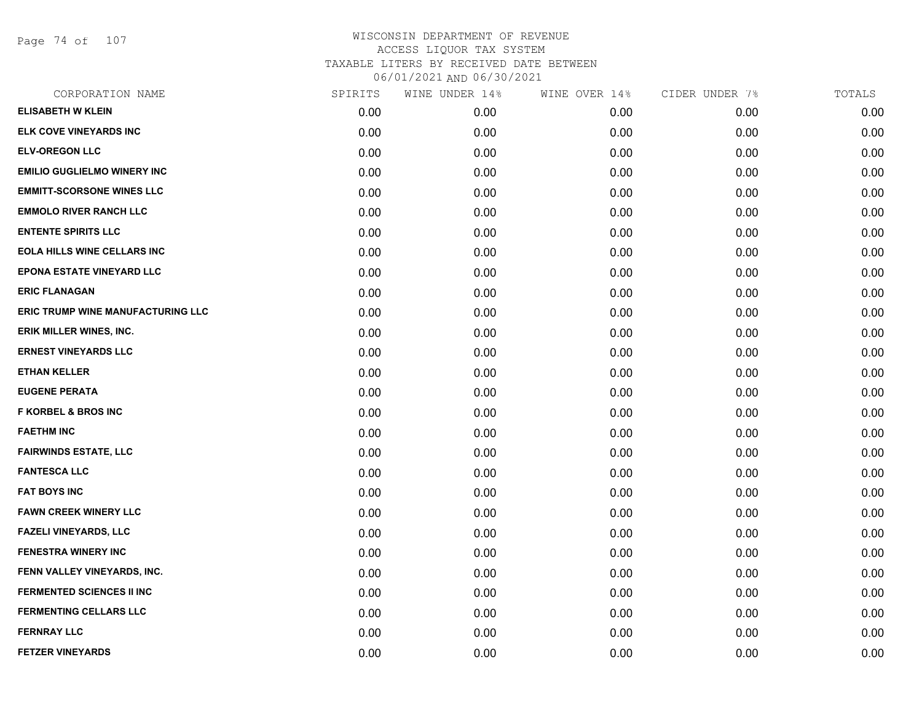Page 74 of 107

| CORPORATION NAME                         | SPIRITS | WINE UNDER 14% | WINE OVER 14% | CIDER UNDER 7% | TOTALS |
|------------------------------------------|---------|----------------|---------------|----------------|--------|
| <b>ELISABETH W KLEIN</b>                 | 0.00    | 0.00           | 0.00          | 0.00           | 0.00   |
| ELK COVE VINEYARDS INC                   | 0.00    | 0.00           | 0.00          | 0.00           | 0.00   |
| <b>ELV-OREGON LLC</b>                    | 0.00    | 0.00           | 0.00          | 0.00           | 0.00   |
| <b>EMILIO GUGLIELMO WINERY INC</b>       | 0.00    | 0.00           | 0.00          | 0.00           | 0.00   |
| <b>EMMITT-SCORSONE WINES LLC</b>         | 0.00    | 0.00           | 0.00          | 0.00           | 0.00   |
| <b>EMMOLO RIVER RANCH LLC</b>            | 0.00    | 0.00           | 0.00          | 0.00           | 0.00   |
| <b>ENTENTE SPIRITS LLC</b>               | 0.00    | 0.00           | 0.00          | 0.00           | 0.00   |
| <b>EOLA HILLS WINE CELLARS INC</b>       | 0.00    | 0.00           | 0.00          | 0.00           | 0.00   |
| <b>EPONA ESTATE VINEYARD LLC</b>         | 0.00    | 0.00           | 0.00          | 0.00           | 0.00   |
| <b>ERIC FLANAGAN</b>                     | 0.00    | 0.00           | 0.00          | 0.00           | 0.00   |
| <b>ERIC TRUMP WINE MANUFACTURING LLC</b> | 0.00    | 0.00           | 0.00          | 0.00           | 0.00   |
| ERIK MILLER WINES, INC.                  | 0.00    | 0.00           | 0.00          | 0.00           | 0.00   |
| <b>ERNEST VINEYARDS LLC</b>              | 0.00    | 0.00           | 0.00          | 0.00           | 0.00   |
| <b>ETHAN KELLER</b>                      | 0.00    | 0.00           | 0.00          | 0.00           | 0.00   |
| <b>EUGENE PERATA</b>                     | 0.00    | 0.00           | 0.00          | 0.00           | 0.00   |
| <b>F KORBEL &amp; BROS INC</b>           | 0.00    | 0.00           | 0.00          | 0.00           | 0.00   |
| <b>FAETHM INC</b>                        | 0.00    | 0.00           | 0.00          | 0.00           | 0.00   |
| <b>FAIRWINDS ESTATE, LLC</b>             | 0.00    | 0.00           | 0.00          | 0.00           | 0.00   |
| <b>FANTESCA LLC</b>                      | 0.00    | 0.00           | 0.00          | 0.00           | 0.00   |
| <b>FAT BOYS INC</b>                      | 0.00    | 0.00           | 0.00          | 0.00           | 0.00   |
| <b>FAWN CREEK WINERY LLC</b>             | 0.00    | 0.00           | 0.00          | 0.00           | 0.00   |
| <b>FAZELI VINEYARDS, LLC</b>             | 0.00    | 0.00           | 0.00          | 0.00           | 0.00   |
| <b>FENESTRA WINERY INC</b>               | 0.00    | 0.00           | 0.00          | 0.00           | 0.00   |
| FENN VALLEY VINEYARDS, INC.              | 0.00    | 0.00           | 0.00          | 0.00           | 0.00   |
| <b>FERMENTED SCIENCES II INC</b>         | 0.00    | 0.00           | 0.00          | 0.00           | 0.00   |
| <b>FERMENTING CELLARS LLC</b>            | 0.00    | 0.00           | 0.00          | 0.00           | 0.00   |
| <b>FERNRAY LLC</b>                       | 0.00    | 0.00           | 0.00          | 0.00           | 0.00   |
| <b>FETZER VINEYARDS</b>                  | 0.00    | 0.00           | 0.00          | 0.00           | 0.00   |
|                                          |         |                |               |                |        |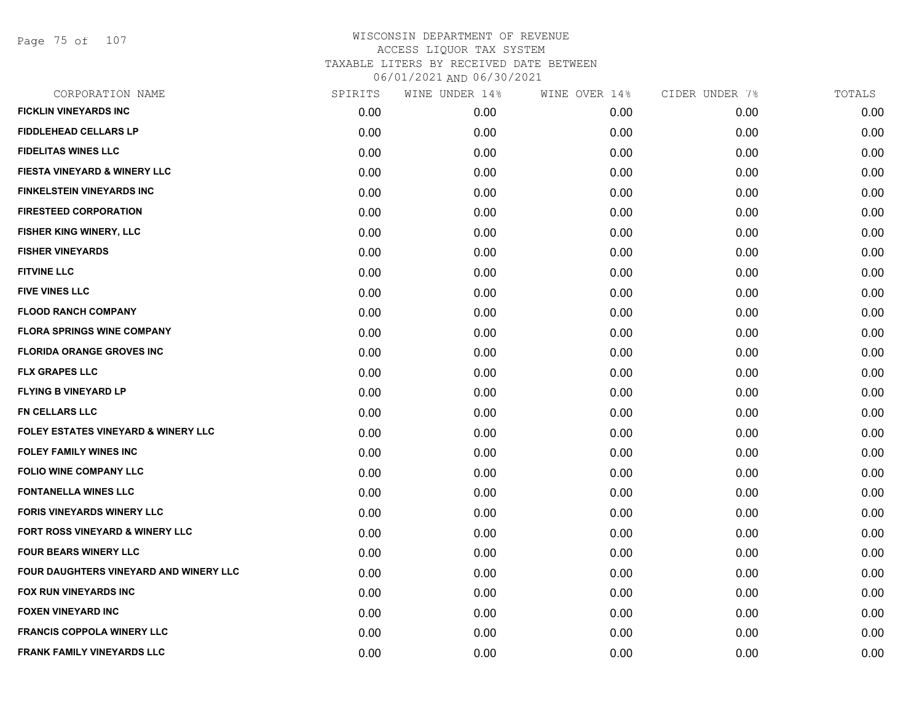Page 75 of 107

| CORPORATION NAME                               | SPIRITS | WINE UNDER 14% | WINE OVER 14% | CIDER UNDER 7% | TOTALS |
|------------------------------------------------|---------|----------------|---------------|----------------|--------|
| <b>FICKLIN VINEYARDS INC</b>                   | 0.00    | 0.00           | 0.00          | 0.00           | 0.00   |
| <b>FIDDLEHEAD CELLARS LP</b>                   | 0.00    | 0.00           | 0.00          | 0.00           | 0.00   |
| <b>FIDELITAS WINES LLC</b>                     | 0.00    | 0.00           | 0.00          | 0.00           | 0.00   |
| FIESTA VINEYARD & WINERY LLC                   | 0.00    | 0.00           | 0.00          | 0.00           | 0.00   |
| <b>FINKELSTEIN VINEYARDS INC</b>               | 0.00    | 0.00           | 0.00          | 0.00           | 0.00   |
| <b>FIRESTEED CORPORATION</b>                   | 0.00    | 0.00           | 0.00          | 0.00           | 0.00   |
| FISHER KING WINERY, LLC                        | 0.00    | 0.00           | 0.00          | 0.00           | 0.00   |
| <b>FISHER VINEYARDS</b>                        | 0.00    | 0.00           | 0.00          | 0.00           | 0.00   |
| <b>FITVINE LLC</b>                             | 0.00    | 0.00           | 0.00          | 0.00           | 0.00   |
| <b>FIVE VINES LLC</b>                          | 0.00    | 0.00           | 0.00          | 0.00           | 0.00   |
| <b>FLOOD RANCH COMPANY</b>                     | 0.00    | 0.00           | 0.00          | 0.00           | 0.00   |
| <b>FLORA SPRINGS WINE COMPANY</b>              | 0.00    | 0.00           | 0.00          | 0.00           | 0.00   |
| <b>FLORIDA ORANGE GROVES INC</b>               | 0.00    | 0.00           | 0.00          | 0.00           | 0.00   |
| <b>FLX GRAPES LLC</b>                          | 0.00    | 0.00           | 0.00          | 0.00           | 0.00   |
| <b>FLYING B VINEYARD LP</b>                    | 0.00    | 0.00           | 0.00          | 0.00           | 0.00   |
| FN CELLARS LLC                                 | 0.00    | 0.00           | 0.00          | 0.00           | 0.00   |
| <b>FOLEY ESTATES VINEYARD &amp; WINERY LLC</b> | 0.00    | 0.00           | 0.00          | 0.00           | 0.00   |
| <b>FOLEY FAMILY WINES INC</b>                  | 0.00    | 0.00           | 0.00          | 0.00           | 0.00   |
| <b>FOLIO WINE COMPANY LLC</b>                  | 0.00    | 0.00           | 0.00          | 0.00           | 0.00   |
| <b>FONTANELLA WINES LLC</b>                    | 0.00    | 0.00           | 0.00          | 0.00           | 0.00   |
| <b>FORIS VINEYARDS WINERY LLC</b>              | 0.00    | 0.00           | 0.00          | 0.00           | 0.00   |
| FORT ROSS VINEYARD & WINERY LLC                | 0.00    | 0.00           | 0.00          | 0.00           | 0.00   |
| <b>FOUR BEARS WINERY LLC</b>                   | 0.00    | 0.00           | 0.00          | 0.00           | 0.00   |
| FOUR DAUGHTERS VINEYARD AND WINERY LLC         | 0.00    | 0.00           | 0.00          | 0.00           | 0.00   |
| FOX RUN VINEYARDS INC                          | 0.00    | 0.00           | 0.00          | 0.00           | 0.00   |
| <b>FOXEN VINEYARD INC</b>                      | 0.00    | 0.00           | 0.00          | 0.00           | 0.00   |
| <b>FRANCIS COPPOLA WINERY LLC</b>              | 0.00    | 0.00           | 0.00          | 0.00           | 0.00   |
| FRANK FAMILY VINEYARDS LLC                     | 0.00    | 0.00           | 0.00          | 0.00           | 0.00   |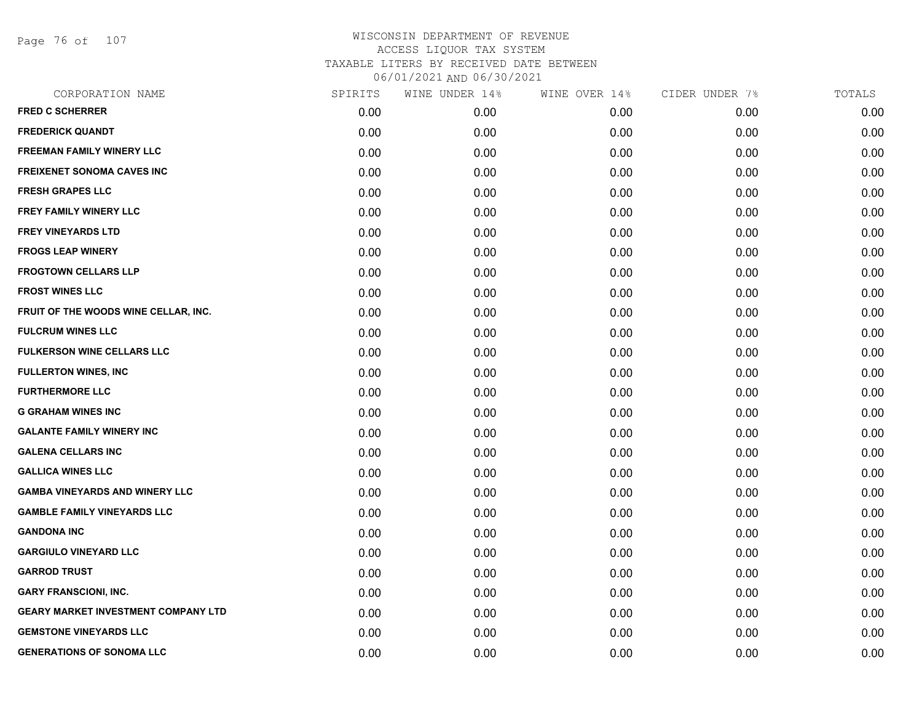Page 76 of 107

| CORPORATION NAME                           | SPIRITS | WINE UNDER 14% | WINE OVER 14% | CIDER UNDER 7% | TOTALS |
|--------------------------------------------|---------|----------------|---------------|----------------|--------|
| <b>FRED C SCHERRER</b>                     | 0.00    | 0.00           | 0.00          | 0.00           | 0.00   |
| <b>FREDERICK QUANDT</b>                    | 0.00    | 0.00           | 0.00          | 0.00           | 0.00   |
| <b>FREEMAN FAMILY WINERY LLC</b>           | 0.00    | 0.00           | 0.00          | 0.00           | 0.00   |
| <b>FREIXENET SONOMA CAVES INC</b>          | 0.00    | 0.00           | 0.00          | 0.00           | 0.00   |
| <b>FRESH GRAPES LLC</b>                    | 0.00    | 0.00           | 0.00          | 0.00           | 0.00   |
| FREY FAMILY WINERY LLC                     | 0.00    | 0.00           | 0.00          | 0.00           | 0.00   |
| <b>FREY VINEYARDS LTD</b>                  | 0.00    | 0.00           | 0.00          | 0.00           | 0.00   |
| <b>FROGS LEAP WINERY</b>                   | 0.00    | 0.00           | 0.00          | 0.00           | 0.00   |
| <b>FROGTOWN CELLARS LLP</b>                | 0.00    | 0.00           | 0.00          | 0.00           | 0.00   |
| <b>FROST WINES LLC</b>                     | 0.00    | 0.00           | 0.00          | 0.00           | 0.00   |
| FRUIT OF THE WOODS WINE CELLAR, INC.       | 0.00    | 0.00           | 0.00          | 0.00           | 0.00   |
| <b>FULCRUM WINES LLC</b>                   | 0.00    | 0.00           | 0.00          | 0.00           | 0.00   |
| <b>FULKERSON WINE CELLARS LLC</b>          | 0.00    | 0.00           | 0.00          | 0.00           | 0.00   |
| <b>FULLERTON WINES, INC</b>                | 0.00    | 0.00           | 0.00          | 0.00           | 0.00   |
| <b>FURTHERMORE LLC</b>                     | 0.00    | 0.00           | 0.00          | 0.00           | 0.00   |
| <b>G GRAHAM WINES INC</b>                  | 0.00    | 0.00           | 0.00          | 0.00           | 0.00   |
| <b>GALANTE FAMILY WINERY INC</b>           | 0.00    | 0.00           | 0.00          | 0.00           | 0.00   |
| <b>GALENA CELLARS INC</b>                  | 0.00    | 0.00           | 0.00          | 0.00           | 0.00   |
| <b>GALLICA WINES LLC</b>                   | 0.00    | 0.00           | 0.00          | 0.00           | 0.00   |
| <b>GAMBA VINEYARDS AND WINERY LLC</b>      | 0.00    | 0.00           | 0.00          | 0.00           | 0.00   |
| <b>GAMBLE FAMILY VINEYARDS LLC</b>         | 0.00    | 0.00           | 0.00          | 0.00           | 0.00   |
| <b>GANDONA INC</b>                         | 0.00    | 0.00           | 0.00          | 0.00           | 0.00   |
| <b>GARGIULO VINEYARD LLC</b>               | 0.00    | 0.00           | 0.00          | 0.00           | 0.00   |
| <b>GARROD TRUST</b>                        | 0.00    | 0.00           | 0.00          | 0.00           | 0.00   |
| <b>GARY FRANSCIONI, INC.</b>               | 0.00    | 0.00           | 0.00          | 0.00           | 0.00   |
| <b>GEARY MARKET INVESTMENT COMPANY LTD</b> | 0.00    | 0.00           | 0.00          | 0.00           | 0.00   |
| <b>GEMSTONE VINEYARDS LLC</b>              | 0.00    | 0.00           | 0.00          | 0.00           | 0.00   |
| <b>GENERATIONS OF SONOMA LLC</b>           | 0.00    | 0.00           | 0.00          | 0.00           | 0.00   |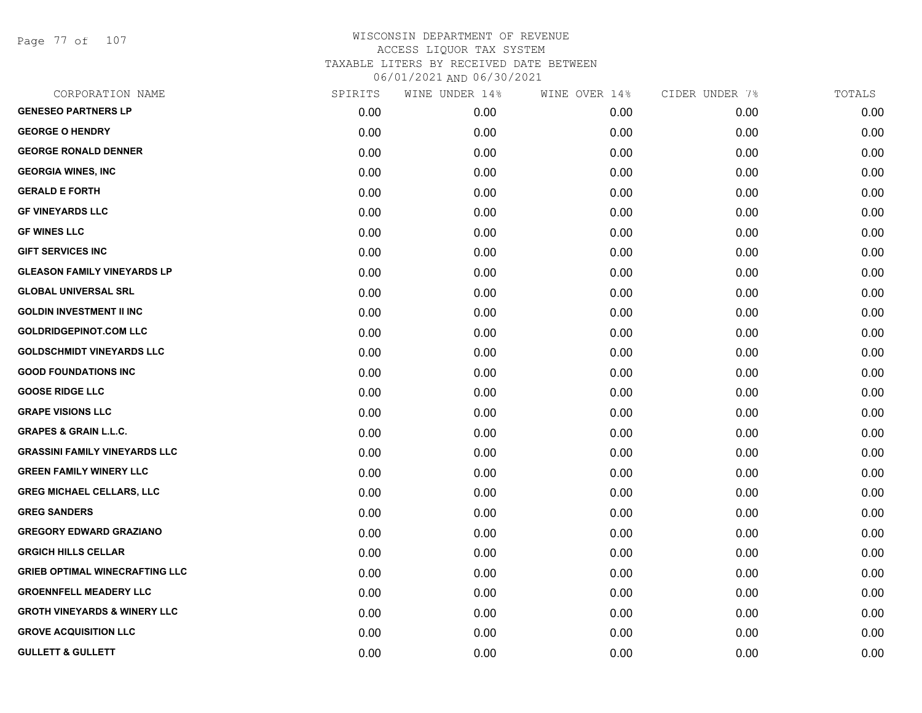Page 77 of 107

| CORPORATION NAME                        | SPIRITS | WINE UNDER 14% | WINE OVER 14% | CIDER UNDER 7% | TOTALS |
|-----------------------------------------|---------|----------------|---------------|----------------|--------|
| <b>GENESEO PARTNERS LP</b>              | 0.00    | 0.00           | 0.00          | 0.00           | 0.00   |
| <b>GEORGE O HENDRY</b>                  | 0.00    | 0.00           | 0.00          | 0.00           | 0.00   |
| <b>GEORGE RONALD DENNER</b>             | 0.00    | 0.00           | 0.00          | 0.00           | 0.00   |
| <b>GEORGIA WINES, INC</b>               | 0.00    | 0.00           | 0.00          | 0.00           | 0.00   |
| <b>GERALD E FORTH</b>                   | 0.00    | 0.00           | 0.00          | 0.00           | 0.00   |
| <b>GF VINEYARDS LLC</b>                 | 0.00    | 0.00           | 0.00          | 0.00           | 0.00   |
| <b>GF WINES LLC</b>                     | 0.00    | 0.00           | 0.00          | 0.00           | 0.00   |
| <b>GIFT SERVICES INC</b>                | 0.00    | 0.00           | 0.00          | 0.00           | 0.00   |
| <b>GLEASON FAMILY VINEYARDS LP</b>      | 0.00    | 0.00           | 0.00          | 0.00           | 0.00   |
| <b>GLOBAL UNIVERSAL SRL</b>             | 0.00    | 0.00           | 0.00          | 0.00           | 0.00   |
| <b>GOLDIN INVESTMENT II INC</b>         | 0.00    | 0.00           | 0.00          | 0.00           | 0.00   |
| <b>GOLDRIDGEPINOT.COM LLC</b>           | 0.00    | 0.00           | 0.00          | 0.00           | 0.00   |
| <b>GOLDSCHMIDT VINEYARDS LLC</b>        | 0.00    | 0.00           | 0.00          | 0.00           | 0.00   |
| <b>GOOD FOUNDATIONS INC</b>             | 0.00    | 0.00           | 0.00          | 0.00           | 0.00   |
| <b>GOOSE RIDGE LLC</b>                  | 0.00    | 0.00           | 0.00          | 0.00           | 0.00   |
| <b>GRAPE VISIONS LLC</b>                | 0.00    | 0.00           | 0.00          | 0.00           | 0.00   |
| <b>GRAPES &amp; GRAIN L.L.C.</b>        | 0.00    | 0.00           | 0.00          | 0.00           | 0.00   |
| <b>GRASSINI FAMILY VINEYARDS LLC</b>    | 0.00    | 0.00           | 0.00          | 0.00           | 0.00   |
| <b>GREEN FAMILY WINERY LLC</b>          | 0.00    | 0.00           | 0.00          | 0.00           | 0.00   |
| <b>GREG MICHAEL CELLARS, LLC</b>        | 0.00    | 0.00           | 0.00          | 0.00           | 0.00   |
| <b>GREG SANDERS</b>                     | 0.00    | 0.00           | 0.00          | 0.00           | 0.00   |
| <b>GREGORY EDWARD GRAZIANO</b>          | 0.00    | 0.00           | 0.00          | 0.00           | 0.00   |
| <b>GRGICH HILLS CELLAR</b>              | 0.00    | 0.00           | 0.00          | 0.00           | 0.00   |
| <b>GRIEB OPTIMAL WINECRAFTING LLC</b>   | 0.00    | 0.00           | 0.00          | 0.00           | 0.00   |
| <b>GROENNFELL MEADERY LLC</b>           | 0.00    | 0.00           | 0.00          | 0.00           | 0.00   |
| <b>GROTH VINEYARDS &amp; WINERY LLC</b> | 0.00    | 0.00           | 0.00          | 0.00           | 0.00   |
| <b>GROVE ACQUISITION LLC</b>            | 0.00    | 0.00           | 0.00          | 0.00           | 0.00   |
| <b>GULLETT &amp; GULLETT</b>            | 0.00    | 0.00           | 0.00          | 0.00           | 0.00   |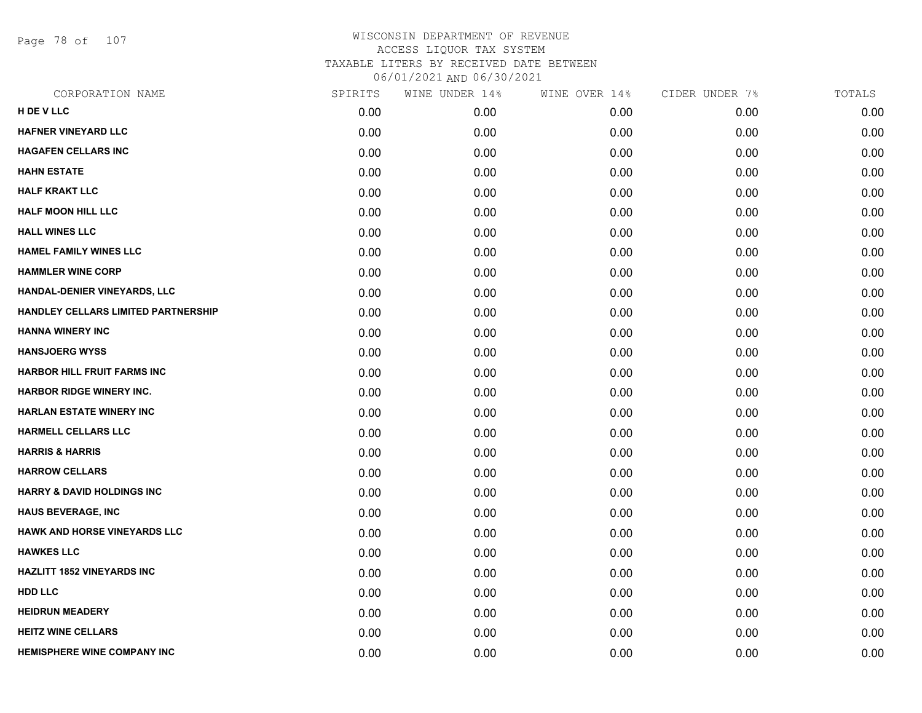Page 78 of 107

| CORPORATION NAME                      | SPIRITS | WINE UNDER 14% | WINE OVER 14% | CIDER UNDER 7% | TOTALS |
|---------------------------------------|---------|----------------|---------------|----------------|--------|
| H DE V LLC                            | 0.00    | 0.00           | 0.00          | 0.00           | 0.00   |
| <b>HAFNER VINEYARD LLC</b>            | 0.00    | 0.00           | 0.00          | 0.00           | 0.00   |
| <b>HAGAFEN CELLARS INC</b>            | 0.00    | 0.00           | 0.00          | 0.00           | 0.00   |
| <b>HAHN ESTATE</b>                    | 0.00    | 0.00           | 0.00          | 0.00           | 0.00   |
| <b>HALF KRAKT LLC</b>                 | 0.00    | 0.00           | 0.00          | 0.00           | 0.00   |
| <b>HALF MOON HILL LLC</b>             | 0.00    | 0.00           | 0.00          | 0.00           | 0.00   |
| <b>HALL WINES LLC</b>                 | 0.00    | 0.00           | 0.00          | 0.00           | 0.00   |
| <b>HAMEL FAMILY WINES LLC</b>         | 0.00    | 0.00           | 0.00          | 0.00           | 0.00   |
| <b>HAMMLER WINE CORP</b>              | 0.00    | 0.00           | 0.00          | 0.00           | 0.00   |
| HANDAL-DENIER VINEYARDS, LLC          | 0.00    | 0.00           | 0.00          | 0.00           | 0.00   |
| HANDLEY CELLARS LIMITED PARTNERSHIP   | 0.00    | 0.00           | 0.00          | 0.00           | 0.00   |
| <b>HANNA WINERY INC</b>               | 0.00    | 0.00           | 0.00          | 0.00           | 0.00   |
| <b>HANSJOERG WYSS</b>                 | 0.00    | 0.00           | 0.00          | 0.00           | 0.00   |
| <b>HARBOR HILL FRUIT FARMS INC</b>    | 0.00    | 0.00           | 0.00          | 0.00           | 0.00   |
| HARBOR RIDGE WINERY INC.              | 0.00    | 0.00           | 0.00          | 0.00           | 0.00   |
| <b>HARLAN ESTATE WINERY INC</b>       | 0.00    | 0.00           | 0.00          | 0.00           | 0.00   |
| <b>HARMELL CELLARS LLC</b>            | 0.00    | 0.00           | 0.00          | 0.00           | 0.00   |
| <b>HARRIS &amp; HARRIS</b>            | 0.00    | 0.00           | 0.00          | 0.00           | 0.00   |
| <b>HARROW CELLARS</b>                 | 0.00    | 0.00           | 0.00          | 0.00           | 0.00   |
| <b>HARRY &amp; DAVID HOLDINGS INC</b> | 0.00    | 0.00           | 0.00          | 0.00           | 0.00   |
| <b>HAUS BEVERAGE, INC</b>             | 0.00    | 0.00           | 0.00          | 0.00           | 0.00   |
| <b>HAWK AND HORSE VINEYARDS LLC</b>   | 0.00    | 0.00           | 0.00          | 0.00           | 0.00   |
| <b>HAWKES LLC</b>                     | 0.00    | 0.00           | 0.00          | 0.00           | 0.00   |
| <b>HAZLITT 1852 VINEYARDS INC</b>     | 0.00    | 0.00           | 0.00          | 0.00           | 0.00   |
| <b>HDD LLC</b>                        | 0.00    | 0.00           | 0.00          | 0.00           | 0.00   |
| <b>HEIDRUN MEADERY</b>                | 0.00    | 0.00           | 0.00          | 0.00           | 0.00   |
| <b>HEITZ WINE CELLARS</b>             | 0.00    | 0.00           | 0.00          | 0.00           | 0.00   |
| <b>HEMISPHERE WINE COMPANY INC</b>    | 0.00    | 0.00           | 0.00          | 0.00           | 0.00   |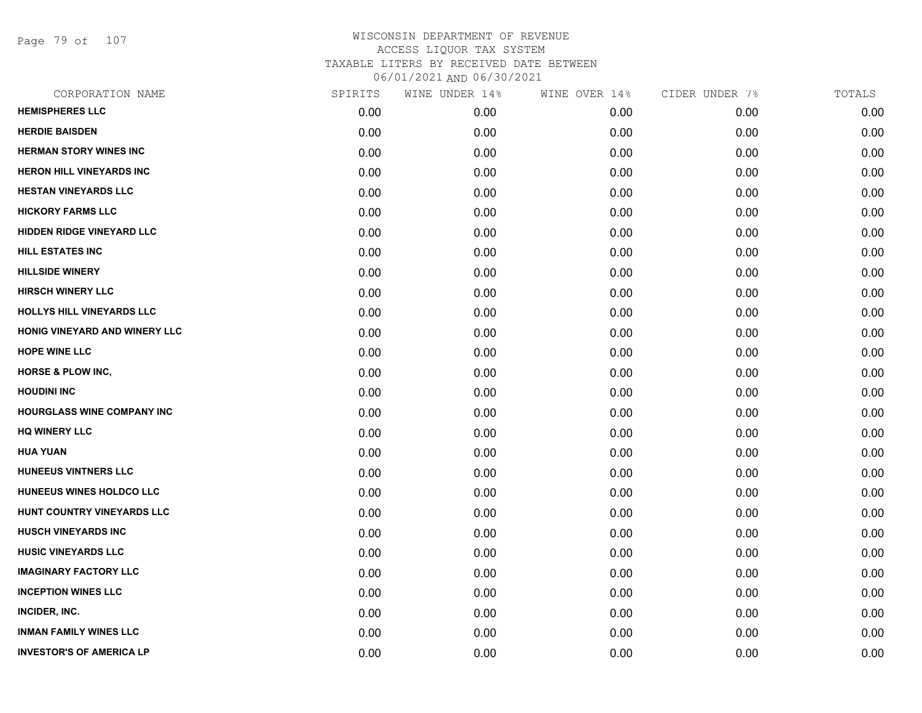Page 79 of 107

| CORPORATION NAME                 | SPIRITS | WINE UNDER 14% | WINE OVER 14% | CIDER UNDER 7% | TOTALS |
|----------------------------------|---------|----------------|---------------|----------------|--------|
| <b>HEMISPHERES LLC</b>           | 0.00    | 0.00           | 0.00          | 0.00           | 0.00   |
| <b>HERDIE BAISDEN</b>            | 0.00    | 0.00           | 0.00          | 0.00           | 0.00   |
| <b>HERMAN STORY WINES INC</b>    | 0.00    | 0.00           | 0.00          | 0.00           | 0.00   |
| <b>HERON HILL VINEYARDS INC</b>  | 0.00    | 0.00           | 0.00          | 0.00           | 0.00   |
| <b>HESTAN VINEYARDS LLC</b>      | 0.00    | 0.00           | 0.00          | 0.00           | 0.00   |
| <b>HICKORY FARMS LLC</b>         | 0.00    | 0.00           | 0.00          | 0.00           | 0.00   |
| <b>HIDDEN RIDGE VINEYARD LLC</b> | 0.00    | 0.00           | 0.00          | 0.00           | 0.00   |
| <b>HILL ESTATES INC</b>          | 0.00    | 0.00           | 0.00          | 0.00           | 0.00   |
| <b>HILLSIDE WINERY</b>           | 0.00    | 0.00           | 0.00          | 0.00           | 0.00   |
| <b>HIRSCH WINERY LLC</b>         | 0.00    | 0.00           | 0.00          | 0.00           | 0.00   |
| <b>HOLLYS HILL VINEYARDS LLC</b> | 0.00    | 0.00           | 0.00          | 0.00           | 0.00   |
| HONIG VINEYARD AND WINERY LLC    | 0.00    | 0.00           | 0.00          | 0.00           | 0.00   |
| <b>HOPE WINE LLC</b>             | 0.00    | 0.00           | 0.00          | 0.00           | 0.00   |
| <b>HORSE &amp; PLOW INC,</b>     | 0.00    | 0.00           | 0.00          | 0.00           | 0.00   |
| <b>HOUDINI INC</b>               | 0.00    | 0.00           | 0.00          | 0.00           | 0.00   |
| HOURGLASS WINE COMPANY INC       | 0.00    | 0.00           | 0.00          | 0.00           | 0.00   |
| <b>HQ WINERY LLC</b>             | 0.00    | 0.00           | 0.00          | 0.00           | 0.00   |
| <b>HUA YUAN</b>                  | 0.00    | 0.00           | 0.00          | 0.00           | 0.00   |
| HUNEEUS VINTNERS LLC             | 0.00    | 0.00           | 0.00          | 0.00           | 0.00   |
| HUNEEUS WINES HOLDCO LLC         | 0.00    | 0.00           | 0.00          | 0.00           | 0.00   |
| HUNT COUNTRY VINEYARDS LLC       | 0.00    | 0.00           | 0.00          | 0.00           | 0.00   |
| <b>HUSCH VINEYARDS INC</b>       | 0.00    | 0.00           | 0.00          | 0.00           | 0.00   |
| <b>HUSIC VINEYARDS LLC</b>       | 0.00    | 0.00           | 0.00          | 0.00           | 0.00   |
| <b>IMAGINARY FACTORY LLC</b>     | 0.00    | 0.00           | 0.00          | 0.00           | 0.00   |
| <b>INCEPTION WINES LLC</b>       | 0.00    | 0.00           | 0.00          | 0.00           | 0.00   |
| INCIDER, INC.                    | 0.00    | 0.00           | 0.00          | 0.00           | 0.00   |
| <b>INMAN FAMILY WINES LLC</b>    | 0.00    | 0.00           | 0.00          | 0.00           | 0.00   |
| <b>INVESTOR'S OF AMERICA LP</b>  | 0.00    | 0.00           | 0.00          | 0.00           | 0.00   |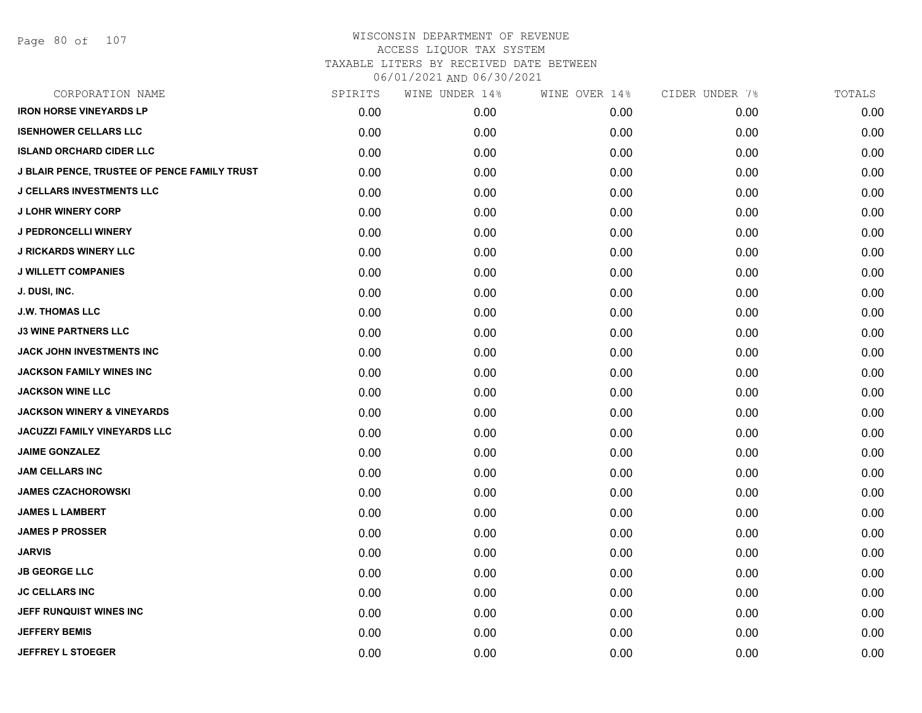| CORPORATION NAME                             | SPIRITS | WINE UNDER 14% | WINE OVER 14% | CIDER UNDER 7% | TOTALS |
|----------------------------------------------|---------|----------------|---------------|----------------|--------|
| <b>IRON HORSE VINEYARDS LP</b>               | 0.00    | 0.00           | 0.00          | 0.00           | 0.00   |
| <b>ISENHOWER CELLARS LLC</b>                 | 0.00    | 0.00           | 0.00          | 0.00           | 0.00   |
| <b>ISLAND ORCHARD CIDER LLC</b>              | 0.00    | 0.00           | 0.00          | 0.00           | 0.00   |
| J BLAIR PENCE, TRUSTEE OF PENCE FAMILY TRUST | 0.00    | 0.00           | 0.00          | 0.00           | 0.00   |
| <b>J CELLARS INVESTMENTS LLC</b>             | 0.00    | 0.00           | 0.00          | 0.00           | 0.00   |
| <b>J LOHR WINERY CORP</b>                    | 0.00    | 0.00           | 0.00          | 0.00           | 0.00   |
| <b>J PEDRONCELLI WINERY</b>                  | 0.00    | 0.00           | 0.00          | 0.00           | 0.00   |
| <b>J RICKARDS WINERY LLC</b>                 | 0.00    | 0.00           | 0.00          | 0.00           | 0.00   |
| <b>J WILLETT COMPANIES</b>                   | 0.00    | 0.00           | 0.00          | 0.00           | 0.00   |
| J. DUSI, INC.                                | 0.00    | 0.00           | 0.00          | 0.00           | 0.00   |
| <b>J.W. THOMAS LLC</b>                       | 0.00    | 0.00           | 0.00          | 0.00           | 0.00   |
| <b>J3 WINE PARTNERS LLC</b>                  | 0.00    | 0.00           | 0.00          | 0.00           | 0.00   |
| <b>JACK JOHN INVESTMENTS INC</b>             | 0.00    | 0.00           | 0.00          | 0.00           | 0.00   |
| JACKSON FAMILY WINES INC                     | 0.00    | 0.00           | 0.00          | 0.00           | 0.00   |
| <b>JACKSON WINE LLC</b>                      | 0.00    | 0.00           | 0.00          | 0.00           | 0.00   |
| <b>JACKSON WINERY &amp; VINEYARDS</b>        | 0.00    | 0.00           | 0.00          | 0.00           | 0.00   |
| <b>JACUZZI FAMILY VINEYARDS LLC</b>          | 0.00    | 0.00           | 0.00          | 0.00           | 0.00   |
| <b>JAIME GONZALEZ</b>                        | 0.00    | 0.00           | 0.00          | 0.00           | 0.00   |
| JAM CELLARS INC                              | 0.00    | 0.00           | 0.00          | 0.00           | 0.00   |
| <b>JAMES CZACHOROWSKI</b>                    | 0.00    | 0.00           | 0.00          | 0.00           | 0.00   |
| <b>JAMES L LAMBERT</b>                       | 0.00    | 0.00           | 0.00          | 0.00           | 0.00   |
| <b>JAMES P PROSSER</b>                       | 0.00    | 0.00           | 0.00          | 0.00           | 0.00   |
| <b>JARVIS</b>                                | 0.00    | 0.00           | 0.00          | 0.00           | 0.00   |
| <b>JB GEORGE LLC</b>                         | 0.00    | 0.00           | 0.00          | 0.00           | 0.00   |
| <b>JC CELLARS INC</b>                        | 0.00    | 0.00           | 0.00          | 0.00           | 0.00   |
| JEFF RUNQUIST WINES INC                      | 0.00    | 0.00           | 0.00          | 0.00           | 0.00   |
| <b>JEFFERY BEMIS</b>                         | 0.00    | 0.00           | 0.00          | 0.00           | 0.00   |
| JEFFREY L STOEGER                            | 0.00    | 0.00           | 0.00          | 0.00           | 0.00   |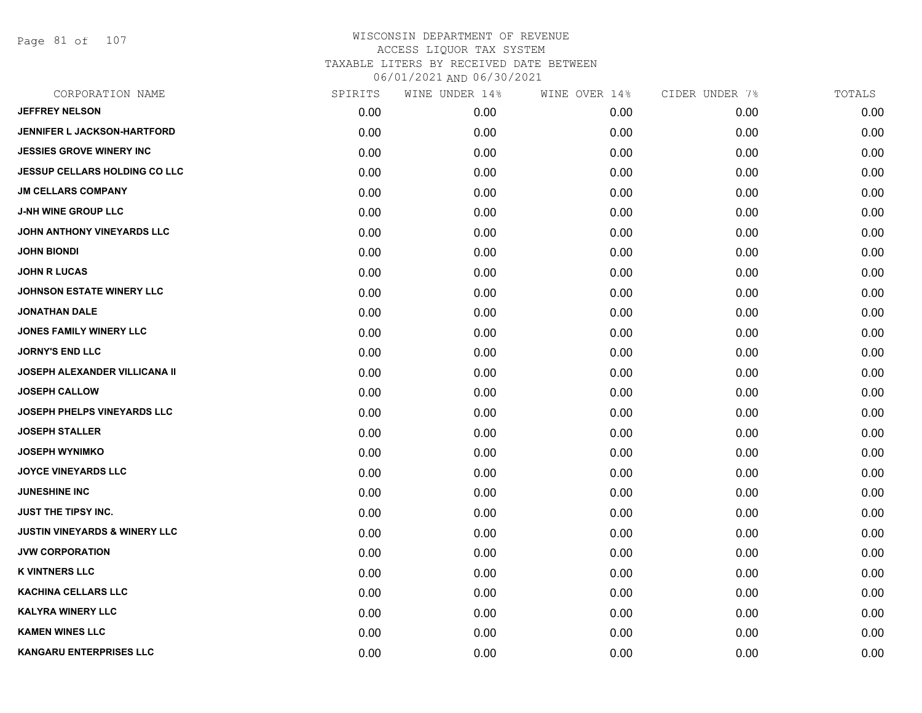Page 81 of 107

| CORPORATION NAME                         | SPIRITS | WINE UNDER 14% | WINE OVER 14% | CIDER UNDER 7% | TOTALS |
|------------------------------------------|---------|----------------|---------------|----------------|--------|
| <b>JEFFREY NELSON</b>                    | 0.00    | 0.00           | 0.00          | 0.00           | 0.00   |
| <b>JENNIFER L JACKSON-HARTFORD</b>       | 0.00    | 0.00           | 0.00          | 0.00           | 0.00   |
| <b>JESSIES GROVE WINERY INC</b>          | 0.00    | 0.00           | 0.00          | 0.00           | 0.00   |
| <b>JESSUP CELLARS HOLDING CO LLC</b>     | 0.00    | 0.00           | 0.00          | 0.00           | 0.00   |
| <b>JM CELLARS COMPANY</b>                | 0.00    | 0.00           | 0.00          | 0.00           | 0.00   |
| <b>J-NH WINE GROUP LLC</b>               | 0.00    | 0.00           | 0.00          | 0.00           | 0.00   |
| JOHN ANTHONY VINEYARDS LLC               | 0.00    | 0.00           | 0.00          | 0.00           | 0.00   |
| <b>JOHN BIONDI</b>                       | 0.00    | 0.00           | 0.00          | 0.00           | 0.00   |
| <b>JOHN R LUCAS</b>                      | 0.00    | 0.00           | 0.00          | 0.00           | 0.00   |
| JOHNSON ESTATE WINERY LLC                | 0.00    | 0.00           | 0.00          | 0.00           | 0.00   |
| <b>JONATHAN DALE</b>                     | 0.00    | 0.00           | 0.00          | 0.00           | 0.00   |
| JONES FAMILY WINERY LLC                  | 0.00    | 0.00           | 0.00          | 0.00           | 0.00   |
| <b>JORNY'S END LLC</b>                   | 0.00    | 0.00           | 0.00          | 0.00           | 0.00   |
| JOSEPH ALEXANDER VILLICANA II            | 0.00    | 0.00           | 0.00          | 0.00           | 0.00   |
| <b>JOSEPH CALLOW</b>                     | 0.00    | 0.00           | 0.00          | 0.00           | 0.00   |
| JOSEPH PHELPS VINEYARDS LLC              | 0.00    | 0.00           | 0.00          | 0.00           | 0.00   |
| <b>JOSEPH STALLER</b>                    | 0.00    | 0.00           | 0.00          | 0.00           | 0.00   |
| <b>JOSEPH WYNIMKO</b>                    | 0.00    | 0.00           | 0.00          | 0.00           | 0.00   |
| <b>JOYCE VINEYARDS LLC</b>               | 0.00    | 0.00           | 0.00          | 0.00           | 0.00   |
| <b>JUNESHINE INC</b>                     | 0.00    | 0.00           | 0.00          | 0.00           | 0.00   |
| <b>JUST THE TIPSY INC.</b>               | 0.00    | 0.00           | 0.00          | 0.00           | 0.00   |
| <b>JUSTIN VINEYARDS &amp; WINERY LLC</b> | 0.00    | 0.00           | 0.00          | 0.00           | 0.00   |
| <b>JVW CORPORATION</b>                   | 0.00    | 0.00           | 0.00          | 0.00           | 0.00   |
| <b>K VINTNERS LLC</b>                    | 0.00    | 0.00           | 0.00          | 0.00           | 0.00   |
| <b>KACHINA CELLARS LLC</b>               | 0.00    | 0.00           | 0.00          | 0.00           | 0.00   |
| <b>KALYRA WINERY LLC</b>                 | 0.00    | 0.00           | 0.00          | 0.00           | 0.00   |
| <b>KAMEN WINES LLC</b>                   | 0.00    | 0.00           | 0.00          | 0.00           | 0.00   |
| KANGARU ENTERPRISES LLC                  | 0.00    | 0.00           | 0.00          | 0.00           | 0.00   |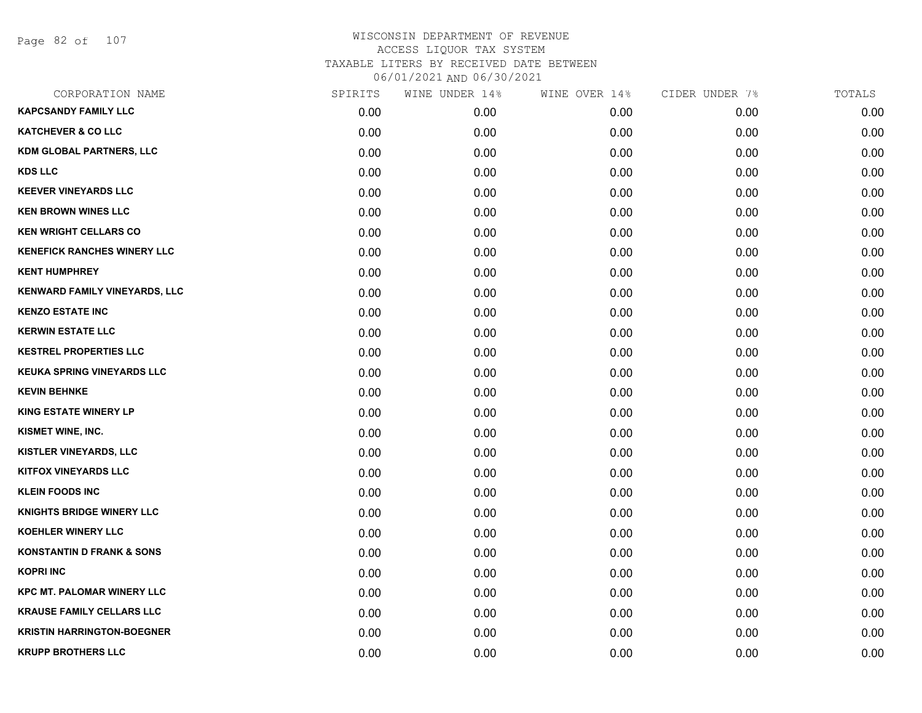Page 82 of 107

| CORPORATION NAME                     | SPIRITS | WINE UNDER 14% | WINE OVER 14% | CIDER UNDER 7% | TOTALS |
|--------------------------------------|---------|----------------|---------------|----------------|--------|
| <b>KAPCSANDY FAMILY LLC</b>          | 0.00    | 0.00           | 0.00          | 0.00           | 0.00   |
| <b>KATCHEVER &amp; CO LLC</b>        | 0.00    | 0.00           | 0.00          | 0.00           | 0.00   |
| <b>KDM GLOBAL PARTNERS, LLC</b>      | 0.00    | 0.00           | 0.00          | 0.00           | 0.00   |
| <b>KDS LLC</b>                       | 0.00    | 0.00           | 0.00          | 0.00           | 0.00   |
| <b>KEEVER VINEYARDS LLC</b>          | 0.00    | 0.00           | 0.00          | 0.00           | 0.00   |
| <b>KEN BROWN WINES LLC</b>           | 0.00    | 0.00           | 0.00          | 0.00           | 0.00   |
| <b>KEN WRIGHT CELLARS CO</b>         | 0.00    | 0.00           | 0.00          | 0.00           | 0.00   |
| <b>KENEFICK RANCHES WINERY LLC</b>   | 0.00    | 0.00           | 0.00          | 0.00           | 0.00   |
| <b>KENT HUMPHREY</b>                 | 0.00    | 0.00           | 0.00          | 0.00           | 0.00   |
| <b>KENWARD FAMILY VINEYARDS, LLC</b> | 0.00    | 0.00           | 0.00          | 0.00           | 0.00   |
| <b>KENZO ESTATE INC</b>              | 0.00    | 0.00           | 0.00          | 0.00           | 0.00   |
| <b>KERWIN ESTATE LLC</b>             | 0.00    | 0.00           | 0.00          | 0.00           | 0.00   |
| <b>KESTREL PROPERTIES LLC</b>        | 0.00    | 0.00           | 0.00          | 0.00           | 0.00   |
| <b>KEUKA SPRING VINEYARDS LLC</b>    | 0.00    | 0.00           | 0.00          | 0.00           | 0.00   |
| <b>KEVIN BEHNKE</b>                  | 0.00    | 0.00           | 0.00          | 0.00           | 0.00   |
| <b>KING ESTATE WINERY LP</b>         | 0.00    | 0.00           | 0.00          | 0.00           | 0.00   |
| KISMET WINE, INC.                    | 0.00    | 0.00           | 0.00          | 0.00           | 0.00   |
| <b>KISTLER VINEYARDS, LLC</b>        | 0.00    | 0.00           | 0.00          | 0.00           | 0.00   |
| <b>KITFOX VINEYARDS LLC</b>          | 0.00    | 0.00           | 0.00          | 0.00           | 0.00   |
| <b>KLEIN FOODS INC</b>               | 0.00    | 0.00           | 0.00          | 0.00           | 0.00   |
| <b>KNIGHTS BRIDGE WINERY LLC</b>     | 0.00    | 0.00           | 0.00          | 0.00           | 0.00   |
| <b>KOEHLER WINERY LLC</b>            | 0.00    | 0.00           | 0.00          | 0.00           | 0.00   |
| <b>KONSTANTIN D FRANK &amp; SONS</b> | 0.00    | 0.00           | 0.00          | 0.00           | 0.00   |
| <b>KOPRI INC</b>                     | 0.00    | 0.00           | 0.00          | 0.00           | 0.00   |
| <b>KPC MT. PALOMAR WINERY LLC</b>    | 0.00    | 0.00           | 0.00          | 0.00           | 0.00   |
| <b>KRAUSE FAMILY CELLARS LLC</b>     | 0.00    | 0.00           | 0.00          | 0.00           | 0.00   |
| <b>KRISTIN HARRINGTON-BOEGNER</b>    | 0.00    | 0.00           | 0.00          | 0.00           | 0.00   |
| <b>KRUPP BROTHERS LLC</b>            | 0.00    | 0.00           | 0.00          | 0.00           | 0.00   |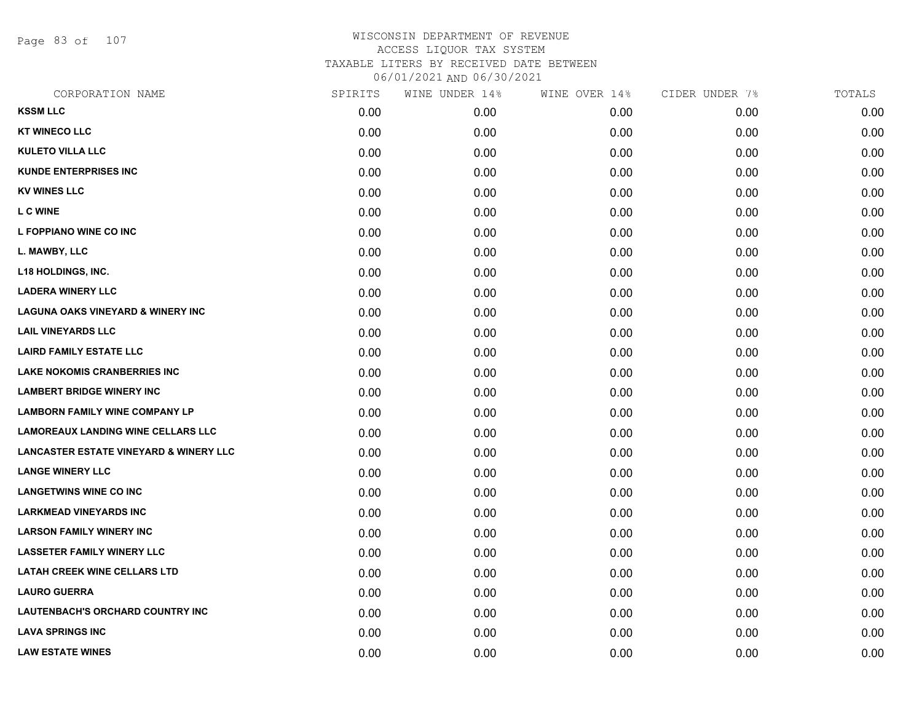Page 83 of 107

| CORPORATION NAME                                  | SPIRITS | WINE UNDER 14% | WINE OVER 14% | CIDER UNDER 7% | TOTALS |
|---------------------------------------------------|---------|----------------|---------------|----------------|--------|
| <b>KSSM LLC</b>                                   | 0.00    | 0.00           | 0.00          | 0.00           | 0.00   |
| <b>KT WINECO LLC</b>                              | 0.00    | 0.00           | 0.00          | 0.00           | 0.00   |
| <b>KULETO VILLA LLC</b>                           | 0.00    | 0.00           | 0.00          | 0.00           | 0.00   |
| <b>KUNDE ENTERPRISES INC</b>                      | 0.00    | 0.00           | 0.00          | 0.00           | 0.00   |
| <b>KV WINES LLC</b>                               | 0.00    | 0.00           | 0.00          | 0.00           | 0.00   |
| <b>L C WINE</b>                                   | 0.00    | 0.00           | 0.00          | 0.00           | 0.00   |
| L FOPPIANO WINE CO INC                            | 0.00    | 0.00           | 0.00          | 0.00           | 0.00   |
| L. MAWBY, LLC                                     | 0.00    | 0.00           | 0.00          | 0.00           | 0.00   |
| <b>L18 HOLDINGS, INC.</b>                         | 0.00    | 0.00           | 0.00          | 0.00           | 0.00   |
| <b>LADERA WINERY LLC</b>                          | 0.00    | 0.00           | 0.00          | 0.00           | 0.00   |
| <b>LAGUNA OAKS VINEYARD &amp; WINERY INC</b>      | 0.00    | 0.00           | 0.00          | 0.00           | 0.00   |
| <b>LAIL VINEYARDS LLC</b>                         | 0.00    | 0.00           | 0.00          | 0.00           | 0.00   |
| <b>LAIRD FAMILY ESTATE LLC</b>                    | 0.00    | 0.00           | 0.00          | 0.00           | 0.00   |
| LAKE NOKOMIS CRANBERRIES INC                      | 0.00    | 0.00           | 0.00          | 0.00           | 0.00   |
| <b>LAMBERT BRIDGE WINERY INC</b>                  | 0.00    | 0.00           | 0.00          | 0.00           | 0.00   |
| <b>LAMBORN FAMILY WINE COMPANY LP</b>             | 0.00    | 0.00           | 0.00          | 0.00           | 0.00   |
| <b>LAMOREAUX LANDING WINE CELLARS LLC</b>         | 0.00    | 0.00           | 0.00          | 0.00           | 0.00   |
| <b>LANCASTER ESTATE VINEYARD &amp; WINERY LLC</b> | 0.00    | 0.00           | 0.00          | 0.00           | 0.00   |
| <b>LANGE WINERY LLC</b>                           | 0.00    | 0.00           | 0.00          | 0.00           | 0.00   |
| <b>LANGETWINS WINE CO INC</b>                     | 0.00    | 0.00           | 0.00          | 0.00           | 0.00   |
| <b>LARKMEAD VINEYARDS INC</b>                     | 0.00    | 0.00           | 0.00          | 0.00           | 0.00   |
| <b>LARSON FAMILY WINERY INC</b>                   | 0.00    | 0.00           | 0.00          | 0.00           | 0.00   |
| <b>LASSETER FAMILY WINERY LLC</b>                 | 0.00    | 0.00           | 0.00          | 0.00           | 0.00   |
| <b>LATAH CREEK WINE CELLARS LTD</b>               | 0.00    | 0.00           | 0.00          | 0.00           | 0.00   |
| <b>LAURO GUERRA</b>                               | 0.00    | 0.00           | 0.00          | 0.00           | 0.00   |
| <b>LAUTENBACH'S ORCHARD COUNTRY INC</b>           | 0.00    | 0.00           | 0.00          | 0.00           | 0.00   |
| <b>LAVA SPRINGS INC</b>                           | 0.00    | 0.00           | 0.00          | 0.00           | 0.00   |
| <b>LAW ESTATE WINES</b>                           | 0.00    | 0.00           | 0.00          | 0.00           | 0.00   |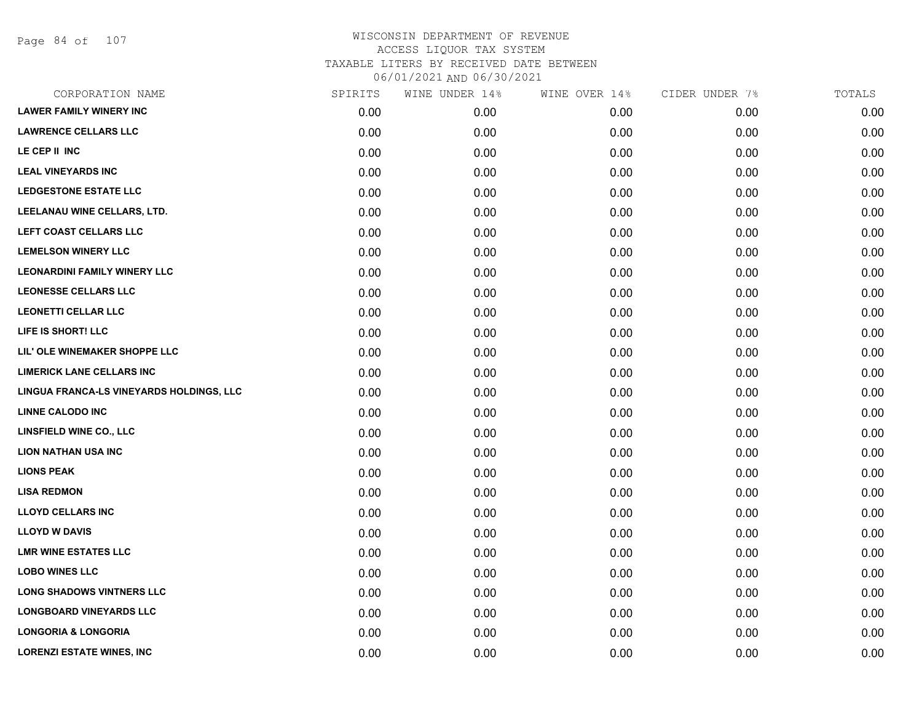Page 84 of 107

| CORPORATION NAME                         | SPIRITS | WINE UNDER 14% | WINE OVER 14% | CIDER UNDER 7% | TOTALS |
|------------------------------------------|---------|----------------|---------------|----------------|--------|
| <b>LAWER FAMILY WINERY INC</b>           | 0.00    | 0.00           | 0.00          | 0.00           | 0.00   |
| <b>LAWRENCE CELLARS LLC</b>              | 0.00    | 0.00           | 0.00          | 0.00           | 0.00   |
| LE CEP II INC                            | 0.00    | 0.00           | 0.00          | 0.00           | 0.00   |
| <b>LEAL VINEYARDS INC</b>                | 0.00    | 0.00           | 0.00          | 0.00           | 0.00   |
| <b>LEDGESTONE ESTATE LLC</b>             | 0.00    | 0.00           | 0.00          | 0.00           | 0.00   |
| LEELANAU WINE CELLARS, LTD.              | 0.00    | 0.00           | 0.00          | 0.00           | 0.00   |
| LEFT COAST CELLARS LLC                   | 0.00    | 0.00           | 0.00          | 0.00           | 0.00   |
| <b>LEMELSON WINERY LLC</b>               | 0.00    | 0.00           | 0.00          | 0.00           | 0.00   |
| <b>LEONARDINI FAMILY WINERY LLC</b>      | 0.00    | 0.00           | 0.00          | 0.00           | 0.00   |
| <b>LEONESSE CELLARS LLC</b>              | 0.00    | 0.00           | 0.00          | 0.00           | 0.00   |
| <b>LEONETTI CELLAR LLC</b>               | 0.00    | 0.00           | 0.00          | 0.00           | 0.00   |
| LIFE IS SHORT! LLC                       | 0.00    | 0.00           | 0.00          | 0.00           | 0.00   |
| LIL' OLE WINEMAKER SHOPPE LLC            | 0.00    | 0.00           | 0.00          | 0.00           | 0.00   |
| <b>LIMERICK LANE CELLARS INC</b>         | 0.00    | 0.00           | 0.00          | 0.00           | 0.00   |
| LINGUA FRANCA-LS VINEYARDS HOLDINGS, LLC | 0.00    | 0.00           | 0.00          | 0.00           | 0.00   |
| <b>LINNE CALODO INC</b>                  | 0.00    | 0.00           | 0.00          | 0.00           | 0.00   |
| LINSFIELD WINE CO., LLC                  | 0.00    | 0.00           | 0.00          | 0.00           | 0.00   |
| <b>LION NATHAN USA INC</b>               | 0.00    | 0.00           | 0.00          | 0.00           | 0.00   |
| <b>LIONS PEAK</b>                        | 0.00    | 0.00           | 0.00          | 0.00           | 0.00   |
| <b>LISA REDMON</b>                       | 0.00    | 0.00           | 0.00          | 0.00           | 0.00   |
| <b>LLOYD CELLARS INC</b>                 | 0.00    | 0.00           | 0.00          | 0.00           | 0.00   |
| <b>LLOYD W DAVIS</b>                     | 0.00    | 0.00           | 0.00          | 0.00           | 0.00   |
| <b>LMR WINE ESTATES LLC</b>              | 0.00    | 0.00           | 0.00          | 0.00           | 0.00   |
| <b>LOBO WINES LLC</b>                    | 0.00    | 0.00           | 0.00          | 0.00           | 0.00   |
| <b>LONG SHADOWS VINTNERS LLC</b>         | 0.00    | 0.00           | 0.00          | 0.00           | 0.00   |
| <b>LONGBOARD VINEYARDS LLC</b>           | 0.00    | 0.00           | 0.00          | 0.00           | 0.00   |
| <b>LONGORIA &amp; LONGORIA</b>           | 0.00    | 0.00           | 0.00          | 0.00           | 0.00   |
| <b>LORENZI ESTATE WINES, INC</b>         | 0.00    | 0.00           | 0.00          | 0.00           | 0.00   |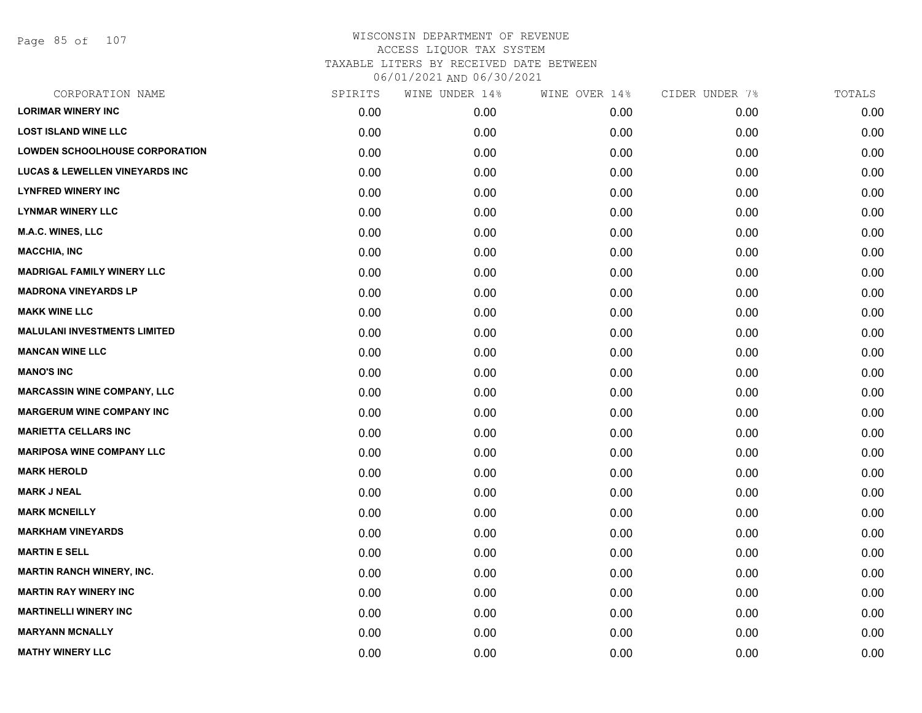Page 85 of 107

| CORPORATION NAME                          | SPIRITS | WINE UNDER 14% | WINE OVER 14% | CIDER UNDER 7% | TOTALS |
|-------------------------------------------|---------|----------------|---------------|----------------|--------|
| <b>LORIMAR WINERY INC</b>                 | 0.00    | 0.00           | 0.00          | 0.00           | 0.00   |
| <b>LOST ISLAND WINE LLC</b>               | 0.00    | 0.00           | 0.00          | 0.00           | 0.00   |
| <b>LOWDEN SCHOOLHOUSE CORPORATION</b>     | 0.00    | 0.00           | 0.00          | 0.00           | 0.00   |
| <b>LUCAS &amp; LEWELLEN VINEYARDS INC</b> | 0.00    | 0.00           | 0.00          | 0.00           | 0.00   |
| <b>LYNFRED WINERY INC</b>                 | 0.00    | 0.00           | 0.00          | 0.00           | 0.00   |
| <b>LYNMAR WINERY LLC</b>                  | 0.00    | 0.00           | 0.00          | 0.00           | 0.00   |
| <b>M.A.C. WINES, LLC</b>                  | 0.00    | 0.00           | 0.00          | 0.00           | 0.00   |
| <b>MACCHIA, INC</b>                       | 0.00    | 0.00           | 0.00          | 0.00           | 0.00   |
| <b>MADRIGAL FAMILY WINERY LLC</b>         | 0.00    | 0.00           | 0.00          | 0.00           | 0.00   |
| <b>MADRONA VINEYARDS LP</b>               | 0.00    | 0.00           | 0.00          | 0.00           | 0.00   |
| <b>MAKK WINE LLC</b>                      | 0.00    | 0.00           | 0.00          | 0.00           | 0.00   |
| <b>MALULANI INVESTMENTS LIMITED</b>       | 0.00    | 0.00           | 0.00          | 0.00           | 0.00   |
| <b>MANCAN WINE LLC</b>                    | 0.00    | 0.00           | 0.00          | 0.00           | 0.00   |
| <b>MANO'S INC</b>                         | 0.00    | 0.00           | 0.00          | 0.00           | 0.00   |
| <b>MARCASSIN WINE COMPANY, LLC</b>        | 0.00    | 0.00           | 0.00          | 0.00           | 0.00   |
| <b>MARGERUM WINE COMPANY INC</b>          | 0.00    | 0.00           | 0.00          | 0.00           | 0.00   |
| <b>MARIETTA CELLARS INC</b>               | 0.00    | 0.00           | 0.00          | 0.00           | 0.00   |
| <b>MARIPOSA WINE COMPANY LLC</b>          | 0.00    | 0.00           | 0.00          | 0.00           | 0.00   |
| <b>MARK HEROLD</b>                        | 0.00    | 0.00           | 0.00          | 0.00           | 0.00   |
| <b>MARK J NEAL</b>                        | 0.00    | 0.00           | 0.00          | 0.00           | 0.00   |
| <b>MARK MCNEILLY</b>                      | 0.00    | 0.00           | 0.00          | 0.00           | 0.00   |
| <b>MARKHAM VINEYARDS</b>                  | 0.00    | 0.00           | 0.00          | 0.00           | 0.00   |
| <b>MARTIN E SELL</b>                      | 0.00    | 0.00           | 0.00          | 0.00           | 0.00   |
| <b>MARTIN RANCH WINERY, INC.</b>          | 0.00    | 0.00           | 0.00          | 0.00           | 0.00   |
| <b>MARTIN RAY WINERY INC</b>              | 0.00    | 0.00           | 0.00          | 0.00           | 0.00   |
| <b>MARTINELLI WINERY INC</b>              | 0.00    | 0.00           | 0.00          | 0.00           | 0.00   |
| <b>MARYANN MCNALLY</b>                    | 0.00    | 0.00           | 0.00          | 0.00           | 0.00   |
| <b>MATHY WINERY LLC</b>                   | 0.00    | 0.00           | 0.00          | 0.00           | 0.00   |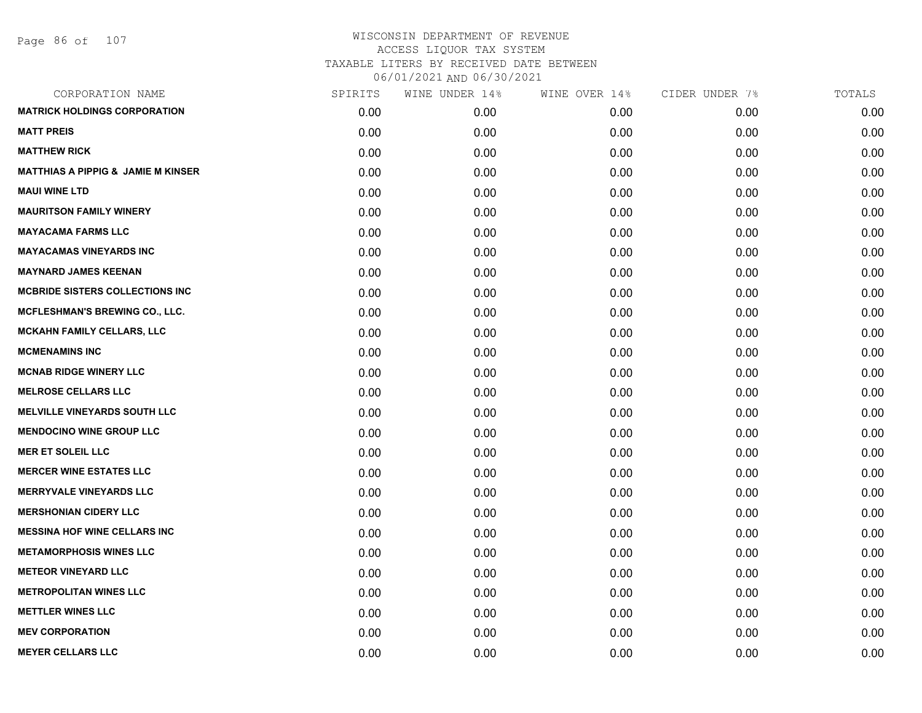| CORPORATION NAME                              | SPIRITS | WINE UNDER 14% | WINE OVER 14% | CIDER UNDER 7% | TOTALS |
|-----------------------------------------------|---------|----------------|---------------|----------------|--------|
| <b>MATRICK HOLDINGS CORPORATION</b>           | 0.00    | 0.00           | 0.00          | 0.00           | 0.00   |
| <b>MATT PREIS</b>                             | 0.00    | 0.00           | 0.00          | 0.00           | 0.00   |
| <b>MATTHEW RICK</b>                           | 0.00    | 0.00           | 0.00          | 0.00           | 0.00   |
| <b>MATTHIAS A PIPPIG &amp; JAMIE M KINSER</b> | 0.00    | 0.00           | 0.00          | 0.00           | 0.00   |
| <b>MAUI WINE LTD</b>                          | 0.00    | 0.00           | 0.00          | 0.00           | 0.00   |
| <b>MAURITSON FAMILY WINERY</b>                | 0.00    | 0.00           | 0.00          | 0.00           | 0.00   |
| <b>MAYACAMA FARMS LLC</b>                     | 0.00    | 0.00           | 0.00          | 0.00           | 0.00   |
| <b>MAYACAMAS VINEYARDS INC</b>                | 0.00    | 0.00           | 0.00          | 0.00           | 0.00   |
| <b>MAYNARD JAMES KEENAN</b>                   | 0.00    | 0.00           | 0.00          | 0.00           | 0.00   |
| <b>MCBRIDE SISTERS COLLECTIONS INC</b>        | 0.00    | 0.00           | 0.00          | 0.00           | 0.00   |
| <b>MCFLESHMAN'S BREWING CO., LLC.</b>         | 0.00    | 0.00           | 0.00          | 0.00           | 0.00   |
| MCKAHN FAMILY CELLARS, LLC                    | 0.00    | 0.00           | 0.00          | 0.00           | 0.00   |
| <b>MCMENAMINS INC</b>                         | 0.00    | 0.00           | 0.00          | 0.00           | 0.00   |
| <b>MCNAB RIDGE WINERY LLC</b>                 | 0.00    | 0.00           | 0.00          | 0.00           | 0.00   |
| <b>MELROSE CELLARS LLC</b>                    | 0.00    | 0.00           | 0.00          | 0.00           | 0.00   |
| <b>MELVILLE VINEYARDS SOUTH LLC</b>           | 0.00    | 0.00           | 0.00          | 0.00           | 0.00   |
| <b>MENDOCINO WINE GROUP LLC</b>               | 0.00    | 0.00           | 0.00          | 0.00           | 0.00   |
| <b>MER ET SOLEIL LLC</b>                      | 0.00    | 0.00           | 0.00          | 0.00           | 0.00   |
| <b>MERCER WINE ESTATES LLC</b>                | 0.00    | 0.00           | 0.00          | 0.00           | 0.00   |
| <b>MERRYVALE VINEYARDS LLC</b>                | 0.00    | 0.00           | 0.00          | 0.00           | 0.00   |
| <b>MERSHONIAN CIDERY LLC</b>                  | 0.00    | 0.00           | 0.00          | 0.00           | 0.00   |
| <b>MESSINA HOF WINE CELLARS INC</b>           | 0.00    | 0.00           | 0.00          | 0.00           | 0.00   |
| <b>METAMORPHOSIS WINES LLC</b>                | 0.00    | 0.00           | 0.00          | 0.00           | 0.00   |
| <b>METEOR VINEYARD LLC</b>                    | 0.00    | 0.00           | 0.00          | 0.00           | 0.00   |
| <b>METROPOLITAN WINES LLC</b>                 | 0.00    | 0.00           | 0.00          | 0.00           | 0.00   |
| <b>METTLER WINES LLC</b>                      | 0.00    | 0.00           | 0.00          | 0.00           | 0.00   |
| <b>MEV CORPORATION</b>                        | 0.00    | 0.00           | 0.00          | 0.00           | 0.00   |
| <b>MEYER CELLARS LLC</b>                      | 0.00    | 0.00           | 0.00          | 0.00           | 0.00   |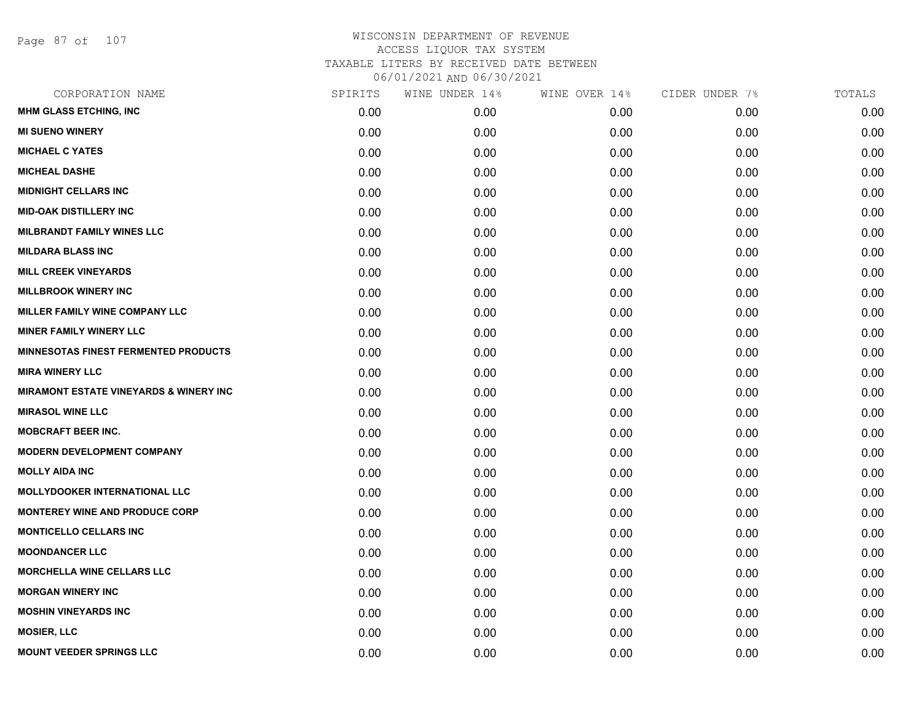Page 87 of 107

| CORPORATION NAME                                  | SPIRITS | WINE UNDER 14%    | WINE OVER 14% | CIDER UNDER 7% | TOTALS |
|---------------------------------------------------|---------|-------------------|---------------|----------------|--------|
| <b>MHM GLASS ETCHING, INC</b>                     | 0.00    | 0.00 <sub>1</sub> | 0.00          | 0.00           | 0.00   |
| <b>MI SUENO WINERY</b>                            | 0.00    | 0.00              | 0.00          | 0.00           | 0.00   |
| <b>MICHAEL C YATES</b>                            | 0.00    | 0.00              | 0.00          | 0.00           | 0.00   |
| <b>MICHEAL DASHE</b>                              | 0.00    | 0.00              | 0.00          | 0.00           | 0.00   |
| <b>MIDNIGHT CELLARS INC</b>                       | 0.00    | 0.00              | 0.00          | 0.00           | 0.00   |
| <b>MID-OAK DISTILLERY INC</b>                     | 0.00    | 0.00              | 0.00          | 0.00           | 0.00   |
| <b>MILBRANDT FAMILY WINES LLC</b>                 | 0.00    | 0.00              | 0.00          | 0.00           | 0.00   |
| <b>MILDARA BLASS INC</b>                          | 0.00    | 0.00              | 0.00          | 0.00           | 0.00   |
| <b>MILL CREEK VINEYARDS</b>                       | 0.00    | 0.00              | 0.00          | 0.00           | 0.00   |
| <b>MILLBROOK WINERY INC</b>                       | 0.00    | 0.00              | 0.00          | 0.00           | 0.00   |
| MILLER FAMILY WINE COMPANY LLC                    | 0.00    | 0.00              | 0.00          | 0.00           | 0.00   |
| <b>MINER FAMILY WINERY LLC</b>                    | 0.00    | 0.00              | 0.00          | 0.00           | 0.00   |
| <b>MINNESOTAS FINEST FERMENTED PRODUCTS</b>       | 0.00    | 0.00              | 0.00          | 0.00           | 0.00   |
| <b>MIRA WINERY LLC</b>                            | 0.00    | 0.00              | 0.00          | 0.00           | 0.00   |
| <b>MIRAMONT ESTATE VINEYARDS &amp; WINERY INC</b> | 0.00    | 0.00              | 0.00          | 0.00           | 0.00   |
| <b>MIRASOL WINE LLC</b>                           | 0.00    | 0.00              | 0.00          | 0.00           | 0.00   |
| <b>MOBCRAFT BEER INC.</b>                         | 0.00    | 0.00              | 0.00          | 0.00           | 0.00   |
| <b>MODERN DEVELOPMENT COMPANY</b>                 | 0.00    | 0.00              | 0.00          | 0.00           | 0.00   |
| <b>MOLLY AIDA INC</b>                             | 0.00    | 0.00              | 0.00          | 0.00           | 0.00   |
| <b>MOLLYDOOKER INTERNATIONAL LLC</b>              | 0.00    | 0.00              | 0.00          | 0.00           | 0.00   |
| <b>MONTEREY WINE AND PRODUCE CORP</b>             | 0.00    | 0.00              | 0.00          | 0.00           | 0.00   |
| <b>MONTICELLO CELLARS INC</b>                     | 0.00    | 0.00              | 0.00          | 0.00           | 0.00   |
| <b>MOONDANCER LLC</b>                             | 0.00    | 0.00              | 0.00          | 0.00           | 0.00   |
| <b>MORCHELLA WINE CELLARS LLC</b>                 | 0.00    | 0.00              | 0.00          | 0.00           | 0.00   |
| <b>MORGAN WINERY INC</b>                          | 0.00    | 0.00              | 0.00          | 0.00           | 0.00   |
| <b>MOSHIN VINEYARDS INC</b>                       | 0.00    | 0.00              | 0.00          | 0.00           | 0.00   |
| <b>MOSIER, LLC</b>                                | 0.00    | 0.00              | 0.00          | 0.00           | 0.00   |
| <b>MOUNT VEEDER SPRINGS LLC</b>                   | 0.00    | 0.00              | 0.00          | 0.00           | 0.00   |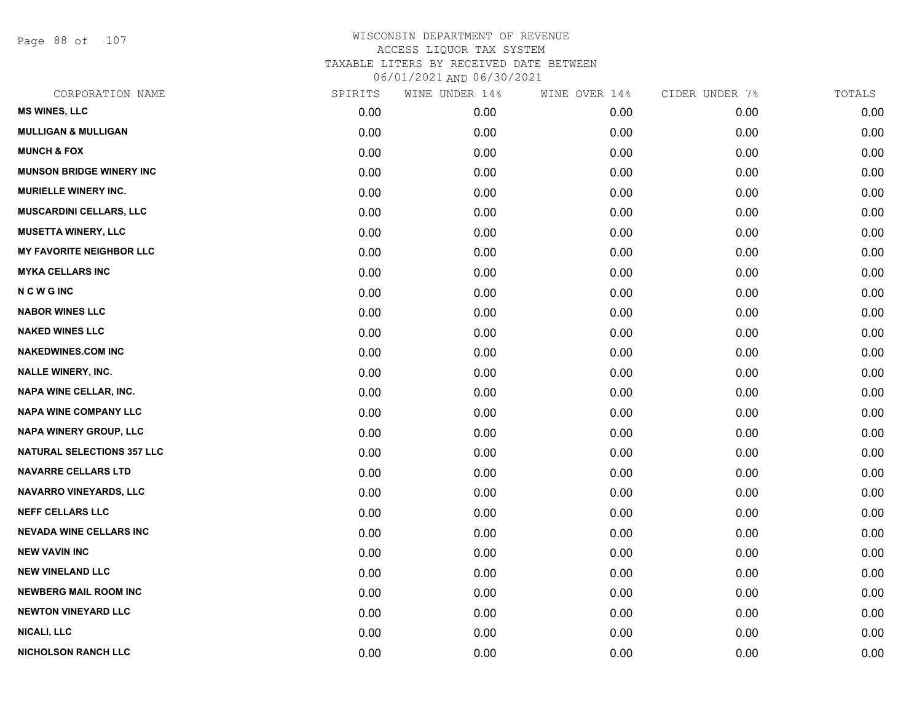Page 88 of 107

| SPIRITS | WINE UNDER 14% | WINE OVER 14% | CIDER UNDER 7% | TOTALS |
|---------|----------------|---------------|----------------|--------|
| 0.00    | 0.00           | 0.00          | 0.00           | 0.00   |
| 0.00    | 0.00           | 0.00          | 0.00           | 0.00   |
| 0.00    | 0.00           | 0.00          | 0.00           | 0.00   |
| 0.00    | 0.00           | 0.00          | 0.00           | 0.00   |
| 0.00    | 0.00           | 0.00          | 0.00           | 0.00   |
| 0.00    | 0.00           | 0.00          | 0.00           | 0.00   |
| 0.00    | 0.00           | 0.00          | 0.00           | 0.00   |
| 0.00    | 0.00           | 0.00          | 0.00           | 0.00   |
| 0.00    | 0.00           | 0.00          | 0.00           | 0.00   |
| 0.00    | 0.00           | 0.00          | 0.00           | 0.00   |
| 0.00    | 0.00           | 0.00          | 0.00           | 0.00   |
| 0.00    | 0.00           | 0.00          | 0.00           | 0.00   |
| 0.00    | 0.00           | 0.00          | 0.00           | 0.00   |
| 0.00    | 0.00           | 0.00          | 0.00           | 0.00   |
| 0.00    | 0.00           | 0.00          | 0.00           | 0.00   |
| 0.00    | 0.00           | 0.00          | 0.00           | 0.00   |
| 0.00    | 0.00           | 0.00          | 0.00           | 0.00   |
| 0.00    | 0.00           | 0.00          | 0.00           | 0.00   |
| 0.00    | 0.00           | 0.00          | 0.00           | 0.00   |
| 0.00    | 0.00           | 0.00          | 0.00           | 0.00   |
| 0.00    | 0.00           | 0.00          | 0.00           | 0.00   |
| 0.00    | 0.00           | 0.00          | 0.00           | 0.00   |
| 0.00    | 0.00           | 0.00          | 0.00           | 0.00   |
| 0.00    | 0.00           | 0.00          | 0.00           | 0.00   |
| 0.00    | 0.00           | 0.00          | 0.00           | 0.00   |
| 0.00    | 0.00           | 0.00          | 0.00           | 0.00   |
| 0.00    | 0.00           | 0.00          | 0.00           | 0.00   |
| 0.00    | 0.00           | 0.00          | 0.00           | 0.00   |
|         |                |               |                |        |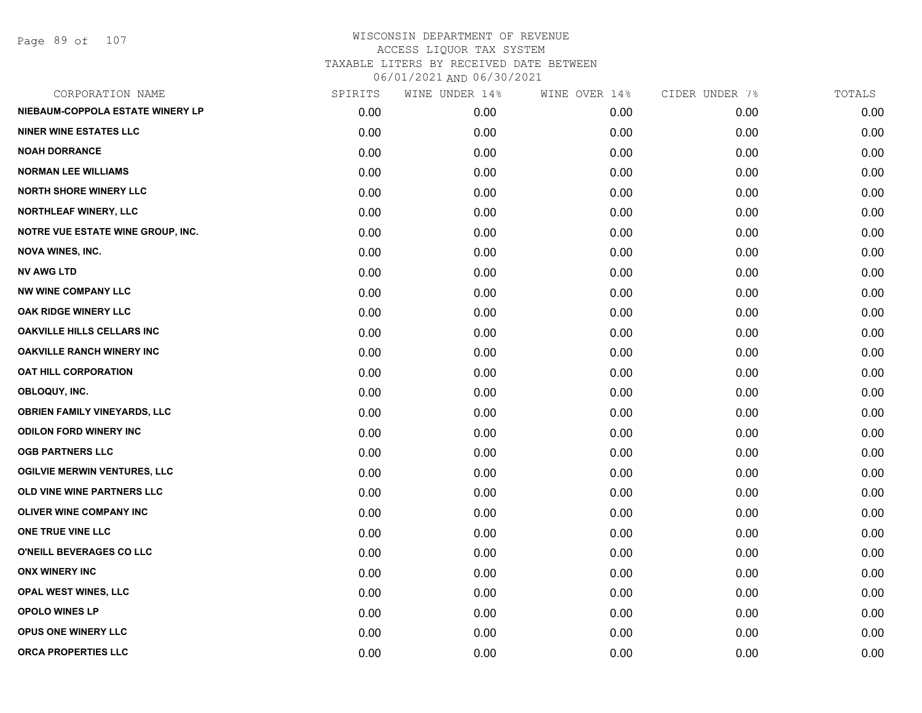Page 89 of 107

| CORPORATION NAME                         | SPIRITS | WINE UNDER 14% | WINE OVER 14% | CIDER UNDER 7% | TOTALS |
|------------------------------------------|---------|----------------|---------------|----------------|--------|
| NIEBAUM-COPPOLA ESTATE WINERY LP         | 0.00    | 0.00           | 0.00          | 0.00           | 0.00   |
| <b>NINER WINE ESTATES LLC</b>            | 0.00    | 0.00           | 0.00          | 0.00           | 0.00   |
| <b>NOAH DORRANCE</b>                     | 0.00    | 0.00           | 0.00          | 0.00           | 0.00   |
| <b>NORMAN LEE WILLIAMS</b>               | 0.00    | 0.00           | 0.00          | 0.00           | 0.00   |
| <b>NORTH SHORE WINERY LLC</b>            | 0.00    | 0.00           | 0.00          | 0.00           | 0.00   |
| NORTHLEAF WINERY, LLC                    | 0.00    | 0.00           | 0.00          | 0.00           | 0.00   |
| <b>NOTRE VUE ESTATE WINE GROUP, INC.</b> | 0.00    | 0.00           | 0.00          | 0.00           | 0.00   |
| <b>NOVA WINES, INC.</b>                  | 0.00    | 0.00           | 0.00          | 0.00           | 0.00   |
| <b>NV AWG LTD</b>                        | 0.00    | 0.00           | 0.00          | 0.00           | 0.00   |
| <b>NW WINE COMPANY LLC</b>               | 0.00    | 0.00           | 0.00          | 0.00           | 0.00   |
| <b>OAK RIDGE WINERY LLC</b>              | 0.00    | 0.00           | 0.00          | 0.00           | 0.00   |
| OAKVILLE HILLS CELLARS INC               | 0.00    | 0.00           | 0.00          | 0.00           | 0.00   |
| <b>OAKVILLE RANCH WINERY INC</b>         | 0.00    | 0.00           | 0.00          | 0.00           | 0.00   |
| <b>OAT HILL CORPORATION</b>              | 0.00    | 0.00           | 0.00          | 0.00           | 0.00   |
| OBLOQUY, INC.                            | 0.00    | 0.00           | 0.00          | 0.00           | 0.00   |
| <b>OBRIEN FAMILY VINEYARDS, LLC</b>      | 0.00    | 0.00           | 0.00          | 0.00           | 0.00   |
| <b>ODILON FORD WINERY INC</b>            | 0.00    | 0.00           | 0.00          | 0.00           | 0.00   |
| <b>OGB PARTNERS LLC</b>                  | 0.00    | 0.00           | 0.00          | 0.00           | 0.00   |
| <b>OGILVIE MERWIN VENTURES, LLC</b>      | 0.00    | 0.00           | 0.00          | 0.00           | 0.00   |
| OLD VINE WINE PARTNERS LLC               | 0.00    | 0.00           | 0.00          | 0.00           | 0.00   |
| <b>OLIVER WINE COMPANY INC</b>           | 0.00    | 0.00           | 0.00          | 0.00           | 0.00   |
| ONE TRUE VINE LLC                        | 0.00    | 0.00           | 0.00          | 0.00           | 0.00   |
| O'NEILL BEVERAGES CO LLC                 | 0.00    | 0.00           | 0.00          | 0.00           | 0.00   |
| <b>ONX WINERY INC</b>                    | 0.00    | 0.00           | 0.00          | 0.00           | 0.00   |
| <b>OPAL WEST WINES, LLC</b>              | 0.00    | 0.00           | 0.00          | 0.00           | 0.00   |
| <b>OPOLO WINES LP</b>                    | 0.00    | 0.00           | 0.00          | 0.00           | 0.00   |
| OPUS ONE WINERY LLC                      | 0.00    | 0.00           | 0.00          | 0.00           | 0.00   |
| <b>ORCA PROPERTIES LLC</b>               | 0.00    | 0.00           | 0.00          | 0.00           | 0.00   |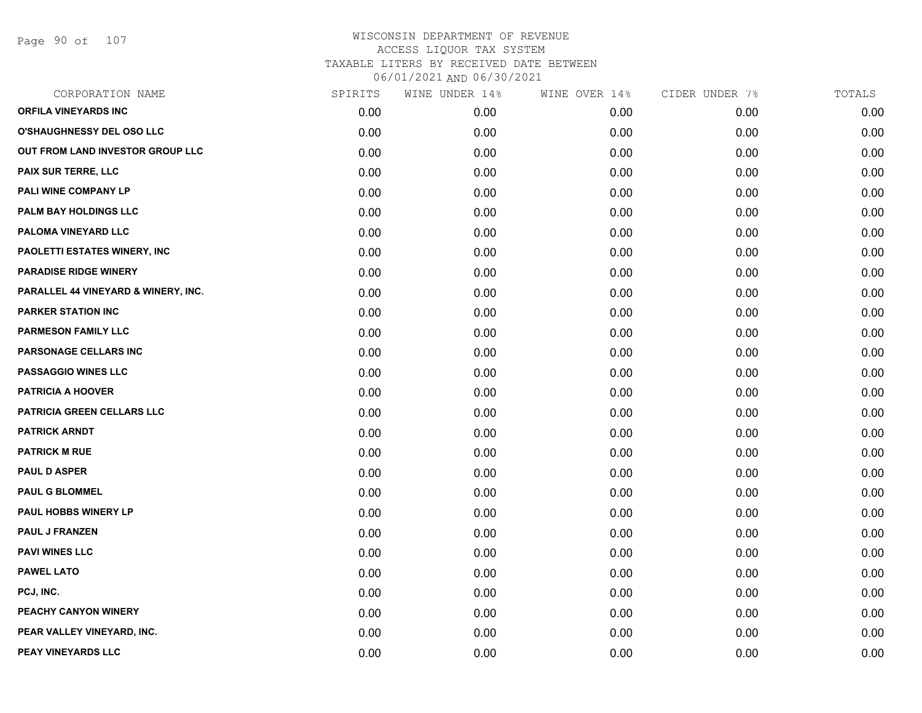Page 90 of 107

| CORPORATION NAME                    | SPIRITS | WINE UNDER 14% | WINE OVER 14% | CIDER UNDER 7% | TOTALS |
|-------------------------------------|---------|----------------|---------------|----------------|--------|
| <b>ORFILA VINEYARDS INC</b>         | 0.00    | 0.00           | 0.00          | 0.00           | 0.00   |
| <b>O'SHAUGHNESSY DEL OSO LLC</b>    | 0.00    | 0.00           | 0.00          | 0.00           | 0.00   |
| OUT FROM LAND INVESTOR GROUP LLC    | 0.00    | 0.00           | 0.00          | 0.00           | 0.00   |
| <b>PAIX SUR TERRE, LLC</b>          | 0.00    | 0.00           | 0.00          | 0.00           | 0.00   |
| PALI WINE COMPANY LP                | 0.00    | 0.00           | 0.00          | 0.00           | 0.00   |
| PALM BAY HOLDINGS LLC               | 0.00    | 0.00           | 0.00          | 0.00           | 0.00   |
| PALOMA VINEYARD LLC                 | 0.00    | 0.00           | 0.00          | 0.00           | 0.00   |
| PAOLETTI ESTATES WINERY, INC        | 0.00    | 0.00           | 0.00          | 0.00           | 0.00   |
| <b>PARADISE RIDGE WINERY</b>        | 0.00    | 0.00           | 0.00          | 0.00           | 0.00   |
| PARALLEL 44 VINEYARD & WINERY, INC. | 0.00    | 0.00           | 0.00          | 0.00           | 0.00   |
| <b>PARKER STATION INC</b>           | 0.00    | 0.00           | 0.00          | 0.00           | 0.00   |
| <b>PARMESON FAMILY LLC</b>          | 0.00    | 0.00           | 0.00          | 0.00           | 0.00   |
| PARSONAGE CELLARS INC               | 0.00    | 0.00           | 0.00          | 0.00           | 0.00   |
| <b>PASSAGGIO WINES LLC</b>          | 0.00    | 0.00           | 0.00          | 0.00           | 0.00   |
| <b>PATRICIA A HOOVER</b>            | 0.00    | 0.00           | 0.00          | 0.00           | 0.00   |
| PATRICIA GREEN CELLARS LLC          | 0.00    | 0.00           | 0.00          | 0.00           | 0.00   |
| <b>PATRICK ARNDT</b>                | 0.00    | 0.00           | 0.00          | 0.00           | 0.00   |
| <b>PATRICK M RUE</b>                | 0.00    | 0.00           | 0.00          | 0.00           | 0.00   |
| <b>PAUL D ASPER</b>                 | 0.00    | 0.00           | 0.00          | 0.00           | 0.00   |
| <b>PAUL G BLOMMEL</b>               | 0.00    | 0.00           | 0.00          | 0.00           | 0.00   |
| PAUL HOBBS WINERY LP                | 0.00    | 0.00           | 0.00          | 0.00           | 0.00   |
| <b>PAUL J FRANZEN</b>               | 0.00    | 0.00           | 0.00          | 0.00           | 0.00   |
| <b>PAVI WINES LLC</b>               | 0.00    | 0.00           | 0.00          | 0.00           | 0.00   |
| <b>PAWEL LATO</b>                   | 0.00    | 0.00           | 0.00          | 0.00           | 0.00   |
| PCJ, INC.                           | 0.00    | 0.00           | 0.00          | 0.00           | 0.00   |
| PEACHY CANYON WINERY                | 0.00    | 0.00           | 0.00          | 0.00           | 0.00   |
| PEAR VALLEY VINEYARD, INC.          | 0.00    | 0.00           | 0.00          | 0.00           | 0.00   |
| PEAY VINEYARDS LLC                  | 0.00    | 0.00           | 0.00          | 0.00           | 0.00   |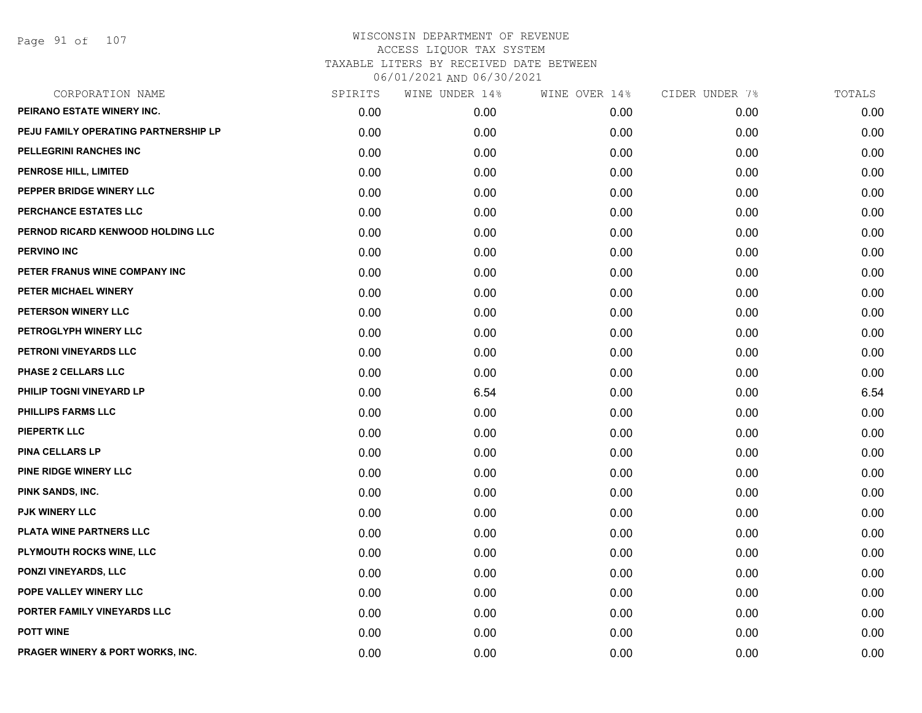| CORPORATION NAME                            | SPIRITS | WINE UNDER 14% | WINE OVER 14% | CIDER UNDER 7% | TOTALS |
|---------------------------------------------|---------|----------------|---------------|----------------|--------|
| PEIRANO ESTATE WINERY INC.                  | 0.00    | 0.00           | 0.00          | 0.00           | 0.00   |
| PEJU FAMILY OPERATING PARTNERSHIP LP        | 0.00    | 0.00           | 0.00          | 0.00           | 0.00   |
| PELLEGRINI RANCHES INC                      | 0.00    | 0.00           | 0.00          | 0.00           | 0.00   |
| <b>PENROSE HILL, LIMITED</b>                | 0.00    | 0.00           | 0.00          | 0.00           | 0.00   |
| PEPPER BRIDGE WINERY LLC                    | 0.00    | 0.00           | 0.00          | 0.00           | 0.00   |
| PERCHANCE ESTATES LLC                       | 0.00    | 0.00           | 0.00          | 0.00           | 0.00   |
| PERNOD RICARD KENWOOD HOLDING LLC           | 0.00    | 0.00           | 0.00          | 0.00           | 0.00   |
| <b>PERVINO INC</b>                          | 0.00    | 0.00           | 0.00          | 0.00           | 0.00   |
| PETER FRANUS WINE COMPANY INC               | 0.00    | 0.00           | 0.00          | 0.00           | 0.00   |
| PETER MICHAEL WINERY                        | 0.00    | 0.00           | 0.00          | 0.00           | 0.00   |
| PETERSON WINERY LLC                         | 0.00    | 0.00           | 0.00          | 0.00           | 0.00   |
| PETROGLYPH WINERY LLC                       | 0.00    | 0.00           | 0.00          | 0.00           | 0.00   |
| PETRONI VINEYARDS LLC                       | 0.00    | 0.00           | 0.00          | 0.00           | 0.00   |
| <b>PHASE 2 CELLARS LLC</b>                  | 0.00    | 0.00           | 0.00          | 0.00           | 0.00   |
| PHILIP TOGNI VINEYARD LP                    | 0.00    | 6.54           | 0.00          | 0.00           | 6.54   |
| <b>PHILLIPS FARMS LLC</b>                   | 0.00    | 0.00           | 0.00          | 0.00           | 0.00   |
| <b>PIEPERTK LLC</b>                         | 0.00    | 0.00           | 0.00          | 0.00           | 0.00   |
| <b>PINA CELLARS LP</b>                      | 0.00    | 0.00           | 0.00          | 0.00           | 0.00   |
| PINE RIDGE WINERY LLC                       | 0.00    | 0.00           | 0.00          | 0.00           | 0.00   |
| PINK SANDS, INC.                            | 0.00    | 0.00           | 0.00          | 0.00           | 0.00   |
| <b>PJK WINERY LLC</b>                       | 0.00    | 0.00           | 0.00          | 0.00           | 0.00   |
| PLATA WINE PARTNERS LLC                     | 0.00    | 0.00           | 0.00          | 0.00           | 0.00   |
| <b>PLYMOUTH ROCKS WINE, LLC</b>             | 0.00    | 0.00           | 0.00          | 0.00           | 0.00   |
| <b>PONZI VINEYARDS, LLC</b>                 | 0.00    | 0.00           | 0.00          | 0.00           | 0.00   |
| POPE VALLEY WINERY LLC                      | 0.00    | 0.00           | 0.00          | 0.00           | 0.00   |
| PORTER FAMILY VINEYARDS LLC                 | 0.00    | 0.00           | 0.00          | 0.00           | 0.00   |
| <b>POTT WINE</b>                            | 0.00    | 0.00           | 0.00          | 0.00           | 0.00   |
| <b>PRAGER WINERY &amp; PORT WORKS, INC.</b> | 0.00    | 0.00           | 0.00          | 0.00           | 0.00   |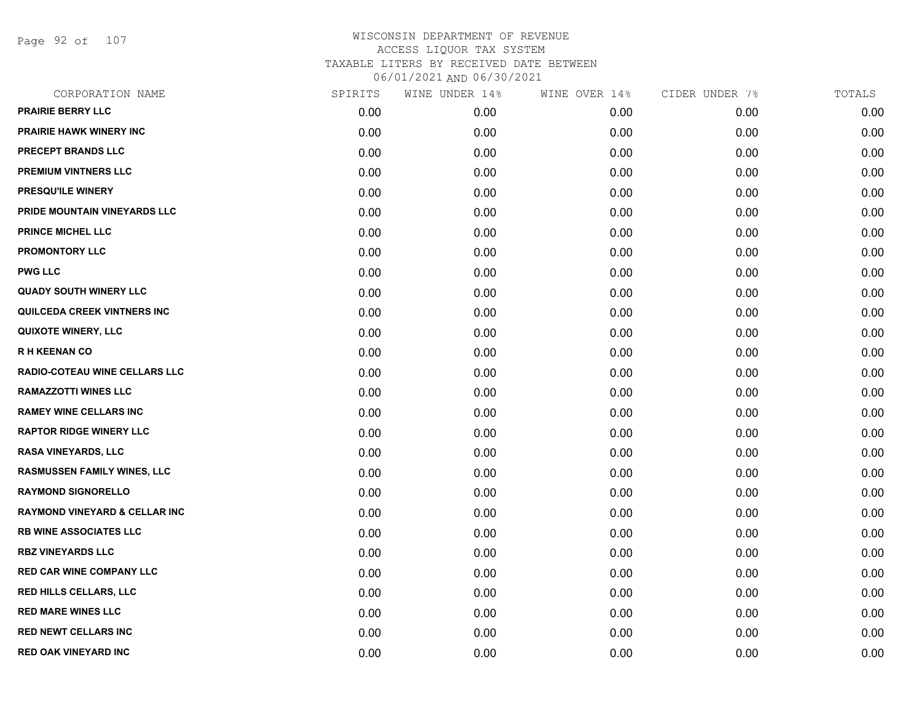Page 92 of 107

| CORPORATION NAME                         | SPIRITS | WINE UNDER 14% | WINE OVER 14% | CIDER UNDER 7% | TOTALS |
|------------------------------------------|---------|----------------|---------------|----------------|--------|
| <b>PRAIRIE BERRY LLC</b>                 | 0.00    | 0.00           | 0.00          | 0.00           | 0.00   |
| <b>PRAIRIE HAWK WINERY INC</b>           | 0.00    | 0.00           | 0.00          | 0.00           | 0.00   |
| PRECEPT BRANDS LLC                       | 0.00    | 0.00           | 0.00          | 0.00           | 0.00   |
| <b>PREMIUM VINTNERS LLC</b>              | 0.00    | 0.00           | 0.00          | 0.00           | 0.00   |
| PRESQU'ILE WINERY                        | 0.00    | 0.00           | 0.00          | 0.00           | 0.00   |
| PRIDE MOUNTAIN VINEYARDS LLC             | 0.00    | 0.00           | 0.00          | 0.00           | 0.00   |
| PRINCE MICHEL LLC                        | 0.00    | 0.00           | 0.00          | 0.00           | 0.00   |
| <b>PROMONTORY LLC</b>                    | 0.00    | 0.00           | 0.00          | 0.00           | 0.00   |
| <b>PWG LLC</b>                           | 0.00    | 0.00           | 0.00          | 0.00           | 0.00   |
| <b>QUADY SOUTH WINERY LLC</b>            | 0.00    | 0.00           | 0.00          | 0.00           | 0.00   |
| <b>QUILCEDA CREEK VINTNERS INC</b>       | 0.00    | 0.00           | 0.00          | 0.00           | 0.00   |
| <b>QUIXOTE WINERY, LLC</b>               | 0.00    | 0.00           | 0.00          | 0.00           | 0.00   |
| <b>RH KEENAN CO</b>                      | 0.00    | 0.00           | 0.00          | 0.00           | 0.00   |
| RADIO-COTEAU WINE CELLARS LLC            | 0.00    | 0.00           | 0.00          | 0.00           | 0.00   |
| <b>RAMAZZOTTI WINES LLC</b>              | 0.00    | 0.00           | 0.00          | 0.00           | 0.00   |
| <b>RAMEY WINE CELLARS INC</b>            | 0.00    | 0.00           | 0.00          | 0.00           | 0.00   |
| <b>RAPTOR RIDGE WINERY LLC</b>           | 0.00    | 0.00           | 0.00          | 0.00           | 0.00   |
| <b>RASA VINEYARDS, LLC</b>               | 0.00    | 0.00           | 0.00          | 0.00           | 0.00   |
| <b>RASMUSSEN FAMILY WINES, LLC</b>       | 0.00    | 0.00           | 0.00          | 0.00           | 0.00   |
| <b>RAYMOND SIGNORELLO</b>                | 0.00    | 0.00           | 0.00          | 0.00           | 0.00   |
| <b>RAYMOND VINEYARD &amp; CELLAR INC</b> | 0.00    | 0.00           | 0.00          | 0.00           | 0.00   |
| <b>RB WINE ASSOCIATES LLC</b>            | 0.00    | 0.00           | 0.00          | 0.00           | 0.00   |
| <b>RBZ VINEYARDS LLC</b>                 | 0.00    | 0.00           | 0.00          | 0.00           | 0.00   |
| <b>RED CAR WINE COMPANY LLC</b>          | 0.00    | 0.00           | 0.00          | 0.00           | 0.00   |
| <b>RED HILLS CELLARS, LLC</b>            | 0.00    | 0.00           | 0.00          | 0.00           | 0.00   |
| <b>RED MARE WINES LLC</b>                | 0.00    | 0.00           | 0.00          | 0.00           | 0.00   |
| <b>RED NEWT CELLARS INC</b>              | 0.00    | 0.00           | 0.00          | 0.00           | 0.00   |
| <b>RED OAK VINEYARD INC</b>              | 0.00    | 0.00           | 0.00          | 0.00           | 0.00   |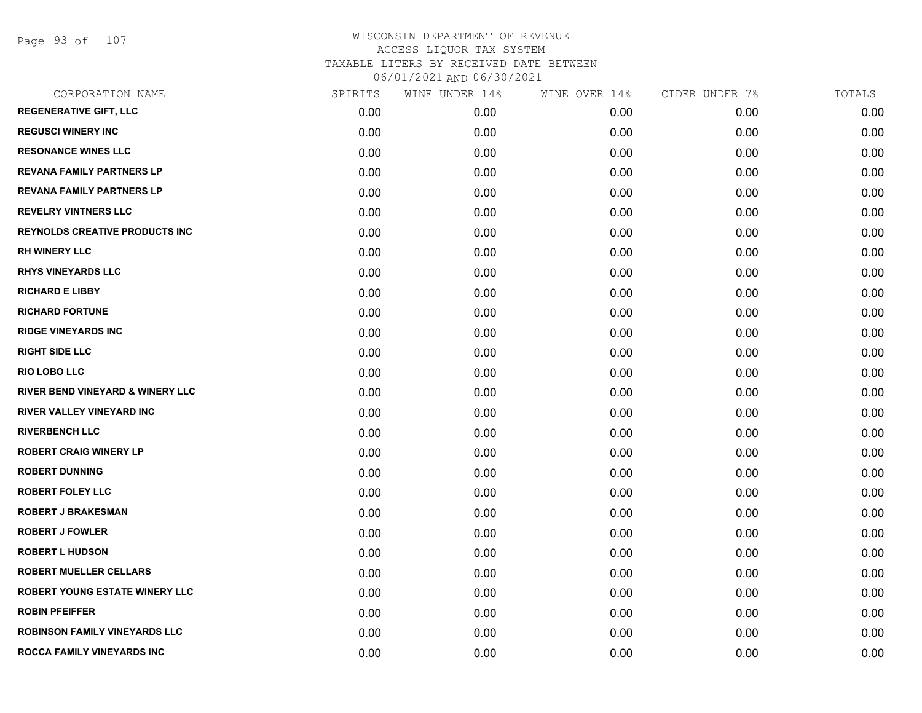Page 93 of 107

| CORPORATION NAME                      | SPIRITS | WINE UNDER 14% | WINE OVER 14% | CIDER UNDER 7% | TOTALS |
|---------------------------------------|---------|----------------|---------------|----------------|--------|
| <b>REGENERATIVE GIFT, LLC</b>         | 0.00    | 0.00           | 0.00          | 0.00           | 0.00   |
| <b>REGUSCI WINERY INC</b>             | 0.00    | 0.00           | 0.00          | 0.00           | 0.00   |
| <b>RESONANCE WINES LLC</b>            | 0.00    | 0.00           | 0.00          | 0.00           | 0.00   |
| <b>REVANA FAMILY PARTNERS LP</b>      | 0.00    | 0.00           | 0.00          | 0.00           | 0.00   |
| <b>REVANA FAMILY PARTNERS LP</b>      | 0.00    | 0.00           | 0.00          | 0.00           | 0.00   |
| <b>REVELRY VINTNERS LLC</b>           | 0.00    | 0.00           | 0.00          | 0.00           | 0.00   |
| <b>REYNOLDS CREATIVE PRODUCTS INC</b> | 0.00    | 0.00           | 0.00          | 0.00           | 0.00   |
| <b>RH WINERY LLC</b>                  | 0.00    | 0.00           | 0.00          | 0.00           | 0.00   |
| <b>RHYS VINEYARDS LLC</b>             | 0.00    | 0.00           | 0.00          | 0.00           | 0.00   |
| <b>RICHARD E LIBBY</b>                | 0.00    | 0.00           | 0.00          | 0.00           | 0.00   |
| <b>RICHARD FORTUNE</b>                | 0.00    | 0.00           | 0.00          | 0.00           | 0.00   |
| <b>RIDGE VINEYARDS INC</b>            | 0.00    | 0.00           | 0.00          | 0.00           | 0.00   |
| <b>RIGHT SIDE LLC</b>                 | 0.00    | 0.00           | 0.00          | 0.00           | 0.00   |
| <b>RIO LOBO LLC</b>                   | 0.00    | 0.00           | 0.00          | 0.00           | 0.00   |
| RIVER BEND VINEYARD & WINERY LLC      | 0.00    | 0.00           | 0.00          | 0.00           | 0.00   |
| <b>RIVER VALLEY VINEYARD INC</b>      | 0.00    | 0.00           | 0.00          | 0.00           | 0.00   |
| <b>RIVERBENCH LLC</b>                 | 0.00    | 0.00           | 0.00          | 0.00           | 0.00   |
| <b>ROBERT CRAIG WINERY LP</b>         | 0.00    | 0.00           | 0.00          | 0.00           | 0.00   |
| <b>ROBERT DUNNING</b>                 | 0.00    | 0.00           | 0.00          | 0.00           | 0.00   |
| <b>ROBERT FOLEY LLC</b>               | 0.00    | 0.00           | 0.00          | 0.00           | 0.00   |
| <b>ROBERT J BRAKESMAN</b>             | 0.00    | 0.00           | 0.00          | 0.00           | 0.00   |
| <b>ROBERT J FOWLER</b>                | 0.00    | 0.00           | 0.00          | 0.00           | 0.00   |
| <b>ROBERT L HUDSON</b>                | 0.00    | 0.00           | 0.00          | 0.00           | 0.00   |
| <b>ROBERT MUELLER CELLARS</b>         | 0.00    | 0.00           | 0.00          | 0.00           | 0.00   |
| <b>ROBERT YOUNG ESTATE WINERY LLC</b> | 0.00    | 0.00           | 0.00          | 0.00           | 0.00   |
| <b>ROBIN PFEIFFER</b>                 | 0.00    | 0.00           | 0.00          | 0.00           | 0.00   |
| <b>ROBINSON FAMILY VINEYARDS LLC</b>  | 0.00    | 0.00           | 0.00          | 0.00           | 0.00   |
| ROCCA FAMILY VINEYARDS INC            | 0.00    | 0.00           | 0.00          | 0.00           | 0.00   |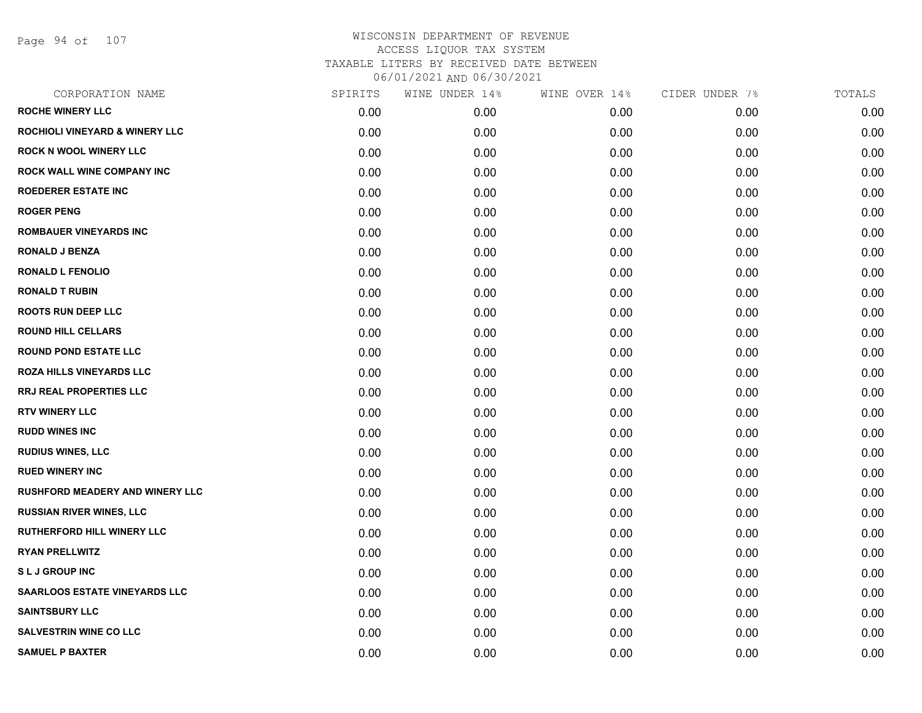Page 94 of 107

| CORPORATION NAME                          | SPIRITS | WINE UNDER 14% | WINE OVER 14% | CIDER UNDER 7% | TOTALS |
|-------------------------------------------|---------|----------------|---------------|----------------|--------|
| <b>ROCHE WINERY LLC</b>                   | 0.00    | 0.00           | 0.00          | 0.00           | 0.00   |
| <b>ROCHIOLI VINEYARD &amp; WINERY LLC</b> | 0.00    | 0.00           | 0.00          | 0.00           | 0.00   |
| <b>ROCK N WOOL WINERY LLC</b>             | 0.00    | 0.00           | 0.00          | 0.00           | 0.00   |
| <b>ROCK WALL WINE COMPANY INC</b>         | 0.00    | 0.00           | 0.00          | 0.00           | 0.00   |
| <b>ROEDERER ESTATE INC</b>                | 0.00    | 0.00           | 0.00          | 0.00           | 0.00   |
| <b>ROGER PENG</b>                         | 0.00    | 0.00           | 0.00          | 0.00           | 0.00   |
| <b>ROMBAUER VINEYARDS INC</b>             | 0.00    | 0.00           | 0.00          | 0.00           | 0.00   |
| <b>RONALD J BENZA</b>                     | 0.00    | 0.00           | 0.00          | 0.00           | 0.00   |
| <b>RONALD L FENOLIO</b>                   | 0.00    | 0.00           | 0.00          | 0.00           | 0.00   |
| <b>RONALD T RUBIN</b>                     | 0.00    | 0.00           | 0.00          | 0.00           | 0.00   |
| <b>ROOTS RUN DEEP LLC</b>                 | 0.00    | 0.00           | 0.00          | 0.00           | 0.00   |
| <b>ROUND HILL CELLARS</b>                 | 0.00    | 0.00           | 0.00          | 0.00           | 0.00   |
| <b>ROUND POND ESTATE LLC</b>              | 0.00    | 0.00           | 0.00          | 0.00           | 0.00   |
| <b>ROZA HILLS VINEYARDS LLC</b>           | 0.00    | 0.00           | 0.00          | 0.00           | 0.00   |
| <b>RRJ REAL PROPERTIES LLC</b>            | 0.00    | 0.00           | 0.00          | 0.00           | 0.00   |
| <b>RTV WINERY LLC</b>                     | 0.00    | 0.00           | 0.00          | 0.00           | 0.00   |
| <b>RUDD WINES INC</b>                     | 0.00    | 0.00           | 0.00          | 0.00           | 0.00   |
| <b>RUDIUS WINES, LLC</b>                  | 0.00    | 0.00           | 0.00          | 0.00           | 0.00   |
| <b>RUED WINERY INC</b>                    | 0.00    | 0.00           | 0.00          | 0.00           | 0.00   |
| <b>RUSHFORD MEADERY AND WINERY LLC</b>    | 0.00    | 0.00           | 0.00          | 0.00           | 0.00   |
| <b>RUSSIAN RIVER WINES, LLC</b>           | 0.00    | 0.00           | 0.00          | 0.00           | 0.00   |
| <b>RUTHERFORD HILL WINERY LLC</b>         | 0.00    | 0.00           | 0.00          | 0.00           | 0.00   |
| <b>RYAN PRELLWITZ</b>                     | 0.00    | 0.00           | 0.00          | 0.00           | 0.00   |
| <b>SLJ GROUP INC</b>                      | 0.00    | 0.00           | 0.00          | 0.00           | 0.00   |
| <b>SAARLOOS ESTATE VINEYARDS LLC</b>      | 0.00    | 0.00           | 0.00          | 0.00           | 0.00   |
| <b>SAINTSBURY LLC</b>                     | 0.00    | 0.00           | 0.00          | 0.00           | 0.00   |
| <b>SALVESTRIN WINE CO LLC</b>             | 0.00    | 0.00           | 0.00          | 0.00           | 0.00   |
| <b>SAMUEL P BAXTER</b>                    | 0.00    | 0.00           | 0.00          | 0.00           | 0.00   |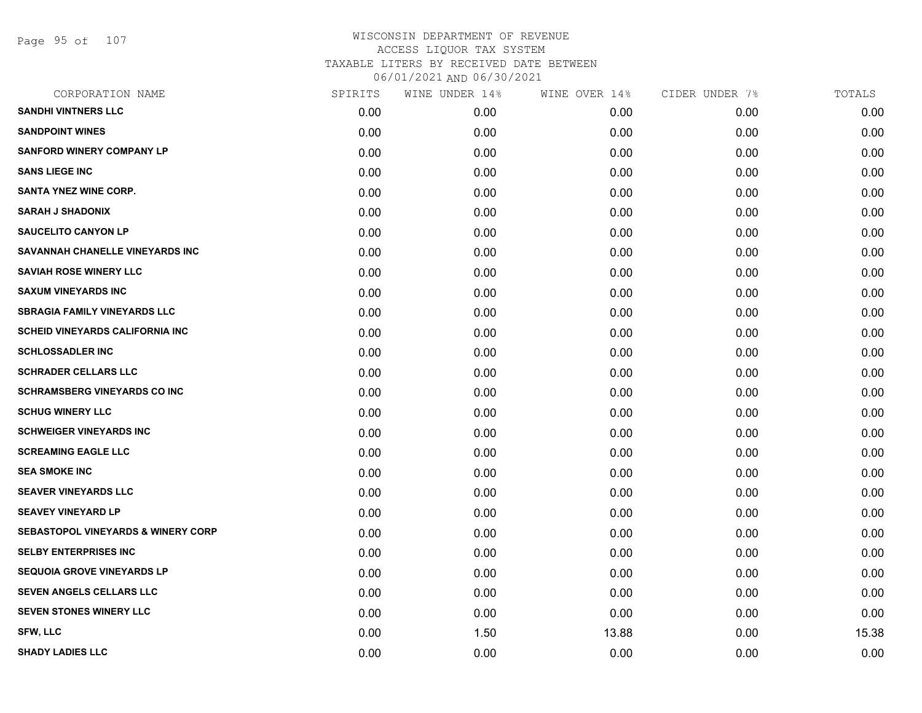Page 95 of 107

| CORPORATION NAME                              | SPIRITS | WINE UNDER 14% | WINE OVER 14% | CIDER UNDER 7% | TOTALS |
|-----------------------------------------------|---------|----------------|---------------|----------------|--------|
| <b>SANDHI VINTNERS LLC</b>                    | 0.00    | 0.00           | 0.00          | 0.00           | 0.00   |
| <b>SANDPOINT WINES</b>                        | 0.00    | 0.00           | 0.00          | 0.00           | 0.00   |
| <b>SANFORD WINERY COMPANY LP</b>              | 0.00    | 0.00           | 0.00          | 0.00           | 0.00   |
| <b>SANS LIEGE INC</b>                         | 0.00    | 0.00           | 0.00          | 0.00           | 0.00   |
| <b>SANTA YNEZ WINE CORP.</b>                  | 0.00    | 0.00           | 0.00          | 0.00           | 0.00   |
| <b>SARAH J SHADONIX</b>                       | 0.00    | 0.00           | 0.00          | 0.00           | 0.00   |
| <b>SAUCELITO CANYON LP</b>                    | 0.00    | 0.00           | 0.00          | 0.00           | 0.00   |
| SAVANNAH CHANELLE VINEYARDS INC               | 0.00    | 0.00           | 0.00          | 0.00           | 0.00   |
| <b>SAVIAH ROSE WINERY LLC</b>                 | 0.00    | 0.00           | 0.00          | 0.00           | 0.00   |
| <b>SAXUM VINEYARDS INC</b>                    | 0.00    | 0.00           | 0.00          | 0.00           | 0.00   |
| <b>SBRAGIA FAMILY VINEYARDS LLC</b>           | 0.00    | 0.00           | 0.00          | 0.00           | 0.00   |
| <b>SCHEID VINEYARDS CALIFORNIA INC</b>        | 0.00    | 0.00           | 0.00          | 0.00           | 0.00   |
| <b>SCHLOSSADLER INC</b>                       | 0.00    | 0.00           | 0.00          | 0.00           | 0.00   |
| <b>SCHRADER CELLARS LLC</b>                   | 0.00    | 0.00           | 0.00          | 0.00           | 0.00   |
| <b>SCHRAMSBERG VINEYARDS CO INC</b>           | 0.00    | 0.00           | 0.00          | 0.00           | 0.00   |
| <b>SCHUG WINERY LLC</b>                       | 0.00    | 0.00           | 0.00          | 0.00           | 0.00   |
| <b>SCHWEIGER VINEYARDS INC</b>                | 0.00    | 0.00           | 0.00          | 0.00           | 0.00   |
| <b>SCREAMING EAGLE LLC</b>                    | 0.00    | 0.00           | 0.00          | 0.00           | 0.00   |
| <b>SEA SMOKE INC</b>                          | 0.00    | 0.00           | 0.00          | 0.00           | 0.00   |
| <b>SEAVER VINEYARDS LLC</b>                   | 0.00    | 0.00           | 0.00          | 0.00           | 0.00   |
| <b>SEAVEY VINEYARD LP</b>                     | 0.00    | 0.00           | 0.00          | 0.00           | 0.00   |
| <b>SEBASTOPOL VINEYARDS &amp; WINERY CORP</b> | 0.00    | 0.00           | 0.00          | 0.00           | 0.00   |
| <b>SELBY ENTERPRISES INC</b>                  | 0.00    | 0.00           | 0.00          | 0.00           | 0.00   |
| <b>SEQUOIA GROVE VINEYARDS LP</b>             | 0.00    | 0.00           | 0.00          | 0.00           | 0.00   |
| SEVEN ANGELS CELLARS LLC                      | 0.00    | 0.00           | 0.00          | 0.00           | 0.00   |
| <b>SEVEN STONES WINERY LLC</b>                | 0.00    | 0.00           | 0.00          | 0.00           | 0.00   |
| <b>SFW, LLC</b>                               | 0.00    | 1.50           | 13.88         | 0.00           | 15.38  |
| <b>SHADY LADIES LLC</b>                       | 0.00    | 0.00           | 0.00          | 0.00           | 0.00   |
|                                               |         |                |               |                |        |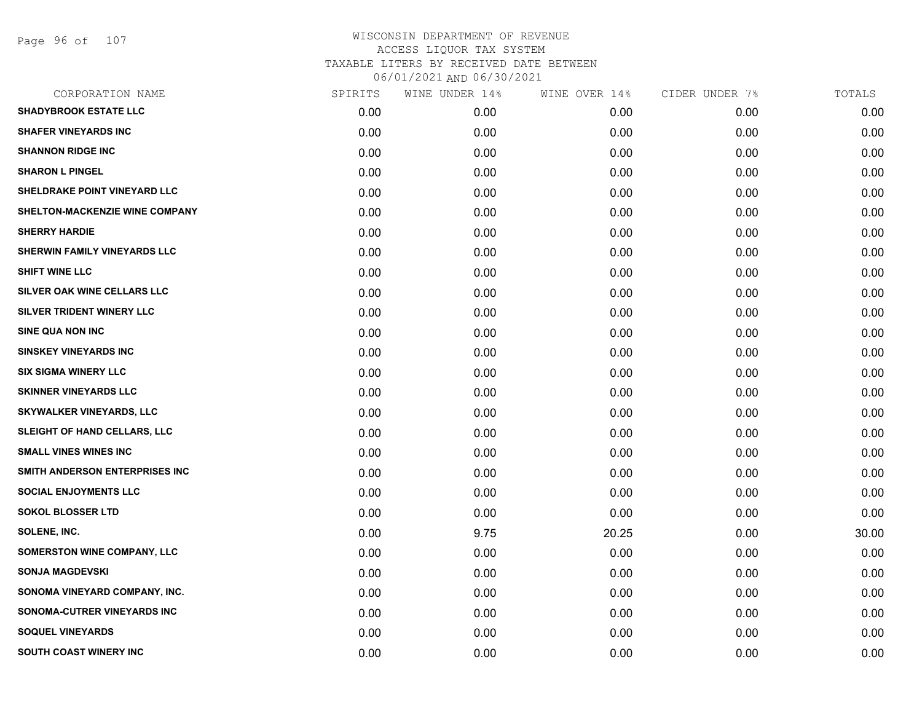| CORPORATION NAME                   | SPIRITS | WINE UNDER 14% | WINE OVER 14% | CIDER UNDER 7% | TOTALS |
|------------------------------------|---------|----------------|---------------|----------------|--------|
| <b>SHADYBROOK ESTATE LLC</b>       | 0.00    | 0.00           | 0.00          | 0.00           | 0.00   |
| <b>SHAFER VINEYARDS INC</b>        | 0.00    | 0.00           | 0.00          | 0.00           | 0.00   |
| <b>SHANNON RIDGE INC</b>           | 0.00    | 0.00           | 0.00          | 0.00           | 0.00   |
| <b>SHARON L PINGEL</b>             | 0.00    | 0.00           | 0.00          | 0.00           | 0.00   |
| SHELDRAKE POINT VINEYARD LLC       | 0.00    | 0.00           | 0.00          | 0.00           | 0.00   |
| SHELTON-MACKENZIE WINE COMPANY     | 0.00    | 0.00           | 0.00          | 0.00           | 0.00   |
| <b>SHERRY HARDIE</b>               | 0.00    | 0.00           | 0.00          | 0.00           | 0.00   |
| SHERWIN FAMILY VINEYARDS LLC       | 0.00    | 0.00           | 0.00          | 0.00           | 0.00   |
| <b>SHIFT WINE LLC</b>              | 0.00    | 0.00           | 0.00          | 0.00           | 0.00   |
| SILVER OAK WINE CELLARS LLC        | 0.00    | 0.00           | 0.00          | 0.00           | 0.00   |
| SILVER TRIDENT WINERY LLC          | 0.00    | 0.00           | 0.00          | 0.00           | 0.00   |
| SINE QUA NON INC                   | 0.00    | 0.00           | 0.00          | 0.00           | 0.00   |
| <b>SINSKEY VINEYARDS INC</b>       | 0.00    | 0.00           | 0.00          | 0.00           | 0.00   |
| <b>SIX SIGMA WINERY LLC</b>        | 0.00    | 0.00           | 0.00          | 0.00           | 0.00   |
| <b>SKINNER VINEYARDS LLC</b>       | 0.00    | 0.00           | 0.00          | 0.00           | 0.00   |
| <b>SKYWALKER VINEYARDS, LLC</b>    | 0.00    | 0.00           | 0.00          | 0.00           | 0.00   |
| SLEIGHT OF HAND CELLARS, LLC       | 0.00    | 0.00           | 0.00          | 0.00           | 0.00   |
| <b>SMALL VINES WINES INC</b>       | 0.00    | 0.00           | 0.00          | 0.00           | 0.00   |
| SMITH ANDERSON ENTERPRISES INC     | 0.00    | 0.00           | 0.00          | 0.00           | 0.00   |
| <b>SOCIAL ENJOYMENTS LLC</b>       | 0.00    | 0.00           | 0.00          | 0.00           | 0.00   |
| <b>SOKOL BLOSSER LTD</b>           | 0.00    | 0.00           | 0.00          | 0.00           | 0.00   |
| SOLENE, INC.                       | 0.00    | 9.75           | 20.25         | 0.00           | 30.00  |
| <b>SOMERSTON WINE COMPANY, LLC</b> | 0.00    | 0.00           | 0.00          | 0.00           | 0.00   |
| <b>SONJA MAGDEVSKI</b>             | 0.00    | 0.00           | 0.00          | 0.00           | 0.00   |
| SONOMA VINEYARD COMPANY, INC.      | 0.00    | 0.00           | 0.00          | 0.00           | 0.00   |
| SONOMA-CUTRER VINEYARDS INC        | 0.00    | 0.00           | 0.00          | 0.00           | 0.00   |
| <b>SOQUEL VINEYARDS</b>            | 0.00    | 0.00           | 0.00          | 0.00           | 0.00   |
| SOUTH COAST WINERY INC             | 0.00    | 0.00           | 0.00          | 0.00           | 0.00   |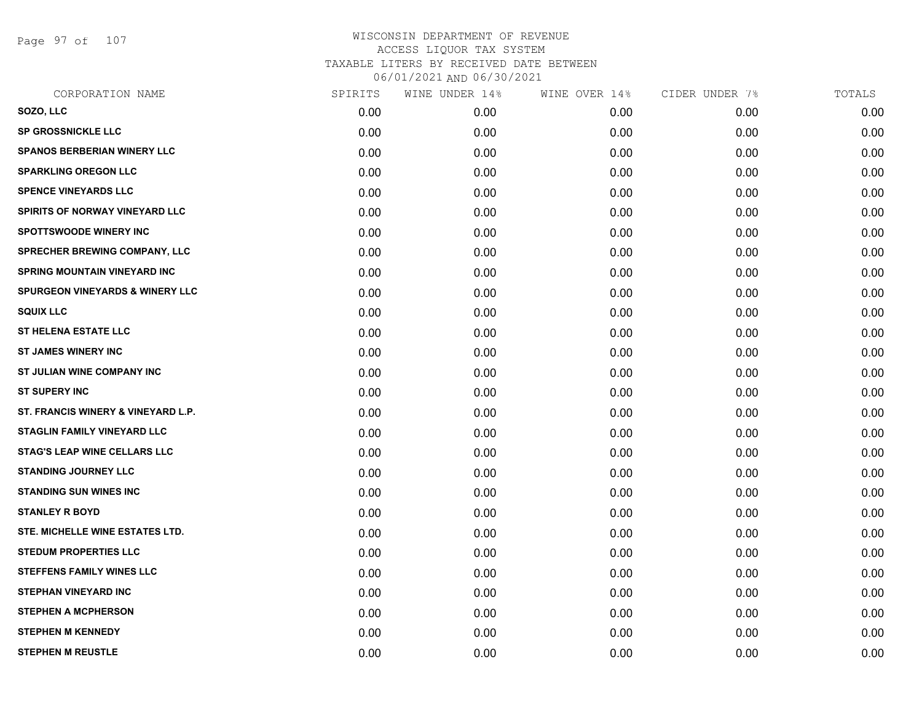Page 97 of 107

| CORPORATION NAME                           | SPIRITS | WINE UNDER 14% | WINE OVER 14% | CIDER UNDER 7% | TOTALS |
|--------------------------------------------|---------|----------------|---------------|----------------|--------|
| SOZO, LLC                                  | 0.00    | 0.00           | 0.00          | 0.00           | 0.00   |
| <b>SP GROSSNICKLE LLC</b>                  | 0.00    | 0.00           | 0.00          | 0.00           | 0.00   |
| <b>SPANOS BERBERIAN WINERY LLC</b>         | 0.00    | 0.00           | 0.00          | 0.00           | 0.00   |
| <b>SPARKLING OREGON LLC</b>                | 0.00    | 0.00           | 0.00          | 0.00           | 0.00   |
| <b>SPENCE VINEYARDS LLC</b>                | 0.00    | 0.00           | 0.00          | 0.00           | 0.00   |
| SPIRITS OF NORWAY VINEYARD LLC             | 0.00    | 0.00           | 0.00          | 0.00           | 0.00   |
| <b>SPOTTSWOODE WINERY INC</b>              | 0.00    | 0.00           | 0.00          | 0.00           | 0.00   |
| SPRECHER BREWING COMPANY, LLC              | 0.00    | 0.00           | 0.00          | 0.00           | 0.00   |
| <b>SPRING MOUNTAIN VINEYARD INC</b>        | 0.00    | 0.00           | 0.00          | 0.00           | 0.00   |
| <b>SPURGEON VINEYARDS &amp; WINERY LLC</b> | 0.00    | 0.00           | 0.00          | 0.00           | 0.00   |
| <b>SQUIX LLC</b>                           | 0.00    | 0.00           | 0.00          | 0.00           | 0.00   |
| <b>ST HELENA ESTATE LLC</b>                | 0.00    | 0.00           | 0.00          | 0.00           | 0.00   |
| <b>ST JAMES WINERY INC</b>                 | 0.00    | 0.00           | 0.00          | 0.00           | 0.00   |
| ST JULIAN WINE COMPANY INC                 | 0.00    | 0.00           | 0.00          | 0.00           | 0.00   |
| <b>ST SUPERY INC</b>                       | 0.00    | 0.00           | 0.00          | 0.00           | 0.00   |
| ST. FRANCIS WINERY & VINEYARD L.P.         | 0.00    | 0.00           | 0.00          | 0.00           | 0.00   |
| <b>STAGLIN FAMILY VINEYARD LLC</b>         | 0.00    | 0.00           | 0.00          | 0.00           | 0.00   |
| <b>STAG'S LEAP WINE CELLARS LLC</b>        | 0.00    | 0.00           | 0.00          | 0.00           | 0.00   |
| <b>STANDING JOURNEY LLC</b>                | 0.00    | 0.00           | 0.00          | 0.00           | 0.00   |
| <b>STANDING SUN WINES INC</b>              | 0.00    | 0.00           | 0.00          | 0.00           | 0.00   |
| <b>STANLEY R BOYD</b>                      | 0.00    | 0.00           | 0.00          | 0.00           | 0.00   |
| STE. MICHELLE WINE ESTATES LTD.            | 0.00    | 0.00           | 0.00          | 0.00           | 0.00   |
| <b>STEDUM PROPERTIES LLC</b>               | 0.00    | 0.00           | 0.00          | 0.00           | 0.00   |
| <b>STEFFENS FAMILY WINES LLC</b>           | 0.00    | 0.00           | 0.00          | 0.00           | 0.00   |
| <b>STEPHAN VINEYARD INC</b>                | 0.00    | 0.00           | 0.00          | 0.00           | 0.00   |
| <b>STEPHEN A MCPHERSON</b>                 | 0.00    | 0.00           | 0.00          | 0.00           | 0.00   |
| <b>STEPHEN M KENNEDY</b>                   | 0.00    | 0.00           | 0.00          | 0.00           | 0.00   |
| <b>STEPHEN M REUSTLE</b>                   | 0.00    | 0.00           | 0.00          | 0.00           | 0.00   |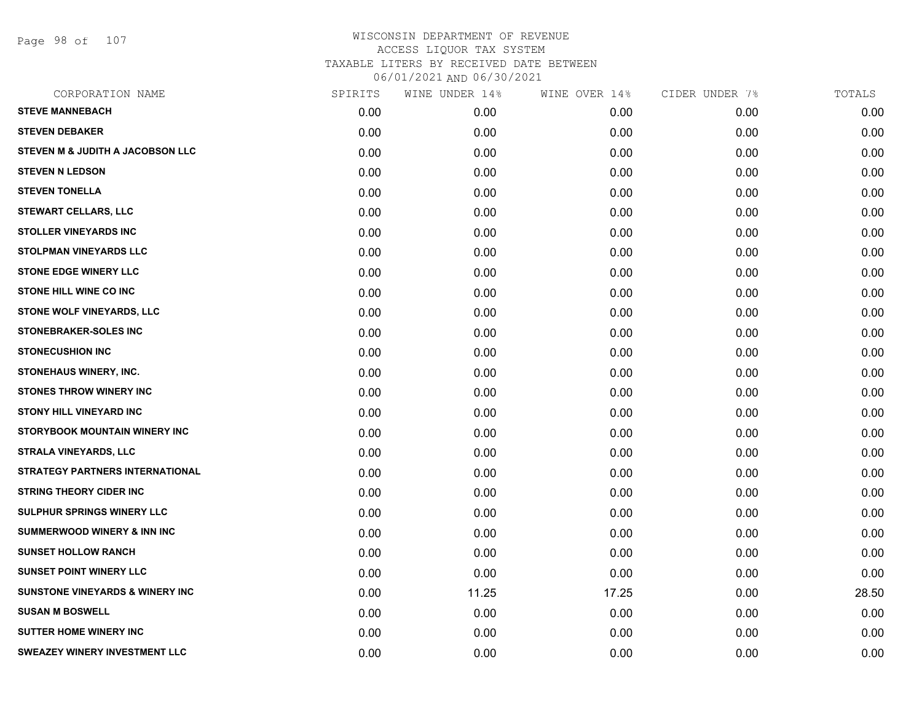Page 98 of 107

| CORPORATION NAME                           | SPIRITS | WINE UNDER 14% | WINE OVER 14% | CIDER UNDER 7% | TOTALS |
|--------------------------------------------|---------|----------------|---------------|----------------|--------|
| <b>STEVE MANNEBACH</b>                     | 0.00    | 0.00           | 0.00          | 0.00           | 0.00   |
| <b>STEVEN DEBAKER</b>                      | 0.00    | 0.00           | 0.00          | 0.00           | 0.00   |
| STEVEN M & JUDITH A JACOBSON LLC           | 0.00    | 0.00           | 0.00          | 0.00           | 0.00   |
| <b>STEVEN N LEDSON</b>                     | 0.00    | 0.00           | 0.00          | 0.00           | 0.00   |
| <b>STEVEN TONELLA</b>                      | 0.00    | 0.00           | 0.00          | 0.00           | 0.00   |
| <b>STEWART CELLARS, LLC</b>                | 0.00    | 0.00           | 0.00          | 0.00           | 0.00   |
| <b>STOLLER VINEYARDS INC</b>               | 0.00    | 0.00           | 0.00          | 0.00           | 0.00   |
| <b>STOLPMAN VINEYARDS LLC</b>              | 0.00    | 0.00           | 0.00          | 0.00           | 0.00   |
| <b>STONE EDGE WINERY LLC</b>               | 0.00    | 0.00           | 0.00          | 0.00           | 0.00   |
| <b>STONE HILL WINE CO INC</b>              | 0.00    | 0.00           | 0.00          | 0.00           | 0.00   |
| STONE WOLF VINEYARDS, LLC                  | 0.00    | 0.00           | 0.00          | 0.00           | 0.00   |
| STONEBRAKER-SOLES INC                      | 0.00    | 0.00           | 0.00          | 0.00           | 0.00   |
| <b>STONECUSHION INC</b>                    | 0.00    | 0.00           | 0.00          | 0.00           | 0.00   |
| STONEHAUS WINERY, INC.                     | 0.00    | 0.00           | 0.00          | 0.00           | 0.00   |
| <b>STONES THROW WINERY INC</b>             | 0.00    | 0.00           | 0.00          | 0.00           | 0.00   |
| <b>STONY HILL VINEYARD INC</b>             | 0.00    | 0.00           | 0.00          | 0.00           | 0.00   |
| <b>STORYBOOK MOUNTAIN WINERY INC</b>       | 0.00    | 0.00           | 0.00          | 0.00           | 0.00   |
| <b>STRALA VINEYARDS, LLC</b>               | 0.00    | 0.00           | 0.00          | 0.00           | 0.00   |
| <b>STRATEGY PARTNERS INTERNATIONAL</b>     | 0.00    | 0.00           | 0.00          | 0.00           | 0.00   |
| <b>STRING THEORY CIDER INC</b>             | 0.00    | 0.00           | 0.00          | 0.00           | 0.00   |
| <b>SULPHUR SPRINGS WINERY LLC</b>          | 0.00    | 0.00           | 0.00          | 0.00           | 0.00   |
| <b>SUMMERWOOD WINERY &amp; INN INC</b>     | 0.00    | 0.00           | 0.00          | 0.00           | 0.00   |
| <b>SUNSET HOLLOW RANCH</b>                 | 0.00    | 0.00           | 0.00          | 0.00           | 0.00   |
| <b>SUNSET POINT WINERY LLC</b>             | 0.00    | 0.00           | 0.00          | 0.00           | 0.00   |
| <b>SUNSTONE VINEYARDS &amp; WINERY INC</b> | 0.00    | 11.25          | 17.25         | 0.00           | 28.50  |
| <b>SUSAN M BOSWELL</b>                     | 0.00    | 0.00           | 0.00          | 0.00           | 0.00   |
| <b>SUTTER HOME WINERY INC</b>              | 0.00    | 0.00           | 0.00          | 0.00           | 0.00   |
| SWEAZEY WINERY INVESTMENT LLC              | 0.00    | 0.00           | 0.00          | 0.00           | 0.00   |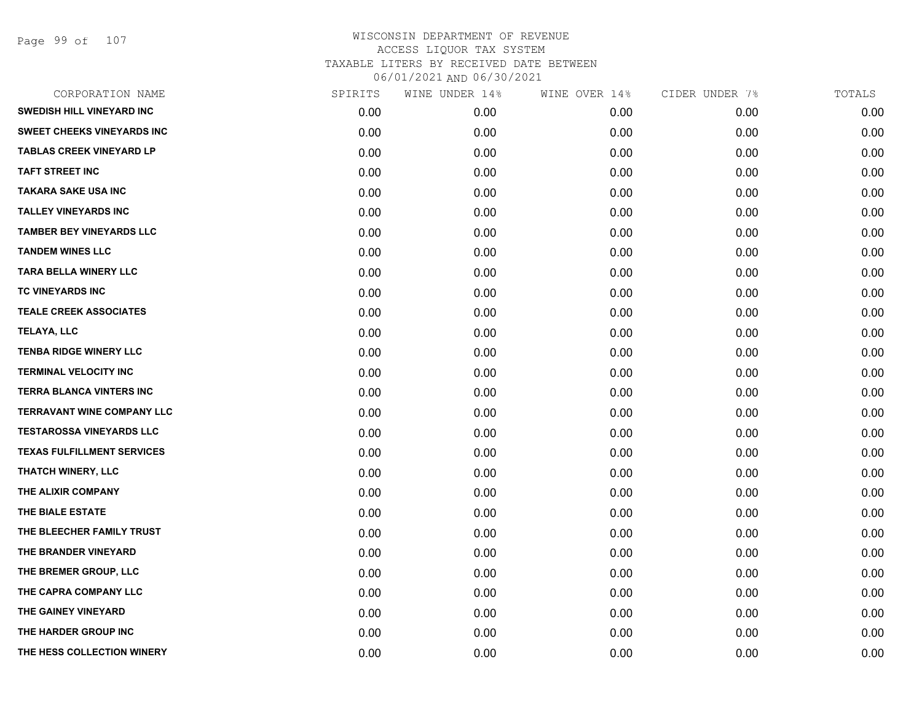Page 99 of 107

| CORPORATION NAME                  | SPIRITS | WINE UNDER 14% | WINE OVER 14% | CIDER UNDER 7% | TOTALS |
|-----------------------------------|---------|----------------|---------------|----------------|--------|
| <b>SWEDISH HILL VINEYARD INC</b>  | 0.00    | 0.00           | 0.00          | 0.00           | 0.00   |
| <b>SWEET CHEEKS VINEYARDS INC</b> | 0.00    | 0.00           | 0.00          | 0.00           | 0.00   |
| <b>TABLAS CREEK VINEYARD LP</b>   | 0.00    | 0.00           | 0.00          | 0.00           | 0.00   |
| <b>TAFT STREET INC</b>            | 0.00    | 0.00           | 0.00          | 0.00           | 0.00   |
| <b>TAKARA SAKE USA INC</b>        | 0.00    | 0.00           | 0.00          | 0.00           | 0.00   |
| <b>TALLEY VINEYARDS INC</b>       | 0.00    | 0.00           | 0.00          | 0.00           | 0.00   |
| <b>TAMBER BEY VINEYARDS LLC</b>   | 0.00    | 0.00           | 0.00          | 0.00           | 0.00   |
| <b>TANDEM WINES LLC</b>           | 0.00    | 0.00           | 0.00          | 0.00           | 0.00   |
| <b>TARA BELLA WINERY LLC</b>      | 0.00    | 0.00           | 0.00          | 0.00           | 0.00   |
| TC VINEYARDS INC                  | 0.00    | 0.00           | 0.00          | 0.00           | 0.00   |
| <b>TEALE CREEK ASSOCIATES</b>     | 0.00    | 0.00           | 0.00          | 0.00           | 0.00   |
| <b>TELAYA, LLC</b>                | 0.00    | 0.00           | 0.00          | 0.00           | 0.00   |
| <b>TENBA RIDGE WINERY LLC</b>     | 0.00    | 0.00           | 0.00          | 0.00           | 0.00   |
| <b>TERMINAL VELOCITY INC</b>      | 0.00    | 0.00           | 0.00          | 0.00           | 0.00   |
| <b>TERRA BLANCA VINTERS INC</b>   | 0.00    | 0.00           | 0.00          | 0.00           | 0.00   |
| <b>TERRAVANT WINE COMPANY LLC</b> | 0.00    | 0.00           | 0.00          | 0.00           | 0.00   |
| <b>TESTAROSSA VINEYARDS LLC</b>   | 0.00    | 0.00           | 0.00          | 0.00           | 0.00   |
| <b>TEXAS FULFILLMENT SERVICES</b> | 0.00    | 0.00           | 0.00          | 0.00           | 0.00   |
| THATCH WINERY, LLC                | 0.00    | 0.00           | 0.00          | 0.00           | 0.00   |
| THE ALIXIR COMPANY                | 0.00    | 0.00           | 0.00          | 0.00           | 0.00   |
| THE BIALE ESTATE                  | 0.00    | 0.00           | 0.00          | 0.00           | 0.00   |
| THE BLEECHER FAMILY TRUST         | 0.00    | 0.00           | 0.00          | 0.00           | 0.00   |
| THE BRANDER VINEYARD              | 0.00    | 0.00           | 0.00          | 0.00           | 0.00   |
| THE BREMER GROUP, LLC             | 0.00    | 0.00           | 0.00          | 0.00           | 0.00   |
| THE CAPRA COMPANY LLC             | 0.00    | 0.00           | 0.00          | 0.00           | 0.00   |
| THE GAINEY VINEYARD               | 0.00    | 0.00           | 0.00          | 0.00           | 0.00   |
| THE HARDER GROUP INC              | 0.00    | 0.00           | 0.00          | 0.00           | 0.00   |
| THE HESS COLLECTION WINERY        | 0.00    | 0.00           | 0.00          | 0.00           | 0.00   |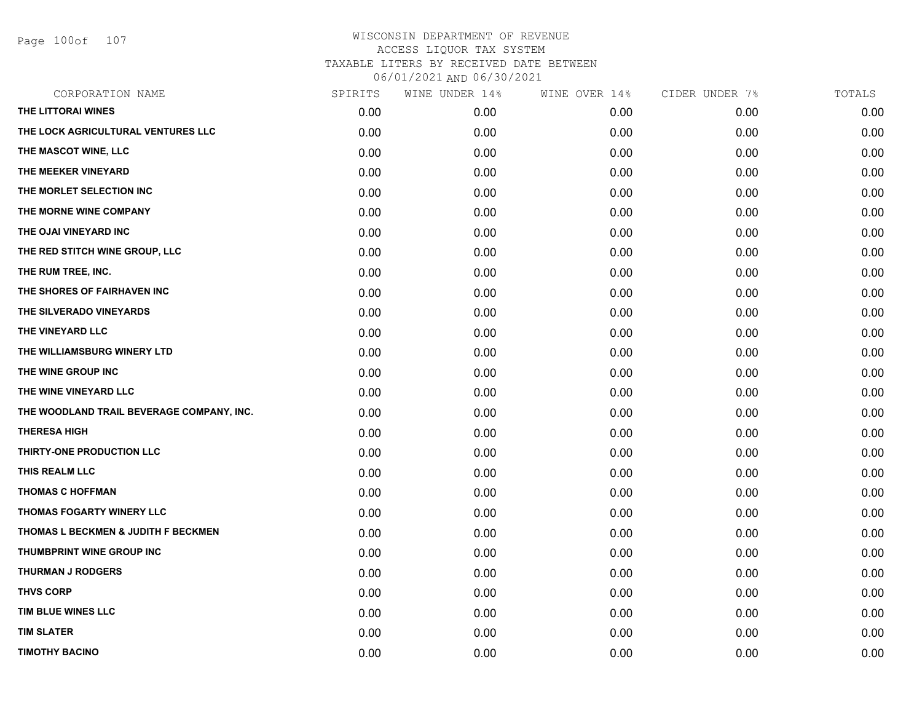Page 100of 107

| CORPORATION NAME                          | SPIRITS | WINE UNDER 14% | WINE OVER 14% | CIDER UNDER 7% | TOTALS |
|-------------------------------------------|---------|----------------|---------------|----------------|--------|
| THE LITTORAI WINES                        | 0.00    | 0.00           | 0.00          | 0.00           | 0.00   |
| THE LOCK AGRICULTURAL VENTURES LLC        | 0.00    | 0.00           | 0.00          | 0.00           | 0.00   |
| THE MASCOT WINE, LLC                      | 0.00    | 0.00           | 0.00          | 0.00           | 0.00   |
| THE MEEKER VINEYARD                       | 0.00    | 0.00           | 0.00          | 0.00           | 0.00   |
| THE MORLET SELECTION INC                  | 0.00    | 0.00           | 0.00          | 0.00           | 0.00   |
| THE MORNE WINE COMPANY                    | 0.00    | 0.00           | 0.00          | 0.00           | 0.00   |
| THE OJAI VINEYARD INC                     | 0.00    | 0.00           | 0.00          | 0.00           | 0.00   |
| THE RED STITCH WINE GROUP, LLC            | 0.00    | 0.00           | 0.00          | 0.00           | 0.00   |
| THE RUM TREE, INC.                        | 0.00    | 0.00           | 0.00          | 0.00           | 0.00   |
| THE SHORES OF FAIRHAVEN INC               | 0.00    | 0.00           | 0.00          | 0.00           | 0.00   |
| THE SILVERADO VINEYARDS                   | 0.00    | 0.00           | 0.00          | 0.00           | 0.00   |
| THE VINEYARD LLC                          | 0.00    | 0.00           | 0.00          | 0.00           | 0.00   |
| THE WILLIAMSBURG WINERY LTD               | 0.00    | 0.00           | 0.00          | 0.00           | 0.00   |
| THE WINE GROUP INC                        | 0.00    | 0.00           | 0.00          | 0.00           | 0.00   |
| THE WINE VINEYARD LLC                     | 0.00    | 0.00           | 0.00          | 0.00           | 0.00   |
| THE WOODLAND TRAIL BEVERAGE COMPANY, INC. | 0.00    | 0.00           | 0.00          | 0.00           | 0.00   |
| <b>THERESA HIGH</b>                       | 0.00    | 0.00           | 0.00          | 0.00           | 0.00   |
| THIRTY-ONE PRODUCTION LLC                 | 0.00    | 0.00           | 0.00          | 0.00           | 0.00   |
| THIS REALM LLC                            | 0.00    | 0.00           | 0.00          | 0.00           | 0.00   |
| <b>THOMAS C HOFFMAN</b>                   | 0.00    | 0.00           | 0.00          | 0.00           | 0.00   |
| THOMAS FOGARTY WINERY LLC                 | 0.00    | 0.00           | 0.00          | 0.00           | 0.00   |
| THOMAS L BECKMEN & JUDITH F BECKMEN       | 0.00    | 0.00           | 0.00          | 0.00           | 0.00   |
| THUMBPRINT WINE GROUP INC                 | 0.00    | 0.00           | 0.00          | 0.00           | 0.00   |
| <b>THURMAN J RODGERS</b>                  | 0.00    | 0.00           | 0.00          | 0.00           | 0.00   |
| <b>THVS CORP</b>                          | 0.00    | 0.00           | 0.00          | 0.00           | 0.00   |
| TIM BLUE WINES LLC                        | 0.00    | 0.00           | 0.00          | 0.00           | 0.00   |
| <b>TIM SLATER</b>                         | 0.00    | 0.00           | 0.00          | 0.00           | 0.00   |
| <b>TIMOTHY BACINO</b>                     | 0.00    | 0.00           | 0.00          | 0.00           | 0.00   |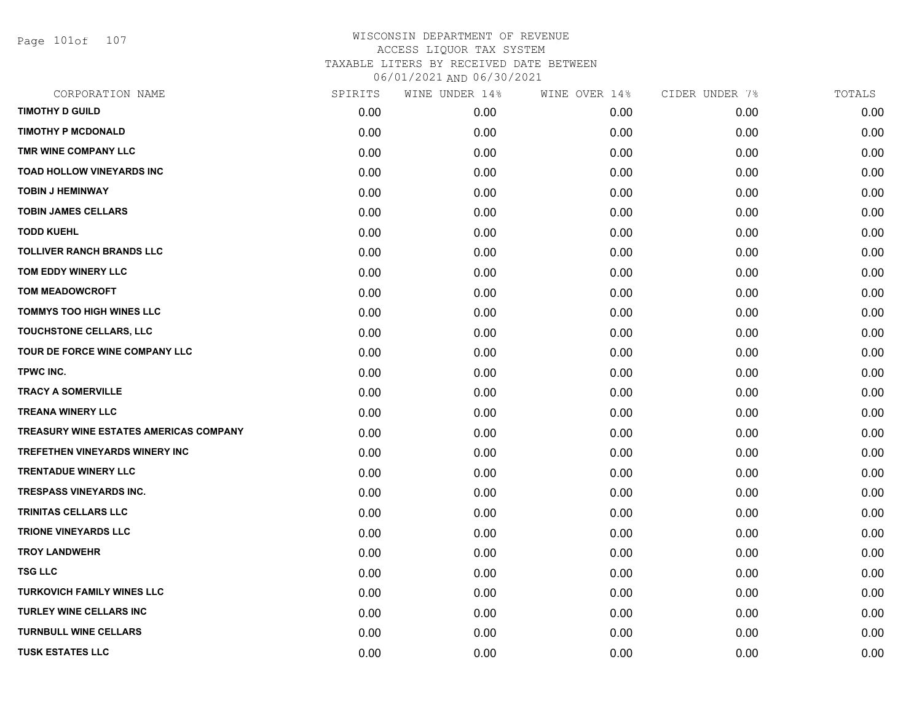Page 101of 107

| CORPORATION NAME                              | SPIRITS | WINE UNDER 14% | WINE OVER 14% | CIDER UNDER 7% | TOTALS |
|-----------------------------------------------|---------|----------------|---------------|----------------|--------|
| <b>TIMOTHY D GUILD</b>                        | 0.00    | 0.00           | 0.00          | 0.00           | 0.00   |
| <b>TIMOTHY P MCDONALD</b>                     | 0.00    | 0.00           | 0.00          | 0.00           | 0.00   |
| TMR WINE COMPANY LLC                          | 0.00    | 0.00           | 0.00          | 0.00           | 0.00   |
| <b>TOAD HOLLOW VINEYARDS INC</b>              | 0.00    | 0.00           | 0.00          | 0.00           | 0.00   |
| <b>TOBIN J HEMINWAY</b>                       | 0.00    | 0.00           | 0.00          | 0.00           | 0.00   |
| <b>TOBIN JAMES CELLARS</b>                    | 0.00    | 0.00           | 0.00          | 0.00           | 0.00   |
| <b>TODD KUEHL</b>                             | 0.00    | 0.00           | 0.00          | 0.00           | 0.00   |
| <b>TOLLIVER RANCH BRANDS LLC</b>              | 0.00    | 0.00           | 0.00          | 0.00           | 0.00   |
| TOM EDDY WINERY LLC                           | 0.00    | 0.00           | 0.00          | 0.00           | 0.00   |
| <b>TOM MEADOWCROFT</b>                        | 0.00    | 0.00           | 0.00          | 0.00           | 0.00   |
| <b>TOMMYS TOO HIGH WINES LLC</b>              | 0.00    | 0.00           | 0.00          | 0.00           | 0.00   |
| TOUCHSTONE CELLARS, LLC                       | 0.00    | 0.00           | 0.00          | 0.00           | 0.00   |
| TOUR DE FORCE WINE COMPANY LLC                | 0.00    | 0.00           | 0.00          | 0.00           | 0.00   |
| TPWC INC.                                     | 0.00    | 0.00           | 0.00          | 0.00           | 0.00   |
| <b>TRACY A SOMERVILLE</b>                     | 0.00    | 0.00           | 0.00          | 0.00           | 0.00   |
| <b>TREANA WINERY LLC</b>                      | 0.00    | 0.00           | 0.00          | 0.00           | 0.00   |
| <b>TREASURY WINE ESTATES AMERICAS COMPANY</b> | 0.00    | 0.00           | 0.00          | 0.00           | 0.00   |
| <b>TREFETHEN VINEYARDS WINERY INC</b>         | 0.00    | 0.00           | 0.00          | 0.00           | 0.00   |
| <b>TRENTADUE WINERY LLC</b>                   | 0.00    | 0.00           | 0.00          | 0.00           | 0.00   |
| <b>TRESPASS VINEYARDS INC.</b>                | 0.00    | 0.00           | 0.00          | 0.00           | 0.00   |
| <b>TRINITAS CELLARS LLC</b>                   | 0.00    | 0.00           | 0.00          | 0.00           | 0.00   |
| <b>TRIONE VINEYARDS LLC</b>                   | 0.00    | 0.00           | 0.00          | 0.00           | 0.00   |
| <b>TROY LANDWEHR</b>                          | 0.00    | 0.00           | 0.00          | 0.00           | 0.00   |
| <b>TSG LLC</b>                                | 0.00    | 0.00           | 0.00          | 0.00           | 0.00   |
| <b>TURKOVICH FAMILY WINES LLC</b>             | 0.00    | 0.00           | 0.00          | 0.00           | 0.00   |
| <b>TURLEY WINE CELLARS INC</b>                | 0.00    | 0.00           | 0.00          | 0.00           | 0.00   |
| <b>TURNBULL WINE CELLARS</b>                  | 0.00    | 0.00           | 0.00          | 0.00           | 0.00   |
| <b>TUSK ESTATES LLC</b>                       | 0.00    | 0.00           | 0.00          | 0.00           | 0.00   |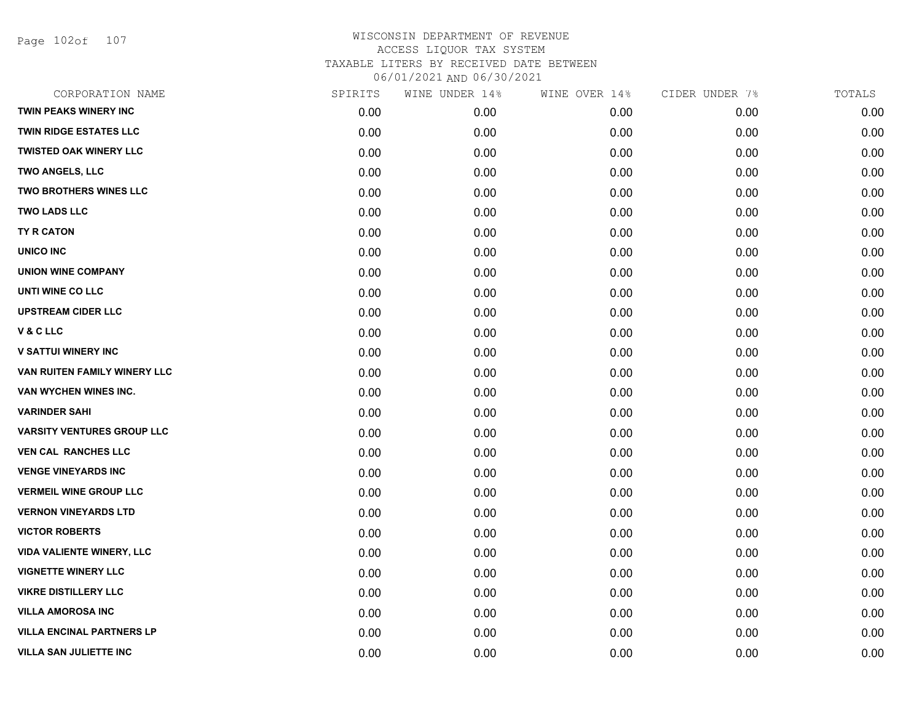Page 102of 107

| CORPORATION NAME                  | SPIRITS | WINE UNDER 14% | WINE OVER 14% | CIDER UNDER 7% | TOTALS |
|-----------------------------------|---------|----------------|---------------|----------------|--------|
| <b>TWIN PEAKS WINERY INC</b>      | 0.00    | 0.00           | 0.00          | 0.00           | 0.00   |
| <b>TWIN RIDGE ESTATES LLC</b>     | 0.00    | 0.00           | 0.00          | 0.00           | 0.00   |
| <b>TWISTED OAK WINERY LLC</b>     | 0.00    | 0.00           | 0.00          | 0.00           | 0.00   |
| <b>TWO ANGELS, LLC</b>            | 0.00    | 0.00           | 0.00          | 0.00           | 0.00   |
| <b>TWO BROTHERS WINES LLC</b>     | 0.00    | 0.00           | 0.00          | 0.00           | 0.00   |
| <b>TWO LADS LLC</b>               | 0.00    | 0.00           | 0.00          | 0.00           | 0.00   |
| <b>TY R CATON</b>                 | 0.00    | 0.00           | 0.00          | 0.00           | 0.00   |
| <b>UNICO INC</b>                  | 0.00    | 0.00           | 0.00          | 0.00           | 0.00   |
| <b>UNION WINE COMPANY</b>         | 0.00    | 0.00           | 0.00          | 0.00           | 0.00   |
| UNTI WINE CO LLC                  | 0.00    | 0.00           | 0.00          | 0.00           | 0.00   |
| <b>UPSTREAM CIDER LLC</b>         | 0.00    | 0.00           | 0.00          | 0.00           | 0.00   |
| V & C LLC                         | 0.00    | 0.00           | 0.00          | 0.00           | 0.00   |
| <b>V SATTUI WINERY INC</b>        | 0.00    | 0.00           | 0.00          | 0.00           | 0.00   |
| VAN RUITEN FAMILY WINERY LLC      | 0.00    | 0.00           | 0.00          | 0.00           | 0.00   |
| VAN WYCHEN WINES INC.             | 0.00    | 0.00           | 0.00          | 0.00           | 0.00   |
| <b>VARINDER SAHI</b>              | 0.00    | 0.00           | 0.00          | 0.00           | 0.00   |
| <b>VARSITY VENTURES GROUP LLC</b> | 0.00    | 0.00           | 0.00          | 0.00           | 0.00   |
| <b>VEN CAL RANCHES LLC</b>        | 0.00    | 0.00           | 0.00          | 0.00           | 0.00   |
| <b>VENGE VINEYARDS INC</b>        | 0.00    | 0.00           | 0.00          | 0.00           | 0.00   |
| <b>VERMEIL WINE GROUP LLC</b>     | 0.00    | 0.00           | 0.00          | 0.00           | 0.00   |
| <b>VERNON VINEYARDS LTD</b>       | 0.00    | 0.00           | 0.00          | 0.00           | 0.00   |
| <b>VICTOR ROBERTS</b>             | 0.00    | 0.00           | 0.00          | 0.00           | 0.00   |
| <b>VIDA VALIENTE WINERY, LLC</b>  | 0.00    | 0.00           | 0.00          | 0.00           | 0.00   |
| <b>VIGNETTE WINERY LLC</b>        | 0.00    | 0.00           | 0.00          | 0.00           | 0.00   |
| <b>VIKRE DISTILLERY LLC</b>       | 0.00    | 0.00           | 0.00          | 0.00           | 0.00   |
| <b>VILLA AMOROSA INC</b>          | 0.00    | 0.00           | 0.00          | 0.00           | 0.00   |
| <b>VILLA ENCINAL PARTNERS LP</b>  | 0.00    | 0.00           | 0.00          | 0.00           | 0.00   |
| <b>VILLA SAN JULIETTE INC</b>     | 0.00    | 0.00           | 0.00          | 0.00           | 0.00   |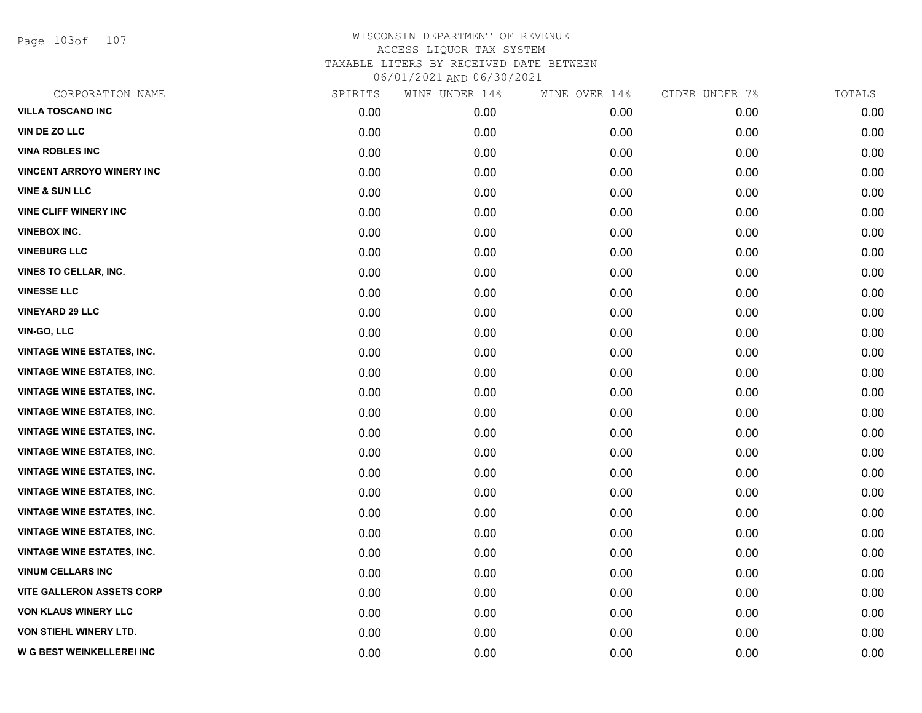Page 103of 107

| CORPORATION NAME                  | SPIRITS | WINE UNDER 14% | WINE OVER 14% | CIDER UNDER 7% | TOTALS |
|-----------------------------------|---------|----------------|---------------|----------------|--------|
| <b>VILLA TOSCANO INC</b>          | 0.00    | 0.00           | 0.00          | 0.00           | 0.00   |
| VIN DE ZO LLC                     | 0.00    | 0.00           | 0.00          | 0.00           | 0.00   |
| <b>VINA ROBLES INC</b>            | 0.00    | 0.00           | 0.00          | 0.00           | 0.00   |
| <b>VINCENT ARROYO WINERY INC</b>  | 0.00    | 0.00           | 0.00          | 0.00           | 0.00   |
| <b>VINE &amp; SUN LLC</b>         | 0.00    | 0.00           | 0.00          | 0.00           | 0.00   |
| <b>VINE CLIFF WINERY INC</b>      | 0.00    | 0.00           | 0.00          | 0.00           | 0.00   |
| <b>VINEBOX INC.</b>               | 0.00    | 0.00           | 0.00          | 0.00           | 0.00   |
| <b>VINEBURG LLC</b>               | 0.00    | 0.00           | 0.00          | 0.00           | 0.00   |
| <b>VINES TO CELLAR, INC.</b>      | 0.00    | 0.00           | 0.00          | 0.00           | 0.00   |
| <b>VINESSE LLC</b>                | 0.00    | 0.00           | 0.00          | 0.00           | 0.00   |
| <b>VINEYARD 29 LLC</b>            | 0.00    | 0.00           | 0.00          | 0.00           | 0.00   |
| <b>VIN-GO, LLC</b>                | 0.00    | 0.00           | 0.00          | 0.00           | 0.00   |
| <b>VINTAGE WINE ESTATES, INC.</b> | 0.00    | 0.00           | 0.00          | 0.00           | 0.00   |
| <b>VINTAGE WINE ESTATES, INC.</b> | 0.00    | 0.00           | 0.00          | 0.00           | 0.00   |
| <b>VINTAGE WINE ESTATES, INC.</b> | 0.00    | 0.00           | 0.00          | 0.00           | 0.00   |
| <b>VINTAGE WINE ESTATES, INC.</b> | 0.00    | 0.00           | 0.00          | 0.00           | 0.00   |
| <b>VINTAGE WINE ESTATES, INC.</b> | 0.00    | 0.00           | 0.00          | 0.00           | 0.00   |
| <b>VINTAGE WINE ESTATES, INC.</b> | 0.00    | 0.00           | 0.00          | 0.00           | 0.00   |
| <b>VINTAGE WINE ESTATES, INC.</b> | 0.00    | 0.00           | 0.00          | 0.00           | 0.00   |
| <b>VINTAGE WINE ESTATES, INC.</b> | 0.00    | 0.00           | 0.00          | 0.00           | 0.00   |
| <b>VINTAGE WINE ESTATES, INC.</b> | 0.00    | 0.00           | 0.00          | 0.00           | 0.00   |
| <b>VINTAGE WINE ESTATES, INC.</b> | 0.00    | 0.00           | 0.00          | 0.00           | 0.00   |
| <b>VINTAGE WINE ESTATES, INC.</b> | 0.00    | 0.00           | 0.00          | 0.00           | 0.00   |
| <b>VINUM CELLARS INC</b>          | 0.00    | 0.00           | 0.00          | 0.00           | 0.00   |
| <b>VITE GALLERON ASSETS CORP</b>  | 0.00    | 0.00           | 0.00          | 0.00           | 0.00   |
| <b>VON KLAUS WINERY LLC</b>       | 0.00    | 0.00           | 0.00          | 0.00           | 0.00   |
| VON STIEHL WINERY LTD.            | 0.00    | 0.00           | 0.00          | 0.00           | 0.00   |
| W G BEST WEINKELLEREI INC         | 0.00    | 0.00           | 0.00          | 0.00           | 0.00   |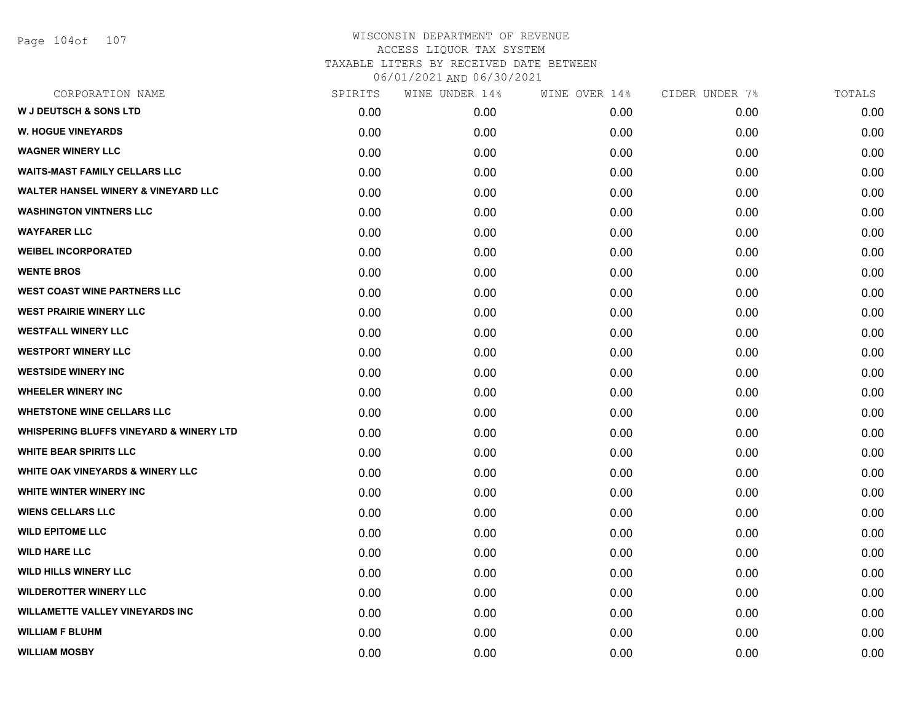| SPIRITS | WINE UNDER 14% | WINE OVER 14% | CIDER UNDER 7% | TOTALS |
|---------|----------------|---------------|----------------|--------|
| 0.00    | 0.00           | 0.00          | 0.00           | 0.00   |
| 0.00    | 0.00           | 0.00          | 0.00           | 0.00   |
| 0.00    | 0.00           | 0.00          | 0.00           | 0.00   |
| 0.00    | 0.00           | 0.00          | 0.00           | 0.00   |
| 0.00    | 0.00           | 0.00          | 0.00           | 0.00   |
| 0.00    | 0.00           | 0.00          | 0.00           | 0.00   |
| 0.00    | 0.00           | 0.00          | 0.00           | 0.00   |
| 0.00    | 0.00           | 0.00          | 0.00           | 0.00   |
| 0.00    | 0.00           | 0.00          | 0.00           | 0.00   |
| 0.00    | 0.00           | 0.00          | 0.00           | 0.00   |
| 0.00    | 0.00           | 0.00          | 0.00           | 0.00   |
| 0.00    | 0.00           | 0.00          | 0.00           | 0.00   |
| 0.00    | 0.00           | 0.00          | 0.00           | 0.00   |
| 0.00    | 0.00           | 0.00          | 0.00           | 0.00   |
| 0.00    | 0.00           | 0.00          | 0.00           | 0.00   |
| 0.00    | 0.00           | 0.00          | 0.00           | 0.00   |
| 0.00    | 0.00           | 0.00          | 0.00           | 0.00   |
| 0.00    | 0.00           | 0.00          | 0.00           | 0.00   |
| 0.00    | 0.00           | 0.00          | 0.00           | 0.00   |
| 0.00    | 0.00           | 0.00          | 0.00           | 0.00   |
| 0.00    | 0.00           | 0.00          | 0.00           | 0.00   |
| 0.00    | 0.00           | 0.00          | 0.00           | 0.00   |
| 0.00    | 0.00           | 0.00          | 0.00           | 0.00   |
| 0.00    | 0.00           | 0.00          | 0.00           | 0.00   |
| 0.00    | 0.00           | 0.00          | 0.00           | 0.00   |
| 0.00    | 0.00           | 0.00          | 0.00           | 0.00   |
| 0.00    | 0.00           | 0.00          | 0.00           | 0.00   |
| 0.00    | 0.00           | 0.00          | 0.00           | 0.00   |
|         |                |               |                |        |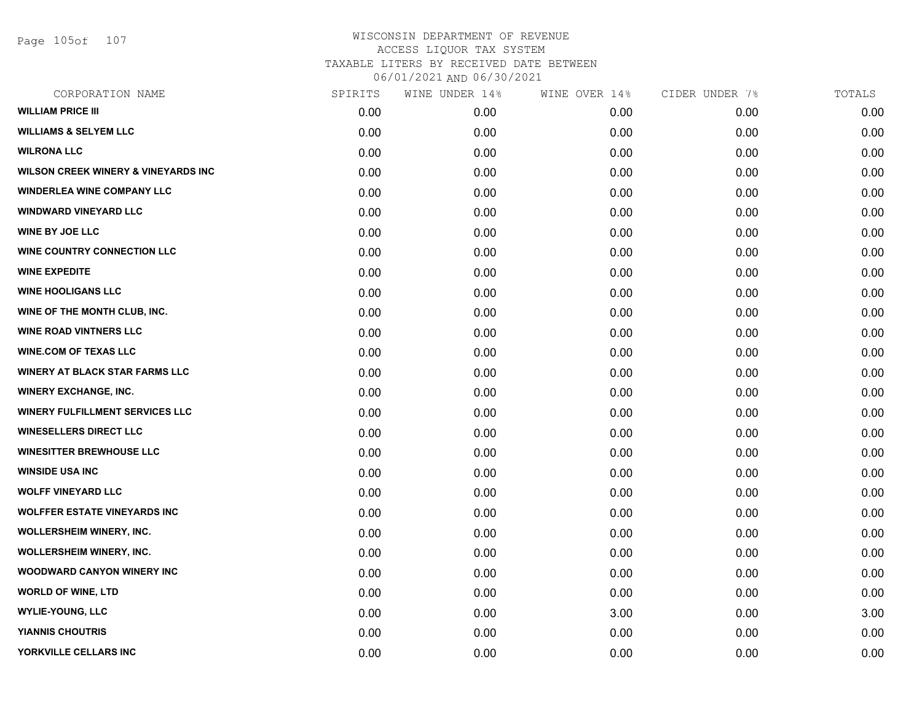Page 105of 107

| CORPORATION NAME                               | SPIRITS | WINE UNDER 14% | WINE OVER 14% | CIDER UNDER 7% | TOTALS |
|------------------------------------------------|---------|----------------|---------------|----------------|--------|
| <b>WILLIAM PRICE III</b>                       | 0.00    | 0.00           | 0.00          | 0.00           | 0.00   |
| <b>WILLIAMS &amp; SELYEM LLC</b>               | 0.00    | 0.00           | 0.00          | 0.00           | 0.00   |
| <b>WILRONA LLC</b>                             | 0.00    | 0.00           | 0.00          | 0.00           | 0.00   |
| <b>WILSON CREEK WINERY &amp; VINEYARDS INC</b> | 0.00    | 0.00           | 0.00          | 0.00           | 0.00   |
| <b>WINDERLEA WINE COMPANY LLC</b>              | 0.00    | 0.00           | 0.00          | 0.00           | 0.00   |
| <b>WINDWARD VINEYARD LLC</b>                   | 0.00    | 0.00           | 0.00          | 0.00           | 0.00   |
| <b>WINE BY JOE LLC</b>                         | 0.00    | 0.00           | 0.00          | 0.00           | 0.00   |
| <b>WINE COUNTRY CONNECTION LLC</b>             | 0.00    | 0.00           | 0.00          | 0.00           | 0.00   |
| <b>WINE EXPEDITE</b>                           | 0.00    | 0.00           | 0.00          | 0.00           | 0.00   |
| <b>WINE HOOLIGANS LLC</b>                      | 0.00    | 0.00           | 0.00          | 0.00           | 0.00   |
| WINE OF THE MONTH CLUB, INC.                   | 0.00    | 0.00           | 0.00          | 0.00           | 0.00   |
| <b>WINE ROAD VINTNERS LLC</b>                  | 0.00    | 0.00           | 0.00          | 0.00           | 0.00   |
| <b>WINE.COM OF TEXAS LLC</b>                   | 0.00    | 0.00           | 0.00          | 0.00           | 0.00   |
| <b>WINERY AT BLACK STAR FARMS LLC</b>          | 0.00    | 0.00           | 0.00          | 0.00           | 0.00   |
| <b>WINERY EXCHANGE, INC.</b>                   | 0.00    | 0.00           | 0.00          | 0.00           | 0.00   |
| <b>WINERY FULFILLMENT SERVICES LLC</b>         | 0.00    | 0.00           | 0.00          | 0.00           | 0.00   |
| <b>WINESELLERS DIRECT LLC</b>                  | 0.00    | 0.00           | 0.00          | 0.00           | 0.00   |
| <b>WINESITTER BREWHOUSE LLC</b>                | 0.00    | 0.00           | 0.00          | 0.00           | 0.00   |
| <b>WINSIDE USA INC</b>                         | 0.00    | 0.00           | 0.00          | 0.00           | 0.00   |
| <b>WOLFF VINEYARD LLC</b>                      | 0.00    | 0.00           | 0.00          | 0.00           | 0.00   |
| <b>WOLFFER ESTATE VINEYARDS INC</b>            | 0.00    | 0.00           | 0.00          | 0.00           | 0.00   |
| WOLLERSHEIM WINERY, INC.                       | 0.00    | 0.00           | 0.00          | 0.00           | 0.00   |
| WOLLERSHEIM WINERY, INC.                       | 0.00    | 0.00           | 0.00          | 0.00           | 0.00   |
| <b>WOODWARD CANYON WINERY INC</b>              | 0.00    | 0.00           | 0.00          | 0.00           | 0.00   |
| <b>WORLD OF WINE, LTD</b>                      | 0.00    | 0.00           | 0.00          | 0.00           | 0.00   |
| <b>WYLIE-YOUNG, LLC</b>                        | 0.00    | 0.00           | 3.00          | 0.00           | 3.00   |
| <b>YIANNIS CHOUTRIS</b>                        | 0.00    | 0.00           | 0.00          | 0.00           | 0.00   |
| YORKVILLE CELLARS INC                          | 0.00    | 0.00           | 0.00          | 0.00           | 0.00   |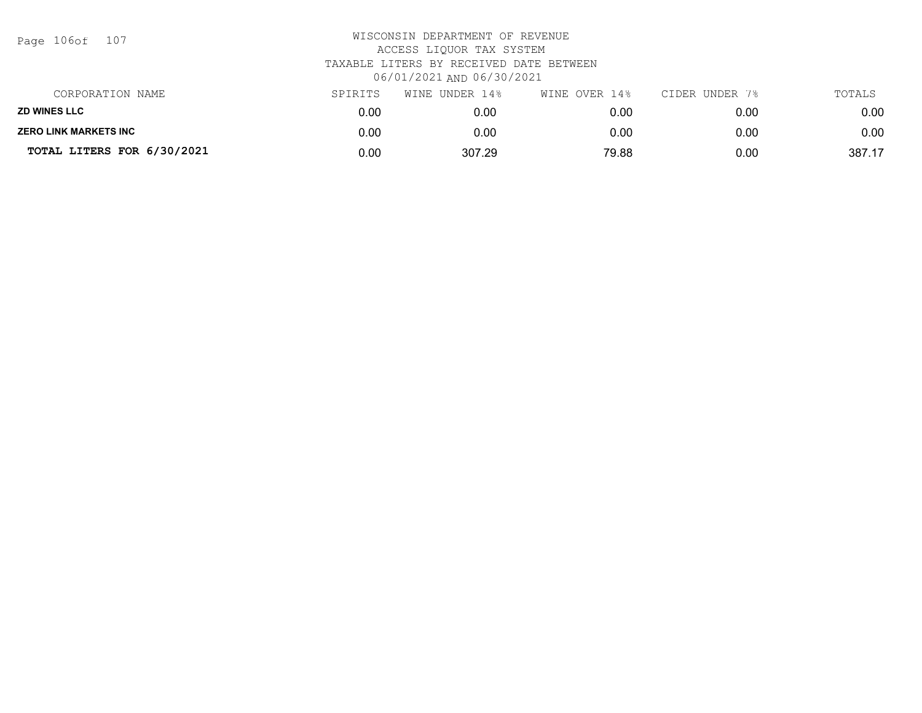| Page | 106of | 107 |
|------|-------|-----|
|------|-------|-----|

| CORPORATION NAME             | SPIRITS | UNDER 14%<br>WINE | WINE OVER 14% | CIDER UNDER 7% | TOTALS |
|------------------------------|---------|-------------------|---------------|----------------|--------|
| <b>ZD WINES LLC</b>          | 0.00    | 0.00              | 0.00          | 0.00           | 0.00   |
| <b>ZERO LINK MARKETS INC</b> | 0.00    | 0.00              | 0.00          | 0.00           | 0.00   |
| TOTAL LITERS FOR 6/30/2021   | 0.00    | 307.29            | 79.88         | 0.00           | 387.17 |